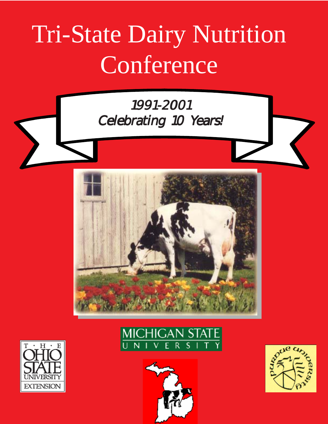# Tri-State Dairy Nutrition **Conference**







 $H$ 

**EXTENSION** 



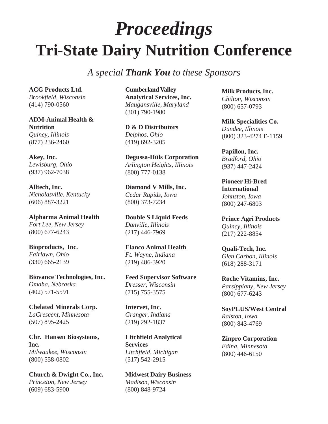### *Proceedings* **Tri-State Dairy Nutrition Conference**

*A special Thank You to these Sponsors*

**ACG Products Ltd.** *Brookfield, Wisconsin* (414) 790-0560

**ADM-Animal Health & Nutrition** *Quincy, Illinois* (877) 236-2460

#### **Akey, Inc.**

*Lewisburg, Ohio* (937) 962-7038

**Alltech, Inc.** *Nicholasville, Kentucky* (606) 887-3221

**Alpharma Animal Health** *Fort Lee, New Jersey* (800) 677-6243

**Bioproducts, Inc.** *Fairlawn, Ohio* (330) 665-2139

**Biovance Technologies, Inc.** *Omaha, Nebraska* (402) 571-5591

**Chelated Minerals Corp.** *LaCrescent, Minnesota* (507) 895-2425

**Chr. Hansen Biosystems, Inc.** *Milwaukee, Wisconsin* (800) 558-0802

**Church & Dwight Co., Inc.** *Princeton, New Jersey* (609) 683-5900

**Cumberland Valley Analytical Services, Inc.** *Maugansville, Maryland* (301) 790-1980

**D & D Distributors** *Delphos, Ohio* (419) 692-3205

**Degussa-Hüls Corporation** *Arlington Heights, Illinois* (800) 777-0138

**Diamond V Mills, Inc.** *Cedar Rapids, Iowa* (800) 373-7234

**Double S Liquid Feeds** *Danville, Illinois* (217) 446-7969

**Elanco Animal Health** *Ft. Wayne, Indiana* (219) 486-3920

**Feed Supervisor Software** *Dresser, Wisconsin* (715) 755-3575

**Intervet, Inc.** *Granger, Indiana* (219) 292-1837

**Litchfield Analytical Services** *Litchfield, Michigan* (517) 542-2915

**Midwest Dairy Business** *Madison, Wisconsin* (800) 848-9724

**Milk Products, Inc.** *Chilton, Wisconsin* (800) 657-0793

**Milk Specialities Co.** *Dundee, Illinois* (800) 323-4274 E-1159

**Papillon, Inc.** *Bradford, Ohio* (937) 447-2424

**Pioneer Hi-Bred International** *Johnston, Iowa* (800) 247-6803

**Prince Agri Products** *Quincy, Illinois* (217) 222-8854

**Quali-Tech, Inc.** *Glen Carbon, Illinois* (618) 288-3171

**Roche Vitamins, Inc.** *Parsippiany, New Jersey* (800) 677-6243

**SoyPLUS/West Central** *Ralston, Iowa* (800) 843-4769

**Zinpro Corporation** *Edina, Minnesota* (800) 446-6150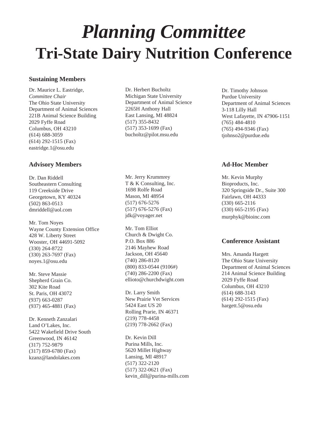### **Tri-State Dairy Nutrition Conference** *Planning Committee*

#### **Sustaining Members**

Dr. Maurice L. Eastridge, *Committee Chair* The Ohio State University Department of Animal Sciences 221B Animal Science Building 2029 Fyffe Road Columbus, OH 43210 (614) 688-3059 (614) 292-1515 (Fax) eastridge.1@osu.edu

#### **Advisory Members**

Dr. Dan Riddell Southeastern Consulting 119 Creekside Drive Georgetown, KY 40324 (502) 863-0513 dmriddell@aol.com

Mr. Tom Noyes Wayne County Extension Office 428 W. Liberty Street Wooster, OH 44691-5092 (330) 264-8722 (330) 263-7697 (Fax) noyes.1@osu.edu

Mr. Steve Massie Shepherd Grain Co. 302 Kite Road St. Paris, OH 43072 (937) 663-0287 (937) 465-4881 (Fax)

Dr. Kenneth Zanzalari Land O'Lakes, Inc. 5422 Wakefield Drive South Greenwood, IN 46142 (317) 752-9879 (317) 859-6780 (Fax) kzanz@landolakes.com

Dr. Herbert Bucholtz Michigan State University Department of Animal Science 2265H Anthony Hall East Lansing, MI 48824 (517) 355-8432 (517) 353-1699 (Fax) bucholtz@pilot.msu.edu

Mr. Jerry Krummrey T & K Consulting, Inc. 1698 Rolfe Road Mason, MI 48954 (517) 676-5276 (517) 676-5276 (Fax) jdk@voyager.net

Mr. Tom Elliot Church & Dwight Co. P.O. Box 886 2146 Mayhew Road Jackson, OH 45640 (740) 286-8120 (800) 833-0544 (9106#) (740) 286-2200 (Fax) ellioto@churchdwight.com

Dr. Larry Smith New Prairie Vet Services 5424 East US 20 Rolling Prarie, IN 46371 (219) 778-4458 (219) 778-2662 (Fax)

Dr. Kevin Dill Purina Mills, Inc. 5620 Millet Highway Lansing, MI 48917 (517) 322-2120 (517) 322-0621 (Fax) kevin\_dill@purina-mills.com

Dr. Timothy Johnson Purdue University Department of Animal Sciences 3-118 Lilly Hall West Lafayette, IN 47906-1151 (765) 484-4810 (765) 494-9346 (Fax) tjohnso2@purdue.edu

#### **Ad-Hoc Member**

Mr. Kevin Murphy Bioproducts, Inc. 320 Springside Dr., Suite 300 Fairlawn, OH 44333 (330) 665-2116 (330) 665-2195 (Fax) murphyk@bioinc.com

#### **Conference Assistant**

Mrs. Amanda Hargett The Ohio State University Department of Animal Sciences 214 Animal Science Building 2029 Fyffe Road Columbus, OH 43210 (614) 688-3143 (614) 292-1515 (Fax) hargett.5@osu.edu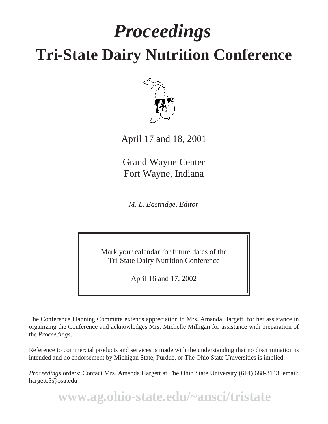## *Proceedings* **Tri-State Dairy Nutrition Conference**



April 17 and 18, 2001

Grand Wayne Center Fort Wayne, Indiana

*M. L. Eastridge, Editor*

Mark your calendar for future dates of the Tri-State Dairy Nutrition Conference

April 16 and 17, 2002

The Conference Planning Committe extends appreciation to Mrs. Amanda Hargett for her assistance in organizing the Conference and acknowledges Mrs. Michelle Milligan for assistance with preparation of the *Proceedings*.

Reference to commercial products and services is made with the understanding that no discrimination is intended and no endorsement by Michigan State, Purdue, or The Ohio State Universities is implied.

*Proceedings* orders: Contact Mrs. Amanda Hargett at The Ohio State University (614) 688-3143; email: hargett.5@osu.edu

**www.ag.ohio-state.edu/~ansci/tristate**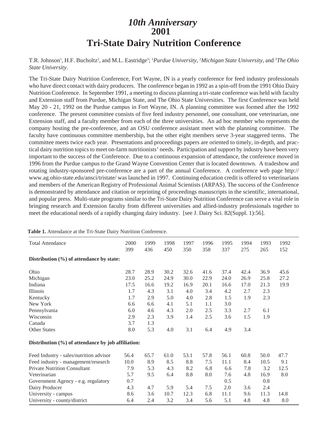#### *10th Anniversary* **Tri-State Dairy Nutrition Conference 2001**

T.R. Johnson<sup>1</sup>, H.F. Bucholtz<sup>2</sup>, and M.L. Eastridge<sup>3</sup>; <sup>1</sup>Purdue University, <sup>2</sup>Michigan State University, and <sup>3</sup>The Ohio *State University*.

The Tri-State Dairy Nutrition Conference, Fort Wayne, IN is a yearly conference for feed industry professionals who have direct contact with dairy producers. The conference began in 1992 as a spin-off from the 1991 Ohio Dairy Nutrition Conference. In September 1991, a meeting to discuss planning a tri-state conference was held with faculty and Extension staff from Purdue, Michigan State, and The Ohio State Universities. The first Conference was held May 20 - 21, 1992 on the Purdue campus in Fort Wayne, IN. A planning committee was formed after the 1992 conference. The present committee consists of five feed industry personnel, one consultant, one veterinarian, one Extension staff, and a faculty member from each of the three universities. An ad hoc member who represents the company hosting the pre-conference, and an OSU conference assistant meet with the planning committee. The faculty have continuous committee membership, but the other eight members serve 3-year staggered terms. The committee meets twice each year. Presentations and proceedings papers are oriented to timely, in-depth, and practical dairy nutrition topics to meet on-farm nutritionists' needs. Participation and support by industry have been very important to the success of the Conference. Due to a continuous expansion of attendance, the conference moved in 1996 from the Purdue campus to the Grand Wayne Convention Center that is located downtown. A tradeshow and rotating industry-sponsored pre-conference are a part of the annual Conference. A conference web page http:// www.ag.ohio-state.edu/ansci/tristate/ was launched in 1997. Continuing education credit is offered to veterinarians and members of the American Registry of Professional Animal Scientists (ARPAS). The success of the Conference is demonstrated by attendance and citation or reprinting of proceedings manuscripts in the scientific, international, and popular press. Multi-state programs similar to the Tri-State Dairy Nutrition Conference can serve a vital role in bringing research and Extension faculty from different universities and allied-industry professionals together to meet the educational needs of a rapidly changing dairy industry. [see J. Dairy Sci. 82(Suppl. 1):56].

| <b>Total Attendance</b>                  | 2000<br>399                                           | 1999<br>436 | 1998<br>450 | 1997<br>350 | 1996<br>358 | 1995<br>337 | 1994<br>275 | 1993<br>265 | 1992<br>152 |
|------------------------------------------|-------------------------------------------------------|-------------|-------------|-------------|-------------|-------------|-------------|-------------|-------------|
| Distribution (%) of attendance by state: |                                                       |             |             |             |             |             |             |             |             |
| Ohio                                     | 28.7                                                  | 28.9        | 30.2        | 32.6        | 41.6        | 37.4        | 42.4        | 36.9        | 45.6        |
| Michigan                                 | 23.0                                                  | 25.2        | 24.9        | 30.0        | 22.9        | 24.0        | 26.9        | 25.8        | 27.2        |
| Indiana                                  | 17.5                                                  | 16.6        | 19.2        | 16.9        | 20.1        | 16.6        | 17.0        | 21.3        | 19.9        |
| Illinois                                 | 1.7                                                   | 4.3         | 3.1         | 4.0         | 3.4         | 4.2         | 2.7         | 2.3         |             |
| Kentucky                                 | 1.7                                                   | 2.9         | 5.0         | 4.0         | 2.8         | 1.5         | 1.9         | 2.3         |             |
| New York                                 | 6.6                                                   | 6.6         | 4.1         | 5.1         | 1.1         | 3.0         |             |             |             |
| Pennsylvania                             | 6.0                                                   | 4.6         | 4.3         | 2.0         | 2.5         | 3.3         | 2.7         | 6.1         |             |
| Wisconsin                                | 2.9                                                   | 2.3         | 3.9         | 1.4         | 2.5         | 3.6         | 1.5         | 1.9         |             |
| Canada                                   | 3.7                                                   | 1.3         |             |             |             |             |             |             |             |
| Other States                             | 8.0                                                   | 5.3         | 4.0         | 3.1         | 6.4         | 4.9         | 3.4         |             |             |
|                                          | Distribution $(\%)$ of attendance by job affiliation: |             |             |             |             |             |             |             |             |
| Feed Industry - sales/nutrition advisor  | 56.4                                                  | 65.7        | 61.0        | 53.1        | 57.8        | 56.1        | 60.8        | 50.0        | 47.7        |
| Feed industry - management/research      | 10.0                                                  | 8.9         | 8.5         | 8.8         | 7.5         | 11.1        | 8.4         | 10.5        | 9.1         |
| <b>Private Nutrition Consultant</b>      | 7.9                                                   | 5.3         | 4.3         | 8.2         | 6.8         | 6.6         | 7.8         | 3.2         | 12.5        |
| Veterinarian                             | 5.7                                                   | 9.5         | 6.4         | 8.8         | 8.0         | 7.6         | 4.8         | 16.9        | 8.0         |
| Government Agency - e.g. regulatory      | 0.7                                                   |             |             |             |             | 0.5         |             | 0.8         |             |
| Dairy Producer                           | 4.3                                                   | 4.7         | 5.9         | 5.4         | 7.5         | 2.0         | 3.6         | 2.4         |             |
| University - campus                      | 8.6                                                   | 3.6         | 10.7        | 12.3        | 6.8         | 11.1        | 9.6         | 11.3        | 14.8        |
| University - county/district             | 6.4                                                   | 2.4         | 3.2         | 3.4         | 5.6         | 5.1         | 4.8         | 4.8         | 8.0         |

**Table 1.** Attendance at the Tri-State Dairy Nutrition Conference.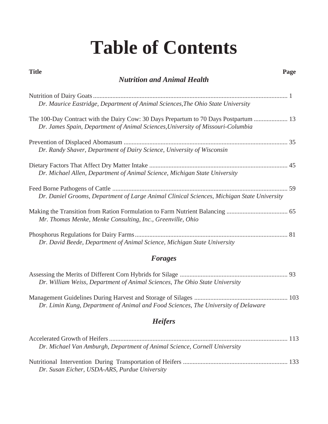## **Table of Contents**

| <b>Title</b><br>Page<br><b>Nutrition and Animal Health</b>                                                                                                              |  |
|-------------------------------------------------------------------------------------------------------------------------------------------------------------------------|--|
|                                                                                                                                                                         |  |
| Dr. Maurice Eastridge, Department of Animal Sciences, The Ohio State University                                                                                         |  |
| The 100-Day Contract with the Dairy Cow: 30 Days Prepartum to 70 Days Postpartum  13<br>Dr. James Spain, Department of Animal Sciences, University of Missouri-Columbia |  |
|                                                                                                                                                                         |  |
| Dr. Randy Shaver, Department of Dairy Science, University of Wisconsin                                                                                                  |  |
|                                                                                                                                                                         |  |
| Dr. Michael Allen, Department of Animal Science, Michigan State University                                                                                              |  |
|                                                                                                                                                                         |  |
| Dr. Daniel Grooms, Department of Large Animal Clinical Sciences, Michigan State University                                                                              |  |
|                                                                                                                                                                         |  |
| Mr. Thomas Menke, Menke Consulting, Inc., Greenville, Ohio                                                                                                              |  |
|                                                                                                                                                                         |  |
| Dr. David Beede, Department of Animal Science, Michigan State University                                                                                                |  |

#### *Forages*

| Dr. William Weiss, Department of Animal Sciences, The Ohio State University |  |
|-----------------------------------------------------------------------------|--|

Management Guidelines During Harvest and Storage of Silages .......................................................... 103 *Dr. Limin Kung, Department of Animal and Food Sciences, The University of Delaware*

#### *Heifers*

| Dr. Michael Van Amburgh, Department of Animal Science, Cornell University |  |
|---------------------------------------------------------------------------|--|
|                                                                           |  |
| Dr. Susan Eicher, USDA-ARS, Purdue University                             |  |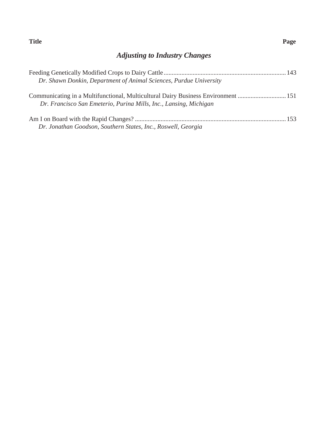#### **Title Page**

#### *Adjusting to Industry Changes*

| Dr. Shawn Donkin, Department of Animal Sciences, Purdue University                |  |
|-----------------------------------------------------------------------------------|--|
|                                                                                   |  |
| Communicating in a Multifunctional, Multicultural Dairy Business Environment  151 |  |
| Dr. Francisco San Emeterio, Purina Mills, Inc., Lansing, Michigan                 |  |
|                                                                                   |  |
|                                                                                   |  |
| Dr. Jonathan Goodson, Southern States, Inc., Roswell, Georgia                     |  |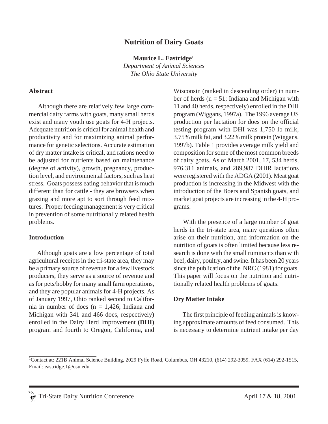#### **Nutrition of Dairy Goats**

**Maurice L. Eastridge1**

*Department of Animal Sciences The Ohio State University*

#### **Abstract**

Although there are relatively few large commercial dairy farms with goats, many small herds exist and many youth use goats for 4-H projects. Adequate nutrition is critical for animal health and productivity and for maximizing animal performance for genetic selections. Accurate estimation of dry matter intake is critical, and rations need to be adjusted for nutrients based on maintenance (degree of activity), growth, pregnancy, production level, and environmental factors, such as heat stress. Goats possess eating behavior that is much different than for cattle - they are browsers when grazing and more apt to sort through feed mixtures. Proper feeding management is very critical in prevention of some nutritionally related health problems.

#### **Introduction**

 Although goats are a low percentage of total agricultural receipts in the tri-state area, they may be a primary source of revenue for a few livestock producers, they serve as a source of revenue and as for pets/hobby for many small farm operations, and they are popular animals for 4-H projects. As of January 1997, Ohio ranked second to California in number of does  $(n = 1,426; \text{ Indiana and})$ Michigan with 341 and 466 does, respectively) enrolled in the Dairy Herd Improvement **(DHI)** program and fourth to Oregon, California, and Wisconsin (ranked in descending order) in number of herds ( $n = 51$ ; Indiana and Michigan with 11 and 40 herds, respectively) enrolled in the DHI program (Wiggans, 1997a). The 1996 average US production per lactation for does on the official testing program with DHI was 1,750 lb milk, 3.75% milk fat, and 3.22% milk protein (Wiggans, 1997b). Table 1 provides average milk yield and composition for some of the most common breeds of dairy goats. As of March 2001, 17, 534 herds, 976,311 animals, and 289,987 DHIR lactations were registered with the ADGA (2001). Meat goat production is increasing in the Midwest with the introduction of the Boers and Spanish goats, and market goat projects are increasing in the 4-H programs.

 With the presence of a large number of goat herds in the tri-state area, many questions often arise on their nutrition, and information on the nutrition of goats is often limited because less research is done with the small ruminants than with beef, dairy, poultry, and swine. It has been 20 years since the publication of the NRC (1981) for goats. This paper will focus on the nutrition and nutritionally related health problems of goats.

#### **Dry Matter Intake**

The first principle of feeding animals is knowing approximate amounts of feed consumed. This is necessary to determine nutrient intake per day

<sup>&</sup>lt;sup>1</sup>Contact at: 221B Animal Science Building, 2029 Fyffe Road, Columbus, OH 43210, (614) 292-3059, FAX (614) 292-1515, Email: eastridge.1@osu.edu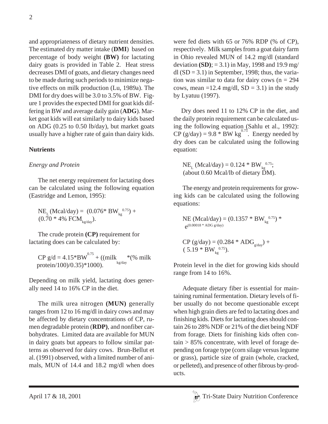and appropriateness of dietary nutrient densities. The estimated dry matter intake (**DMI**) based on percentage of body weight **(BW)** for lactating dairy goats is provided in Table 2. Heat stress decreases DMI of goats, and dietary changes need to be made during such periods to minimize negative effects on milk production (Lu, 1989a). The DMI for dry does will be 3.0 to 3.5% of BW. Figure 1 provides the expected DMI for goat kids differing in BW and average daily gain (**ADG**). Market goat kids will eat similarly to dairy kids based on ADG (0.25 to 0.50 lb/day), but market goats usually have a higher rate of gain than dairy kids.

#### **Nutrients**

#### *Energy and Protein*

The net energy requirement for lactating does can be calculated using the following equation (Eastridge and Lemon, 1995):

 $NE_{L}$  (Mcal/day) = (0.076\* BW<sub>kg</sub><sup>0.75</sup>) +  $(0.70 * 4\% \text{ FCM}_{\text{kg/day}})$ .

The crude protein **(CP)** requirement for lactating does can be calculated by:

 $CP g/d = 4.15*BW^{0.75} + ((milk^*$  (% milk kg/day protein/100)/0.35)\*1000).

Depending on milk yield, lactating does generally need 14 to 16% CP in the diet.

The milk urea nitrogen **(MUN)** generally ranges from 12 to 16 mg/dl in dairy cows and may be affected by dietary concentrations of CP, rumen degradable protein (**RDP)**, and nonfiber carbohydrates. Limited data are available for MUN in dairy goats but appears to follow similar patterns as observed for dairy cows. Brun-Bellut et al. (1991) observed, with a limited number of animals, MUN of 14.4 and 18.2 mg/dl when does

were fed diets with 65 or 76% RDP (% of CP), respectively. Milk samples from a goat dairy farm in Ohio revealed MUN of 14.2 mg/dl (standard deviation **(SD)**; = 3.1) in May, 1998 and 19.9 mg/ dl  $(SD = 3.1)$  in September, 1998; thus, the variation was similar to data for dairy cows ( $n = 294$ ) cows, mean =12.4 mg/dl,  $SD = 3.1$ ) in the study by Lyatuu (1997).

 Dry does need 11 to 12% CP in the diet, and the daily protein requirement can be calculated using the following equation (Sahlu et al., 1992):  $CP$  (g/day) = 9.8  $*$  BW kg<sup>3.75</sup>. Energy needed by dry does can be calculated using the following equation:

 $NE_{\rm L}$  (Mcal/day) = 0.124 \* BW $_{\rm kg}^{0.75}$ ; (about 0.60 Mcal/lb of dietary DM).

The energy and protein requirements for growing kids can be calculated using the following equations:

NE (Mcal/day) = (0.1357 \* BW $_{kg}^{0.75}$ ) \*  $e^{(0.00018 * ADG g/day)}$ 

CP (g/day) = (0.284 \* ADGg/day) + ( 5.19 \* BWkg 0.75).

Protein level in the diet for growing kids should range from 14 to 16%.

Adequate dietary fiber is essential for maintaining ruminal fermentation. Dietary levels of fiber usually do not become questionable except when high grain diets are fed to lactating does and finishing kids. Diets for lactating does should contain 26 to 28% NDF or 21% of the diet being NDF from forage. Diets for finishing kids often contain > 85% concentrate, with level of forage depending on forage type (corn silage versus legume or grass), particle size of grain (whole, cracked, or pelleted), and presence of other fibrous by-products.

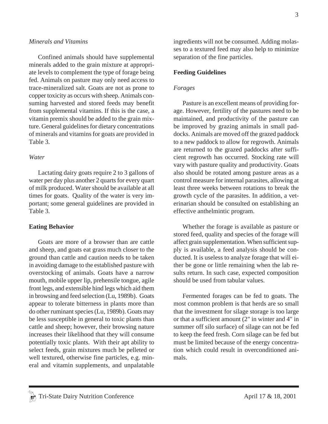#### *Minerals and Vitamins*

Confined animals should have supplemental minerals added to the grain mixture at appropriate levels to complement the type of forage being fed. Animals on pasture may only need access to trace-mineralized salt. Goats are not as prone to copper toxicity as occurs with sheep. Animals consuming harvested and stored feeds may benefit from supplemental vitamins. If this is the case, a vitamin premix should be added to the grain mixture. General guidelines for dietary concentrations of minerals and vitamins for goats are provided in Table 3.

#### *Water*

Lactating dairy goats require 2 to 3 gallons of water per day plus another 2 quarts for every quart of milk produced. Water should be available at all times for goats. Quality of the water is very important; some general guidelines are provided in Table 3.

#### **Eating Behavior**

Goats are more of a browser than are cattle and sheep, and goats eat grass much closer to the ground than cattle and caution needs to be taken in avoiding damage to the established pasture with overstocking of animals. Goats have a narrow mouth, mobile upper lip, prehensile tongue, agile front legs, and extensible hind legs which aid them in browsing and feed selection (Lu, 1989b). Goats appear to tolerate bitterness in plants more than do other ruminant species (Lu, 1989b). Goats may be less susceptible in general to toxic plants than cattle and sheep; however, their browsing nature increases their likelihood that they will consume potentially toxic plants. With their apt ability to select feeds, grain mixtures much be pelleted or well textured, otherwise fine particles, e.g. mineral and vitamin supplements, and unpalatable ingredients will not be consumed. Adding molasses to a textured feed may also help to minimize separation of the fine particles.

#### **Feeding Guidelines**

#### *Forages*

Pasture is an excellent means of providing forage. However, fertility of the pastures need to be maintained, and productivity of the pasture can be improved by grazing animals in small paddocks. Animals are moved off the grazed paddock to a new paddock to allow for regrowth. Animals are returned to the grazed paddocks after sufficient regrowth has occurred. Stocking rate will vary with pasture quality and productivity. Goats also should be rotated among pasture areas as a control measure for internal parasites, allowing at least three weeks between rotations to break the growth cycle of the parasites. In addition, a veterinarian should be consulted on establishing an effective anthelmintic program.

Whether the forage is available as pasture or stored feed, quality and species of the forage will affect grain supplementation. When sufficient supply is available, a feed analysis should be conducted. It is useless to analyze forage that will either be gone or little remaining when the lab results return. In such case, expected composition should be used from tabular values.

Fermented forages can be fed to goats. The most common problem is that herds are so small that the investment for silage storage is too large or that a sufficient amount (2" in winter and 4" in summer off silo surface) of silage can not be fed to keep the feed fresh. Corn silage can be fed but must be limited because of the energy concentration which could result in overconditioned animals.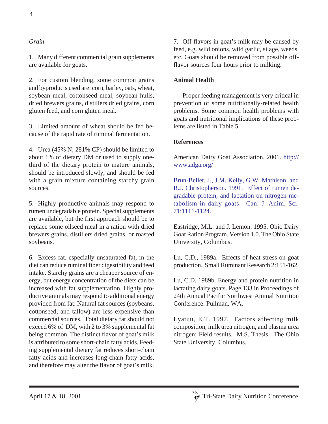#### *Grain*

1. Many different commercial grain supplements are available for goats.

2. For custom blending, some common grains and byproducts used are: corn, barley, oats, wheat, soybean meal, cottonseed meal, soybean hulls, dried brewers grains, distillers dried grains, corn gluten feed, and corn gluten meal.

3. Limited amount of wheat should be fed because of the rapid rate of ruminal fermentation.

4. Urea (45% N; 281% CP) should be limited to about 1% of dietary DM or used to supply onethird of the dietary protein to mature animals, should be introduced slowly, and should be fed with a grain mixture containing starchy grain sources.

5. Highly productive animals may respond to rumen undegradable protein. Special supplements are available, but the first approach should be to replace some oilseed meal in a ration with dried brewers grains, distillers dried grains, or roasted soybeans.

6. Excess fat, especially unsaturated fat, in the diet can reduce ruminal fiber digestibility and feed intake. Starchy grains are a cheaper source of energy, but energy concentration of the diets can be increased with fat supplementation. Highly productive animals may respond to additional energy provided from fat. Natural fat sources (soybeans, cottonseed, and tallow) are less expensive than commercial sources. Total dietary fat should not exceed 6% of DM, with 2 to 3% supplemental fat being common. The distinct flavor of goat's milk is attributed to some short-chain fatty acids. Feeding supplemental dietary fat reduces short-chain fatty acids and increases long-chain fatty acids, and therefore may alter the flavor of goat's milk.

7. Off-flavors in goat's milk may be caused by feed, e.g. wild onions, wild garlic, silage, weeds, etc. Goats should be removed from possible offflavor sources four hours prior to milking.

#### **Animal Health**

Proper feeding management is very critical in prevention of some nutritionally-related health problems. Some common health problems with goats and nutritional implications of these problems are listed in Table 5.

#### **References**

American Dairy Goat Association. 2001. http:// www.adga.org/

Brun-Bellet, J., J.M. Kelly, G.W. Mathison, and R.J. Christopherson. 1991. Effect of rumen degradable protein, and lactation on nitrogen metabolism in dairy goats. Can. J. Anim. Sci. 71:1111-1124.

Eastridge, M.L. and J. Lemon. 1995. Ohio Dairy Goat Ration Program. Version 1.0. The Ohio State University, Columbus.

Lu, C.D., 1989a. Effects of heat stress on goat production. Small Ruminant Research 2:151-162.

Lu, C.D. 1989b. Energy and protein nutrition in lactating dairy goats. Page 133 in Proceedings of 24th Annual Pacific Northwest Animal Nutrition Conference. Pullman, WA.

Lyatuu, E.T. 1997. Factors affecting milk composition, milk urea nitrogen, and plasma urea nitrogen: Field results. M.S. Thesis. The Ohio State University, Columbus.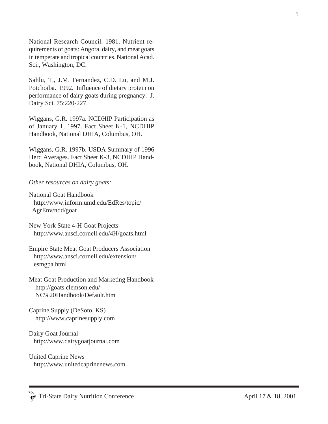National Research Council. 1981. Nutrient requirements of goats: Angora, dairy, and meat goats in temperate and tropical countries. National Acad. Sci., Washington, DC.

Sahlu, T., J.M. Fernandez, C.D. Lu, and M.J. Potchoiba. 1992. Influence of dietary protein on performance of dairy goats during pregnancy. J. Dairy Sci. 75:220-227.

Wiggans, G.R. 1997a. NCDHIP Participation as of January 1, 1997. Fact Sheet K-1, NCDHIP Handbook, National DHIA, Columbus, OH.

Wiggans, G.R. 1997b. USDA Summary of 1996 Herd Averages. Fact Sheet K-3, NCDHIP Handbook, National DHIA, Columbus, OH.

#### *Other resources on dairy goats:*

- National Goat Handbook http://www.inform.umd.edu/EdRes/topic/ AgrEnv/ndd/goat
- New York State 4-H Goat Projects http://www.ansci.cornell.edu/4H/goats.html
- Empire State Meat Goat Producers Association http://www.ansci.cornell.edu/extension/ esmgpa.html
- Meat Goat Production and Marketing Handbook http://goats.clemson.edu/ NC%20Handbook/Default.htm

Caprine Supply (DeSoto, KS) http://www.caprinesupply.com

Dairy Goat Journal http://www.dairygoatjournal.com

United Caprine News http://www.unitedcaprinenews.com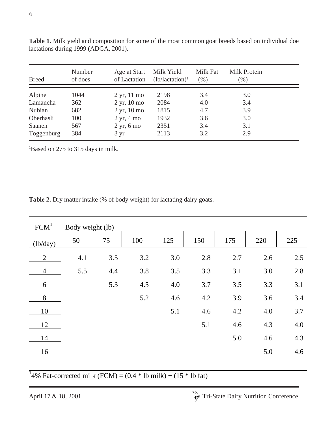| <b>Breed</b> | Number<br>of does | Age at Start<br>of Lactation | Milk Yield<br>$(lb/lactation)^1$ | Milk Fat<br>(% ) | Milk Protein<br>$(\%)$ |  |
|--------------|-------------------|------------------------------|----------------------------------|------------------|------------------------|--|
| Alpine       | 1044              | $2 \text{ yr}$ , 11 mo       | 2198                             | 3.4              | 3.0                    |  |
| Lamancha     | 362               | $2 \text{ yr}$ , 10 mo       | 2084                             | 4.0              | 3.4                    |  |
| Nubian       | 682               | $2 \text{ yr}$ , 10 mo       | 1815                             | 4.7              | 3.9                    |  |
| Oberhasli    | 100               | $2 \text{ yr}$ , 4 mo        | 1932                             | 3.6              | 3.0                    |  |
| Saanen       | 567               | $2 \text{ yr}$ , 6 mo        | 2351                             | 3.4              | 3.1                    |  |
| Toggenburg   | 384               | $3 \text{ yr}$               | 2113                             | 3.2              | 2.9                    |  |

**Table 1.** Milk yield and composition for some of the most common goat breeds based on individual doe lactations during 1999 (ADGA, 2001).

1 Based on 275 to 315 days in milk.

**Table 2.** Dry matter intake (% of body weight) for lactating dairy goats.

| FCM <sup>1</sup> | Body weight (lb) |     |     |     |     |     |     |     |
|------------------|------------------|-----|-----|-----|-----|-----|-----|-----|
| (lb/day)         | 50               | 75  | 100 | 125 | 150 | 175 | 220 | 225 |
| 2                | 4.1              | 3.5 | 3.2 | 3.0 | 2.8 | 2.7 | 2.6 | 2.5 |
| $\overline{4}$   | 5.5              | 4.4 | 3.8 | 3.5 | 3.3 | 3.1 | 3.0 | 2.8 |
| 6                |                  | 5.3 | 4.5 | 4.0 | 3.7 | 3.5 | 3.3 | 3.1 |
| 8                |                  |     | 5.2 | 4.6 | 4.2 | 3.9 | 3.6 | 3.4 |
| 10               |                  |     |     | 5.1 | 4.6 | 4.2 | 4.0 | 3.7 |
| 12               |                  |     |     |     | 5.1 | 4.6 | 4.3 | 4.0 |
| 14               |                  |     |     |     |     | 5.0 | 4.6 | 4.3 |
| 16               |                  |     |     |     |     |     | 5.0 | 4.6 |
|                  |                  |     |     |     |     |     |     |     |

<sup>1</sup>4% Fat-corrected milk (FCM) =  $(0.4 * lb$  milk) +  $(15 * lb$  fat)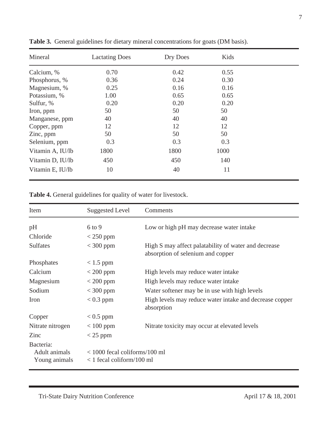| Mineral          | <b>Lactating Does</b> | Dry Does | Kids |  |
|------------------|-----------------------|----------|------|--|
| Calcium, %       | 0.70                  | 0.42     | 0.55 |  |
| Phosphorus, %    | 0.36                  | 0.24     | 0.30 |  |
| Magnesium, %     | 0.25                  | 0.16     | 0.16 |  |
| Potassium, %     | 1.00                  | 0.65     | 0.65 |  |
| Sulfur, %        | 0.20                  | 0.20     | 0.20 |  |
| Iron, ppm        | 50                    | 50       | 50   |  |
| Manganese, ppm   | 40                    | 40       | 40   |  |
| Copper, ppm      | 12                    | 12       | 12   |  |
| Zinc, ppm        | 50                    | 50       | 50   |  |
| Selenium, ppm    | 0.3                   | 0.3      | 0.3  |  |
| Vitamin A, IU/lb | 1800                  | 1800     | 1000 |  |
| Vitamin D, IU/lb | 450                   | 450      | 140  |  |
| Vitamin E, IU/lb | 10                    | 40       | 11   |  |

**Table 3.** General guidelines for dietary mineral concentrations for goats (DM basis).

**Table 4.** General guidelines for quality of water for livestock.

| Item                                        | <b>Suggested Level</b>                                         | Comments                                                                                  |
|---------------------------------------------|----------------------------------------------------------------|-------------------------------------------------------------------------------------------|
| pH                                          | $6$ to $9$                                                     | Low or high pH may decrease water intake                                                  |
| Chloride                                    | $<$ 250 ppm                                                    |                                                                                           |
| <b>Sulfates</b>                             | $<$ 300 ppm                                                    | High S may affect palatability of water and decrease<br>absorption of selenium and copper |
| Phosphates                                  | $< 1.5$ ppm                                                    |                                                                                           |
| Calcium                                     | $<$ 200 ppm                                                    | High levels may reduce water intake                                                       |
| Magnesium                                   | $<$ 200 ppm                                                    | High levels may reduce water intake                                                       |
| Sodium                                      | $<$ 300 ppm                                                    | Water softener may be in use with high levels                                             |
| Iron                                        | $< 0.3$ ppm                                                    | High levels may reduce water intake and decrease copper<br>absorption                     |
| Copper                                      | $< 0.5$ ppm                                                    |                                                                                           |
| Nitrate nitrogen                            | $< 100$ ppm                                                    | Nitrate toxicity may occur at elevated levels                                             |
| Zinc                                        | $<$ 25 ppm                                                     |                                                                                           |
| Bacteria:<br>Adult animals<br>Young animals | $<$ 1000 fecal coliforms/100 ml<br>$<$ 1 fecal coliform/100 ml |                                                                                           |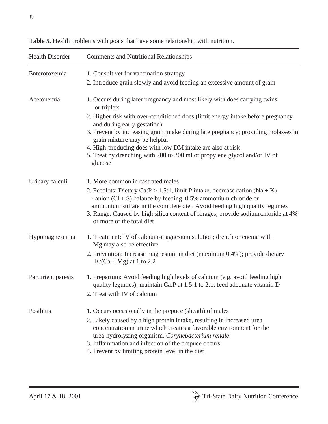| <b>Health Disorder</b> | <b>Comments and Nutritional Relationships</b>                                                                                                                                                       |
|------------------------|-----------------------------------------------------------------------------------------------------------------------------------------------------------------------------------------------------|
| Enterotoxemia          | 1. Consult vet for vaccination strategy                                                                                                                                                             |
|                        | 2. Introduce grain slowly and avoid feeding an excessive amount of grain                                                                                                                            |
| Acetonemia             | 1. Occurs during later pregnancy and most likely with does carrying twins<br>or triplets                                                                                                            |
|                        | 2. Higher risk with over-conditioned does (limit energy intake before pregnancy<br>and during early gestation)                                                                                      |
|                        | 3. Prevent by increasing grain intake during late pregnancy; providing molasses in<br>grain mixture may be helpful                                                                                  |
|                        | 4. High-producing does with low DM intake are also at risk                                                                                                                                          |
|                        | 5. Treat by drenching with 200 to 300 ml of propylene glycol and/or IV of<br>glucose                                                                                                                |
| Urinary calculi        | 1. More common in castrated males                                                                                                                                                                   |
|                        | 2. Feedlots: Dietary Ca: $P > 1.5$ :1, limit P intake, decrease cation (Na + K)<br>- anion $(Cl + S)$ balance by feeding 0.5% ammonium chloride or                                                  |
|                        | ammonium sulfate in the complete diet. Avoid feeding high quality legumes<br>3. Range: Caused by high silica content of forages, provide sodium chloride at 4%<br>or more of the total diet         |
| Hypomagnesemia         | 1. Treatment: IV of calcium-magnesium solution; drench or enema with<br>Mg may also be effective.                                                                                                   |
|                        | 2. Prevention: Increase magnesium in diet (maximum 0.4%); provide dietary<br>$K/(Ca + Mg)$ at 1 to 2.2                                                                                              |
| Parturient paresis     | 1. Prepartum: Avoid feeding high levels of calcium (e.g. avoid feeding high<br>quality legumes); maintain Ca:P at 1.5:1 to 2:1; feed adequate vitamin D                                             |
|                        | 2. Treat with IV of calcium                                                                                                                                                                         |
| Posthitis              | 1. Occurs occasionally in the prepuce (sheath) of males                                                                                                                                             |
|                        | 2. Likely caused by a high protein intake, resulting in increased urea<br>concentration in urine which creates a favorable environment for the<br>urea-hydrolyzing organism, Corynebacterium renale |
|                        | 3. Inflammation and infection of the prepuce occurs<br>4. Prevent by limiting protein level in the diet                                                                                             |

**Table 5.** Health problems with goats that have some relationship with nutrition.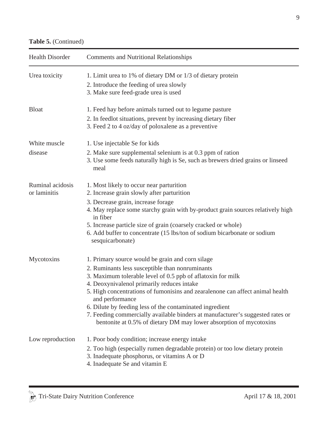| <b>Health Disorder</b>           | <b>Comments and Nutritional Relationships</b>                                                                                                                                                                                                                                                                                                                                                                                                                                                                                            |
|----------------------------------|------------------------------------------------------------------------------------------------------------------------------------------------------------------------------------------------------------------------------------------------------------------------------------------------------------------------------------------------------------------------------------------------------------------------------------------------------------------------------------------------------------------------------------------|
| Urea toxicity                    | 1. Limit urea to 1% of dietary DM or 1/3 of dietary protein<br>2. Introduce the feeding of urea slowly<br>3. Make sure feed-grade urea is used                                                                                                                                                                                                                                                                                                                                                                                           |
| <b>Bloat</b>                     | 1. Feed hay before animals turned out to legume pasture<br>2. In feedlot situations, prevent by increasing dietary fiber<br>3. Feed 2 to 4 oz/day of poloxalene as a preventive                                                                                                                                                                                                                                                                                                                                                          |
| White muscle<br>disease          | 1. Use injectable Se for kids<br>2. Make sure supplemental selenium is at 0.3 ppm of ration<br>3. Use some feeds naturally high is Se, such as brewers dried grains or linseed<br>meal                                                                                                                                                                                                                                                                                                                                                   |
| Ruminal acidosis<br>or laminitis | 1. Most likely to occur near parturition<br>2. Increase grain slowly after parturition<br>3. Decrease grain, increase forage<br>4. May replace some starchy grain with by-product grain sources relatively high<br>in fiber<br>5. Increase particle size of grain (coarsely cracked or whole)<br>6. Add buffer to concentrate (15 lbs/ton of sodium bicarbonate or sodium<br>sesquicarbonate)                                                                                                                                            |
| Mycotoxins                       | 1. Primary source would be grain and corn silage<br>2. Ruminants less susceptible than nonruminants<br>3. Maximum tolerable level of 0.5 ppb of aflatoxin for milk<br>4. Deoxynivalenol primarily reduces intake<br>5. High concentrations of fumonisins and zearalenone can affect animal health<br>and performance<br>6. Dilute by feeding less of the contaminated ingredient<br>7. Feeding commercially available binders at manufacturer's suggested rates or<br>bentonite at 0.5% of dietary DM may lower absorption of mycotoxins |
| Low reproduction                 | 1. Poor body condition; increase energy intake<br>2. Too high (especially rumen degradable protein) or too low dietary protein<br>3. Inadequate phosphorus, or vitamins A or D<br>4. Inadequate Se and vitamin E                                                                                                                                                                                                                                                                                                                         |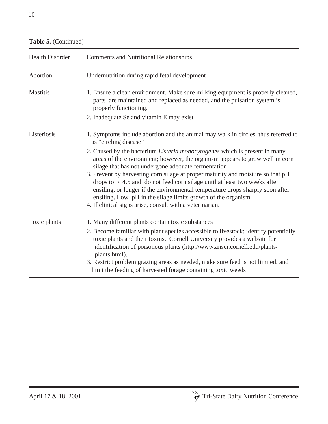| <b>Health Disorder</b> | <b>Comments and Nutritional Relationships</b>                                                                                                                                                                                                                                                                                                                                                                                                                                                                                                                                                              |
|------------------------|------------------------------------------------------------------------------------------------------------------------------------------------------------------------------------------------------------------------------------------------------------------------------------------------------------------------------------------------------------------------------------------------------------------------------------------------------------------------------------------------------------------------------------------------------------------------------------------------------------|
| Abortion               | Undernutrition during rapid fetal development                                                                                                                                                                                                                                                                                                                                                                                                                                                                                                                                                              |
| <b>Mastitis</b>        | 1. Ensure a clean environment. Make sure milking equipment is properly cleaned,<br>parts are maintained and replaced as needed, and the pulsation system is<br>properly functioning.                                                                                                                                                                                                                                                                                                                                                                                                                       |
|                        | 2. Inadequate Se and vitamin E may exist                                                                                                                                                                                                                                                                                                                                                                                                                                                                                                                                                                   |
| Listeriosis            | 1. Symptoms include abortion and the animal may walk in circles, thus referred to<br>as "circling disease"                                                                                                                                                                                                                                                                                                                                                                                                                                                                                                 |
|                        | 2. Caused by the bacterium <i>Listeria monocytogenes</i> which is present in many<br>areas of the environment; however, the organism appears to grow well in corn<br>silage that has not undergone adequate fermentation<br>3. Prevent by harvesting corn silage at proper maturity and moisture so that pH<br>drops to $\lt$ 4.5 and do not feed corn silage until at least two weeks after<br>ensiling, or longer if the environmental temperature drops sharply soon after<br>ensiling. Low pH in the silage limits growth of the organism.<br>4. If clinical signs arise, consult with a veterinarian. |
| Toxic plants           | 1. Many different plants contain toxic substances                                                                                                                                                                                                                                                                                                                                                                                                                                                                                                                                                          |
|                        | 2. Become familiar with plant species accessible to livestock; identify potentially<br>toxic plants and their toxins. Cornell University provides a website for<br>identification of poisonous plants (http://www.ansci.cornell.edu/plants/<br>plants.html).                                                                                                                                                                                                                                                                                                                                               |
|                        | 3. Restrict problem grazing areas as needed, make sure feed is not limited, and<br>limit the feeding of harvested forage containing toxic weeds                                                                                                                                                                                                                                                                                                                                                                                                                                                            |

#### **Table 5.** (Continued)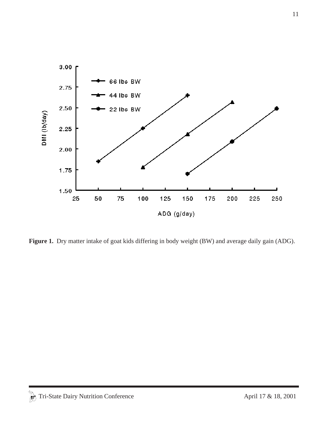

Figure 1. Dry matter intake of goat kids differing in body weight (BW) and average daily gain (ADG).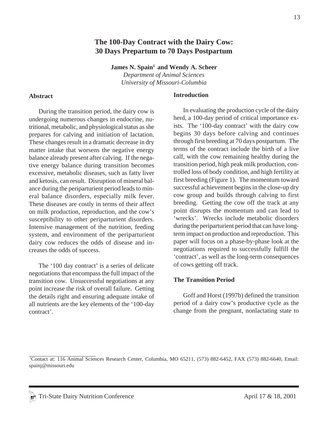#### **The 100-Day Contract with the Dairy Cow: 30 Days Prepartum to 70 Days Postpartum**

James N. Spain<sup>1</sup> and Wendy A. Scheer *Department of Animal Sciences*

*University of Missouri-Columbia*

#### **Abstract**

During the transition period, the dairy cow is undergoing numerous changes in endocrine, nutritional, metabolic, and physiological status as she prepares for calving and initiation of lactation. These changes result in a dramatic decrease in dry matter intake that worsens the negative energy balance already present after calving. If the negative energy balance during transition becomes excessive, metabolic diseases, such as fatty liver and ketosis, can result. Disruption of mineral balance during the periparturient period leads to mineral balance disorders, especially milk fever. These diseases are costly in terms of their affect on milk production, reproduction, and the cow's susceptibility to other periparturient disorders. Intensive management of the nutrition, feeding system, and environment of the periparturient dairy cow reduces the odds of disease and increases the odds of success.

The '100 day contract' is a series of delicate negotiations that encompass the full impact of the transition cow. Unsuccessful negotiations at any point increase the risk of overall failure. Getting the details right and ensuring adequate intake of all nutrients are the key elements of the '100-day contract'.

#### **Introduction**

In evaluating the production cycle of the dairy herd, a 100-day period of critical importance exists. The '100-day contract' with the dairy cow begins 30 days before calving and continues through first breeding at 70 days postpartum. The terms of the contract include the birth of a live calf, with the cow remaining healthy during the transition period, high peak milk production, controlled loss of body condition, and high fertility at first breeding (Figure 1). The momentum toward successful achievement begins in the close-up dry cow group and builds through calving to first breeding. Getting the cow off the track at any point disrupts the momentum and can lead to 'wrecks'. Wrecks include metabolic disorders during the periparturient period that can have longterm impact on production and reproduction. This paper will focus on a phase-by-phase look at the negotiations required to successfully fulfill the 'contract', as well as the long-term consequences of cows getting off track.

#### **The Transition Period**

Goff and Horst (1997b) defined the transition period of a dairy cow's productive cycle as the change from the pregnant, nonlactating state to

<sup>1</sup> Contact at: 116 Animal Sciences Research Center, Columbia, MO 65211, (573) 882-6452, FAX (573) 882-6640, Email: spainj@missouri.edu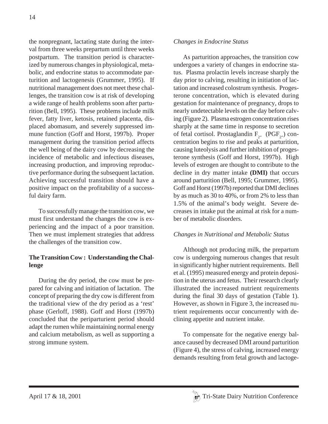the nonpregnant, lactating state during the interval from three weeks prepartum until three weeks postpartum. The transition period is characterized by numerous changes in physiological, metabolic, and endocrine status to accommodate parturition and lactogenesis (Grummer, 1995). If nutritional management does not meet these challenges, the transition cow is at risk of developing a wide range of health problems soon after parturition (Bell, 1995). These problems include milk fever, fatty liver, ketosis, retained placenta, displaced abomasum, and severely suppressed immune function (Goff and Horst, 1997b). Proper management during the transition period affects the well being of the dairy cow by decreasing the incidence of metabolic and infectious diseases, increasing production, and improving reproductive performance during the subsequent lactation. Achieving successful transition should have a positive impact on the profitability of a successful dairy farm.

To successfully manage the transition cow, we must first understand the changes the cow is experiencing and the impact of a poor transition. Then we must implement strategies that address the challenges of the transition cow.

#### **The Transition Cow : Understanding the Challenge**

During the dry period, the cow must be prepared for calving and initiation of lactation. The concept of preparing the dry cow is different from the traditional view of the dry period as a 'rest' phase (Gerloff, 1988). Goff and Horst (1997b) concluded that the periparturient period should adapt the rumen while maintaining normal energy and calcium metabolism, as well as supporting a strong immune system.

#### *Changes in Endocrine Status*

As parturition approaches, the transition cow undergoes a variety of changes in endocrine status. Plasma prolactin levels increase sharply the day prior to calving, resulting in initiation of lactation and increased colostrum synthesis. Progesterone concentration, which is elevated during gestation for maintenance of pregnancy, drops to nearly undetectable levels on the day before calving (Figure 2). Plasma estrogen concentration rises sharply at the same time in response to secretion of fetal cortisol. Prostaglandin  $F_{2*}$  (PGF<sub>2</sub>.) concentration begins to rise and peaks at parturition, causing luteolysis and further inhibition of progesterone synthesis (Goff and Horst, 1997b). High levels of estrogen are thought to contribute to the decline in dry matter intake **(DMI)** that occurs around parturition (Bell, 1995; Grummer, 1995). Goff and Horst (1997b) reported that DMI declines by as much as 30 to 40%, or from 2% to less than 1.5% of the animal's body weight. Severe decreases in intake put the animal at risk for a number of metabolic disorders.

#### *Changes in Nutritional and Metabolic Status*

Although not producing milk, the prepartum cow is undergoing numerous changes that result in significantly higher nutrient requirements. Bell et al. (1995) measured energy and protein deposition in the uterus and fetus. Their research clearly illustrated the increased nutrient requirements during the final 30 days of gestation (Table 1). However, as shown in Figure 3, the increased nutrient requirements occur concurrently with declining appetite and nutrient intake.

To compensate for the negative energy balance caused by decreased DMI around parturition (Figure 4), the stress of calving, increased energy demands resulting from fetal growth and lactoge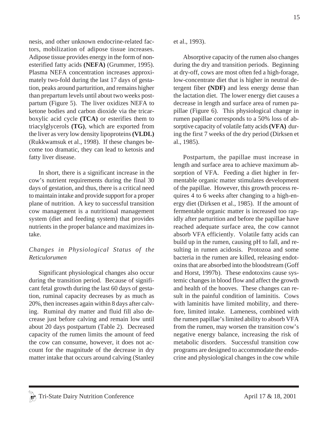nesis, and other unknown endocrine-related factors, mobilization of adipose tissue increases. Adipose tissue provides energy in the form of nonesterified fatty acids **(NEFA)** (Grummer, 1995). Plasma NEFA concentration increases approximately two-fold during the last 17 days of gestation, peaks around parturition, and remains higher than prepartum levels until about two weeks postpartum (Figure 5). The liver oxidizes NEFA to ketone bodies and carbon dioxide via the tricarboxylic acid cycle **(TCA)** or esterifies them to triacylglycerols **(TG)**, which are exported from the liver as very low density lipoproteins **(VLDL)** (Rukkwamsuk et al., 1998). If these changes become too dramatic, they can lead to ketosis and fatty liver disease.

In short, there is a significant increase in the cow's nutrient requirements during the final 30 days of gestation, and thus, there is a critical need to maintain intake and provide support for a proper plane of nutrition. A key to successful transition cow management is a nutritional management system (diet and feeding system) that provides nutrients in the proper balance and maximizes intake.

#### *Changes in Physiological Status of the Reticulorumen*

Significant physiological changes also occur during the transition period. Because of significant fetal growth during the last 60 days of gestation, ruminal capacity decreases by as much as 20%, then increases again within 8 days after calving. Ruminal dry matter and fluid fill also decrease just before calving and remain low until about 20 days postpartum (Table 2). Decreased capacity of the rumen limits the amount of feed the cow can consume, however, it does not account for the magnitude of the decrease in dry matter intake that occurs around calving (Stanley et al., 1993).

Absorptive capacity of the rumen also changes during the dry and transition periods. Beginning at dry-off, cows are most often fed a high-forage, low-concentrate diet that is higher in neutral detergent fiber **(NDF)** and less energy dense than the lactation diet. The lower energy diet causes a decrease in length and surface area of rumen papillae (Figure 6). This physiological change in rumen papillae corresponds to a 50% loss of absorptive capacity of volatile fatty acids **(VFA)** during the first 7 weeks of the dry period (Dirksen et al., 1985).

Postpartum, the papillae must increase in length and surface area to achieve maximum absorption of VFA. Feeding a diet higher in fermentable organic matter stimulates development of the papillae. However, this growth process requires 4 to 6 weeks after changing to a high-energy diet (Dirksen et al., 1985). If the amount of fermentable organic matter is increased too rapidly after parturition and before the papillae have reached adequate surface area, the cow cannot absorb VFA efficiently. Volatile fatty acids can build up in the rumen, causing pH to fall, and resulting in rumen acidosis. Protozoa and some bacteria in the rumen are killed, releasing endotoxins that are absorbed into the bloodstream (Goff and Horst, 1997b). These endotoxins cause systemic changes in blood flow and affect the growth and health of the hooves. These changes can result in the painful condition of laminitis. Cows with laminitis have limited mobility, and therefore, limited intake. Lameness, combined with the rumen papillae's limited ability to absorb VFA from the rumen, may worsen the transition cow's negative energy balance, increasing the risk of metabolic disorders. Successful transition cow programs are designed to accommodate the endocrine and physiological changes in the cow while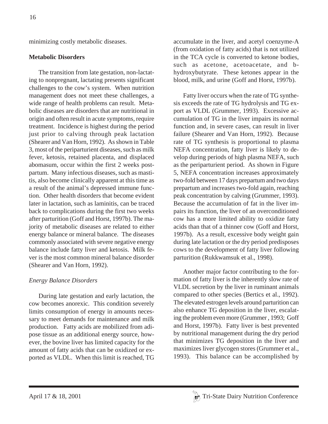minimizing costly metabolic diseases.

#### **Metabolic Disorders**

The transition from late gestation, non-lactating to nonpregnant, lactating presents significant challenges to the cow's system. When nutrition management does not meet these challenges, a wide range of health problems can result. Metabolic diseases are disorders that are nutritional in origin and often result in acute symptoms, require treatment. Incidence is highest during the period just prior to calving through peak lactation (Shearer and Van Horn, 1992). As shown in Table 3, most of the periparturient diseases, such as milk fever, ketosis, retained placenta, and displaced abomasum, occur within the first 2 weeks postpartum. Many infectious diseases, such as mastitis, also become clinically apparent at this time as a result of the animal's depressed immune function. Other health disorders that become evident later in lactation, such as laminitis, can be traced back to complications during the first two weeks after parturition (Goff and Horst, 1997b). The majority of metabolic diseases are related to either energy balance or mineral balance. The diseases commonly associated with severe negative energy balance include fatty liver and ketosis. Milk fever is the most common mineral balance disorder (Shearer and Van Horn, 1992).

#### *Energy Balance Disorders*

During late gestation and early lactation, the cow becomes anorexic. This condition severely limits consumption of energy in amounts necessary to meet demands for maintenance and milk production. Fatty acids are mobilized from adipose tissue as an additional energy source, however, the bovine liver has limited capacity for the amount of fatty acids that can be oxidized or exported as VLDL. When this limit is reached, TG accumulate in the liver, and acetyl coenzyme-A (from oxidation of fatty acids) that is not utilized in the TCA cycle is converted to ketone bodies, such as acetone, acetoacetate, and bhydroxybutyrate. These ketones appear in the blood, milk, and urine (Goff and Horst, 1997b).

Fatty liver occurs when the rate of TG synthesis exceeds the rate of TG hydrolysis and TG export as VLDL (Grummer, 1993). Excessive accumulation of TG in the liver impairs its normal function and, in severe cases, can result in liver failure (Shearer and Van Horn, 1992). Because rate of TG synthesis is proportional to plasma NEFA concentration, fatty liver is likely to develop during periods of high plasma NEFA, such as the periparturient period. As shown in Figure 5, NEFA concentration increases approximately two-fold between 17 days prepartum and two days prepartum and increases two-fold again, reaching peak concentration by calving (Grummer, 1993). Because the accumulation of fat in the liver impairs its function, the liver of an overconditioned cow has a more limited ability to oxidize fatty acids than that of a thinner cow (Goff and Horst, 1997b). As a result, excessive body weight gain during late lactation or the dry period predisposes cows to the development of fatty liver following parturition (Rukkwamsuk et al., 1998).

Another major factor contributing to the formation of fatty liver is the inherently slow rate of VLDL secretion by the liver in ruminant animals compared to other species (Bertics et al., 1992). The elevated estrogen levels around parturition can also enhance TG deposition in the liver, escalating the problem even more (Grummer , 1993; Goff and Horst, 1997b). Fatty liver is best prevented by nutritional management during the dry period that minimizes TG deposition in the liver and maximizes liver glycogen stores (Grummer et al., 1993). This balance can be accomplished by

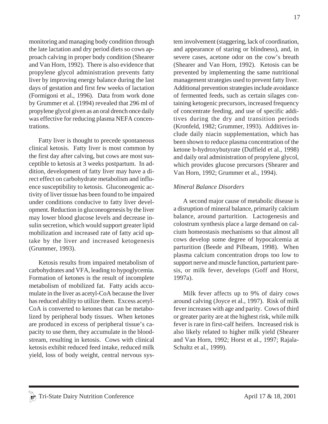17

monitoring and managing body condition through the late lactation and dry period diets so cows approach calving in proper body condition (Shearer and Van Horn, 1992). There is also evidence that propylene glycol administration prevents fatty liver by improving energy balance during the last days of gestation and first few weeks of lactation (Formigoni et al., 1996). Data from work done by Grummer et al. (1994) revealed that 296 ml of propylene glycol given as an oral drench once daily was effective for reducing plasma NEFA concentrations.

Fatty liver is thought to precede spontaneous clinical ketosis. Fatty liver is most common by the first day after calving, but cows are most susceptible to ketosis at 3 weeks postpartum. In addition, development of fatty liver may have a direct effect on carbohydrate metabolism and influence susceptibility to ketosis. Gluconeogenic activity of liver tissue has been found to be impaired under conditions conducive to fatty liver development. Reduction in gluconeogenesis by the liver may lower blood glucose levels and decrease insulin secretion, which would support greater lipid mobilization and increased rate of fatty acid uptake by the liver and increased ketogenesis (Grummer, 1993).

Ketosis results from impaired metabolism of carbohydrates and VFA, leading to hypoglycemia. Formation of ketones is the result of incomplete metabolism of mobilized fat. Fatty acids accumulate in the liver as acetyl-CoA because the liver has reduced ability to utilize them. Excess acetyl-CoA is converted to ketones that can be metabolized by peripheral body tissues. When ketones are produced in excess of peripheral tissue's capacity to use them, they accumulate in the bloodstream, resulting in ketosis. Cows with clinical ketosis exhibit reduced feed intake, reduced milk yield, loss of body weight, central nervous system involvement (staggering, lack of coordination, and appearance of staring or blindness), and, in severe cases, acetone odor on the cow's breath (Shearer and Van Horn, 1992). Ketosis can be prevented by implementing the same nutritional management strategies used to prevent fatty liver. Additional prevention strategies include avoidance of fermented feeds, such as certain silages containing ketogenic precursors, increased frequency of concentrate feeding, and use of specific additives during the dry and transition periods (Kronfeld, 1982; Grummer, 1993). Additives include daily niacin supplementation, which has been shown to reduce plasma concentration of the ketone b-hydroxybutyrate (Duffield et al., 1998) and daily oral administration of propylene glycol, which provides glucose precursors (Shearer and Van Horn, 1992; Grummer et al., 1994).

#### *Mineral Balance Disorders*

A second major cause of metabolic disease is a disruption of mineral balance, primarily calcium balance, around parturition. Lactogenesis and colostrum synthesis place a large demand on calcium homeostasis mechanisms so that almost all cows develop some degree of hypocalcemia at parturition (Beede and Pilbeam, 1998). When plasma calcium concentration drops too low to support nerve and muscle function, parturient paresis, or milk fever, develops (Goff and Horst, 1997a).

Milk fever affects up to 9% of dairy cows around calving (Joyce et al., 1997). Risk of milk fever increases with age and parity. Cows of third or greater parity are at the highest risk, while milk fever is rare in first-calf heifers. Increased risk is also likely related to higher milk yield (Shearer and Van Horn, 1992; Horst et al., 1997; Rajala-Schultz et al., 1999).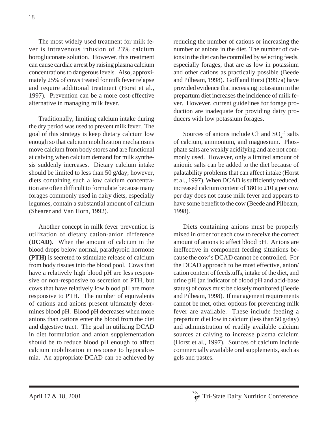The most widely used treatment for milk fever is intravenous infusion of 23% calcium borogluconate solution. However, this treatment can cause cardiac arrest by raising plasma calcium concentrations to dangerous levels. Also, approximately 25% of cows treated for milk fever relapse and require additional treatment (Horst et al., 1997). Prevention can be a more cost-effective alternative in managing milk fever.

Traditionally, limiting calcium intake during the dry period was used to prevent milk fever. The goal of this strategy is keep dietary calcium low enough so that calcium mobilization mechanisms move calcium from body stores and are functional at calving when calcium demand for milk synthesis suddenly increases. Dietary calcium intake should be limited to less than 50 g/day; however, diets containing such a low calcium concentration are often difficult to formulate because many forages commonly used in dairy diets, especially legumes, contain a substantial amount of calcium (Shearer and Van Horn, 1992).

Another concept in milk fever prevention is utilization of dietary cation-anion difference **(DCAD)**. When the amount of calcium in the blood drops below normal, parathyroid hormone **(PTH)** is secreted to stimulate release of calcium from body tissues into the blood pool. Cows that have a relatively high blood pH are less responsive or non-responsive to secretion of PTH, but cows that have relatively low blood pH are more responsive to PTH. The number of equivalents of cations and anions present ultimately determines blood pH. Blood pH decreases when more anions than cations enter the blood from the diet and digestive tract. The goal in utilizing DCAD in diet formulation and anion supplementation should be to reduce blood pH enough to affect calcium mobilization in response to hypocalcemia. An appropriate DCAD can be achieved by reducing the number of cations or increasing the number of anions in the diet. The number of cations in the diet can be controlled by selecting feeds, especially forages, that are as low in potassium and other cations as practically possible (Beede and Pilbeam, 1998). Goff and Horst (1997a) have provided evidence that increasing potassium in the prepartum diet increases the incidence of milk fever. However, current guidelines for forage production are inadequate for providing dairy producers with low potassium forages.

Sources of anions include Cl and  $SO_4^{-2}$  salts of calcium, ammonium, and magnesium. Phosphate salts are weakly acidifying and are not commonly used. However, only a limited amount of anionic salts can be added to the diet because of palatability problems that can affect intake (Horst et al., 1997). When DCAD is sufficiently reduced, increased calcium content of 180 to 210 g per cow per day does not cause milk fever and appears to have some benefit to the cow (Beede and Pilbeam, 1998).

Diets containing anions must be properly mixed in order for each cow to receive the correct amount of anions to affect blood pH. Anions are ineffective in component feeding situations because the cow's DCAD cannot be controlled. For the DCAD approach to be most effective, anion/ cation content of feedstuffs, intake of the diet, and urine pH (an indicator of blood pH and acid-base status) of cows must be closely monitored (Beede and Pilbeam, 1998). If management requirements cannot be met, other options for preventing milk fever are available. These include feeding a prepartum diet low in calcium (less than 50 g/day) and administration of readily available calcium sources at calving to increase plasma calcium (Horst et al., 1997). Sources of calcium include commercially available oral supplements, such as gels and pastes.

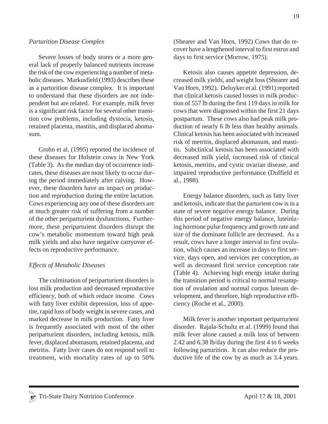#### *Parturition Disease Complex*

Severe losses of body stores or a more general lack of properly balanced nutrients increase the risk of the cow experiencing a number of metabolic diseases. Markusfield (1993) describes these as a parturition disease complex. It is important to understand that these disorders are not independent but are related. For example, milk fever is a significant risk factor for several other transition cow problems, including dystocia, ketosis, retained placenta, mastitis, and displaced abomasum.

Grohn et al. (1995) reported the incidence of these diseases for Holstein cows in New York (Table 3). As the median day of occurrence indicates, these diseases are most likely to occur during the period immediately after calving. However, these disorders have an impact on production and reproduction during the entire lactation. Cows experiencing any one of these disorders are at much greater risk of suffering from a number of the other periparturient dysfunctions. Furthermore, these peripartuient disorders disrupt the cow's metabolic momentum toward high peak milk yields and also have negative carryover effects on reproductive performance.

#### *Effects of Metabolic Diseases*

The culmination of periparturient disorders is lost milk production and decreased reproductive efficiency, both of which reduce income. Cows with fatty liver exhibit depression, loss of appetite, rapid loss of body weight in severe cases, and marked decrease in milk production. Fatty liver is frequently associated with most of the other periparturient disorders, including ketosis, milk fever, displaced abomasum, retained placenta, and metritis. Fatty liver cases do not respond well to treatment, with mortality rates of up to 50%

(Shearer and Van Horn, 1992) Cows that do recover have a lengthened interval to first estrus and days to first service (Morrow, 1975).

Ketosis also causes appetite depression, decreased milk yields, and weight loss (Shearer and Van Horn, 1992). Deluyker et al. (1991) reported that clinical ketosis caused losses in milk production of 557 lb during the first 119 days in milk for cows that were diagnosed within the first 21 days postpartum. These cows also had peak milk production of nearly 6 lb less than healthy animals. Clinical ketosis has been associated with increased risk of metritis, displaced abomasum, and mastitis. Subclinical ketosis has been associated with decreased milk yield, increased risk of clinical ketosis, metritis, and cystic ovarian disease, and impaired reproductive performance (Duffield et al., 1998).

Energy balance disorders, such as fatty liver and ketosis, indicate that the parturient cow is in a state of severe negative energy balance. During this period of negative energy balance, luteinizing hormone pulse frequency and growth rate and size of the dominant follicle are decreased. As a result, cows have a longer interval to first ovulation, which causes an increase in days to first service, days open, and services per conception, as well as decreased first service conception rate (Table 4). Achieving high energy intake during the transition period is critical to normal resumption of ovulation and normal corpus luteum development, and therefore, high reproductive efficiency (Roche et al., 2000).

Milk fever is another important periparturient disorder. Rajala-Schultz et al. (1999) found that milk fever alone caused a milk loss of between 2.42 and 6.38 lb/day during the first 4 to 6 weeks following parturition. It can also reduce the productive life of the cow by as much as 3.4 years.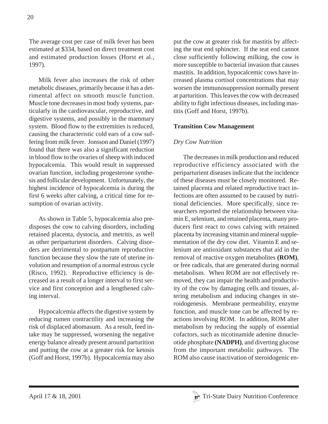The average cost per case of milk fever has been estimated at \$334, based on direct treatment cost and estimated production losses (Horst et al., 1997).

Milk fever also increases the risk of other metabolic diseases, primarily because it has a detrimental affect on smooth muscle function. Muscle tone decreases in most body systems, particularly in the cardiovascular, reproductive, and digestive systems, and possibly in the mammary system. Blood flow to the extremities is reduced, causing the characteristic cold ears of a cow suffering from milk fever. Jonsson and Daniel (1997) found that there was also a significant reduction in blood flow to the ovaries of sheep with induced hypocalcemia. This would result in suppressed ovarian function, including progesterone synthesis and follicular development. Unfortunately, the highest incidence of hypocalcemia is during the first 6 weeks after calving, a critical time for resumption of ovarian activity.

As shown in Table 5, hypocalcemia also predisposes the cow to calving disorders, including retained placenta, dystocia, and metritis, as well as other periparturient disorders. Calving disorders are detrimental to postpartum reproductive function because they slow the rate of uterine involution and resumption of a normal estrous cycle (Risco, 1992). Reproductive efficiency is decreased as a result of a longer interval to first service and first conception and a lengthened calving interval.

Hypocalcemia affects the digestive system by reducing rumen contractility and increasing the risk of displaced abomasum. As a result, feed intake may be suppressed, worsening the negative energy balance already present around parturition and putting the cow at a greater risk for ketosis (Goff and Horst, 1997b). Hypocalcemia may also put the cow at greater risk for mastitis by affecting the teat end sphincter. If the teat end cannot close sufficiently following milking, the cow is more susceptible to bacterial invasion that causes mastitis. In addition, hypocalcemic cows have increased plasma cortisol concentrations that may worsen the immunosuppression normally present at parturition. This leaves the cow with decreased ability to fight infectious diseases, including mastitis (Goff and Horst, 1997b).

#### **Transition Cow Management**

#### *Dry Cow Nutrition*

The decreases in milk production and reduced reproductive efficiency associated with the periparturient diseases indicate that the incidence of these diseases must be closely monitored. Retained placenta and related reproductive tract infections are often assumed to be caused by nutritional deficiencies. More specifically, since researchers reported the relationship between vitamin E, selenium, and retained placenta, many producers first react to cows calving with retained placenta by increasing vitamin and mineral supplementation of the dry cow diet. Vitamin E and selenium are antioxidant substances that aid in the removal of reactive oxygen metabolites **(ROM)**, or free radicals, that are generated during normal metabolism. When ROM are not effectively removed, they can impair the health and productivity of the cow by damaging cells and tissues, altering metabolism and inducing changes in steroidogenesis. Membrane permeability, enzyme function, and muscle tone can be affected by reactions involving ROM. In addition, ROM alter metabolism by reducing the supply of essential cofactors, such as nicotinamide adenine dinucleotide phosphate **(NADPH)**, and diverting glucose from the important metabolic pathways. The ROM also cause inactivation of steroidogenic en-

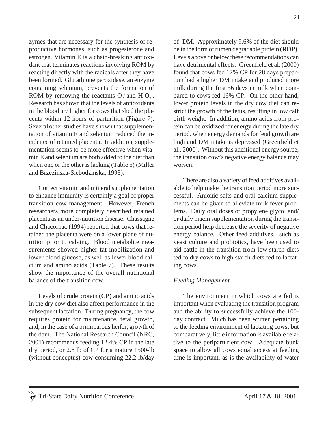zymes that are necessary for the synthesis of reproductive hormones, such as progesterone and estrogen. Vitamin E is a chain-breaking antioxidant that terminates reactions involving ROM by reacting directly with the radicals after they have been formed. Glutathione peroxidase, an enzyme containing selenium, prevents the formation of ROM by removing the reactants  $O_2$  and  $H_2O_2$ . Research has shown that the levels of antioxidants in the blood are higher for cows that shed the placenta within 12 hours of parturition (Figure 7). Several other studies have shown that supplementation of vitamin E and selenium reduced the incidence of retained placenta. In addition, supple-

mentation seems to be more effective when vitamin E and selenium are both added to the diet than when one or the other is lacking (Table 6) (Miller and Brzezinska-Slebodzinska, 1993).

Correct vitamin and mineral supplementation to enhance immunity is certainly a goal of proper transition cow management. However, French researchers more completely described retained placenta as an under-nutrition disease. Chassagne and Chacornac (1994) reported that cows that retained the placenta were on a lower plane of nutrition prior to calving. Blood metabolite measurements showed higher fat mobilization and lower blood glucose, as well as lower blood calcium and amino acids (Table 7). These results show the importance of the overall nutritional balance of the transition cow.

Levels of crude protein **(CP)** and amino acids in the dry cow diet also affect performance in the subsequent lactation. During pregnancy, the cow requires protein for maintenance, fetal growth, and, in the case of a primiparous heifer, growth of the dam. The National Research Council (NRC, 2001) recommends feeding 12.4% CP in the late dry period, or 2.8 lb of CP for a mature 1500-lb (without conceptus) cow consuming 22.2 lb/day of DM. Approximately 9.6% of the diet should be in the form of rumen degradable protein **(RDP)**. Levels above or below these recommendations can have detrimental effects. Greenfield et al. (2000) found that cows fed 12% CP for 28 days prepartum had a higher DM intake and produced more milk during the first 56 days in milk when compared to cows fed 16% CP. On the other hand, lower protein levels in the dry cow diet can restrict the growth of the fetus, resulting in low calf birth weight. In addition, amino acids from protein can be oxidized for energy during the late dry period, when energy demands for fetal growth are high and DM intake is depressed (Greenfield et al., 2000). Without this additional energy source, the transition cow's negative energy balance may worsen.

There are also a variety of feed additives available to help make the transition period more successful. Anionic salts and oral calcium supplements can be given to alleviate milk fever problems. Daily oral doses of propylene glycol and/ or daily niacin supplementation during the transition period help decrease the severity of negative energy balance. Other feed additives, such as yeast culture and probiotics, have been used to aid cattle in the transition from low starch diets ted to dry cows to high starch diets fed to lactating cows.

#### *Feeding Management*

The environment in which cows are fed is important when evaluating the transition program and the ability to successfully achieve the 100 day contract. Much has been written pertaining to the feeding environment of lactating cows, but comparatively, little information is available relative to the periparturient cow. Adequate bunk space to allow all cows equal access at feeding time is important, as is the availability of water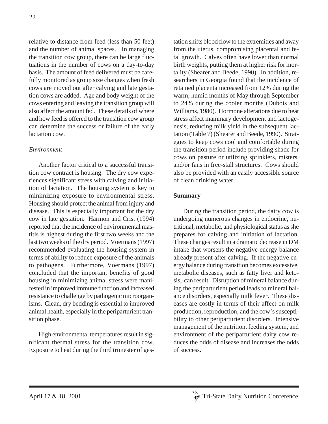relative to distance from feed (less than 50 feet) and the number of animal spaces. In managing the transition cow group, there can be large fluctuations in the number of cows on a day-to-day basis. The amount of feed delivered must be carefully monitored as group size changes when fresh cows are moved out after calving and late gestation cows are added. Age and body weight of the cows entering and leaving the transition group will also affect the amount fed. These details of where and how feed is offered to the transition cow group can determine the success or failure of the early lactation cow.

#### *Environment*

Another factor critical to a successful transition cow contract is housing. The dry cow experiences significant stress with calving and initiation of lactation. The housing system is key to minimizing exposure to environmental stress. Housing should protect the animal from injury and disease. This is especially important for the dry cow in late gestation. Harmon and Crist (1994) reported that the incidence of environmental mastitis is highest during the first two weeks and the last two weeks of the dry period. Voermans (1997) recommended evaluating the housing system in terms of ability to reduce exposure of the animals to pathogens. Furthermore, Voermans (1997) concluded that the important benefits of good housing in minimizing animal stress were manifested in improved immune function and increased resistance to challenge by pathogenic microorganisms. Clean, dry bedding is essential to improved animal health, especially in the periparturient transition phase.

High environmental temperatures result in significant thermal stress for the transition cow. Exposure to heat during the third trimester of gestation shifts blood flow to the extremities and away from the uterus, compromising placental and fetal growth. Calves often have lower than normal birth weights, putting them at higher risk for mortality (Shearer and Beede, 1990). In addition, researchers in Georgia found that the incidence of retained placenta increased from 12% during the warm, humid months of May through September to 24% during the cooler months (Dubois and Williams, 1980). Hormone alterations due to heat stress affect mammary development and lactogenesis, reducing milk yield in the subsequent lactation (Table 7) (Shearer and Beede, 1990). Strategies to keep cows cool and comfortable during the transition period include providing shade for cows on pasture or utilizing sprinklers, misters, and/or fans in free-stall structures. Cows should also be provided with an easily accessible source of clean drinking water.

#### **Summary**

During the transition period, the dairy cow is undergoing numerous changes in endocrine, nutritional, metabolic, and physiological status as she prepares for calving and initiation of lactation. These changes result in a dramatic decrease in DM intake that worsens the negative energy balance already present after calving. If the negative energy balance during transition becomes excessive, metabolic diseases, such as fatty liver and ketosis, can result. Disruption of mineral balance during the periparturient period leads to mineral balance disorders, especially milk fever. These diseases are costly in terms of their affect on milk production, reproduction, and the cow's susceptibility to other periparturient disorders. Intensive management of the nutrition, feeding system, and environment of the periparturient dairy cow reduces the odds of disease and increases the odds of success.

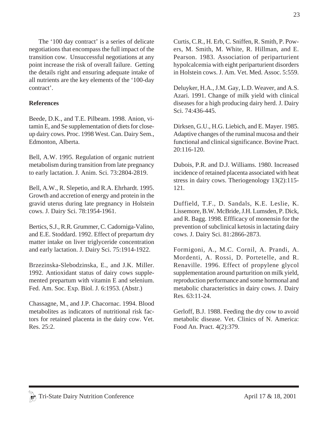The '100 day contract' is a series of delicate negotiations that encompass the full impact of the transition cow. Unsuccessful negotiations at any point increase the risk of overall failure. Getting the details right and ensuring adequate intake of all nutrients are the key elements of the '100-day contract'.

#### **References**

Beede, D.K., and T.E. Pilbeam. 1998. Anion, vitamin E, and Se supplementation of diets for closeup dairy cows. Proc. 1998 West. Can. Dairy Sem., Edmonton, Alberta.

Bell, A.W. 1995. Regulation of organic nutrient metabolism during transition from late pregnancy to early lactation. J. Anim. Sci. 73:2804-2819.

Bell, A.W., R. Slepetio, and R.A. Ehrhardt. 1995. Growth and accretion of energy and protein in the gravid uterus during late pregnancy in Holstein cows. J. Dairy Sci. 78:1954-1961.

Bertics, S.J., R.R. Grummer, C. Cadorniga-Valino, and E.E. Stoddard. 1992. Effect of prepartum dry matter intake on liver triglyceride concentration and early lactation. J. Dairy Sci. 75:1914-1922.

Brzezinska-Slebodzinska, E., and J.K. Miller. 1992. Antioxidant status of dairy cows supplemented prepartum with vitamin E and selenium. Fed. Am. Soc. Exp. Biol. J. 6:1953. (Abstr.)

Chassagne, M., and J.P. Chacornac. 1994. Blood metabolites as indicators of nutritional risk factors for retained placenta in the dairy cow. Vet. Res. 25:2.

Curtis, C.R., H. Erb, C. Sniffen, R. Smith, P. Powers, M. Smith, M. White, R. Hillman, and E. Pearson. 1983. Association of periparturient hypolcalcemia with eight periparturient disorders in Holstein cows. J. Am. Vet. Med. Assoc. 5:559.

Deluyker, H.A., J.M. Gay, L.D. Weaver, and A.S. Azari. 1991. Change of milk yield with clinical diseases for a high producing dairy herd. J. Dairy Sci. 74:436-445.

Dirksen, G.U., H.G. Liebich, and E. Mayer. 1985. Adaptive changes of the ruminal mucosa and their functional and clinical significance. Bovine Pract. 20:116-120.

Dubois, P.R. and D.J. Williams. 1980. Increased incidence of retained placenta associated with heat stress in dairy cows. Theriogenology 13(2):115- 121.

Duffield, T.F., D. Sandals, K.E. Leslie, K. Lissemore, B.W. McBride, J.H. Lumsden, P. Dick, and R. Bagg. 1998. Effficacy of monensin for the prevention of subclinical ketosis in lactating dairy cows. J. Dairy Sci. 81:2866-2873.

Formigoni, A., M.C. Cornil, A. Prandi, A. Mordenti, A. Rossi, D. Portetelle, and R. Renaville. 1996. Effect of propylene glycol supplementation around parturition on milk yield, reproduction performance and some hormonal and metabolic characteristics in dairy cows. J. Dairy Res. 63:11-24.

Gerloff, B.J. 1988. Feeding the dry cow to avoid metabolic disease. Vet. Clinics of N. America: Food An. Pract. 4(2):379.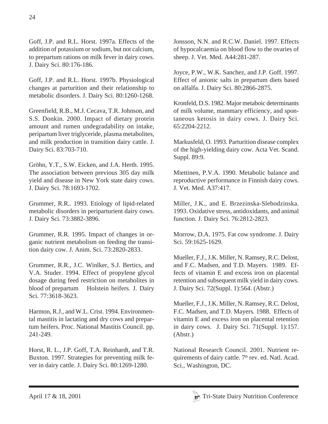Goff, J.P. and R.L. Horst. 1997a. Effects of the addition of potassium or sodium, but not calcium, to prepartum rations on milk fever in dairy cows. J. Dairy Sci. 80:176-186.

Goff, J.P. and R.L. Horst. 1997b. Physiological changes at parturition and their relationship to metabolic disorders. J. Dairy Sci. 80:1260-1268.

Greenfield, R.B., M.J. Cecava, T.R. Johnson, and S.S. Donkin. 2000. Impact of dietary protein amount and rumen undegradability on intake, peripartum liver triglyceride, plasma metabolites, and milk production in transition dairy cattle. J. Dairy Sci. 83:703-710.

Gröhn, Y.T., S.W. Eicken, and J.A. Herth. 1995. The association between previous 305 day milk yield and disease in New York state dairy cows. J. Dairy Sci. 78:1693-1702.

Grummer, R.R.. 1993. Etiology of lipid-related metabolic disorders in periparturient dairy cows. J. Dairy Sci. 73:3882-3896.

Grummer, R.R. 1995. Impact of changes in organic nutrient metabolism on feeding the transition dairy cow. J. Anim. Sci. 73:2820-2833.

Grummer, R.R., J.C. Winlker, S.J. Bertics, and V.A. Studer. 1994. Effect of propylene glycol dosage during feed restriction on metabolites in blood of prepartum Holstein heifers. J. Dairy Sci. 77:3618-3623.

Harmon, R.J., and W.L. Crist. 1994. Environmental mastitis in lactating and dry cows and prepartum heifers. Proc. National Mastitis Council. pp. 241-249.

Horst, R. L., J.P. Goff, T.A. Reinhardt, and T.R. Buxton. 1997. Strategies for preventing milk fever in dairy cattle. J. Dairy Sci. 80:1269-1280.

Jonsson, N.N. and R.C.W. Daniel. 1997. Effects of hypocalcaemia on blood flow to the ovaries of sheep. J. Vet. Med. A44:281-287.

Joyce, P.W., W.K. Sanchez, and J.P. Goff. 1997. Effect of anionic salts in prepartum diets based on alfalfa. J. Dairy Sci. 80:2866-2875.

Kronfeld, D.S. 1982. Major metaboic determinants of milk volume, mammary efficiency, and spontaneous ketosis in dairy cows. J. Dairy Sci. 65:2204-2212.

Markusfeld, O. 1993. Parturition disease complex of the high-yielding dairy cow. Acta Vet. Scand. Suppl. 89:9.

Miettinen, P.V.A. 1990. Metabolic balance and reproductive performance in Finnish dairy cows. J. Vet. Med. A37:417.

Miller, J.K., and E. Brzezinska-Slebodzinska. 1993. Oxidative stress, antidoxidants, and animal function. J. Dairy Sci. 76:2812-2823.

Morrow, D.A. 1975. Fat cow syndrome. J. Dairy Sci. 59:1625-1629.

Mueller, F.J., J.K. Miller, N. Ramsey, R.C. Delost, and F.C. Madsen, and T.D. Mayers. 1989. Effects of vitamin E and excess iron on placental retention and subsequent milk yield in dairy cows. J. Dairy Sci. 72(Suppl. 1):564. (Abstr.)

Mueller, F.J., J.K. Miller, N. Ramsey, R.C. Delost, F.C. Madsen, and T.D. Mayers. 1988. Effects of vitamin E and excess iron on placental retention in dairy cows. J. Dairy Sci. 71(Suppl. 1):157. (Abstr.)

National Research Council. 2001. Nutrient requirements of dairy cattle. 7<sup>th</sup> rev. ed. Natl. Acad. Sci., Washington, DC.

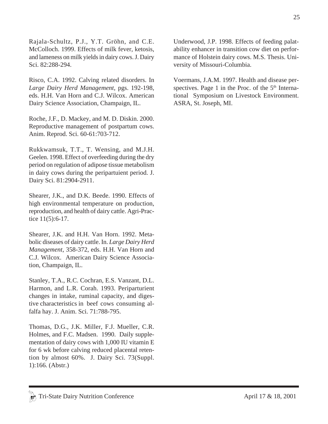Rajala-Schultz, P.J., Y.T. Gröhn, and C.E. McColloch. 1999. Effects of milk fever, ketosis, and lameness on milk yields in dairy cows. J. Dairy Sci. 82:288-294.

Risco, C.A. 1992. Calving related disorders. In *Large Dairy Herd Management*, pgs. 192-198, eds. H.H. Van Horn and C.J. Wilcox. American Dairy Science Association, Champaign, IL.

Roche, J.F., D. Mackey, and M. D. Diskin. 2000. Reproductive management of postpartum cows. Anim. Reprod. Sci. 60-61:703-712.

Rukkwamsuk, T.T., T. Wensing, and M.J.H. Geelen. 1998. Effect of overfeeding during the dry period on regulation of adipose tissue metabolism in dairy cows during the peripartuient period. J. Dairy Sci. 81:2904-2911.

Shearer, J.K., and D.K. Beede. 1990. Effects of high environmental temperature on production, reproduction, and health of dairy cattle. Agri-Practice 11(5):6-17.

Shearer, J.K. and H.H. Van Horn. 1992. Metabolic diseases of dairy cattle. In. *Large Dairy Herd Management*, 358-372, eds. H.H. Van Horn and C.J. Wilcox. American Dairy Science Association, Champaign, IL.

Stanley, T.A., R.C. Cochran, E.S. Vanzant, D.L. Harmon, and L.R. Corah. 1993. Periparturient changes in intake, ruminal capacity, and digestive characteristics in beef cows consuming alfalfa hay. J. Anim. Sci. 71:788-795.

Thomas, D.G., J.K. Miller, F.J. Mueller, C.R. Holmes, and F.C. Madsen. 1990. Daily supplementation of dairy cows with 1,000 IU vitamin E for 6 wk before calving reduced placental retention by almost 60%. J. Dairy Sci. 73(Suppl. 1):166. (Abstr.)

Underwood, J.P. 1998. Effects of feeding palatability enhancer in transition cow diet on performance of Holstein dairy cows. M.S. Thesis. University of Missouri-Columbia.

Voermans, J.A.M. 1997. Health and disease perspectives. Page 1 in the Proc. of the  $5<sup>th</sup>$  International Symposium on Livestock Environment. ASRA, St. Joseph, MI.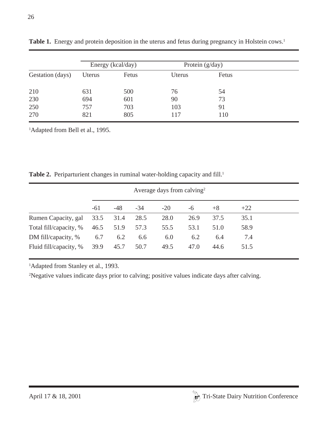|                  |        | Energy (kcal/day) |        | Protein $(g/day)$ |  |
|------------------|--------|-------------------|--------|-------------------|--|
| Gestation (days) | Uterus | Fetus             | Uterus | Fetus             |  |
| 210              | 631    | 500               | 76     | 54                |  |
| 230              | 694    | 601               | 90     | 73                |  |
| 250              | 757    | 703               | 103    | 91                |  |
| 270              | 821    | 805               | 117    | 110               |  |

Table 1. Energy and protein deposition in the uterus and fetus during pregnancy in Holstein cows.<sup>1</sup>

<sup>1</sup>Adapted from Bell et al., 1995.

|                        |       |       |       | Average days from calving <sup>2</sup> |      |      |       |  |
|------------------------|-------|-------|-------|----------------------------------------|------|------|-------|--|
|                        | $-61$ | $-48$ | $-34$ | $-20$                                  | -6   | $+8$ | $+22$ |  |
| Rumen Capacity, gal    | 33.5  | 31.4  | 28.5  | 28.0                                   | 26.9 | 37.5 | 35.1  |  |
| Total fill/capacity, % | 46.5  | 51.9  | 57.3  | 55.5                                   | 53.1 | 51.0 | 58.9  |  |
| DM fill/capacity, %    | 6.7   | 6.2   | 6.6   | 6.0                                    | 6.2  | 6.4  | 7.4   |  |
| Fluid fill/capacity, % | 39.9  | 45.7  | 50.7  | 49.5                                   | 47.0 | 44.6 | 51.5  |  |

Table 2. Periparturient changes in ruminal water-holding capacity and fill.<sup>1</sup>

<sup>1</sup>Adapted from Stanley et al., 1993.

<sup>2</sup>Negative values indicate days prior to calving; positive values indicate days after calving.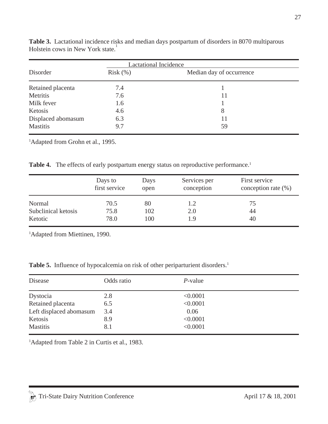| <b>Lactational Incidence</b> |            |                          |  |  |
|------------------------------|------------|--------------------------|--|--|
| Disorder                     | $Risk$ $%$ | Median day of occurrence |  |  |
| Retained placenta            | 7.4        |                          |  |  |
| Metritis                     | 7.6        | 11                       |  |  |
| Milk fever                   | 1.6        |                          |  |  |
| Ketosis                      | 4.6        | 8                        |  |  |
| Displaced abomasum           | 6.3        | 11                       |  |  |
| <b>Mastitis</b>              | 9.7        | 59                       |  |  |

**Table 3.** Lactational incidence risks and median days postpartum of disorders in 8070 multiparous Holstein cows in New York state.<sup>1</sup>

<sup>1</sup>Adapted from Grohn et al., 1995.

|  |  |  |  |  | Table 4. The effects of early postpartum energy status on reproductive performance. <sup>1</sup> |  |
|--|--|--|--|--|--------------------------------------------------------------------------------------------------|--|
|--|--|--|--|--|--------------------------------------------------------------------------------------------------|--|

|                     | Days to<br>first service | <b>Days</b><br>open | Services per<br>conception | First service<br>conception rate $(\% )$ |
|---------------------|--------------------------|---------------------|----------------------------|------------------------------------------|
| Normal              | 70.5                     | 80                  | 1.2                        | 75                                       |
| Subclinical ketosis | 75.8                     | 102                 | 2.0                        | 44                                       |
| Ketotic             | 78.0                     | 100                 | l 9                        | 40                                       |

<sup>1</sup>Adapted from Miettinen, 1990.

|  |  |  |  |  | Table 5. Influence of hypocalcemia on risk of other periparturient disorders. <sup>1</sup> |  |
|--|--|--|--|--|--------------------------------------------------------------------------------------------|--|
|--|--|--|--|--|--------------------------------------------------------------------------------------------|--|

| Disease                 | Odds ratio | $P$ -value |
|-------------------------|------------|------------|
| Dystocia                | 2.8        | < 0.0001   |
| Retained placenta       | 6.5        | < 0.0001   |
| Left displaced abomasum | 3.4        | 0.06       |
| Ketosis                 | 8.9        | < 0.0001   |
| Mastitis                | 8.1        | < 0.0001   |

<sup>1</sup>Adapted from Table 2 in Curtis et al., 1983.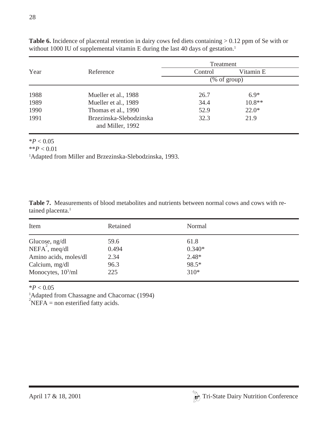|      |                                             | Treatment     |           |  |
|------|---------------------------------------------|---------------|-----------|--|
| Year | Reference                                   | Control       | Vitamin E |  |
|      |                                             | $%$ of group) |           |  |
| 1988 | Mueller et al., 1988                        | 26.7          | $6.9*$    |  |
| 1989 | Mueller et al., 1989                        | 34.4          | $10.8**$  |  |
| 1990 | Thomas et al., 1990                         | 52.9          | $22.0*$   |  |
| 1991 | Brzezinska-Slebodzinska<br>and Miller, 1992 | 32.3          | 21.9      |  |

Table 6. Incidence of placental retention in dairy cows fed diets containing  $> 0.12$  ppm of Se with or without 1000 IU of supplemental vitamin E during the last 40 days of gestation.<sup>1</sup>

 $*P < 0.05$ 

 $*$ <sup>\*</sup>*P* < 0.01

<sup>1</sup>Adapted from Miller and Brzezinska-Slebodzinska, 1993.

**Table 7.** Measurements of blood metabolites and nutrients between normal cows and cows with retained placenta.<sup>1</sup>

| Item                                         | Retained | Normal   |  |
|----------------------------------------------|----------|----------|--|
|                                              | 59.6     | 61.8     |  |
| Glucose, ng/dl<br>NEFA <sup>2</sup> , meq/dl | 0.494    | $0.340*$ |  |
| Amino acids, moles/dl                        | 2.34     | $2.48*$  |  |
| Calcium, mg/dl                               | 96.3     | 98.5*    |  |
| Monocytes, $103/ml$                          | 225      | $310*$   |  |

 $*P < 0.05$ 

<sup>1</sup>Adapted from Chassagne and Chacornac (1994)

 $\overrightarrow{P}$ NEFA = non esterified fatty acids.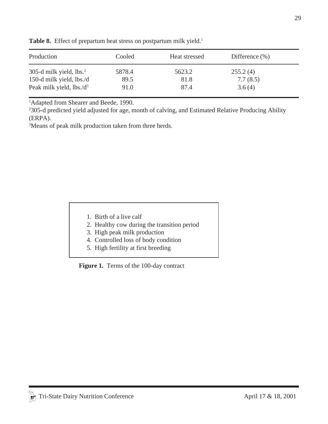| Production                          | Cooled | Heat stressed | Difference $(\% )$ |
|-------------------------------------|--------|---------------|--------------------|
| 305-d milk yield, lbs. <sup>2</sup> | 5878.4 | 5623.2        | 255.2(4)           |
| 150-d milk yield, lbs./d            | 89.5   | 81.8          | 7.7(8.5)           |
| Peak milk yield, $lbs.d^3$          | 91.0   | 87.4          | 3.6(4)             |

Table 8. Effect of prepartum heat stress on postpartum milk yield.<sup>1</sup>

<sup>1</sup>Adapted from Shearer and Beede, 1990.

2 305-d predicted yield adjusted for age, month of calving, and Estimated Relative Producing Ability (ERPA).

3 Means of peak milk production taken from three herds.

- 1. Birth of a live calf
- 2. Healthy cow during the transition period
- 3. High peak milk production
- 4. Controlled loss of body condition
- 5. High fertility at first breeding

**Figure 1.** Terms of the 100-day contract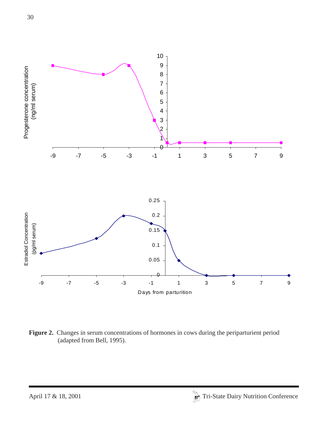

**Figure 2.** Changes in serum concentrations of hormones in cows during the periparturient period (adapted from Bell, 1995).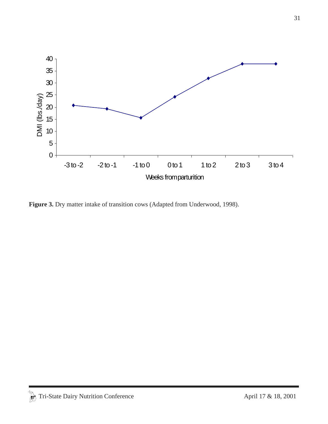

Figure 3. Dry matter intake of transition cows (Adapted from Underwood, 1998).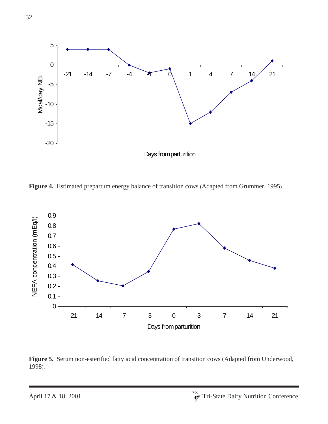

**Figure 4.** Estimated prepartum energy balance of transition cows (Adapted from Grummer, 1995).



**Figure 5.** Serum non-esterified fatty acid concentration of transition cows (Adapted from Underwood, 1998).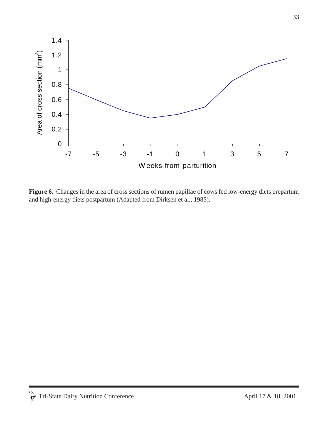

Figure 6. Changes in the area of cross sections of rumen papillae of cows fed low-energy diets prepartum and high-energy diets postpartum (Adapted from Dirksen et al., 1985).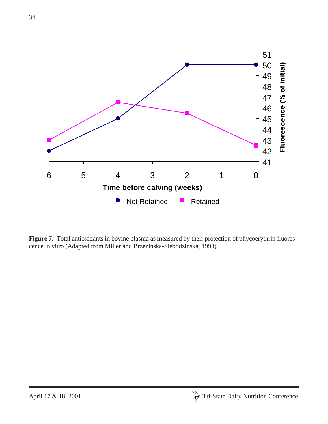

Figure 7. Total antioxidants in bovine plasma as measured by their protection of phycoerythrin fluorescence in vitro (Adapted from Miller and Brzezinska-Slebodzinska, 1993).

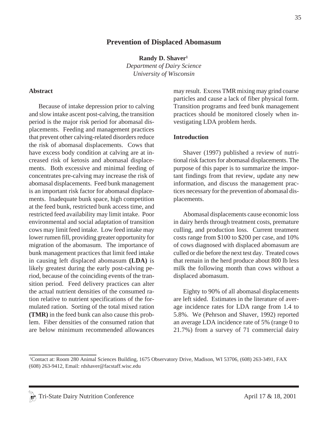### **Prevention of Displaced Abomasum**

**Randy D. Shaver1**

*Department of Dairy Science University of Wisconsin*

#### **Abstract**

Because of intake depression prior to calving and slow intake ascent post-calving, the transition period is the major risk period for abomasal displacements. Feeding and management practices that prevent other calving-related disorders reduce the risk of abomasal displacements. Cows that have excess body condition at calving are at increased risk of ketosis and abomasal displacements. Both excessive and minimal feeding of concentrates pre-calving may increase the risk of abomasal displacements. Feed bunk management is an important risk factor for abomasal displacements. Inadequate bunk space, high competition at the feed bunk, restricted bunk access time, and restricted feed availability may limit intake. Poor environmental and social adaptation of transition cows may limit feed intake. Low feed intake may lower rumen fill, providing greater opportunity for migration of the abomasum. The importance of bunk management practices that limit feed intake in causing left displaced abomasum **(LDA)** is likely greatest during the early post-calving period, because of the coinciding events of the transition period. Feed delivery practices can alter the actual nutrient densities of the consumed ration relative to nutrient specifications of the formulated ration. Sorting of the total mixed ration **(TMR)** in the feed bunk can also cause this problem. Fiber densities of the consumed ration that are below minimum recommended allowances may result. Excess TMR mixing may grind coarse particles and cause a lack of fiber physical form. Transition programs and feed bunk management practices should be monitored closely when investigating LDA problem herds.

#### **Introduction**

Shaver (1997) published a review of nutritional risk factors for abomasal displacements. The purpose of this paper is to summarize the important findings from that review, update any new information, and discuss the management practices necessary for the prevention of abomasal displacements.

Abomasal displacements cause economic loss in dairy herds through treatment costs, premature culling, and production loss. Current treatment costs range from \$100 to \$200 per case, and 10% of cows diagnosed with displaced abomasum are culled or die before the next test day. Treated cows that remain in the herd produce about 800 lb less milk the following month than cows without a displaced abomasum.

Eighty to 90% of all abomasal displacements are left sided. Estimates in the literature of average incidence rates for LDA range from 1.4 to 5.8%. We (Pehrson and Shaver, 1992) reported an average LDA incidence rate of 5% (range 0 to 21.7%) from a survey of 71 commercial dairy

<sup>1</sup> Contact at: Room 280 Animal Sciences Building, 1675 Observatory Drive, Madison, WI 53706, (608) 263-3491, FAX (608) 263-9412, Email: rdshaver@facstaff.wisc.edu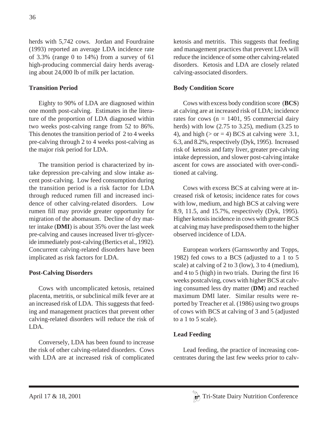herds with 5,742 cows. Jordan and Fourdraine (1993) reported an average LDA incidence rate of 3.3% (range 0 to 14%) from a survey of 61 high-producing commercial dairy herds averaging about 24,000 lb of milk per lactation.

## **Transition Period**

Eighty to 90% of LDA are diagnosed within one month post-calving. Estimates in the literature of the proportion of LDA diagnosed within two weeks post-calving range from 52 to 86%. This denotes the transition period of 2 to 4 weeks pre-calving through 2 to 4 weeks post-calving as the major risk period for LDA.

The transition period is characterized by intake depression pre-calving and slow intake ascent post-calving. Low feed consumption during the transition period is a risk factor for LDA through reduced rumen fill and increased incidence of other calving-related disorders. Low rumen fill may provide greater opportunity for migration of the abomasum. Decline of dry matter intake (**DMI**) is about 35% over the last week pre-calving and causes increased liver tri-glyceride immediately post-calving (Bertics et al., 1992). Concurrent calving-related disorders have been implicated as risk factors for LDA.

## **Post-Calving Disorders**

Cows with uncomplicated ketosis, retained placenta, metritis, or subclinical milk fever are at an increased risk of LDA. This suggests that feeding and management practices that prevent other calving-related disorders will reduce the risk of LDA.

Conversely, LDA has been found to increase the risk of other calving-related disorders. Cows with LDA are at increased risk of complicated ketosis and metritis. This suggests that feeding and management practices that prevent LDA will reduce the incidence of some other calving-related disorders. Ketosis and LDA are closely related calving-associated disorders.

## **Body Condition Score**

Cows with excess body condition score (**BCS**) at calving are at increased risk of LDA; incidence rates for cows ( $n = 1401$ , 95 commercial dairy herds) with low (2.75 to 3.25), medium (3.25 to 4), and high ( $>$  or = 4) BCS at calving were 3.1, 6.3, and 8.2%, respectively (Dyk, 1995). Increased risk of ketosis and fatty liver, greater pre-calving intake depression, and slower post-calving intake ascent for cows are associated with over-conditioned at calving.

Cows with excess BCS at calving were at increased risk of ketosis; incidence rates for cows with low, medium, and high BCS at calving were 8.9, 11.5, and 15.7%, respectively (Dyk, 1995). Higher ketosis incidence in cows with greater BCS at calving may have predisposed them to the higher observed incidence of LDA.

European workers (Garnsworthy and Topps, 1982) fed cows to a BCS (adjusted to a 1 to 5 scale) at calving of 2 to 3 (low), 3 to 4 (medium), and 4 to 5 (high) in two trials. During the first 16 weeks postcalving, cows with higher BCS at calving consumed less dry matter (**DM**) and reached maximum DMI later. Similar results were reported by Treacher et al. (1986) using two groups of cows with BCS at calving of 3 and 5 (adjusted to a 1 to 5 scale).

## **Lead Feeding**

Lead feeding, the practice of increasing concentrates during the last few weeks prior to calv-

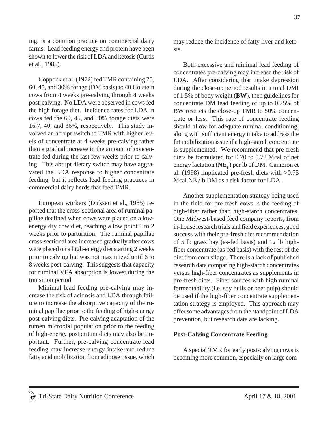ing, is a common practice on commercial dairy farms. Lead feeding energy and protein have been shown to lower the risk of LDA and ketosis (Curtis et al., 1985).

Coppock et al. (1972) fed TMR containing 75, 60, 45, and 30% forage (DM basis) to 40 Holstein cows from 4 weeks pre-calving through 4 weeks post-calving. No LDA were observed in cows fed the high forage diet. Incidence rates for LDA in cows fed the 60, 45, and 30% forage diets were 16.7, 40, and 36%, respectively. This study involved an abrupt switch to TMR with higher levels of concentrate at 4 weeks pre-calving rather than a gradual increase in the amount of concentrate fed during the last few weeks prior to calving. This abrupt dietary switch may have aggravated the LDA response to higher concentrate feeding, but it reflects lead feeding practices in commercial dairy herds that feed TMR.

European workers (Dirksen et al., 1985) reported that the cross-sectional area of ruminal papillae declined when cows were placed on a lowenergy dry cow diet, reaching a low point 1 to 2 weeks prior to parturition. The ruminal papillae cross-sectional area increased gradually after cows were placed on a high-energy diet starting 2 weeks prior to calving but was not maximized until 6 to 8 weeks post-calving. This suggests that capacity for ruminal VFA absorption is lowest during the transition period.

Minimal lead feeding pre-calving may increase the risk of acidosis and LDA through failure to increase the absorptive capacity of the ruminal papillae prior to the feeding of high-energy post-calving diets. Pre-calving adaptation of the rumen microbial population prior to the feeding of high-energy postpartum diets may also be important. Further, pre-calving concentrate lead feeding may increase energy intake and reduce fatty acid mobilization from adipose tissue, which may reduce the incidence of fatty liver and ketosis.

Both excessive and minimal lead feeding of concentrates pre-calving may increase the risk of LDA. After considering that intake depression during the close-up period results in a total DMI of 1.5% of body weight (**BW**), then guidelines for concentrate DM lead feeding of up to 0.75% of BW restricts the close-up TMR to 50% concentrate or less. This rate of concentrate feeding should allow for adequate ruminal conditioning, along with sufficient energy intake to address the fat mobilization issue if a high-starch concentrate is supplemented. We recommend that pre-fresh diets be formulated for 0.70 to 0.72 Mcal of net energy lactation (**NE**<sub>r</sub>) per lb of DM. Cameron et al. (1998) implicated pre-fresh diets with >0.75 Mcal  $NE_{L}$ /lb DM as a risk factor for LDA.

Another supplementation strategy being used in the field for pre-fresh cows is the feeding of high-fiber rather than high-starch concentrates. One Midwest-based feed company reports, from in-house research trials and field experiences, good success with their pre-fresh diet recommendation of 5 lb grass hay (as-fed basis) and 12 lb highfiber concentrate (as-fed basis) with the rest of the diet from corn silage. There is a lack of published research data comparing high-starch concentrates versus high-fiber concentrates as supplements in pre-fresh diets. Fiber sources with high ruminal fermentability (i.e. soy hulls or beet pulp) should be used if the high-fiber concentrate supplementation strategy is employed. This approach may offer some advantages from the standpoint of LDA prevention, but research data are lacking.

### **Post-Calving Concentrate Feeding**

A special TMR for early post-calving cows is becoming more common, especially on large com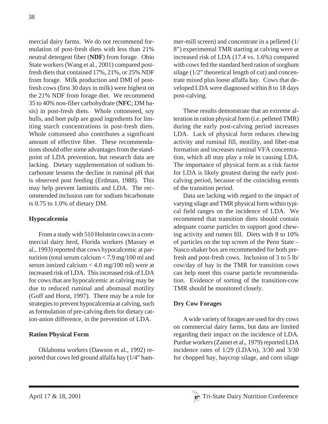mercial dairy farms. We do not recommend formulation of post-fresh diets with less than 21% neutral detergent fiber (**NDF**) from forage. Ohio State workers (Wang et al., 2001) compared postfresh diets that contained 17%, 21%, or 25% NDF from forage. Milk production and DMI of postfresh cows (first 30 days in milk) were highest on the 21% NDF from forage diet. We recommend 35 to 40% non-fiber carbohydrate (**NFC**; DM basis) in post-fresh diets. Whole cottonseed, soy hulls, and beet pulp are good ingredients for limiting starch concentrations in post-fresh diets. Whole cottonseed also contributes a significant amount of effective fiber. These recommendations should offer some advantages from the standpoint of LDA prevention, but research data are lacking. Dietary supplementation of sodium bicarbonate lessens the decline in ruminal pH that is observed post feeding (Erdman, 1988). This may help prevent laminitis and LDA. The recommended inclusion rate for sodium bicarbonate is 0.75 to 1.0% of dietary DM.

## **Hypocalcemia**

From a study with 510 Holstein cows in a commercial dairy herd, Florida workers (Massey et al., 1993) reported that cows hypocalcemic at parturition (total serum calcium < 7.9 mg/100 ml and serum ionized calcium < 4.0 mg/100 ml) were at increased risk of LDA. This increased risk of LDA for cows that are hypocalcemic at calving may be due to reduced ruminal and abomasal motility (Goff and Horst, 1997). There may be a role for strategies to prevent hypocalcemia at calving, such as formulation of pre-calving diets for dietary cation-anion difference, in the prevention of LDA.

## **Ration Physical Form**

Oklahoma workers (Dawson et al., 1992) reported that cows fed ground alfalfa hay (1/4" hammer-mill screen) and concentrate in a pelleted (1/ 8") experimental TMR starting at calving were at increased risk of LDA (17.4 vs. 1.6%) compared with cows fed the standard herd ration of sorghum silage (1/2" theoretical length of cut) and concentrate mixed plus loose alfalfa hay. Cows that developed LDA were diagnosed within 8 to 18 days post-calving.

These results demonstrate that an extreme alteration in ration physical form (i.e. pelleted TMR) during the early post-calving period increases LDA. Lack of physical form reduces chewing activity and ruminal fill, motility, and fiber-mat formation and increases ruminal VFA concentration, which all may play a role in causing LDA. The importance of physical form as a risk factor for LDA is likely greatest during the early postcalving period, because of the coinciding events of the transition period.

Data are lacking with regard to the impact of varying silage and TMR physical form within typical field ranges on the incidence of LDA. We recommend that transition diets should contain adequate coarse particles to support good chewing activity and rumen fill. Diets with 8 to 10% of particles on the top screen of the Penn State – Nasco shaker box are recommended for both prefresh and post-fresh cows. Inclusion of 3 to 5 lb/ cow/day of hay in the TMR for transition cows can help meet this coarse particle recommendation. Evidence of sorting of the transition-cow TMR should be monitored closely.

## **Dry Cow Forages**

A wide variety of forages are used for dry cows on commercial dairy farms, but data are limited regarding their impact on the incidence of LDA. Purdue workers (Zamet et al., 1979) reported LDA incidence rates of 1/29 (LDA/n), 3/30 and 3/30 for chopped hay, haycrop silage, and corn silage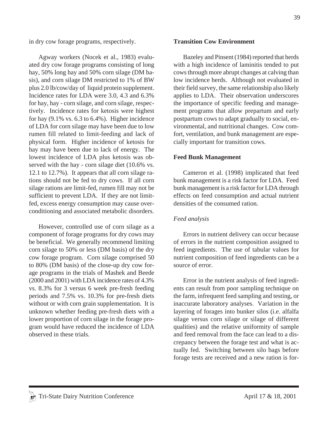in dry cow forage programs, respectively.

Agway workers (Nocek et al., 1983) evaluated dry cow forage programs consisting of long hay, 50% long hay and 50% corn silage (DM basis), and corn silage DM restricted to 1% of BW plus 2.0 lb/cow/day of liquid protein supplement. Incidence rates for LDA were 3.0, 4.3 and 6.3% for hay, hay - corn silage, and corn silage, respectively. Incidence rates for ketosis were highest for hay  $(9.1\% \text{ vs. } 6.3 \text{ to } 6.4\%)$ . Higher incidence of LDA for corn silage may have been due to low rumen fill related to limit-feeding and lack of physical form. Higher incidence of ketosis for hay may have been due to lack of energy. The lowest incidence of LDA plus ketosis was observed with the hay - corn silage diet (10.6% vs. 12.1 to 12.7%). It appears that all corn silage rations should not be fed to dry cows. If all corn silage rations are limit-fed, rumen fill may not be sufficient to prevent LDA. If they are not limitfed, excess energy consumption may cause overconditioning and associated metabolic disorders.

However, controlled use of corn silage as a component of forage programs for dry cows may be beneficial. We generally recommend limiting corn silage to 50% or less (DM basis) of the dry cow forage program. Corn silage comprised 50 to 80% (DM basis) of the close-up dry cow forage programs in the trials of Mashek and Beede (2000 and 2001) with LDA incidence rates of 4.3% vs. 8.3% for 3 versus 6 week pre-fresh feeding periods and 7.5% vs. 10.3% for pre-fresh diets without or with corn grain supplementation. It is unknown whether feeding pre-fresh diets with a lower proportion of corn silage in the forage program would have reduced the incidence of LDA observed in these trials.

#### **Transition Cow Environment**

Bazeley and Pinsent (1984) reported that herds with a high incidence of laminitis tended to put cows through more abrupt changes at calving than low incidence herds. Although not evaluated in their field survey, the same relationship also likely applies to LDA. Their observation underscores the importance of specific feeding and management programs that allow prepartum and early postpartum cows to adapt gradually to social, environmental, and nutritional changes. Cow comfort, ventilation, and bunk management are especially important for transition cows.

### **Feed Bunk Management**

Cameron et al. (1998) implicated that feed bunk management is a risk factor for LDA. Feed bunk management is a risk factor for LDA through effects on feed consumption and actual nutrient densities of the consumed ration.

### *Feed analysis*

Errors in nutrient delivery can occur because of errors in the nutrient composition assigned to feed ingredients. The use of tabular values for nutrient composition of feed ingredients can be a source of error.

Error in the nutrient analysis of feed ingredients can result from poor sampling technique on the farm, infrequent feed sampling and testing, or inaccurate laboratory analyses. Variation in the layering of forages into bunker silos (i.e. alfalfa silage versus corn silage or silage of different qualities) and the relative uniformity of sample and feed removal from the face can lead to a discrepancy between the forage test and what is actually fed. Switching between silo bags before forage tests are received and a new ration is for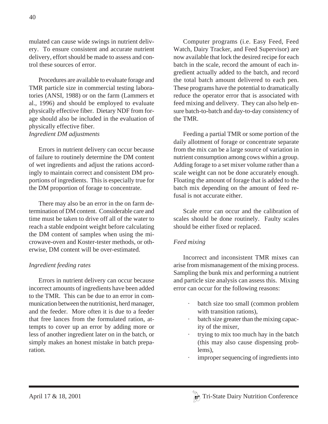mulated can cause wide swings in nutrient delivery. To ensure consistent and accurate nutrient delivery, effort should be made to assess and control these sources of error.

Procedures are available to evaluate forage and TMR particle size in commercial testing laboratories (ANSI, 1988) or on the farm (Lammers et al., 1996) and should be employed to evaluate physically effective fiber. Dietary NDF from forage should also be included in the evaluation of physically effective fiber. *Ingredient DM adjustments*

Errors in nutrient delivery can occur because of failure to routinely determine the DM content of wet ingredients and adjust the rations accordingly to maintain correct and consistent DM proportions of ingredients. This is especially true for the DM proportion of forage to concentrate.

There may also be an error in the on farm determination of DM content. Considerable care and time must be taken to drive off all of the water to reach a stable endpoint weight before calculating the DM content of samples when using the microwave-oven and Koster-tester methods, or otherwise, DM content will be over-estimated.

### *Ingredient feeding rates*

Errors in nutrient delivery can occur because incorrect amounts of ingredients have been added to the TMR. This can be due to an error in communication between the nutritionist, herd manager, and the feeder. More often it is due to a feeder that free lances from the formulated ration, attempts to cover up an error by adding more or less of another ingredient later on in the batch, or simply makes an honest mistake in batch preparation.

Computer programs (i.e. Easy Feed, Feed Watch, Dairy Tracker, and Feed Supervisor) are now available that lock the desired recipe for each batch in the scale, record the amount of each ingredient actually added to the batch, and record the total batch amount delivered to each pen. These programs have the potential to dramatically reduce the operator error that is associated with feed mixing and delivery. They can also help ensure batch-to-batch and day-to-day consistency of the TMR.

Feeding a partial TMR or some portion of the daily allotment of forage or concentrate separate from the mix can be a large source of variation in nutrient consumption among cows within a group. Adding forage to a set mixer volume rather than a scale weight can not be done accurately enough. Floating the amount of forage that is added to the batch mix depending on the amount of feed refusal is not accurate either.

Scale error can occur and the calibration of scales should be done routinely. Faulty scales should be either fixed or replaced.

### *Feed mixing*

Incorrect and inconsistent TMR mixes can arise from mismanagement of the mixing process. Sampling the bunk mix and performing a nutrient and particle size analysis can assess this. Mixing error can occur for the following reasons:

- batch size too small (common problem with transition rations),
- batch size greater than the mixing capacity of the mixer,
- trying to mix too much hay in the batch (this may also cause dispensing problems),
- improper sequencing of ingredients into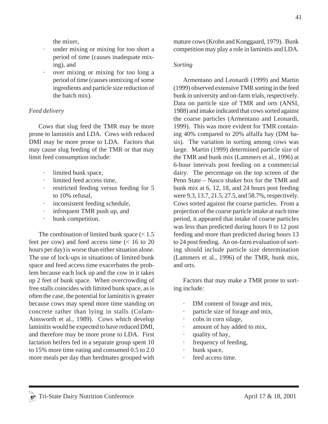the mixer,

- · under mixing or mixing for too short a period of time (causes inadequate mixing), and
- over mixing or mixing for too long a period of time (causes unmixing of some ingredients and particle size reduction of the batch mix).

## *Feed delivery*

Cows that slug feed the TMR may be more prone to laminitis and LDA. Cows with reduced DMI may be more prone to LDA. Factors that may cause slug feeding of the TMR or that may limit feed consumption include:

- · limited bunk space,
- limited feed access time.
- restricted feeding versus feeding for 5 to 10% refusal,
- inconsistent feeding schedule,
- infrequent TMR push up, and
- bunk competition.

The combination of limited bunk space  $\left($  < 1.5 feet per cow) and feed access time (< 16 to 20 hours per day) is worse than either situation alone. The use of lock-ups in situations of limited bunk space and feed access time exacerbates the problem because each lock up and the cow in it takes up 2 feet of bunk space. When overcrowding of free stalls coincides with limited bunk space, as is often the case, the potential for laminitis is greater because cows may spend more time standing on concrete rather than lying in stalls (Colam-Ainsworth et al., 1989). Cows which develop laminitis would be expected to have reduced DMI, and therefore may be more prone to LDA. First lactation heifers fed in a separate group spent 10 to 15% more time eating and consumed 0.5 to 2.0 more meals per day than herdmates grouped with mature cows (Krohn and Konggaard, 1979). Bunk competition may play a role in laminitis and LDA.

### *Sorting*

Armentano and Leonardi (1999) and Martin (1999) observed extensive TMR sorting in the feed bunk in university and on-farm trials, respectively. Data on particle size of TMR and orts (ANSI, 1988) and intake indicated that cows sorted against the coarse particles (Armentano and Leonardi, 1999). This was more evident for TMR containing 40% compared to 20% alfalfa hay (DM basis). The variation in sorting among cows was large. Martin (1999) determined particle size of the TMR and bunk mix (Lammers et al., 1996) at 6-hour intervals post feeding on a commercial dairy. The percentage on the top screen of the Penn State – Nasco shaker box for the TMR and bunk mix at 6, 12, 18, and 24 hours post feeding were 9.3, 13.7, 21.5, 27.5, and 58.7%, respectively. Cows sorted against the coarse particles. From a projection of the coarse particle intake at each time period, it appeared that intake of coarse particles was less than predicted during hours 0 to 12 post feeding and more than predicted during hours 13 to 24 post feeding. An on-farm evaluation of sorting should include particle size determination (Lammers et al., 1996) of the TMR, bunk mix, and orts.

Factors that may make a TMR prone to sorting include:

- DM content of forage and mix,
- particle size of forage and mix,
- · cobs in corn silage,
- amount of hay added to mix,
- · quality of hay,
- frequency of feeding,
- · bunk space,
- feed access time.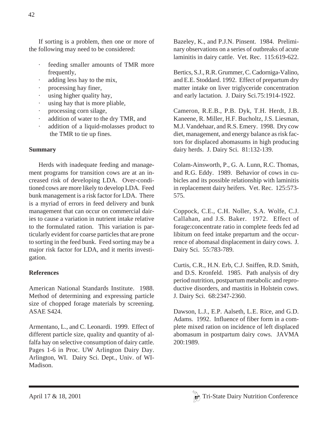If sorting is a problem, then one or more of the following may need to be considered:

- feeding smaller amounts of TMR more frequently,
- adding less hay to the mix,
- processing hay finer,
- using higher quality hay,
- using hay that is more pliable,
- processing corn silage,
- addition of water to the dry TMR, and
- addition of a liquid-molasses product to the TMR to tie up fines.

# **Summary**

Herds with inadequate feeding and management programs for transition cows are at an increased risk of developing LDA. Over-conditioned cows are more likely to develop LDA. Feed bunk management is a risk factor for LDA. There is a myriad of errors in feed delivery and bunk management that can occur on commercial dairies to cause a variation in nutrient intake relative to the formulated ration. This variation is particularly evident for coarse particles that are prone to sorting in the feed bunk. Feed sorting may be a major risk factor for LDA, and it merits investigation.

# **References**

American National Standards Institute. 1988. Method of determining and expressing particle size of chopped forage materials by screening. ASAE S424.

Armentano, L., and C. Leonardi. 1999. Effect of different particle size, quality and quantity of alfalfa hay on selective consumption of dairy cattle. Pages 1-6 in Proc. UW Arlington Dairy Day. Arlington, WI. Dairy Sci. Dept., Univ. of WI-Madison.

Bazeley, K., and P.J.N. Pinsent. 1984. Preliminary observations on a series of outbreaks of acute laminitis in dairy cattle. Vet. Rec. 115:619-622.

Bertics, S.J., R.R. Grummer, C. Cadorniga-Valino, and E.E. Stoddard. 1992. Effect of prepartum dry matter intake on liver triglyceride concentration and early lactation. J. Dairy Sci.75:1914-1922.

Cameron, R.E.B., P.B. Dyk, T.H. Herdt, J.B. Kaneene, R. Miller, H.F. Bucholtz, J.S. Liesman, M.J. Vandehaar, and R.S. Emery. 1998. Dry cow diet, management, and energy balance as risk factors for displaced abomasums in high producing dairy herds. J. Dairy Sci. 81:132-139.

Colam-Ainsworth, P., G. A. Lunn, R.C. Thomas, and R.G. Eddy. 1989. Behavior of cows in cubicles and its possible relationship with laminitis in replacement dairy heifers. Vet. Rec. 125:573- 575.

Coppock, C.E., C.H. Noller, S.A. Wolfe, C.J. Callahan, and J.S. Baker. 1972. Effect of forage:concentrate ratio in complete feeds fed ad libitum on feed intake prepartum and the occurrence of abomasal displacement in dairy cows. J. Dairy Sci. 55:783-789.

Curtis, C.R., H.N. Erb, C.J. Sniffen, R.D. Smith, and D.S. Kronfeld. 1985. Path analysis of dry period nutrition, postpartum metabolic and reproductive disorders, and mastitis in Holstein cows. J. Dairy Sci. 68:2347-2360.

Dawson, L.J., E.P. Aalseth, L.E. Rice, and G.D. Adams. 1992. Influence of fiber form in a complete mixed ration on incidence of left displaced abomasum in postpartum dairy cows. JAVMA 200:1989.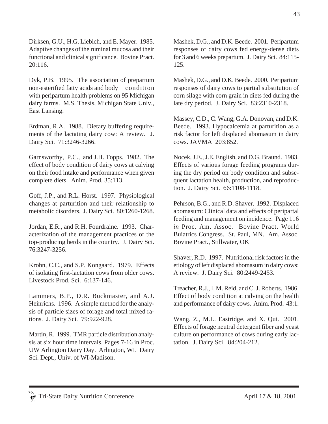Dirksen, G.U., H.G. Liebich, and E. Mayer. 1985. Adaptive changes of the ruminal mucosa and their functional and clinical significance. Bovine Pract. 20:116.

Dyk, P.B. 1995. The association of prepartum non-esterified fatty acids and body condition with peripartum health problems on 95 Michigan dairy farms. M.S. Thesis, Michigan State Univ., East Lansing.

Erdman, R.A. 1988. Dietary buffering requirements of the lactating dairy cow: A review. J. Dairy Sci. 71:3246-3266.

Garnsworthy, P.C., and J.H. Topps. 1982. The effect of body condition of dairy cows at calving on their food intake and performance when given complete diets. Anim. Prod. 35:113.

Goff, J.P., and R.L. Horst. 1997. Physiological changes at parturition and their relationship to metabolic disorders. J. Dairy Sci. 80:1260-1268.

Jordan, E.R., and R.H. Fourdraine. 1993. Characterization of the management practices of the top-producing herds in the country. J. Dairy Sci. 76:3247-3256.

Krohn, C.C., and S.P. Kongaard. 1979. Effects of isolating first-lactation cows from older cows. Livestock Prod. Sci. 6:137-146.

Lammers, B.P., D.R. Buckmaster, and A.J. Heinrichs. 1996. A simple method for the analysis of particle sizes of forage and total mixed rations. J. Dairy Sci. 79:922-928.

Martin, R. 1999. TMR particle distribution analysis at six hour time intervals. Pages 7-16 in Proc. UW Arlington Dairy Day. Arlington, WI. Dairy Sci. Dept., Univ. of WI-Madison.

Mashek, D.G., and D.K. Beede. 2001. Peripartum responses of dairy cows fed energy-dense diets for 3 and 6 weeks prepartum. J. Dairy Sci. 84:115- 125.

Mashek, D.G., and D.K. Beede. 2000. Peripartum responses of dairy cows to partial substitution of corn silage with corn grain in diets fed during the late dry period. J. Dairy Sci. 83:2310-2318.

Massey, C.D., C. Wang, G.A. Donovan, and D.K. Beede. 1993. Hypocalcemia at parturition as a risk factor for left displaced abomasum in dairy cows. JAVMA 203:852.

Nocek, J.E., J.E. English, and D.G. Braund. 1983. Effects of various forage feeding programs during the dry period on body condition and subsequent lactation health, production, and reproduction. J. Dairy Sci. 66:1108-1118.

Pehrson, B.G., and R.D. Shaver. 1992. Displaced abomasum: Clinical data and effects of peripartal feeding and management on incidence. Page 116 *in* Proc. Am. Assoc. Bovine Pract. World Buiatrics Congress. St. Paul, MN. Am. Assoc. Bovine Pract., Stillwater, OK

Shaver, R.D. 1997. Nutritional risk factors in the etiology of left displaced abomasum in dairy cows: A review. J. Dairy Sci. 80:2449-2453.

Treacher, R.J., I. M. Reid, and C. J. Roberts. 1986. Effect of body condition at calving on the health and performance of dairy cows. Anim. Prod. 43:1.

Wang, Z., M.L. Eastridge, and X. Qui. 2001. Effects of forage neutral detergent fiber and yeast culture on performance of cows during early lactation. J. Dairy Sci. 84:204-212.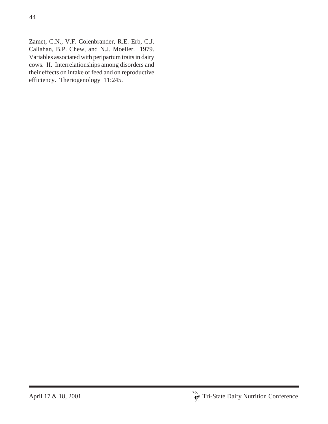Zamet, C.N., V.F. Colenbrander, R.E. Erb, C.J. Callahan, B.P. Chew, and N.J. Moeller. 1979. Variables associated with peripartum traits in dairy cows. II. Interrelationships among disorders and their effects on intake of feed and on reproductive efficiency. Theriogenology 11:245.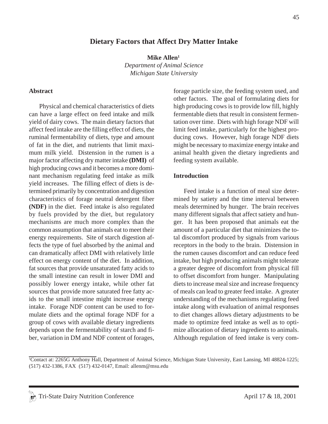### **Dietary Factors that Affect Dry Matter Intake**

Mike Allen<sup>1</sup> *Department of Animal Science Michigan State University*

#### **Abstract**

Physical and chemical characteristics of diets can have a large effect on feed intake and milk yield of dairy cows. The main dietary factors that affect feed intake are the filling effect of diets, the ruminal fermentability of diets, type and amount of fat in the diet, and nutrients that limit maximum milk yield. Distension in the rumen is a major factor affecting dry matter intake **(DMI)** of high producing cows and it becomes a more dominant mechanism regulating feed intake as milk yield increases. The filling effect of diets is determined primarily by concentration and digestion characteristics of forage neutral detergent fiber **(NDF)** in the diet. Feed intake is also regulated by fuels provided by the diet, but regulatory mechanisms are much more complex than the common assumption that animals eat to meet their energy requirements. Site of starch digestion affects the type of fuel absorbed by the animal and can dramatically affect DMI with relatively little effect on energy content of the diet. In addition, fat sources that provide unsaturated fatty acids to the small intestine can result in lower DMI and possibly lower energy intake, while other fat sources that provide more saturated free fatty acids to the small intestine might increase energy intake. Forage NDF content can be used to formulate diets and the optimal forage NDF for a group of cows with available dietary ingredients depends upon the fermentability of starch and fiber, variation in DM and NDF content of forages, forage particle size, the feeding system used, and other factors. The goal of formulating diets for high producing cows is to provide low fill, highly fermentable diets that result in consistent fermentation over time. Diets with high forage NDF will limit feed intake, particularly for the highest producing cows. However, high forage NDF diets might be necessary to maximize energy intake and animal health given the dietary ingredients and feeding system available.

#### **Introduction**

Feed intake is a function of meal size determined by satiety and the time interval between meals determined by hunger. The brain receives many different signals that affect satiety and hunger. It has been proposed that animals eat the amount of a particular diet that minimizes the total discomfort produced by signals from various receptors in the body to the brain. Distension in the rumen causes discomfort and can reduce feed intake, but high producing animals might tolerate a greater degree of discomfort from physical fill to offset discomfort from hunger. Manipulating diets to increase meal size and increase frequency of meals can lead to greater feed intake. A greater understanding of the mechanisms regulating feed intake along with evaluation of animal responses to diet changes allows dietary adjustments to be made to optimize feed intake as well as to optimize allocation of dietary ingredients to animals. Although regulation of feed intake is very com-

<sup>1</sup> Contact at: 2265G Anthony Hall, Department of Animal Science, Michigan State University, East Lansing, MI 48824-1225; (517) 432-1386, FAX (517) 432-0147, Email: allenm@msu.edu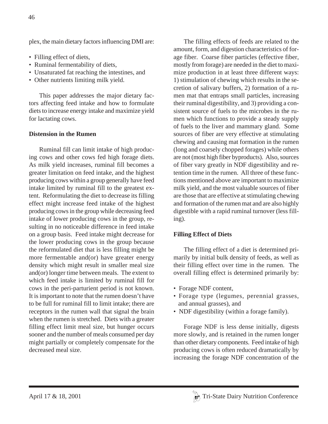plex, the main dietary factors influencing DMI are:

- Filling effect of diets,
- Ruminal fermentability of diets,
- Unsaturated fat reaching the intestines, and
- Other nutrients limiting milk yield.

This paper addresses the major dietary factors affecting feed intake and how to formulate diets to increase energy intake and maximize yield for lactating cows.

## **Distension in the Rumen**

Ruminal fill can limit intake of high producing cows and other cows fed high forage diets. As milk yield increases, ruminal fill becomes a greater limitation on feed intake, and the highest producing cows within a group generally have feed intake limited by ruminal fill to the greatest extent. Reformulating the diet to decrease its filling effect might increase feed intake of the highest producing cows in the group while decreasing feed intake of lower producing cows in the group, resulting in no noticeable difference in feed intake on a group basis. Feed intake might decrease for the lower producing cows in the group because the reformulated diet that is less filling might be more fermentable and(or) have greater energy density which might result in smaller meal size and(or) longer time between meals. The extent to which feed intake is limited by ruminal fill for cows in the peri-parturient period is not known. It is important to note that the rumen doesn't have to be full for ruminal fill to limit intake; there are receptors in the rumen wall that signal the brain when the rumen is stretched. Diets with a greater filling effect limit meal size, but hunger occurs sooner and the number of meals consumed per day might partially or completely compensate for the decreased meal size.

The filling effects of feeds are related to the amount, form, and digestion characteristics of forage fiber. Coarse fiber particles (effective fiber, mostly from forage) are needed in the diet to maximize production in at least three different ways: 1) stimulation of chewing which results in the secretion of salivary buffers, 2) formation of a rumen mat that entraps small particles, increasing their ruminal digestibility, and 3) providing a consistent source of fuels to the microbes in the rumen which functions to provide a steady supply of fuels to the liver and mammary gland. Some sources of fiber are very effective at stimulating chewing and causing mat formation in the rumen (long and coarsely chopped forages) while others are not (most high fiber byproducts). Also, sources of fiber vary greatly in NDF digestibility and retention time in the rumen. All three of these functions mentioned above are important to maximize milk yield, and the most valuable sources of fiber are those that are effective at stimulating chewing and formation of the rumen mat and are also highly digestible with a rapid ruminal turnover (less filling).

## **Filling Effect of Diets**

The filling effect of a diet is determined primarily by initial bulk density of feeds, as well as their filling effect over time in the rumen. The overall filling effect is determined primarily by:

- Forage NDF content,
- Forage type (legumes, perennial grasses, and annual grasses), and
- NDF digestibility (within a forage family).

Forage NDF is less dense initially, digests more slowly, and is retained in the rumen longer than other dietary components. Feed intake of high producing cows is often reduced dramatically by increasing the forage NDF concentration of the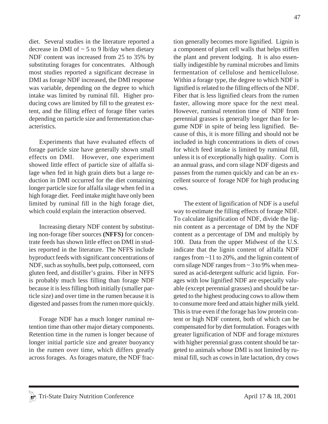diet. Several studies in the literature reported a decrease in DMI of  $\sim$  5 to 9 lb/day when dietary NDF content was increased from 25 to 35% by substituting forages for concentrates. Although most studies reported a significant decrease in DMI as forage NDF increased, the DMI response was variable, depending on the degree to which intake was limited by ruminal fill. Higher producing cows are limited by fill to the greatest extent, and the filling effect of forage fiber varies depending on particle size and fermentation characteristics.

Experiments that have evaluated effects of forage particle size have generally shown small effects on DMI. However, one experiment showed little effect of particle size of alfalfa silage when fed in high grain diets but a large reduction in DMI occurred for the diet containing longer particle size for alfalfa silage when fed in a high forage diet. Feed intake might have only been limited by ruminal fill in the high forage diet, which could explain the interaction observed.

Increasing dietary NDF content by substituting non-forage fiber sources **(NFFS)** for concentrate feeds has shown little effect on DMI in studies reported in the literature. The NFFS include byproduct feeds with significant concentrations of NDF, such as soyhulls, beet pulp, cottonseed, corn gluten feed, and distiller's grains. Fiber in NFFS is probably much less filling than forage NDF because it is less filling both initially (smaller particle size) and over time in the rumen because it is digested and passes from the rumen more quickly.

Forage NDF has a much longer ruminal retention time than other major dietary components. Retention time in the rumen is longer because of longer initial particle size and greater buoyancy in the rumen over time, which differs greatly across forages. As forages mature, the NDF fraction generally becomes more lignified. Lignin is a component of plant cell walls that helps stiffen the plant and prevent lodging. It is also essentially indigestible by ruminal microbes and limits fermentation of cellulose and hemicellulose. Within a forage type, the degree to which NDF is lignified is related to the filling effects of the NDF. Fiber that is less lignified clears from the rumen faster, allowing more space for the next meal. However, ruminal retention time of NDF from perennial grasses is generally longer than for legume NDF in spite of being less lignified. Because of this, it is more filling and should not be included in high concentrations in diets of cows for which feed intake is limited by ruminal fill, unless it is of exceptionally high quality. Corn is an annual grass, and corn silage NDF digests and passes from the rumen quickly and can be an excellent source of forage NDF for high producing cows.

The extent of lignification of NDF is a useful way to estimate the filling effects of forage NDF. To calculate lignification of NDF, divide the lignin content as a percentage of DM by the NDF content as a percentage of DM and multiply by 100. Data from the upper Midwest of the U.S. indicate that the lignin content of alfalfa NDF ranges from ~11 to 20%, and the lignin content of corn silage NDF ranges from  $\sim$  3 to 9% when measured as acid-detergent sulfuric acid lignin. Forages with low lignified NDF are especially valuable (except perennial grasses) and should be targeted to the highest producing cows to allow them to consume more feed and attain higher milk yield. This is true even if the forage has low protein content or high NDF content, both of which can be compensated for by diet formulation. Forages with greater lignification of NDF and forage mixtures with higher perennial grass content should be targeted to animals whose DMI is not limited by ruminal fill, such as cows in late lactation, dry cows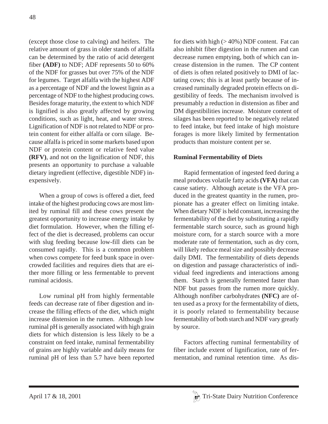(except those close to calving) and heifers. The relative amount of grass in older stands of alfalfa can be determined by the ratio of acid detergent fiber **(ADF)** to NDF; ADF represents 50 to 60% of the NDF for grasses but over 75% of the NDF for legumes. Target alfalfa with the highest ADF as a percentage of NDF and the lowest lignin as a percentage of NDF to the highest producing cows. Besides forage maturity, the extent to which NDF is lignified is also greatly affected by growing conditions, such as light, heat, and water stress. Lignification of NDF is not related to NDF or protein content for either alfalfa or corn silage. Because alfalfa is priced in some markets based upon NDF or protein content or relative feed value **(RFV)**, and not on the lignification of NDF, this presents an opportunity to purchase a valuable dietary ingredient (effective, digestible NDF) inexpensively.

When a group of cows is offered a diet, feed intake of the highest producing cows are most limited by ruminal fill and these cows present the greatest opportunity to increase energy intake by diet formulation. However, when the filling effect of the diet is decreased, problems can occur with slug feeding because low-fill diets can be consumed rapidly. This is a common problem when cows compete for feed bunk space in overcrowded facilities and requires diets that are either more filling or less fermentable to prevent ruminal acidosis.

Low ruminal pH from highly fermentable feeds can decrease rate of fiber digestion and increase the filling effects of the diet, which might increase distension in the rumen. Although low ruminal pH is generally associated with high grain diets for which distension is less likely to be a constraint on feed intake, ruminal fermentability of grains are highly variable and daily means for ruminal pH of less than 5.7 have been reported for diets with high  $(>40\%)$  NDF content. Fat can also inhibit fiber digestion in the rumen and can decrease rumen emptying, both of which can increase distension in the rumen. The CP content of diets is often related positively to DMI of lactating cows; this is at least partly because of increased ruminally degraded protein effects on digestibility of feeds. The mechanism involved is presumably a reduction in distension as fiber and DM digestibilities increase. Moisture content of silages has been reported to be negatively related to feed intake, but feed intake of high moisture forages is more likely limited by fermentation products than moisture content per se.

## **Ruminal Fermentability of Diets**

Rapid fermentation of ingested feed during a meal produces volatile fatty acids **(VFA)** that can cause satiety. Although acetate is the VFA produced in the greatest quantity in the rumen, propionate has a greater effect on limiting intake. When dietary NDF is held constant, increasing the fermentability of the diet by substituting a rapidly fermentable starch source, such as ground high moisture corn, for a starch source with a more moderate rate of fermentation, such as dry corn, will likely reduce meal size and possibly decrease daily DMI. The fermentability of diets depends on digestion and passage characteristics of individual feed ingredients and interactions among them. Starch is generally fermented faster than NDF but passes from the rumen more quickly. Although nonfiber carbohydrates **(NFC)** are often used as a proxy for the fermentability of diets, it is poorly related to fermentability because fermentability of both starch and NDF vary greatly by source.

Factors affecting ruminal fermentability of fiber include extent of lignification, rate of fermentation, and ruminal retention time. As dis-

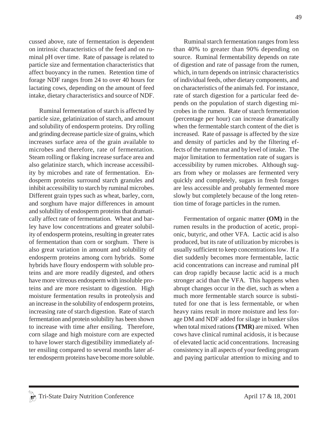cussed above, rate of fermentation is dependent on intrinsic characteristics of the feed and on ruminal pH over time. Rate of passage is related to particle size and fermentation characteristics that affect buoyancy in the rumen. Retention time of forage NDF ranges from 24 to over 40 hours for lactating cows, depending on the amount of feed intake, dietary characteristics and source of NDF.

Ruminal fermentation of starch is affected by particle size, gelatinization of starch, and amount and solubility of endosperm proteins. Dry rolling and grinding decrease particle size of grains, which increases surface area of the grain available to microbes and therefore, rate of fermentation. Steam rolling or flaking increase surface area and also gelatinize starch, which increase accessibility by microbes and rate of fermentation. Endosperm proteins surround starch granules and inhibit accessibility to starch by ruminal microbes. Different grain types such as wheat, barley, corn, and sorghum have major differences in amount and solubility of endosperm proteins that dramatically affect rate of fermentation. Wheat and barley have low concentrations and greater solubility of endosperm proteins, resulting in greater rates of fermentation than corn or sorghum. There is also great variation in amount and solubility of endosperm proteins among corn hybrids. Some hybrids have floury endosperm with soluble proteins and are more readily digested, and others have more vitreous endosperm with insoluble proteins and are more resistant to digestion. High moisture fermentation results in proteolysis and an increase in the solubility of endosperm proteins, increasing rate of starch digestion. Rate of starch fermentation and protein solubility has been shown to increase with time after ensiling. Therefore, corn silage and high moisture corn are expected to have lower starch digestibility immediately after ensiling compared to several months later after endosperm proteins have become more soluble. 49

Ruminal starch fermentation ranges from less than 40% to greater than 90% depending on source. Ruminal fermentability depends on rate of digestion and rate of passage from the rumen, which, in turn depends on intrinsic characteristics of individual feeds, other dietary components, and on characteristics of the animals fed. For instance, rate of starch digestion for a particular feed depends on the population of starch digesting microbes in the rumen. Rate of starch fermentation (percentage per hour) can increase dramatically when the fermentable starch content of the diet is increased. Rate of passage is affected by the size and density of particles and by the filtering effects of the rumen mat and by level of intake. The major limitation to fermentation rate of sugars is accessibility by rumen microbes. Although sugars from whey or molasses are fermented very quickly and completely, sugars in fresh forages are less accessible and probably fermented more slowly but completely because of the long retention time of forage particles in the rumen.

Fermentation of organic matter **(OM)** in the rumen results in the production of acetic, propionic, butyric, and other VFA. Lactic acid is also produced, but its rate of utilization by microbes is usually sufficient to keep concentrations low. If a diet suddenly becomes more fermentable, lactic acid concentrations can increase and ruminal pH can drop rapidly because lactic acid is a much stronger acid than the VFA. This happens when abrupt changes occur in the diet, such as when a much more fermentable starch source is substituted for one that is less fermentable, or when heavy rains result in more moisture and less forage DM and NDF added for silage in bunker silos when total mixed rations **(TMR)** are mixed. When cows have clinical ruminal acidosis, it is because of elevated lactic acid concentrations. Increasing consistency in all aspects of your feeding program and paying particular attention to mixing and to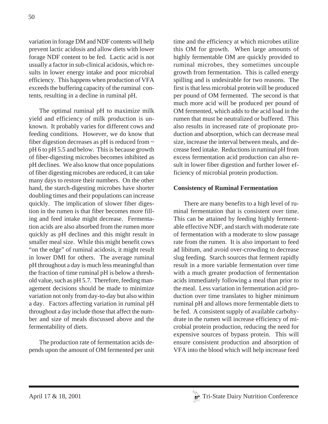variation in forage DM and NDF contents will help prevent lactic acidosis and allow diets with lower forage NDF content to be fed. Lactic acid is not usually a factor in sub-clinical acidosis, which results in lower energy intake and poor microbial efficiency. This happens when production of VFA exceeds the buffering capacity of the ruminal contents, resulting in a decline in ruminal pH.

The optimal ruminal pH to maximize milk yield and efficiency of milk production is unknown. It probably varies for different cows and feeding conditions. However, we do know that fiber digestion decreases as pH is reduced from  $\sim$ pH 6 to pH 5.5 and below. This is because growth of fiber-digesting microbes becomes inhibited as pH declines. We also know that once populations of fiber digesting microbes are reduced, it can take many days to restore their numbers. On the other hand, the starch-digesting microbes have shorter doubling times and their populations can increase quickly. The implication of slower fiber digestion in the rumen is that fiber becomes more filling and feed intake might decrease. Fermentation acids are also absorbed from the rumen more quickly as pH declines and this might result in smaller meal size. While this might benefit cows "on the edge" of ruminal acidosis, it might result in lower DMI for others. The average ruminal pH throughout a day is much less meaningful than the fraction of time ruminal pH is below a threshold value, such as pH 5.7. Therefore, feeding management decisions should be made to minimize variation not only from day-to-day but also within a day. Factors affecting variation in ruminal pH throughout a day include those that affect the number and size of meals discussed above and the fermentability of diets.

The production rate of fermentation acids depends upon the amount of OM fermented per unit time and the efficiency at which microbes utilize this OM for growth. When large amounts of highly fermentable OM are quickly provided to ruminal microbes, they sometimes uncouple growth from fermentation. This is called energy spilling and is undesirable for two reasons. The first is that less microbial protein will be produced per pound of OM fermented. The second is that much more acid will be produced per pound of OM fermented, which adds to the acid load in the rumen that must be neutralized or buffered. This also results in increased rate of propionate production and absorption, which can decrease meal size, increase the interval between meals, and decrease feed intake. Reductions in ruminal pH from excess fermentation acid production can also result in lower fiber digestion and further lower efficiency of microbial protein production.

### **Consistency of Ruminal Fermentation**

There are many benefits to a high level of ruminal fermentation that is consistent over time. This can be attained by feeding highly fermentable effective NDF, and starch with moderate rate of fermentation with a moderate to slow passage rate from the rumen. It is also important to feed ad libitum, and avoid over-crowding to decrease slug feeding. Starch sources that ferment rapidly result in a more variable fermentation over time with a much greater production of fermentation acids immediately following a meal than prior to the meal. Less variation in fermentation acid production over time translates to higher minimum ruminal pH and allows more fermentable diets to be fed. A consistent supply of available carbohydrate in the rumen will increase efficiency of microbial protein production, reducing the need for expensive sources of bypass protein. This will ensure consistent production and absorption of VFA into the blood which will help increase feed

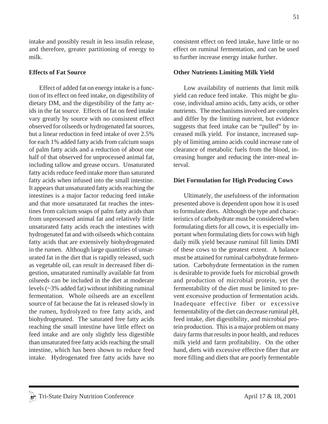intake and possibly result in less insulin release, and therefore, greater partitioning of energy to milk.

#### **Effects of Fat Source**

Effect of added fat on energy intake is a function of its effect on feed intake, on digestibility of dietary DM, and the digestibility of the fatty acids in the fat source. Effects of fat on feed intake vary greatly by source with no consistent effect observed for oilseeds or hydrogenated fat sources, but a linear reduction in feed intake of over 2.5% for each 1% added fatty acids from calcium soaps of palm fatty acids and a reduction of about one half of that observed for unprocessed animal fat, including tallow and grease occurs. Unsaturated fatty acids reduce feed intake more than saturated fatty acids when infused into the small intestine. It appears that unsaturated fatty acids reaching the intestines is a major factor reducing feed intake and that more unsaturated fat reaches the intestines from calcium soaps of palm fatty acids than from unprocessed animal fat and relatively little unsaturated fatty acids reach the intestines with hydrogenated fat and with oilseeds which contains fatty acids that are extensively biohydrogenated in the rumen. Although large quantities of unsaturated fat in the diet that is rapidly released, such as vegetable oil, can result in decreased fiber digestion, unsaturated ruminally available fat from oilseeds can be included in the diet at moderate levels (~3% added fat) without inhibiting ruminal fermentation. Whole oilseeds are an excellent source of fat because the fat is released slowly in the rumen, hydrolyzed to free fatty acids, and biohydrogenated. The saturated free fatty acids reaching the small intestine have little effect on feed intake and are only slightly less digestible than unsaturated free fatty acids reaching the small intestine, which has been shown to reduce feed intake. Hydrogenated free fatty acids have no consistent effect on feed intake, have little or no effect on ruminal fermentation, and can be used to further increase energy intake further.

#### **Other Nutrients Limiting Milk Yield**

Low availability of nutrients that limit milk yield can reduce feed intake. This might be glucose, individual amino acids, fatty acids, or other nutrients. The mechanisms involved are complex and differ by the limiting nutrient, but evidence suggests that feed intake can be "pulled" by increased milk yield. For instance, increased supply of limiting amino acids could increase rate of clearance of metabolic fuels from the blood, increasing hunger and reducing the inter-meal interval.

#### **Diet Formulation for High Producing Cows**

Ultimately, the usefulness of the information presented above is dependent upon how it is used to formulate diets. Although the type and characteristics of carbohydrate must be considered when formulating diets for all cows, it is especially important when formulating diets for cows with high daily milk yield because ruminal fill limits DMI of these cows to the greatest extent. A balance must be attained for ruminal carbohydrate fermentation. Carbohydrate fermentation in the rumen is desirable to provide fuels for microbial growth and production of microbial protein, yet the fermentability of the diet must be limited to prevent excessive production of fermentation acids. Inadequate effective fiber or excessive fermentability of the diet can decrease ruminal pH, feed intake, diet digestibility, and microbial protein production. This is a major problem on many dairy farms that results in poor health, and reduces milk yield and farm profitability. On the other hand, diets with excessive effective fiber that are more filling and diets that are poorly fermentable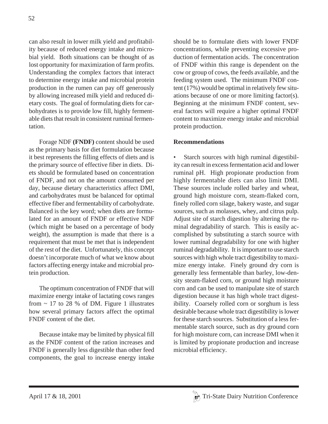can also result in lower milk yield and profitability because of reduced energy intake and microbial yield. Both situations can be thought of as lost opportunity for maximization of farm profits. Understanding the complex factors that interact to determine energy intake and microbial protein production in the rumen can pay off generously by allowing increased milk yield and reduced dietary costs. The goal of formulating diets for carbohydrates is to provide low fill, highly fermentable diets that result in consistent ruminal fermentation.

Forage NDF **(FNDF)** content should be used as the primary basis for diet formulation because it best represents the filling effects of diets and is the primary source of effective fiber in diets. Diets should be formulated based on concentration of FNDF, and not on the amount consumed per day, because dietary characteristics affect DMI, and carbohydrates must be balanced for optimal effective fiber and fermentability of carbohydrate. Balanced is the key word; when diets are formulated for an amount of FNDF or effective NDF (which might be based on a percentage of body weight), the assumption is made that there is a requirement that must be met that is independent of the rest of the diet. Unfortunately, this concept doesn't incorporate much of what we know about factors affecting energy intake and microbial protein production.

The optimum concentration of FNDF that will maximize energy intake of lactating cows ranges from  $\sim$  17 to 28 % of DM. Figure 1 illustrates how several primary factors affect the optimal FNDF content of the diet.

Because intake may be limited by physical fill as the FNDF content of the ration increases and FNDF is generally less digestible than other feed components, the goal to increase energy intake should be to formulate diets with lower FNDF concentrations, while preventing excessive production of fermentation acids. The concentration of FNDF within this range is dependent on the cow or group of cows, the feeds available, and the feeding system used. The minimum FNDF content (17%) would be optimal in relatively few situations because of one or more limiting factor(s). Beginning at the minimum FNDF content, several factors will require a higher optimal FNDF content to maximize energy intake and microbial protein production.

### **Recommendations**

Starch sources with high ruminal digestibility can result in excess fermentation acid and lower ruminal pH. High propionate production from highly fermentable diets can also limit DMI. These sources include rolled barley and wheat, ground high moisture corn, steam-flaked corn, finely rolled corn silage, bakery waste, and sugar sources, such as molasses, whey, and citrus pulp. Adjust site of starch digestion by altering the ruminal degradability of starch. This is easily accomplished by substituting a starch source with lower ruminal degradability for one with higher ruminal degradability. It is important to use starch sources with high whole tract digestibility to maximize energy intake. Finely ground dry corn is generally less fermentable than barley, low-density steam-flaked corn, or ground high moisture corn and can be used to manipulate site of starch digestion because it has high whole tract digestibility. Coarsely rolled corn or sorghum is less desirable because whole tract digestibility is lower for these starch sources. Substitution of a less fermentable starch source, such as dry ground corn for high moisture corn, can increase DMI when it is limited by propionate production and increase microbial efficiency.

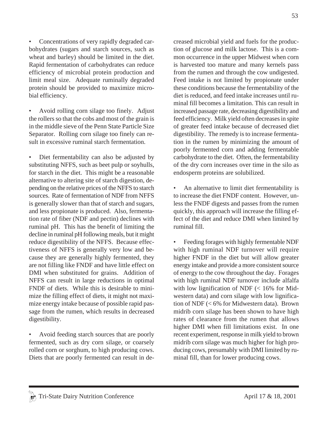$\frac{a}{4}$  Tri-State Dairy Nutrition Conference April 17 & 18, 2001

• Concentrations of very rapidly degraded carbohydrates (sugars and starch sources, such as wheat and barley) should be limited in the diet. Rapid fermentation of carbohydrates can reduce efficiency of microbial protein production and limit meal size. Adequate ruminally degraded protein should be provided to maximize microbial efficiency.

• Avoid rolling corn silage too finely. Adjust the rollers so that the cobs and most of the grain is in the middle sieve of the Penn State Particle Size Separator. Rolling corn silage too finely can result in excessive ruminal starch fermentation.

Diet fermentability can also be adjusted by substituting NFFS, such as beet pulp or soyhulls, for starch in the diet. This might be a reasonable alternative to altering site of starch digestion, depending on the relative prices of the NFFS to starch sources. Rate of fermentation of NDF from NFFS is generally slower than that of starch and sugars, and less propionate is produced. Also, fermentation rate of fiber (NDF and pectin) declines with ruminal pH. This has the benefit of limiting the decline in ruminal pH following meals, but it might reduce digestibility of the NFFS. Because effectiveness of NFFS is generally very low and because they are generally highly fermented, they are not filling like FNDF and have little effect on DMI when substituted for grains. Addition of NFFS can result in large reductions in optimal FNDF of diets. While this is desirable to minimize the filling effect of diets, it might not maximize energy intake because of possible rapid passage from the rumen, which results in decreased digestibility.

• Avoid feeding starch sources that are poorly fermented, such as dry corn silage, or coarsely rolled corn or sorghum, to high producing cows. Diets that are poorly fermented can result in decreased microbial yield and fuels for the production of glucose and milk lactose. This is a common occurrence in the upper Midwest when corn is harvested too mature and many kernels pass from the rumen and through the cow undigested. Feed intake is not limited by propionate under these conditions because the fermentability of the diet is reduced, and feed intake increases until ruminal fill becomes a limitation. This can result in increased passage rate, decreasing digestibility and feed efficiency. Milk yield often decreases in spite of greater feed intake because of decreased diet digestibility. The remedy is to increase fermentation in the rumen by minimizing the amount of poorly fermented corn and adding fermentable carbohydrate to the diet. Often, the fermentability of the dry corn increases over time in the silo as endosperm proteins are solubilized.

An alternative to limit diet fermentability is to increase the diet FNDF content. However, unless the FNDF digests and passes from the rumen quickly, this approach will increase the filling effect of the diet and reduce DMI when limited by ruminal fill.

• Feeding forages with highly fermentable NDF with high ruminal NDF turnover will require higher FNDF in the diet but will allow greater energy intake and provide a more consistent source of energy to the cow throughout the day. Forages with high ruminal NDF turnover include alfalfa with low lignification of NDF  $\ll 16\%$  for Midwestern data) and corn silage with low lignification of NDF (< 6% for Midwestern data). Brown midrib corn silage has been shown to have high rates of clearance from the rumen that allows higher DMI when fill limitations exist. In one recent experiment, response in milk yield to brown midrib corn silage was much higher for high producing cows, presumably with DMI limited by ruminal fill, than for lower producing cows.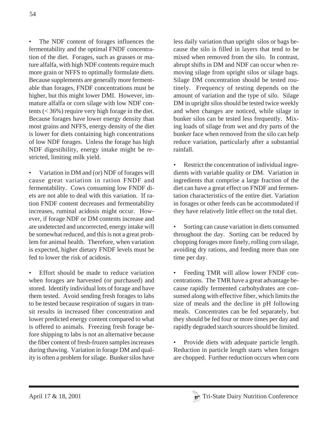The NDF content of forages influences the fermentability and the optimal FNDF concentration of the diet. Forages, such as grasses or mature alfalfa, with high NDF contents require much more grain or NFFS to optimally formulate diets. Because supplements are generally more fermentable than forages, FNDF concentrations must be higher, but this might lower DMI. However, immature alfalfa or corn silage with low NDF contents  $(< 36\%)$  require very high forage in the diet. Because forages have lower energy density than most grains and NFFS, energy density of the diet is lower for diets containing high concentrations of low NDF forages. Unless the forage has high NDF digestibility, energy intake might be restricted, limiting milk yield.

• Variation in DM and (or) NDF of forages will cause great variation in ration FNDF and fermentability. Cows consuming low FNDF diets are not able to deal with this variation. If ration FNDF content decreases and fermentability increases, ruminal acidosis might occur. However, if forage NDF or DM contents increase and are undetected and uncorrected, energy intake will be somewhat reduced, and this is not a great problem for animal health. Therefore, when variation is expected, higher dietary FNDF levels must be fed to lower the risk of acidosis.

Effort should be made to reduce variation when forages are harvested (or purchased) and stored. Identify individual lots of forage and have them tested. Avoid sending fresh forages to labs to be tested because respiration of sugars in transit results in increased fiber concentration and lower predicted energy content compared to what is offered to animals. Freezing fresh forage before shipping to labs is not an alternative because the fiber content of fresh-frozen samples increases during thawing. Variation in forage DM and quality is often a problem for silage. Bunker silos have less daily variation than upright silos or bags because the silo is filled in layers that tend to be mixed when removed from the silo. In contrast, abrupt shifts in DM and NDF can occur when removing silage from upright silos or silage bags. Silage DM concentration should be tested routinely. Frequency of testing depends on the amount of variation and the type of silo. Silage DM in upright silos should be tested twice weekly and when changes are noticed, while silage in bunker silos can be tested less frequently. Mixing loads of silage from wet and dry parts of the bunker face when removed from the silo can help reduce variation, particularly after a substantial rainfall.

• Restrict the concentration of individual ingredients with variable quality or DM. Variation in ingredients that comprise a large fraction of the diet can have a great effect on FNDF and fermentation characteristics of the entire diet. Variation in forages or other feeds can be accommodated if they have relatively little effect on the total diet.

• Sorting can cause variation in diets consumed throughout the day. Sorting can be reduced by chopping forages more finely, rolling corn silage, avoiding dry rations, and feeding more than one time per day.

• Feeding TMR will allow lower FNDF concentrations. The TMR have a great advantage because rapidly fermented carbohydrates are consumed along with effective fiber, which limits the size of meals and the decline in pH following meals. Concentrates can be fed separately, but they should be fed four or more times per day and rapidly degraded starch sources should be limited.

• Provide diets with adequate particle length. Reduction in particle length starts when forages are chopped. Further reduction occurs when corn

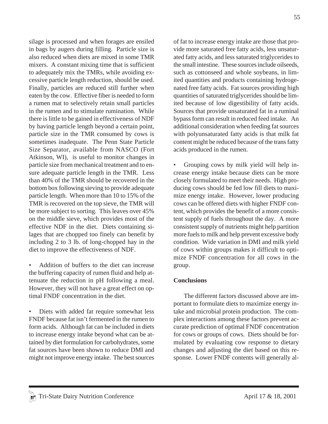silage is processed and when forages are ensiled in bags by augers during filling. Particle size is also reduced when diets are mixed in some TMR mixers. A constant mixing time that is sufficient to adequately mix the TMRs, while avoiding excessive particle length reduction, should be used. Finally, particles are reduced still further when eaten by the cow. Effective fiber is needed to form a rumen mat to selectively retain small particles in the rumen and to stimulate rumination. While there is little to be gained in effectiveness of NDF by having particle length beyond a certain point, particle size in the TMR consumed by cows is sometimes inadequate. The Penn State Particle Size Separator, available from NASCO (Fort Atkinson, WI), is useful to monitor changes in particle size from mechanical treatment and to ensure adequate particle length in the TMR. Less than 40% of the TMR should be recovered in the bottom box following sieving to provide adequate particle length. When more than 10 to 15% of the TMR is recovered on the top sieve, the TMR will be more subject to sorting. This leaves over 45% on the middle sieve, which provides most of the effective NDF in the diet. Diets containing silages that are chopped too finely can benefit by including 2 to 3 lb. of long-chopped hay in the diet to improve the effectiveness of NDF.

• Addition of buffers to the diet can increase the buffering capacity of rumen fluid and help attenuate the reduction in pH following a meal. However, they will not have a great effect on optimal FNDF concentration in the diet.

Diets with added fat require somewhat less FNDF because fat isn't fermented in the rumen to form acids. Although fat can be included in diets to increase energy intake beyond what can be attained by diet formulation for carbohydrates, some fat sources have been shown to reduce DMI and might not improve energy intake. The best sources of fat to increase energy intake are those that provide more saturated free fatty acids, less unsaturated fatty acids, and less saturated triglycerides to the small intestine. These sources include oilseeds, such as cottonseed and whole soybeans, in limited quantities and products containing hydrogenated free fatty acids. Fat sources providing high quantities of saturated triglycerides should be limited because of low digestibility of fatty acids. Sources that provide unsaturated fat in a ruminal bypass form can result in reduced feed intake. An additional consideration when feeding fat sources with polyunsaturated fatty acids is that milk fat content might be reduced because of the trans fatty acids produced in the rumen.

• Grouping cows by milk yield will help increase energy intake because diets can be more closely formulated to meet their needs. High producing cows should be fed low fill diets to maximize energy intake. However, lower producing cows can be offered diets with higher FNDF content, which provides the benefit of a more consistent supply of fuels throughout the day. A more consistent supply of nutrients might help partition more fuels to milk and help prevent excessive body condition. Wide variation in DMI and milk yield of cows within groups makes it difficult to optimize FNDF concentration for all cows in the group.

## **Conclusions**

The different factors discussed above are important to formulate diets to maximize energy intake and microbial protein production. The complex interactions among these factors prevent accurate prediction of optimal FNDF concentration for cows or groups of cows. Diets should be formulated by evaluating cow response to dietary changes and adjusting the diet based on this response. Lower FNDF contents will generally al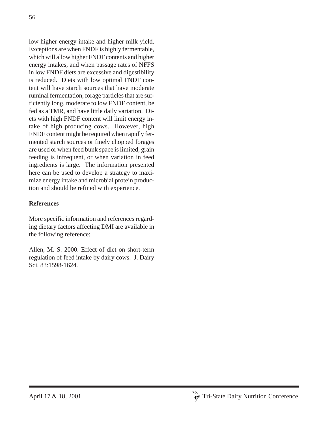low higher energy intake and higher milk yield. Exceptions are when FNDF is highly fermentable, which will allow higher FNDF contents and higher energy intakes, and when passage rates of NFFS in low FNDF diets are excessive and digestibility is reduced. Diets with low optimal FNDF content will have starch sources that have moderate ruminal fermentation, forage particles that are sufficiently long, moderate to low FNDF content, be fed as a TMR, and have little daily variation. Diets with high FNDF content will limit energy intake of high producing cows. However, high FNDF content might be required when rapidly fermented starch sources or finely chopped forages are used or when feed bunk space is limited, grain feeding is infrequent, or when variation in feed ingredients is large. The information presented here can be used to develop a strategy to maximize energy intake and microbial protein production and should be refined with experience.

## **References**

More specific information and references regarding dietary factors affecting DMI are available in the following reference:

Allen, M. S. 2000. Effect of diet on short-term regulation of feed intake by dairy cows. J. Dairy Sci. 83:1598-1624.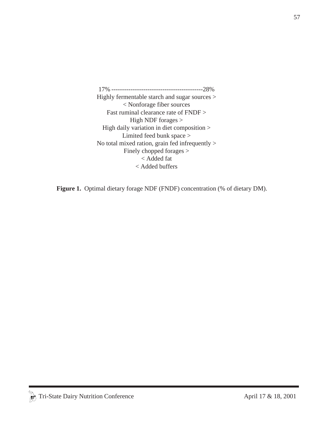17% -------------------------------------------28% Highly fermentable starch and sugar sources > < Nonforage fiber sources Fast ruminal clearance rate of FNDF > High NDF forages > High daily variation in diet composition > Limited feed bunk space > No total mixed ration, grain fed infrequently > Finely chopped forages > < Added fat < Added buffers

Figure 1. Optimal dietary forage NDF (FNDF) concentration (% of dietary DM).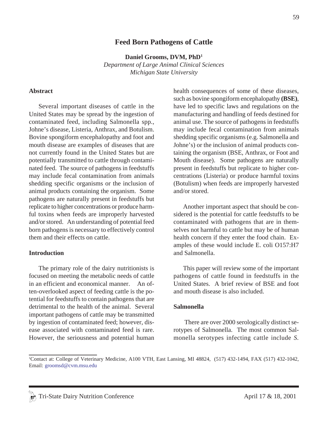## **Feed Born Pathogens of Cattle**

**Daniel Grooms, DVM, PhD1**

*Department of Large Animal Clinical Sciences Michigan State University*

#### **Abstract**

Several important diseases of cattle in the United States may be spread by the ingestion of contaminated feed, including Salmonella spp., Johne's disease, Listeria, Anthrax, and Botulism. Bovine spongiform encephalopathy and foot and mouth disease are examples of diseases that are not currently found in the United States but are potentially transmitted to cattle through contaminated feed. The source of pathogens in feedstuffs may include fecal contamination from animals shedding specific organisms or the inclusion of animal products containing the organism. Some pathogens are naturally present in feedstuffs but replicate to higher concentrations or produce harmful toxins when feeds are improperly harvested and/or stored. An understanding of potential feed born pathogens is necessary to effectively control them and their effects on cattle.

#### **Introduction**

The primary role of the dairy nutritionists is focused on meeting the metabolic needs of cattle in an efficient and economical manner. An often-overlooked aspect of feeding cattle is the potential for feedstuffs to contain pathogens that are detrimental to the health of the animal. Several important pathogens of cattle may be transmitted by ingestion of contaminated feed; however, disease associated with contaminated feed is rare. However, the seriousness and potential human health consequences of some of these diseases, such as bovine spongiform encephalopathy **(BSE)**, have led to specific laws and regulations on the manufacturing and handling of feeds destined for animal use. The source of pathogens in feedstuffs may include fecal contamination from animals shedding specific organisms (e.g. Salmonella and Johne's) or the inclusion of animal products containing the organism (BSE, Anthrax, or Foot and Mouth disease). Some pathogens are naturally present in feedstuffs but replicate to higher concentrations (Listeria) or produce harmful toxins (Botulism) when feeds are improperly harvested and/or stored.

Another important aspect that should be considered is the potential for cattle feedstuffs to be contaminated with pathogens that are in themselves not harmful to cattle but may be of human health concern if they enter the food chain. Examples of these would include E. coli O157:H7 and Salmonella.

This paper will review some of the important pathogens of cattle found in feedstuffs in the United States. A brief review of BSE and foot and mouth disease is also included.

#### **Salmonella**

There are over 2000 serologically distinct serotypes of Salmonella. The most common Salmonella serotypes infecting cattle include *S.*

<sup>1</sup> Contact at: College of Veterinary Medicine, A100 VTH, East Lansing, MI 48824, (517) 432-1494, FAX (517) 432-1042, Email: groomsd@cvm.msu.edu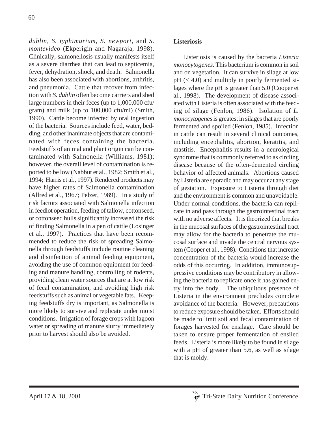*dublin, S. typhimurium, S. newport,* and *S. montevideo* (Ekperigin and Nagaraja, 1998). Clinically, salmonellosis usually manifests itself as a severe diarrhea that can lead to septicemia, fever, dehydration, shock, and death. Salmonella has also been associated with abortions, arthritis, and pneumonia. Cattle that recover from infection with *S. dublin* often become carriers and shed large numbers in their feces (up to 1,000,000 cfu/ gram) and milk (up to 100,000 cfu/ml) (Smith, 1990). Cattle become infected by oral ingestion of the bacteria. Sources include feed, water, bedding, and other inanimate objects that are contaminated with feces containing the bacteria. Feedstuffs of animal and plant origin can be contaminated with Salmonella (Williams, 1981); however, the overall level of contamination is reported to be low (Nabbut et al., 1982; Smith et al., 1994; Harris et al., 1997). Rendered products may have higher rates of Salmonella contamination (Allred et al., 1967; Pelzer, 1989). In a study of risk factors associated with Salmonella infection in feedlot operation, feeding of tallow, cottonseed, or cottonseed hulls significantly increased the risk of finding Salmonella in a pen of cattle (Losinger et al., 1997). Practices that have been recommended to reduce the risk of spreading Salmonella through feedstuffs include routine cleaning and disinfection of animal feeding equipment, avoiding the use of common equipment for feeding and manure handling, controlling of rodents, providing clean water sources that are at low risk of fecal contamination, and avoiding high risk feedstuffs such as animal or vegetable fats. Keeping feedstuffs dry is important, as Salmonella is more likely to survive and replicate under moist conditions. Irrigation of forage crops with lagoon water or spreading of manure slurry immediately prior to harvest should also be avoided.

Listeriosis is caused by the bacteria *Listeria monocytogenes*. This bacterium is common in soil and on vegetation. It can survive in silage at low  $pH \leq 4.0$ ) and multiply in poorly fermented silages where the pH is greater than 5.0 (Cooper et al., 1998). The development of disease associated with Listeria is often associated with the feeding of silage (Fenlon, 1986). Isolation of *L. monocytogenes* is greatest in silages that are poorly fermented and spoiled (Fenlon, 1985). Infection in cattle can result in several clinical outcomes, including encephalitis, abortion, keratitis, and mastitis. Encephalitis results in a neurological syndrome that is commonly referred to as circling disease because of the often-demented circling behavior of affected animals. Abortions caused by Listeria are sporadic and may occur at any stage of gestation. Exposure to Listeria through diet and the environment is common and unavoidable. Under normal conditions, the bacteria can replicate in and pass through the gastrointestinal tract with no adverse affects. It is theorized that breaks in the mucosal surfaces of the gastrointestinal tract may allow for the bacteria to penetrate the mucosal surface and invade the central nervous system (Cooper et al., 1998). Conditions that increase concentration of the bacteria would increase the odds of this occurring. In addition, immunosuppressive conditions may be contributory in allowing the bacteria to replicate once it has gained entry into the body. The ubiquitous presence of Listeria in the environment precludes complete avoidance of the bacteria. However, precautions to reduce exposure should be taken. Efforts should be made to limit soil and fecal contamination of forages harvested for ensilage. Care should be taken to ensure proper fermentation of ensiled feeds. Listeria is more likely to be found in silage with a pH of greater than 5.6, as well as silage that is moldy.

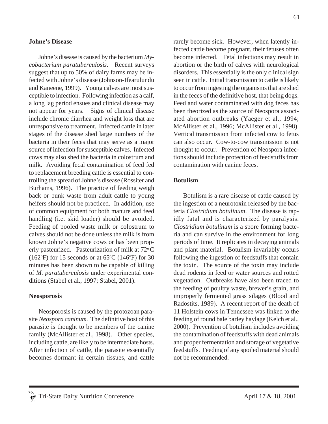#### **Johne's Disease**

Johne's disease is caused by the bacterium *Mycobacterium paratuberculosis*. Recent surveys suggest that up to 50% of dairy farms may be infected with Johne's disease (Johnson-Ifearulundu and Kaneene, 1999). Young calves are most susceptible to infection. Following infection as a calf, a long lag period ensues and clinical disease may not appear for years. Signs of clinical disease include chronic diarrhea and weight loss that are unresponsive to treatment. Infected cattle in later stages of the disease shed large numbers of the bacteria in their feces that may serve as a major source of infection for susceptible calves. Infected cows may also shed the bacteria in colostrum and milk. Avoiding fecal contamination of feed fed to replacement breeding cattle is essential to controlling the spread of Johne's disease (Rossiter and Burhams, 1996). The practice of feeding weigh back or bunk waste from adult cattle to young heifers should not be practiced. In addition, use of common equipment for both manure and feed handling (i.e. skid loader) should be avoided. Feeding of pooled waste milk or colostrum to calves should not be done unless the milk is from known Johne's negative cows or has been properly pasteurized. Pasteurization of milk at  $72^{\circ}$ C  $(162^{\circ}F)$  for 15 seconds or at 65 $^{\circ}C$  (146 $^{\circ}F$ ) for 30 minutes has been shown to be capable of killing of *M. paratuberculosis* under experimental conditions (Stabel et al., 1997; Stabel, 2001).

#### **Neosporosis**

Neosporosis is caused by the protozoan parasite *Neospora caninum.* The definitive host of this parasite is thought to be members of the canine family (McAllister et al., 1998). Other species, including cattle, are likely to be intermediate hosts. After infection of cattle, the parasite essentially becomes dormant in certain tissues, and cattle rarely become sick. However, when latently infected cattle become pregnant, their fetuses often become infected. Fetal infections may result in abortion or the birth of calves with neurological disorders. This essentially is the only clinical sign seen in cattle. Initial transmission to cattle is likely to occur from ingesting the organisms that are shed in the feces of the definitive host, that being dogs. Feed and water contaminated with dog feces has been theorized as the source of Neospora associated abortion outbreaks (Yaeger et al., 1994; McAllister et al., 1996; McAllister et al., 1998). Vertical transmission from infected cow to fetus can also occur. Cow-to-cow transmission is not thought to occur. Prevention of Neospora infections should include protection of feedstuffs from contamination with canine feces.

#### **Botulism**

Botulism is a rare disease of cattle caused by the ingestion of a neurotoxin released by the bacteria *Clostridium botulinum*. The disease is rapidly fatal and is characterized by paralysis. *Clostridium botulinum* is a spore forming bacteria and can survive in the environment for long periods of time. It replicates in decaying animals and plant material. Botulism invariably occurs following the ingestion of feedstuffs that contain the toxin. The source of the toxin may include dead rodents in feed or water sources and rotted vegetation. Outbreaks have also been traced to the feeding of poultry waste, brewer's grain, and improperly fermented grass silages (Blood and Radostits, 1989). A recent report of the death of 11 Holstein cows in Tennessee was linked to the feeding of round bale barley haylage (Kelch et al., 2000). Prevention of botulism includes avoiding the contamination of feedstuffs with dead animals and proper fermentation and storage of vegetative feedstuffs. Feeding of any spoiled material should not be recommended.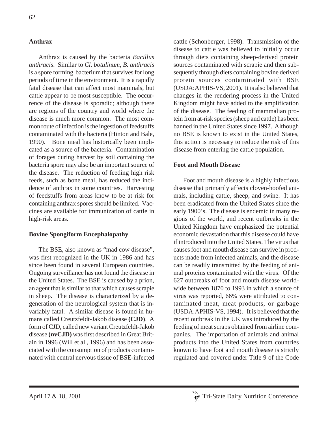## **Anthrax**

Anthrax is caused by the bacteria *Bacillus anthracis*. Similar to *Cl. botulinum*, *B. anthracis* is a spore forming bacterium that survives for long periods of time in the environment. It is a rapidly fatal disease that can affect most mammals, but cattle appear to be most susceptible. The occurrence of the disease is sporadic; although there are regions of the country and world where the disease is much more common. The most common route of infection is the ingestion of feedstuffs contaminated with the bacteria (Hinton and Bale, 1990). Bone meal has historically been implicated as a source of the bacteria. Contamination of forages during harvest by soil containing the bacteria spore may also be an important source of the disease. The reduction of feeding high risk feeds, such as bone meal, has reduced the incidence of anthrax in some countries. Harvesting of feedstuffs from areas know to be at risk for containing anthrax spores should be limited. Vaccines are available for immunization of cattle in high-risk areas.

### **Bovine Spongiform Encephalopathy**

The BSE, also known as "mad cow disease", was first recognized in the UK in 1986 and has since been found in several European countries. Ongoing surveillance has not found the disease in the United States. The BSE is caused by a prion, an agent that is similar to that which causes scrapie in sheep. The disease is characterized by a degeneration of the neurological system that is invariably fatal. A similar disease is found in humans called Creutzfeldt-Jakob disease **(CJD)**. A form of CJD, called new variant Creutzfeldt-Jakob disease **(nvCJD)** was first described in Great Britain in 1996 (Will et al., 1996) and has been associated with the consumption of products contaminated with central nervous tissue of BSE-infected cattle (Schonberger, 1998). Transmission of the disease to cattle was believed to initially occur through diets containing sheep-derived protein sources contaminated with scrapie and then subsequently through diets containing bovine derived protein sources contaminated with BSE (USDA:APHIS-VS, 2001). It is also believed that changes in the rendering process in the United Kingdom might have added to the amplification of the disease. The feeding of mammalian protein from at-risk species (sheep and cattle) has been banned in the United States since 1997. Although no BSE is known to exist in the United States, this action is necessary to reduce the risk of this disease from entering the cattle population.

### **Foot and Mouth Disease**

Foot and mouth disease is a highly infectious disease that primarily affects cloven-hoofed animals, including cattle, sheep, and swine. It has been eradicated from the United States since the early 1900's. The disease is endemic in many regions of the world, and recent outbreaks in the United Kingdom have emphasized the potential economic devastation that this disease could have if introduced into the United States. The virus that causes foot and mouth disease can survive in products made from infected animals, and the disease can be readily transmitted by the feeding of animal proteins contaminated with the virus. Of the 627 outbreaks of foot and mouth disease worldwide between 1870 to 1993 in which a source of virus was reported, 66% were attributed to contaminated meat, meat products, or garbage (USDA:APHIS-VS, 1994). It is believed that the recent outbreak in the UK was introduced by the feeding of meat scraps obtained from airline companies. The importation of animals and animal products into the United States from countries known to have foot and mouth disease is strictly regulated and covered under Title 9 of the Code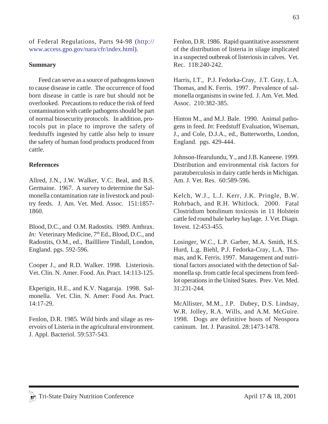of Federal Regulations, Parts 94-98 (http:// www.access.gpo.gov/nara/cfr/index.html).

### **Summary**

Feed can serve as a source of pathogens known to cause disease in cattle. The occurrence of food born disease in cattle is rare but should not be overlooked. Precautions to reduce the risk of feed contamination with cattle pathogens should be part of normal biosecurity protocols. In addition, protocols put in place to improve the safety of feedstuffs ingested by cattle also help to insure the safety of human food products produced from cattle.

### **References**

Allred, J.N., J.W. Walker, V.C. Beal, and B.S. Germaine. 1967. A survey to determine the Salmonella contamination rate in livestock and poultry feeds. J. Am. Vet. Med. Assoc. 151:1857- 1860.

Blood, D.C., and O.M. Radostits. 1989. Anthrax. *In:* Veterinary Medicine, 7<sup>th</sup> Ed., Blood, D.C., and Radostits, O.M., ed., Baillliere Tindall, London, England. pgs. 592-596.

Cooper J., and R.D. Walker. 1998. Listeriosis. Vet. Clin. N. Amer. Food. An. Pract. 14:113-125.

Ekperigin, H.E., and K.V. Nagaraja. 1998. Salmonella. Vet. Clin. N. Amer: Food An. Pract. 14:17-29.

Fenlon, D.R. 1985. Wild birds and silage as reservoirs of Listeria in the agricultural environment. J. Appl. Bacteriol. 59:537-543.

Fenlon, D.R. 1986. Rapid quantitative assessment of the distribution of listeria in silage implicated in a suspected outbreak of listeriosis in calves. Vet. Rec. 118:240-242.

Harris, I.T., P.J. Fedorka-Cray, J.T. Gray, L.A. Thomas, and K. Ferris. 1997. Prevalence of salmonella organisms in swine fed. J. Am. Vet. Med. Assoc. 210:382-385.

Hinton M., and M.J. Bale. 1990. Animal pathogens in feed. *In*: Feedstuff Evaluation, Wiseman, J., and Cole, D.J.A., ed., Butterworths, London, England. pgs. 429-444.

Johnson-Ifearulundu, Y., and J.B. Kaneene. 1999. Distribution and environmental risk factors for paratuberculosis in dairy cattle herds in Michigan. Am. J. Vet. Res. 60:589-596.

Kelch, W.J., L.J. Kerr, J.K. Pringle, B.W. Rohrbach, and R.H. Whitlock. 2000. Fatal Clostridium botulinum toxicosis in 11 Holstein cattle fed round bale barley haylage. J. Vet. Diagn. Invest. 12:453-455.

Losinger, W.C., L.P. Garber, M.A. Smith, H.S. Hurd, L.g. Biehl, P.J. Fedorka-Cray, L.A. Thomas, and K. Ferris. 1997. Management and nutritional factors associated with the detection of Salmonella sp. from cattle fecal specimens from feedlot operations in the United States. Prev. Vet. Med. 31:231-244.

McAllister, M.M., J.P. Dubey, D.S. Lindsay, W.R. Jolley, R.A. Wills, and A.M. McGuire. 1998. Dogs are definitive hosts of Neospora caninum. Int. J. Parasitol. 28:1473-1478.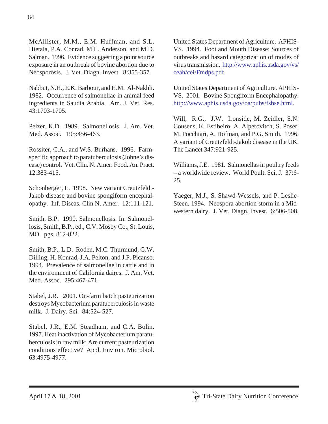McAllister, M.M., E.M. Huffman, and S.L. Hietala, P.A. Conrad, M.L. Anderson, and M.D. Salman. 1996. Evidence suggesting a point source exposure in an outbreak of bovine abortion due to

Neosporosis. J. Vet. Diagn. Invest. 8:355-357.

Nabbut, N.H., E.K. Barbour, and H.M. Al-Nakhli. 1982. Occurrence of salmonellae in animal feed ingredients in Saudia Arabia. Am. J. Vet. Res. 43:1703-1705.

Pelzer, K.D. 1989. Salmonellosis. J. Am. Vet. Med. Assoc. 195:456-463.

Rossiter, C.A., and W.S. Burhans. 1996. Farmspecific approach to paratuberculosis (Johne's disease) control. Vet. Clin. N. Amer: Food. An. Pract. 12:383-415.

Schonberger, L. 1998. New variant Creutzfeldt-Jakob disease and bovine spongiform encephalopathy. Inf. Diseas. Clin N. Amer. 12:111-121.

Smith, B.P. 1990. Salmonellosis. In: Salmonellosis, Smith, B.P., ed., C.V. Mosby Co., St. Louis, MO. pgs. 812-822.

Smith, B.P., L.D. Roden, M.C. Thurmund, G.W. Dilling, H. Konrad, J.A. Pelton, and J.P. Picanso. 1994. Prevalence of salmonellae in cattle and in the environment of California daires. J. Am. Vet. Med. Assoc. 295:467-471.

Stabel, J.R. 2001. On-farm batch pasteurization destroys Mycobacterium paratuberculosis in waste milk. J. Dairy. Sci. 84:524-527.

Stabel, J.R., E.M. Steadham, and C.A. Bolin. 1997. Heat inactivation of Mycobacterium paratuberculosis in raw milk: Are current pasteurization conditions effective? Appl. Environ. Microbiol. 63:4975-4977.

United States Department of Agriculture. APHIS-VS. 1994. Foot and Mouth Disease: Sources of outbreaks and hazard categorization of modes of virus transmission. http://www.aphis.usda.gov/vs/ ceah/cei/Fmdps.pdf.

United States Department of Agriculture. APHIS-VS. 2001. Bovine Spongiform Encephalopathy. http://www.aphis.usda.gov/oa/pubs/fsbse.html.

Will, R.G., J.W. Ironside, M. Zeidler, S.N. Cousens, K. Estibeiro, A. Alperovitch, S. Poser, M. Pocchiari, A. Hofman, and P.G. Smith. 1996. A variant of Creutzfeldt-Jakob disease in the UK. The Lancet 347:921-925.

Williams, J.E. 1981. Salmonellas in poultry feeds – a worldwide review. World Poult. Sci. J. 37:6- 25.

Yaeger, M.J., S. Shawd-Wessels, and P. Leslie-Steen. 1994. Neospora abortion storm in a Midwestern dairy. J. Vet. Diagn. Invest. 6:506-508.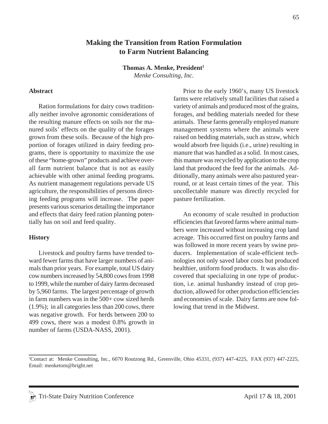## **Making the Transition from Ration Formulation to Farm Nutrient Balancing**

**Thomas A. Menke, President1** *Menke Consulting, Inc.*

#### **Abstract**

Ration formulations for dairy cows traditionally neither involve agronomic considerations of the resulting manure effects on soils nor the manured soils' effects on the quality of the forages grown from these soils. Because of the high proportion of forages utilized in dairy feeding programs, there is opportunity to maximize the use of these "home-grown" products and achieve overall farm nutrient balance that is not as easily achievable with other animal feeding programs. As nutrient management regulations pervade US agriculture, the responsibilities of persons directing feeding programs will increase. The paper presents various scenarios detailing the importance and effects that dairy feed ration planning potentially has on soil and feed quality.

#### **History**

Livestock and poultry farms have trended toward fewer farms that have larger numbers of animals than prior years. For example, total US dairy cow numbers increased by 54,800 cows from 1998 to 1999, while the number of dairy farms decreased by 5,960 farms. The largest percentage of growth in farm numbers was in the 500+ cow sized herds (1.9%); in all categories less than 200 cows, there was negative growth. For herds between 200 to 499 cows, there was a modest 0.8% growth in number of farms (USDA-NASS, 2001).

Prior to the early 1960's, many US livestock farms were relatively small facilities that raised a variety of animals and produced most of the grains, forages, and bedding materials needed for these animals. These farms generally employed manure management systems where the animals were raised on bedding materials, such as straw, which would absorb free liquids (i.e., urine) resulting in manure that was handled as a solid. In most cases, this manure was recycled by application to the crop land that produced the feed for the animals. Additionally, many animals were also pastured yearround, or at least certain times of the year. This uncollectable manure was directly recycled for pasture fertilization.

An economy of scale resulted in production efficiencies that favored farms where animal numbers were increased without increasing crop land acreage. This occurred first on poultry farms and was followed in more recent years by swine producers. Implementation of scale-efficient technologies not only saved labor costs but produced healthier, uniform food products. It was also discovered that specializing in one type of production, i.e. animal husbandry instead of crop production, allowed for other production efficiencies and economies of scale. Dairy farms are now following that trend in the Midwest.

<sup>1</sup> Contact at: Menke Consulting, Inc., 6070 Routzong Rd., Greenville, Ohio 45331, (937) 447-4225, FAX (937) 447-2225, Email: menketom@bright.net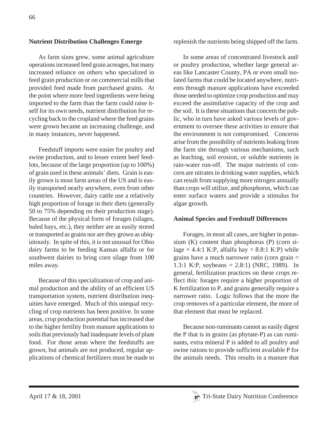### **Nutrient Distribution Challenges Emerge**

As farm sizes grew, some animal agriculture operations increased feed grain acreages, but many increased reliance on others who specialized in feed grain production or on commercial mills that provided feed made from purchased grains. At the point where more feed ingredients were being imported to the farm than the farm could raise itself for its own needs, nutrient distribution for recycling back to the cropland where the feed grains were grown became an increasing challenge, and in many instances, never happened.

Feedstuff imports were easier for poultry and swine production, and to lesser extent beef feedlots, because of the large proportion (up to 100%) of grain used in these animals' diets. Grain is easily grown is most farm areas of the US and is easily transported nearly anywhere, even from other countries. However, dairy cattle use a relatively high proportion of forage in their diets (generally 50 to 75% depending on their production stage). Because of the physical form of forages (silages, baled hays, etc.), they neither are as easily stored or transported as grains nor are they grown as ubiquitously. In spite of this, it is not unusual for Ohio dairy farms to be feeding Kansas alfalfa or for southwest dairies to bring corn silage from 100 miles away.

Because of this specialization of crop and animal production and the ability of an efficient US transportation system, nutrient distribution inequities have emerged. Much of this unequal recycling of crop nutrients has been positive. In some areas, crop production potential has increased due to the higher fertility from manure applications to soils that previously had inadequate levels of plant food. For those areas where the feedstuffs are grown, but animals are not produced, regular applications of chemical fertilizers must be made to replenish the nutrients being shipped off the farm.

In some areas of concentrated livestock and/ or poultry production, whether large general areas like Lancaster County, PA or even small isolated farms that could be located anywhere, nutrients through manure applications have exceeded those needed to optimize crop production and may exceed the assimilative capacity of the crop and the soil. It is these situations that concern the public, who in turn have asked various levels of government to oversee these activities to ensure that the environment is not compromised. Concerns arise from the possibility of nutrients leaking from the farm site through various mechanisms, such as leaching, soil erosion, or soluble nutrients in rain-water run-off. The major nutrients of concern are nitrates in drinking water supplies, which can result from supplying more nitrogen annually than crops will utilize, and phosphorus, which can enter surface waters and provide a stimulus for algae growth.

### **Animal Species and Feedstuff Differences**

Forages, in most all cases, are higher in potassium (K) content than phosphorus (P) (corn silage = 4.4:1 K:P, alfalfa hay =  $8.8:1$  K:P) while grains have a much narrower ratio (corn grain = 1.3:1 K:P, soybeans = 2.8:1) (NRC, 1989). In general, fertilization practices on these crops reflect this: forages require a higher proportion of K fertilization to P, and grains generally require a narrower ratio. Logic follows that the more the crop removes of a particular element, the more of that element that must be replaced.

Because non-ruminants cannot as easily digest the P that is in grains (as phytate-P) as can ruminants, extra mineral P is added to all poultry and swine rations to provide sufficient available P for the animals needs. This results in a manure that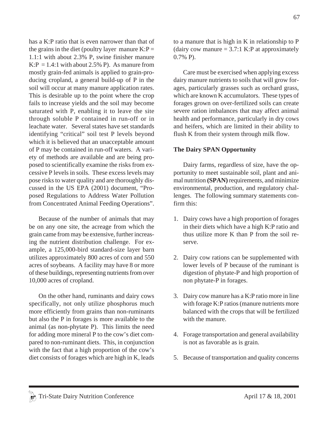has a K:P ratio that is even narrower than that of the grains in the diet (poultry layer manure  $K: P =$ 1.1:1 with about 2.3% P, swine finisher manure  $K: P = 1.4:1$  with about 2.5% P). As manure from mostly grain-fed animals is applied to grain-producing cropland, a general build-up of P in the soil will occur at many manure application rates. This is desirable up to the point where the crop fails to increase yields and the soil may become saturated with P, enabling it to leave the site through soluble P contained in run-off or in leachate water. Several states have set standards identifying "critical" soil test P levels beyond which it is believed that an unacceptable amount of P may be contained in run-off waters. A variety of methods are available and are being proposed to scientifically examine the risks from excessive P levels in soils. These excess levels may pose risks to water quality and are thoroughly discussed in the US EPA (2001) document, "Proposed Regulations to Address Water Pollution from Concentrated Animal Feeding Operations".

Because of the number of animals that may be on any one site, the acreage from which the grain came from may be extensive, further increasing the nutrient distribution challenge. For example, a 125,000-bird standard-size layer barn utilizes approximately 800 acres of corn and 550 acres of soybeans. A facility may have 8 or more of these buildings, representing nutrients from over 10,000 acres of cropland.

On the other hand, ruminants and dairy cows specifically, not only utilize phosphorus much more efficiently from grains than non-ruminants but also the P in forages is more available to the animal (as non-phytate P). This limits the need for adding more mineral P to the cow's diet compared to non-ruminant diets. This, in conjunction with the fact that a high proportion of the cow's diet consists of forages which are high in K, leads to a manure that is high in K in relationship to P (dairy cow manure  $= 3.7:1$  K:P at approximately 0.7% P).

Care must be exercised when applying excess dairy manure nutrients to soils that will grow forages, particularly grasses such as orchard grass, which are known K accumulators. These types of forages grown on over-fertilized soils can create severe ration imbalances that may affect animal health and performance, particularly in dry cows and heifers, which are limited in their ability to flush K from their system through milk flow.

### **The Dairy SPAN Opportunity**

Dairy farms, regardless of size, have the opportunity to meet sustainable soil, plant and animal nutrition **(SPAN)** requirements, and minimize environmental, production, and regulatory challenges. The following summary statements confirm this:

- 1. Dairy cows have a high proportion of forages in their diets which have a high K:P ratio and thus utilize more K than P from the soil reserve.
- 2. Dairy cow rations can be supplemented with lower levels of P because of the ruminant is digestion of phytate-P and high proportion of non phytate-P in forages.
- 3. Dairy cow manure has a K:P ratio more in line with forage K:P ratios (manure nutrients more balanced with the crops that will be fertilized with the manure.
- 4. Forage transportation and general availability is not as favorable as is grain.
- 5. Because of transportation and quality concerns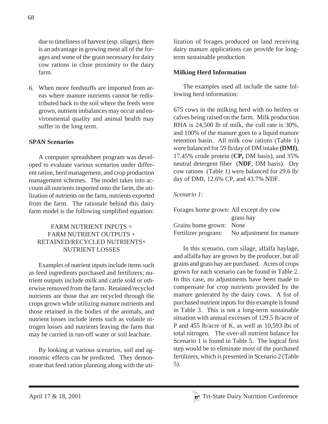due to timeliness of harvest (esp. silages), there is an advantage in growing most all of the forages and some of the grain necessary for dairy cow rations in close proximity to the dairy farm.

6. When more feedstuffs are imported from areas where manure nutrients cannot be redistributed back to the soil where the feeds were grown, nutrient imbalances may occur and environmental quality and animal health may suffer in the long term.

## **SPAN Scenarios**

A computer spreadsheet program was developed to evaluate various scenarios under different ration, herd management, and crop production management schemes. The model takes into account all nutrients imported onto the farm, the utilization of nutrients on the farm, nutrients exported from the farm. The rationale behind this dairy farm model is the following simplified equation:

## FARM NUTRIENT INPUTS = FARM NUTRIENT OUTPUTS + RETAINED/RECYCLED NUTRIENTS+ NUTRIENT LOSSES

Examples of nutrient inputs include items such as feed ingredients purchased and fertilizers; nutrient outputs include milk and cattle sold or otherwise removed from the farm. Retained/recycled nutrients are those that are recycled through the crops grown while utilizing manure nutrients and those retained in the bodies of the animals, and nutrient losses include items such as volatile nitrogen losses and nutrients leaving the farm that may be carried in run-off water or soil leachate.

By looking at various scenarios, soil and agronomic effects can be predicted. They demonstrate that feed ration planning along with the utilization of forages produced on land receiving dairy manure applications can provide for longterm sustainable production.

# **Milking Herd Information**

The examples used all include the same following herd information:

675 cows in the milking herd with no heifers or calves being raised on the farm. Milk production RHA is 24,500 lb of milk, the cull rate is 30%, and 100% of the manure goes to a liquid manure retention basin. All milk cow rations (Table 1) were balanced for 59 lb/day of DM intake **(DMI)**, 17.45% crude protein (**CP,** DM basis), and 35% neutral detergent fiber (**NDF**, DM basis). Dry cow rations (Table 1) were balanced for 29.6 lb/ day of DMI, 12.6% CP, and 43.7% NDF.

### *Scenario 1:*

| Forages home grown: All except dry cow |                          |  |  |
|----------------------------------------|--------------------------|--|--|
|                                        | grass hay                |  |  |
| Grains home grown: None                |                          |  |  |
| Fertilizer program:                    | No adjustment for manure |  |  |

In this scenario, corn silage, alfalfa haylage, and alfalfa hay are grown by the producer, but all grains and grass hay are purchased. Acres of crops grown for each scenario can be found in Table 2. In this case, no adjustments have been made to compensate for crop nutrients provided by the manure generated by the dairy cows. A list of purchased nutrient inputs for this example is found in Table 3. This is not a long-term sustainable situation with annual excesses of 129.5 lb/acre of P and 455 lb/acre of K, as well as 10,593 lbs of total nitrogen. The over-all nutrient balance for Scenario 1 is found in Table 5. The logical first step would be to eliminate most of the purchased fertilizers, which is presented in Scenario 2 (Table 5).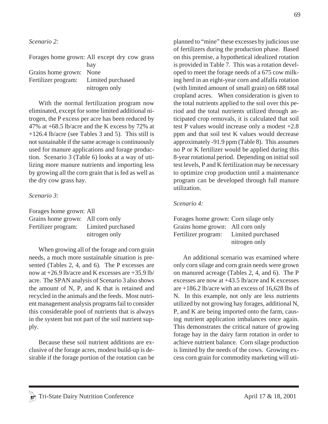*Scenario 2:*

|                                       | Forages home grown: All except dry cow grass |
|---------------------------------------|----------------------------------------------|
|                                       | hay                                          |
| Grains home grown: None               |                                              |
| Fertilizer program: Limited purchased |                                              |
|                                       | nitrogen only                                |

With the normal fertilization program now eliminated, except for some limited additional nitrogen, the P excess per acre has been reduced by 47% at +68.5 lb/acre and the K excess by 72% at +126.4 lb/acre (see Tables 3 and 5). This still is not sustainable if the same acreage is continuously used for manure applications and forage production. Scenario 3 (Table 6) looks at a way of utilizing more manure nutrients and importing less by growing all the corn grain that is fed as well as the dry cow grass hay.

#### *Scenario 3:*

| Forages home grown: All               |               |
|---------------------------------------|---------------|
| Grains home grown: All corn only      |               |
| Fertilizer program: Limited purchased |               |
|                                       | nitrogen only |

When growing all of the forage and corn grain needs, a much more sustainable situation is presented (Tables 2, 4, and 6). The P excesses are now at +26.9 lb/acre and K excesses are +35.9 lb/ acre. The SPAN analysis of Scenario 3 also shows the amount of N, P, and K that is retained and recycled in the animals and the feeds. Most nutrient management analysis programs fail to consider this considerable pool of nutrients that is always in the system but not part of the soil nutrient supply.

Because these soil nutrient additions are exclusive of the forage acres, modest build-up is desirable if the forage portion of the rotation can be planned to "mine" these excesses by judicious use of fertilizers during the production phase. Based on this premise, a hypothetical idealized rotation is provided in Table 7. This was a rotation developed to meet the forage needs of a 675 cow milking herd in an eight-year corn and alfalfa rotation (with limited amount of small grain) on 688 total cropland acres. When consideration is given to the total nutrients applied to the soil over this period and the total nutrients utilized through anticipated crop removals, it is calculated that soil test P values would increase only a modest +2.8 ppm and that soil test K values would decrease approximately -91.9 ppm (Table 8). This assumes no P or K fertilizer would be applied during this 8-year rotational period. Depending on initial soil test levels, P and K fertilization may be necessary to optimize crop production until a maintenance program can be developed through full manure utilization.

#### *Scenario 4:*

| Forages home grown: Corn silage only |                   |
|--------------------------------------|-------------------|
| Grains home grown: All corn only     |                   |
| Fertilizer program:                  | Limited purchased |
|                                      | nitrogen only     |

An additional scenario was examined where only corn silage and corn grain needs were grown on manured acreage (Tables 2, 4, and 6). The P excesses are now at +43.5 lb/acre and K excesses are +186.2 lb/acre with an excess of 16,628 lbs of N. In this example, not only are less nutrients utilized by not growing hay forages, additional N, P, and K are being imported onto the farm, causing nutrient application imbalances once again. This demonstrates the critical nature of growing forage hay in the dairy farm rotation in order to achieve nutrient balance. Corn silage production is limited by the needs of the cows. Growing excess corn grain for commodity marketing will uti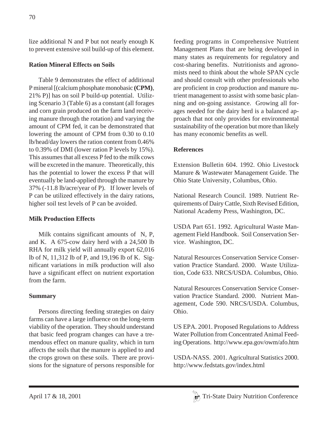lize additional N and P but not nearly enough K to prevent extensive soil build-up of this element.

# **Ration Mineral Effects on Soils**

Table 9 demonstrates the effect of additional P mineral [(calcium phosphate monobasic **(CPM)**, 21% P)] has on soil P build-up potential. Utilizing Scenario 3 (Table 6) as a constant (all forages and corn grain produced on the farm land receiving manure through the rotation) and varying the amount of CPM fed, it can be demonstrated that lowering the amount of CPM from 0.30 to 0.10 lb/head/day lowers the ration content from 0.46% to 0.39% of DMI (lower ration P levels by 15%). This assumes that all excess P fed to the milk cows will be excreted in the manure. Theoretically, this has the potential to lower the excess P that will eventually be land-applied through the manure by 37% (-11.8 lb/acre/year of P). If lower levels of P can be utilized effectively in the dairy rations, higher soil test levels of P can be avoided.

# **Milk Production Effects**

Milk contains significant amounts of N, P, and K. A 675-cow dairy herd with a 24,500 lb RHA for milk yield will annually export 62,016 lb of N, 11,312 lb of P, and 19,196 lb of K. Significant variations in milk production will also have a significant effect on nutrient exportation from the farm.

# **Summary**

Persons directing feeding strategies on dairy farms can have a large influence on the long-term viability of the operation. They should understand that basic feed program changes can have a tremendous effect on manure quality, which in turn affects the soils that the manure is applied to and the crops grown on these soils. There are provisions for the signature of persons responsible for feeding programs in Comprehensive Nutrient Management Plans that are being developed in many states as requirements for regulatory and cost-sharing benefits. Nutritionists and agronomists need to think about the whole SPAN cycle and should consult with other professionals who are proficient in crop production and manure nutrient management to assist with some basic planning and on-going assistance. Growing all forages needed for the dairy herd is a balanced approach that not only provides for environmental sustainability of the operation but more than likely has many economic benefits as well.

# **References**

Extension Bulletin 604. 1992. Ohio Livestock Manure & Wastewater Management Guide. The Ohio State University, Columbus, Ohio.

National Research Council. 1989. Nutrient Requirements of Dairy Cattle, Sixth Revised Edition, National Academy Press, Washington, DC.

USDA Part 651. 1992. Agricultural Waste Management Field Handbook. Soil Conservation Service. Washington, DC.

Natural Resources Conservation Service Conservation Practice Standard. 2000. Waste Utilization, Code 633. NRCS/USDA. Columbus, Ohio.

Natural Resources Conservation Service Conservation Practice Standard. 2000. Nutrient Management, Code 590. NRCS/USDA. Columbus, Ohio.

US EPA. 2001. Proposed Regulations to Address Water Pollution from Concentrated Animal Feeding Operations. http://www.epa.gov/owm/afo.htm

USDA-NASS. 2001. Agricultural Statistics 2000. http://www.fedstats.gov/index.html

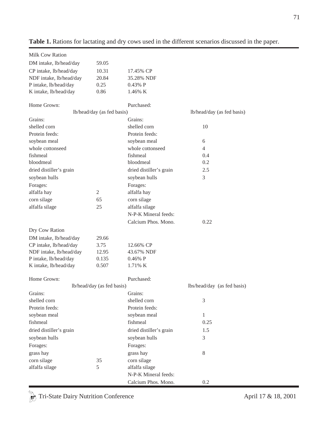| Milk Cow Ration         |                            |                         |                             |
|-------------------------|----------------------------|-------------------------|-----------------------------|
| DM intake, lb/head/day  | 59.05                      |                         |                             |
| CP intake, lb/head/day  | 10.31                      | 17.45% CP               |                             |
| NDF intake, lb/head/day | 20.84                      | 35.28% NDF              |                             |
| P intake, lb/head/day   | 0.25                       | 0.43% P                 |                             |
| K intake, lb/head/day   | 0.86                       | 1.46% K                 |                             |
|                         |                            |                         |                             |
| Home Grown:             |                            | Purchased:              |                             |
|                         | lb/head/day (as fed basis) |                         | lb/head/day (as fed basis)  |
| Grains:                 |                            | Grains:                 |                             |
| shelled corn            |                            | shelled corn            | 10                          |
| Protein feeds:          |                            | Protein feeds:          |                             |
| soybean meal            |                            | soybean meal            | 6                           |
| whole cottonseed        |                            | whole cottonseed        | $\overline{4}$              |
| fishmeal                |                            | fishmeal                | 0.4                         |
| bloodmeal               |                            | bloodmeal               | 0.2                         |
| dried distiller's grain |                            | dried distiller's grain | 2.5                         |
| soybean hulls           |                            | soybean hulls           | 3                           |
| Forages:                |                            | Forages:                |                             |
| alfalfa hay             | $\overline{2}$             | alfalfa hay             |                             |
| corn silage             | 65                         | corn silage             |                             |
| alfalfa silage          | 25                         | alfalfa silage          |                             |
|                         |                            | N-P-K Mineral feeds:    |                             |
|                         |                            | Calcium Phos. Mono.     | 0.22                        |
| Dry Cow Ration          |                            |                         |                             |
| DM intake, lb/head/day  | 29.66                      |                         |                             |
| CP intake, lb/head/day  | 3.75                       | 12.66% CP               |                             |
| NDF intake, lb/head/day | 12.95                      | 43.67% NDF              |                             |
| P intake, lb/head/day   | 0.135                      | $0.46\%$ P              |                             |
| K intake, lb/head/day   | 0.507                      | 1.71% K                 |                             |
|                         |                            |                         |                             |
| Home Grown:             |                            | Purchased:              |                             |
|                         | lb/head/day (as fed basis) |                         | lbs/head/day (as fed basis) |
| Grains:                 |                            | Grains:                 |                             |
| shelled corn            |                            | shelled corn            | 3                           |
| Protein feeds:          |                            | Protein feeds:          |                             |
| soybean meal            |                            | soybean meal            | $\mathbf{1}$                |
| fishmeal                |                            | fishmeal                | 0.25                        |
| dried distiller's grain |                            | dried distiller's grain | 1.5                         |
| soybean hulls           |                            | soybean hulls           | 3                           |
| Forages:                |                            | Forages:                |                             |
| grass hay               |                            | grass hay               | $\,8\,$                     |
| corn silage             | 35                         | corn silage             |                             |
| alfalfa silage          | 5                          | alfalfa silage          |                             |
|                         |                            |                         |                             |
|                         |                            | N-P-K Mineral feeds:    |                             |

**Table 1.** Rations for lactating and dry cows used in the different scenarios discussed in the paper.

Tri-State Dairy Nutrition Conference April 17 & 18, 2001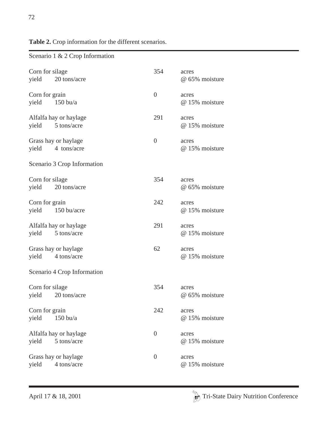# **Table 2.** Crop information for the different scenarios.

|                          | $\sim$ 2 $\sim$ 2 $\sim$ 0.0 $\mu$ momentum |                |                         |
|--------------------------|---------------------------------------------|----------------|-------------------------|
| Corn for silage<br>yield | 20 tons/acre                                | 354            | acres<br>@ 65% moisture |
| Corn for grain<br>yield  | $150$ bu/a                                  | $\overline{0}$ | acres<br>@ 15% moisture |
| yield                    | Alfalfa hay or haylage<br>5 tons/acre       | 291            | acres<br>@ 15% moisture |
| yield                    | Grass hay or haylage<br>4 tons/acre         | $\overline{0}$ | acres<br>@ 15% moisture |
|                          | Scenario 3 Crop Information                 |                |                         |
| Corn for silage<br>yield | 20 tons/acre                                | 354            | acres<br>@ 65% moisture |
| Corn for grain<br>yield  | 150 bu/acre                                 | 242            | acres<br>@ 15% moisture |
| yield                    | Alfalfa hay or haylage<br>5 tons/acre       | 291            | acres<br>@ 15% moisture |
| yield                    | Grass hay or haylage<br>4 tons/acre         | 62             | acres<br>@ 15% moisture |
|                          | Scenario 4 Crop Information                 |                |                         |
| Corn for silage<br>yield | 20 tons/acre                                | 354            | acres<br>@ 65% moisture |
| Corn for grain<br>yield  | $150$ bu/a                                  | 242            | acres<br>@ 15% moisture |
| yield                    | Alfalfa hay or haylage<br>5 tons/acre       | $\overline{0}$ | acres<br>@ 15% moisture |
| yield                    | Grass hay or haylage<br>4 tons/acre         | $\overline{0}$ | acres<br>@ 15% moisture |

Scenario 1 & 2 Crop Information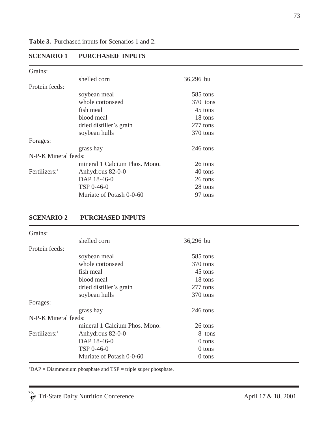# **SCENARIO 1 PURCHASED INPUTS**

| Grains:              |                               |           |
|----------------------|-------------------------------|-----------|
|                      | shelled corn                  | 36,296 bu |
| Protein feeds:       |                               |           |
|                      | soybean meal                  | 585 tons  |
|                      | whole cottonseed              | 370 tons  |
|                      | fish meal                     | 45 tons   |
|                      | blood meal                    | 18 tons   |
|                      | dried distiller's grain       | 277 tons  |
|                      | soybean hulls                 | 370 tons  |
| Forages:             |                               |           |
|                      | grass hay                     | 246 tons  |
| N-P-K Mineral feeds: |                               |           |
|                      | mineral 1 Calcium Phos. Mono. | 26 tons   |
| Fertilizers: $1$     | Anhydrous 82-0-0              | 40 tons   |
|                      | DAP 18-46-0                   | 26 tons   |
|                      | TSP 0-46-0                    | 28 tons   |
|                      | Muriate of Potash 0-0-60      | 97 tons   |

### **SCENARIO 2 PURCHASED INPUTS**

| Grains:                   |                               |           |
|---------------------------|-------------------------------|-----------|
|                           | shelled corn                  | 36,296 bu |
| Protein feeds:            |                               |           |
|                           | soybean meal                  | 585 tons  |
|                           | whole cottonseed              | 370 tons  |
|                           | fish meal                     | 45 tons   |
|                           | blood meal                    | 18 tons   |
|                           | dried distiller's grain       | 277 tons  |
|                           | soybean hulls                 | 370 tons  |
| Forages:                  |                               |           |
|                           | grass hay                     | 246 tons  |
| N-P-K Mineral feeds:      |                               |           |
|                           | mineral 1 Calcium Phos. Mono. | 26 tons   |
| Fertilizers: <sup>1</sup> | Anhydrous 82-0-0              | 8 tons    |
|                           | DAP 18-46-0                   | 0 tons    |
|                           | TSP 0-46-0                    | 0 tons    |
|                           | Muriate of Potash 0-0-60      | 0 tons    |

 ${}^{1}DAP =$  Diammonium phosphate and TSP = triple super phosphate.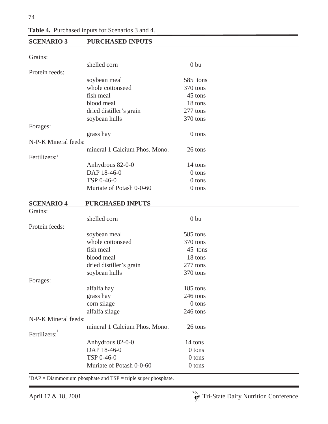74

|  |  |  | Table 4. Purchased inputs for Scenarios 3 and 4. |  |  |  |
|--|--|--|--------------------------------------------------|--|--|--|
|--|--|--|--------------------------------------------------|--|--|--|

| <b>SCENARIO 3</b>         | <b>PURCHASED INPUTS</b>       |                 |  |
|---------------------------|-------------------------------|-----------------|--|
| Grains:                   |                               |                 |  |
|                           | shelled corn                  | 0 <sub>bu</sub> |  |
| Protein feeds:            |                               |                 |  |
|                           | soybean meal                  | 585 tons        |  |
|                           | whole cottonseed              | 370 tons        |  |
|                           | fish meal                     | 45 tons         |  |
|                           | blood meal                    | 18 tons         |  |
|                           | dried distiller's grain       | 277 tons        |  |
|                           | soybean hulls                 | 370 tons        |  |
| Forages:                  |                               |                 |  |
|                           | grass hay                     | 0 tons          |  |
| N-P-K Mineral feeds:      |                               |                 |  |
|                           | mineral 1 Calcium Phos. Mono. | 26 tons         |  |
| Fertilizers: <sup>1</sup> |                               |                 |  |
|                           | Anhydrous 82-0-0              | 14 tons         |  |
|                           | DAP 18-46-0                   | $0$ tons        |  |
|                           | TSP 0-46-0                    | $0$ tons        |  |
|                           | Muriate of Potash 0-0-60      | 0 tons          |  |
| <b>SCENARIO 4</b>         | <b>PURCHASED INPUTS</b>       |                 |  |
| Grains:                   |                               |                 |  |
|                           | shelled corn                  | 0 <sub>bu</sub> |  |
| Protein feeds:            |                               |                 |  |
|                           | soybean meal                  | 585 tons        |  |
|                           | whole cottonseed              | 370 tons        |  |
|                           | fish meal                     | 45 tons         |  |
|                           | blood meal                    | 18 tons         |  |
|                           | dried distiller's grain       | 277 tons        |  |
|                           | soybean hulls                 | 370 tons        |  |
| Forages:                  |                               |                 |  |
|                           | alfalfa hay                   | 185 tons        |  |
|                           | grass hay                     | 246 tons        |  |
|                           | corn silage                   | 0 tons          |  |
|                           | alfalfa silage                | 246 tons        |  |
| N-P-K Mineral feeds:      |                               |                 |  |
|                           | mineral 1 Calcium Phos. Mono. | 26 tons         |  |
| Fertilizers:              |                               |                 |  |
|                           | Anhydrous 82-0-0              | 14 tons         |  |
|                           | DAP 18-46-0                   | 0 tons          |  |
|                           | TSP 0-46-0                    | 0 tons          |  |
|                           | Muriate of Potash 0-0-60      | 0 tons          |  |

 ${}^{1}DAP =$  Diammonium phosphate and TSP = triple super phosphate.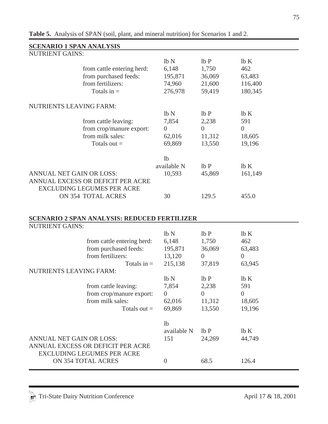| <b>SCENARIO 1 SPAN ANALYSIS</b> |                                                     |                  |                |                |
|---------------------------------|-----------------------------------------------------|------------------|----------------|----------------|
| <b>NUTRIENT GAINS:</b>          |                                                     |                  |                |                |
|                                 |                                                     | lb <sub>N</sub>  | lbP            | lbK            |
|                                 | from cattle entering herd:                          | 6,148            | 1,750          | 462            |
|                                 | from purchased feeds:                               | 195,871          | 36,069         | 63,483         |
|                                 | from fertilizers:                                   | 74,960           | 21,600         | 116,400        |
|                                 | Totals in $=$                                       | 276,978          | 59,419         | 180,345        |
|                                 |                                                     |                  |                |                |
| <b>NUTRIENTS LEAVING FARM:</b>  |                                                     |                  |                |                |
|                                 |                                                     | lb <sub>N</sub>  | lbP            | lbK            |
|                                 | from cattle leaving:                                | 7,854            | 2,238          | 591            |
|                                 | from crop/manure export:                            | $\overline{0}$   | $\overline{0}$ | $\overline{0}$ |
|                                 | from milk sales:                                    | 62,016           | 11,312         | 18,605         |
|                                 | Totals out $=$                                      | 69,869           | 13,550         | 19,196         |
|                                 |                                                     |                  |                |                |
|                                 |                                                     | 1 <sub>b</sub>   |                |                |
|                                 |                                                     | available N      | lbP            | lbK            |
| ANNUAL NET GAIN OR LOSS:        |                                                     | 10,593           | 45,869         | 161,149        |
|                                 | ANNUAL EXCESS OR DEFICIT PER ACRE                   |                  |                |                |
|                                 | <b>EXCLUDING LEGUMES PER ACRE</b>                   |                  |                |                |
|                                 | ON 354 TOTAL ACRES                                  | 30               | 129.5          | 455.0          |
|                                 |                                                     |                  |                |                |
|                                 |                                                     |                  |                |                |
|                                 | <b>SCENARIO 2 SPAN ANALYSIS: REDUCED FERTILIZER</b> |                  |                |                |
| <b>NUTRIENT GAINS:</b>          |                                                     |                  |                |                |
|                                 |                                                     | lb N             | lbP            | lbK            |
|                                 |                                                     | 6,148            | 1,750          | 462            |
|                                 | from cattle entering herd:<br>from purchased feeds: | 195,871          | 36,069         | 63,483         |
|                                 | from fertilizers:                                   |                  | $\overline{0}$ | $\overline{0}$ |
|                                 |                                                     | 13,120           |                |                |
|                                 | Totals in $=$                                       | 215,138          | 37,819         | 63,945         |
| <b>NUTRIENTS LEAVING FARM:</b>  |                                                     |                  |                |                |
|                                 |                                                     | lb N             | lbP            | lb K           |
|                                 | from cattle leaving:                                | 7,854            | 2,238          | 591            |
|                                 | from crop/manure export:                            | $\overline{0}$   | $\overline{0}$ | $\overline{0}$ |
|                                 | from milk sales:                                    | 62,016           | 11,312         | 18,605         |
|                                 | Totals out $=$                                      | 69,869           | 13,550         | 19,196         |
|                                 |                                                     |                  |                |                |
|                                 |                                                     | 1 <sub>b</sub>   |                |                |
|                                 |                                                     | available N      | lbP            | lbK            |
| ANNUAL NET GAIN OR LOSS:        |                                                     | 151              | 24,269         | 44,749         |
|                                 | ANNUAL EXCESS OR DEFICIT PER ACRE                   |                  |                |                |
|                                 | <b>EXCLUDING LEGUMES PER ACRE</b>                   |                  |                |                |
|                                 | ON 354 TOTAL ACRES                                  | $\boldsymbol{0}$ | 68.5           | 126.4          |
|                                 |                                                     |                  |                |                |

**Table 5.** Analysis of SPAN (soil, plant, and mineral nutrition) for Scenarios 1 and 2.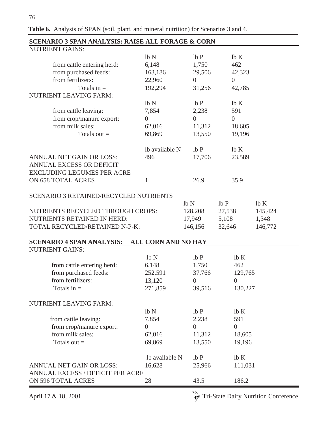**SCENARIO 3 SPAN ANALYSIS: RAISE ALL FORAGE & CORN** NUTRIENT GAINS:  $\ln N$  lb P lb K from cattle entering herd: 6,148 1,750 462 from purchased feeds: 163,186 29,506 42,323 from fertilizers:  $22.960$  0 0 Totals in =  $192,294$   $31,256$   $42,785$ NUTRIENT LEAVING FARM:  $\ln N$  lb P lb K from cattle leaving: 7,854 2,238 591 from crop/manure export:  $0$  0 0 0 from milk sales: 62,016 11,312 18,605 Totals out =  $69,869$   $13,550$   $19,196$  $\exists$  lb available N lb P lb K ANNUAL NET GAIN OR LOSS: 496 17,706 23,589 ANNUAL EXCESS OR DEFICIT EXCLUDING LEGUMES PER ACRE ON 658 TOTAL ACRES 1 26.9 35.9 SCENARIO 3 RETAINED/RECYCLED NUTRIENTS  $lb N$   $lb P$   $lb K$ NUTRIENTS RECYCLED THROUGH CROPS:  $128,208$  27,538 145,424 NUTRIENTS RETAINED IN HERD: 17,949 5,108 1,348 TOTAL RECYCLED/RETAINED N-P-K: 146,156 32,646 146,772 **SCENARIO 4 SPAN ANALYSIS: ALL CORN AND NO HAY**  NUTRIENT GAINS:  $lb N$  lb P lb K from cattle entering herd: 6,148 1,750 462 from purchased feeds: 252,591 37,766 129,765 from fertilizers:  $13,120$  0 0 Totals in = 271,859 39,516 130,227 NUTRIENT LEAVING FARM:  $lb N$  lb P lb K from cattle leaving:  $7,854$  2,238 591 from crop/manure export: 0 0 0 0 0 from milk sales: 62,016 11,312 18,605 Totals out =  $69,869$   $13,550$   $19,196$  $\exists$  lb available N lb P lb K ANNUAL NET GAIN OR LOSS: 16,628 25,966 111,031 ANNUAL EXCESS / DEFICIT PER ACRE ON 596 TOTAL ACRES 28 43.5 186.2

April 17 & 18, 2001  $\frac{1}{\sqrt{6}}$  Tri-State Dairy Nutrition Conference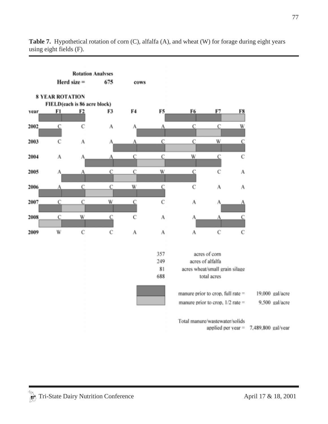

**Table 7.** Hypothetical rotation of corn (C), alfalfa (A), and wheat (W) for forage during eight years using eight fields (F).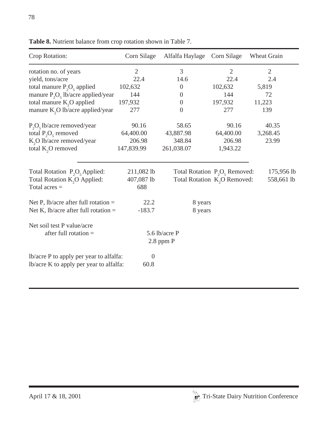| Crop Rotation:                               | Corn Silage    | Alfalfa Haylage | Corn Silage                              | Wheat Grain    |
|----------------------------------------------|----------------|-----------------|------------------------------------------|----------------|
| rotation no. of years                        | $\overline{2}$ | 3               | $\overline{2}$                           | $\overline{2}$ |
| yield, tons/acre                             | 22.4           | 14.6            | 22.4                                     | 2.4            |
| total manure $P_2O_5$ applied                | 102,632        | $\theta$        | 102,632                                  | 5,819          |
| manure $P_2O_5$ lb/acre applied/year         | 144            | $\overline{0}$  | 144                                      | 72             |
| total manure K <sub>2</sub> O applied        | 197,932        | $\theta$        | 197,932                                  | 11,223         |
| manure K <sub>2</sub> O lb/acre applied/year | 277            | $\overline{0}$  | 277                                      | 139            |
| $P_2O_5$ lb/acre removed/year                | 90.16          | 58.65           | 90.16                                    | 40.35          |
| total $P_2O_5$ removed                       | 64,400.00      | 43,887.98       | 64,400.00                                | 3,268.45       |
| K <sub>2</sub> O lb/acre removed/year        | 206.98         | 348.84          | 206.98                                   | 23.99          |
| total K <sub>2</sub> O removed               | 147,839.99     | 261,038.07      | 1,943.22                                 |                |
|                                              |                |                 |                                          |                |
| Total Rotation $P_2O_5$ Applied:             | 211,082 lb     |                 | Total Rotation $P_2O_5$ Removed:         | 175,956 lb     |
| Total Rotation K <sub>2</sub> O Applied:     | 407,087 lb     |                 | Total Rotation K <sub>,</sub> O Removed: | 558,661 lb     |
| Total acres $=$                              | 688            |                 |                                          |                |
| Net P, lb/acre after full rotation $=$       | 22.2           | 8 years         |                                          |                |
| Net K, lb/acre after full rotation $=$       | $-183.7$       | 8 years         |                                          |                |
| Net soil test P value/acre                   |                |                 |                                          |                |
| after full rotation $=$                      |                | 5.6 lb/acre P   |                                          |                |
|                                              |                | $2.8$ ppm $P$   |                                          |                |
|                                              |                |                 |                                          |                |
| lb/acre P to apply per year to alfalfa:      | $\overline{0}$ |                 |                                          |                |
| lb/acre K to apply per year to alfalfa:      | 60.8           |                 |                                          |                |
|                                              |                |                 |                                          |                |

**Table 8.** Nutrient balance from crop rotation shown in Table 7.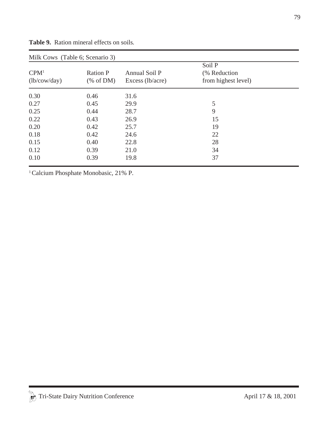| Milk Cows (Table 6; Scenario 3)  |                            |                                     |                                                |  |
|----------------------------------|----------------------------|-------------------------------------|------------------------------------------------|--|
| CPM <sup>1</sup><br>(lb/cow/day) | <b>Ration P</b><br>% of DM | Annual Soil P<br>Excess $(lb/acre)$ | Soil P<br>(% Reduction)<br>from highest level) |  |
| 0.30                             | 0.46                       | 31.6                                |                                                |  |
| 0.27                             | 0.45                       | 29.9                                | 5                                              |  |
| 0.25                             | 0.44                       | 28.7                                | 9                                              |  |
| 0.22                             | 0.43                       | 26.9                                | 15                                             |  |
| 0.20                             | 0.42                       | 25.7                                | 19                                             |  |
| 0.18                             | 0.42                       | 24.6                                | 22                                             |  |
| 0.15                             | 0.40                       | 22.8                                | 28                                             |  |
| 0.12                             | 0.39                       | 21.0                                | 34                                             |  |
| 0.10                             | 0.39                       | 19.8                                | 37                                             |  |

**Table 9.** Ration mineral effects on soils*.*

<sup>1</sup> Calcium Phosphate Monobasic, 21% P.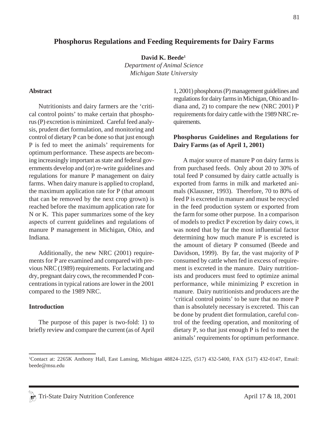### **Phosphorus Regulations and Feeding Requirements for Dairy Farms**

**David K. Beede1** *Department of Animal Science Michigan State University*

#### **Abstract**

Nutritionists and dairy farmers are the 'critical control points' to make certain that phosphorus (P) excretion is minimized. Careful feed analysis, prudent diet formulation, and monitoring and control of dietary P can be done so that just enough P is fed to meet the animals' requirements for optimum performance. These aspects are becoming increasingly important as state and federal governments develop and (or) re-write guidelines and regulations for manure P management on dairy farms. When dairy manure is applied to cropland, the maximum application rate for P (that amount that can be removed by the next crop grown) is reached before the maximum application rate for N or K. This paper summarizes some of the key aspects of current guidelines and regulations of manure P management in Michigan, Ohio, and Indiana.

Additionally, the new NRC (2001) requirements for P are examined and compared with previous NRC (1989) requirements. For lactating and dry, pregnant dairy cows, the recommended P concentrations in typical rations are lower in the 2001 compared to the 1989 NRC.

#### **Introduction**

The purpose of this paper is two-fold: 1) to briefly review and compare the current (as of April 1, 2001) phosphorus (P) management guidelines and regulations for dairy farms in Michigan, Ohio and Indiana and, 2) to compare the new (NRC 2001) P requirements for dairy cattle with the 1989 NRC requirements.

#### **Phosphorus Guidelines and Regulations for Dairy Farms (as of April 1, 2001)**

A major source of manure P on dairy farms is from purchased feeds. Only about 20 to 30% of total feed P consumed by dairy cattle actually is exported from farms in milk and marketed animals (Klausner, 1993). Therefore, 70 to 80% of feed P is excreted in manure and must be recycled in the feed production system or exported from the farm for some other purpose. In a comparison of models to predict P excretion by dairy cows, it was noted that by far the most influential factor determining how much manure P is excreted is the amount of dietary P consumed (Beede and Davidson, 1999). By far, the vast majority of P consumed by cattle when fed in excess of requirement is excreted in the manure. Dairy nutritionists and producers must feed to optimize animal performance, while minimizing P excretion in manure. Dairy nutritionists and producers are the 'critical control points' to be sure that no more P than is absolutely necessary is excreted. This can be done by prudent diet formulation, careful control of the feeding operation, and monitoring of dietary P, so that just enough P is fed to meet the animals' requirements for optimum performance.

<sup>1</sup> Contact at: 2265K Anthony Hall, East Lansing, Michigan 48824-1225, (517) 432-5400, FAX (517) 432-0147, Email: beede@msu.edu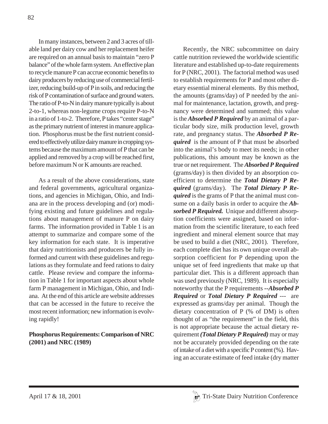In many instances, between 2 and 3 acres of tillable land per dairy cow and her replacement heifer are required on an annual basis to maintain "zero P balance" of the whole farm system. An effective plan to recycle manure P can accrue economic benefits to dairy producers by reducing use of commercial fertilizer, reducing build-up of P in soils, and reducing the risk of P contamination of surface and ground waters. The ratio of P-to-N in dairy manure typically is about 2-to-1, whereas non-legume crops require P-to-N in a ratio of 1-to-2. Therefore, P takes "center stage" as the primary nutrient of interest in manure application. Phosphorus must be the first nutrient considered to effectively utilize dairy manure in cropping systems because the maximum amount of P that can be applied and removed by a crop will be reached first, before maximum N or K amounts are reached.

As a result of the above considerations, state and federal governments, agricultural organizations, and agencies in Michigan, Ohio, and Indiana are in the process developing and (or) modifying existing and future guidelines and regulations about management of manure P on dairy farms. The information provided in Table 1 is an attempt to summarize and compare some of the key information for each state. It is imperative that dairy nutritionists and producers be fully informed and current with these guidelines and regulations as they formulate and feed rations to dairy cattle. Please review and compare the information in Table 1 for important aspects about whole farm P management in Michigan, Ohio, and Indiana. At the end of this article are website addresses that can be accessed in the future to receive the most recent information; new information is evolving rapidly!

# **Phosphorus Requirements: Comparison of NRC (2001) and NRC (1989)**

Recently, the NRC subcommittee on dairy cattle nutrition reviewed the worldwide scientific literature and established up-to-date requirements for P (NRC, 2001). The factorial method was used to establish requirements for P and most other dietary essential mineral elements. By this method, the amounts (grams/day) of P needed by the animal for maintenance, lactation, growth, and pregnancy were determined and summed; this value is the *Absorbed P Required* by an animal of a particular body size, milk production level, growth rate, and pregnancy status. The *Absorbed P Required* is the amount of P that must be absorbed into the animal's body to meet its needs; in other publications, this amount may be known as the true or net requirement. The *Absorbed P Required* (grams/day) is then divided by an absorption coefficient to determine the *Total Dietary P Required* (grams/day). The *Total Dietary P Required* is the grams of P that the animal must consume on a daily basis in order to acquire the *Absorbed P Required.* Unique and different absorption coefficients were assigned, based on information from the scientific literature, to each feed ingredient and mineral element source that may be used to build a diet (NRC, 2001). Therefore, each complete diet has its own unique overall absorption coefficient for P depending upon the unique set of feed ingredients that make up that particular diet. This is a different approach than was used previously (NRC, 1989). It is especially noteworthy that the P requirements *--Absorbed P Required* or *Total Dietary P Required* --- are expressed as grams/day per animal. Though the dietary concentration of P (% of DM) is often thought of as "the requirement" in the field, this is not appropriate because the actual dietary requirement *(Total Dietary P Required)* may or may not be accurately provided depending on the rate of intake of a diet with a specific P content (%). Having an accurate estimate of feed intake (dry matter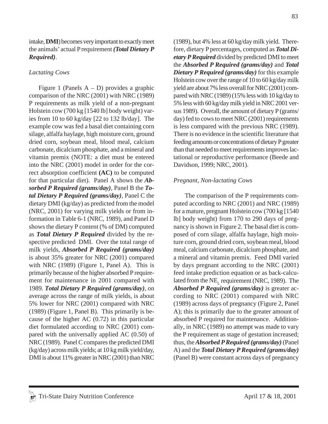intake, **DMI**) becomes very important to exactly meet the animals' actual P requirement *(Total Dietary P Required)*.

### *Lactating Cows*

Figure 1 (Panels  $A - D$ ) provides a graphic comparison of the NRC (2001) with NRC (1989) P requirements as milk yield of a non-pregnant Holstein cow (700 kg [1540 lb] body weight) varies from 10 to 60 kg/day [22 to 132 lb/day]. The example cow was fed a basal diet containing corn silage, alfalfa haylage, high moisture corn, ground dried corn, soybean meal, blood meal, calcium carbonate, dicalcium phosphate, and a mineral and vitamin premix (NOTE: a diet must be entered into the NRC (2001) model in order for the correct absorption coefficient **(AC)** to be computed for that particular diet). Panel A shows the *Absorbed P Required (grams/day)*, Panel B the *Total Dietary P Required (grams/day)*, Panel C the dietary DMI (kg/day) as predicted from the model (NRC, 2001) for varying milk yields or from information in Table 6-1 (NRC, 1989), and Panel D shows the dietary P content (% of DM) computed as *Total Dietary P Required* divided by the respective predicted DMI. Over the total range of milk yields, *Absorbed P Required (grams/day)* is about 35% greater for NRC (2001) compared with NRC (1989) (Figure 1, Panel A). This is primarily because of the higher absorbed P requirement for maintenance in 2001 compared with 1989. *Total Dietary P Required (grams/day)*, on average across the range of milk yields, is about 5% lower for NRC (2001) compared with NRC (1989) (Figure 1, Panel B). This primarily is because of the higher AC (0.72) in this particular diet formulated according to NRC (2001) compared with the universally applied AC (0.50) of NRC (1989). Panel C compares the predicted DMI (kg/day) across milk yields; at 10 kg milk yield/day, DMI is about 11% greater in NRC (2001) than NRC

(1989), but 4% less at 60 kg/day milk yield. Therefore, dietary P percentages, computed as *Total Dietary P Required* divided by predicted DMI to meet the *Absorbed P Required (grams/day)* and *Total Dietary P Required (grams/day)* for this example Holstein cow over the range of 10 to 60 kg/day milk yield are about 7% less overall for NRC (2001) compared with NRC (1989) (15% less with 10 kg/day to 5% less with 60 kg/day milk yield in NRC 2001 versus 1989). Overall, the amount of dietary P (grams/ day) fed to cows to meet NRC (2001) requirements is less compared with the previous NRC (1989). There is no evidence in the scientific literature that feeding amounts or concentrations of dietary P greater than that needed to meet requirements improves lactational or reproductive performance (Beede and Davidson, 1999; NRC, 2001).

### *Pregnant, Non-lactating Cows*

The comparison of the P requirements computed according to NRC (2001) and NRC (1989) for a mature, pregnant Holstein cow (700 kg [1540 lb] body weight) from 170 to 290 days of pregnancy is shown in Figure 2. The basal diet is composed of corn silage, alfalfa haylage, high moisture corn, ground dried corn, soybean meal, blood meal, calcium carbonate, dicalcium phosphate, and a mineral and vitamin premix. Feed DMI varied by days pregnant according to the NRC (2001) feed intake prediction equation or as back-calculated from the NE<sub>r</sub> requirement (NRC, 1989). The *Absorbed P Required (grams/day)* is greater according to NRC (2001) compared with NRC (1989) across days of pregnancy (Figure 2, Panel A); this is primarily due to the greater amount of absorbed P required for maintenance. Additionally, in NRC (1989) no attempt was made to vary the P requirement as stage of gestation increased; thus, the *Absorbed P Required (grams/day)* (Panel A) and the *Total Dietary P Required (grams/day)* (Panel B) were constant across days of pregnancy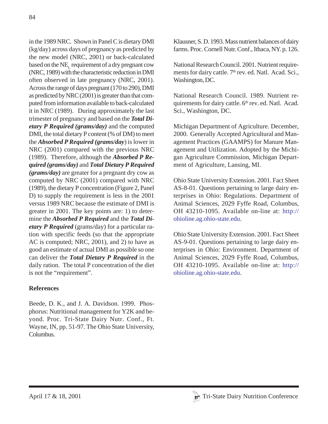in the 1989 NRC. Shown in Panel C is dietary DMI (kg/day) across days of pregnancy as predicted by the new model (NRC, 2001) or back-calculated based on the  $NE<sub>r</sub>$  requirement of a dry pregnant cow (NRC, 1989) with the characteristic reduction in DMI often observed in late pregnancy (NRC, 2001). Across the range of days pregnant (170 to 290), DMI as predicted by NRC (2001) is greater than that computed from information available to back-calculated it in NRC (1989). During approximately the last trimester of pregnancy and based on the *Total Dietary P Required (grams/day)* and the computed DMI, the total dietary P content (% of DM) to meet the *Absorbed P Required (grams/day*) is lower in NRC (2001) compared with the previous NRC (1989). Therefore, although the *Absorbed P Required (grams/day)* and *Total Dietary P Required (grams/day)* are greater for a pregnant dry cow as computed by NRC (2001) compared with NRC (1989), the dietary P concentration (Figure 2, Panel D) to supply the requirement is less in the 2001 versus 1989 NRC because the estimate of DMI is greater in 2001. The key points are: 1) to determine the *Absorbed P Required* and the *Total Dietary P Required* (grams/day) for a particular ration with specific feeds (so that the appropriate AC is computed; NRC, 2001), and 2) to have as good an estimate of actual DMI as possible so one can deliver the *Total Dietary P Required* in the daily ration. The total P concentration of the diet is not the "requirement".

# **References**

Beede, D. K., and J. A. Davidson. 1999. Phosphorus: Nutritional management for Y2K and beyond. Proc. Tri-State Dairy Nutr. Conf., Ft. Wayne, IN, pp. 51-97. The Ohio State University, Columbus.

Klausner, S. D. 1993. Mass nutrient balances of dairy farms. Proc. Cornell Nutr. Conf., Ithaca, NY. p. 126.

National Research Council. 2001. Nutrient requirements for dairy cattle. 7<sup>th</sup> rev. ed. Natl. Acad. Sci., Washington, DC.

National Research Council. 1989. Nutrient requirements for dairy cattle. 6<sup>th</sup> rev. ed. Natl. Acad. Sci., Washington, DC.

Michigan Department of Agriculture. December, 2000. Generally Accepted Agricultural and Management Practices (GAAMPS) for Manure Management and Utilization. Adopted by the Michigan Agriculture Commission, Michigan Department of Agriculture, Lansing, MI.

Ohio State University Extension. 2001. Fact Sheet AS-8-01. Questions pertaining to large dairy enterprises in Ohio: Regulations. Department of Animal Sciences, 2029 Fyffe Road, Columbus, OH 43210-1095. Available on-line at: http:// ohioline.ag.ohio-state.edu.

Ohio State University Extension. 2001. Fact Sheet AS-9-01. Questions pertaining to large dairy enterprises in Ohio: Environment. Department of Animal Sciences, 2029 Fyffe Road, Columbus, OH 43210-1095. Available on-line at: http:// ohioline.ag.ohio-state.edu.

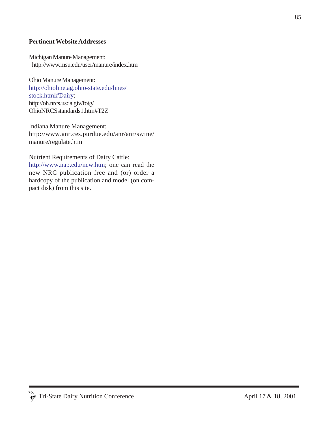### **Pertinent Website Addresses**

Michigan Manure Management: http://www.msu.edu/user/manure/index.htm

Ohio Manure Management: http://ohioline.ag.ohio-state.edu/lines/ stock.html#Dairy; http://oh.nrcs.usda.giv/fotg/ OhioNRCSstandards1.htm#T2Z

Indiana Manure Management: http://www.anr.ces.purdue.edu/anr/anr/swine/ manure/regulate.htm

Nutrient Requirements of Dairy Cattle: http://www.nap.edu/new.htm; one can read the new NRC publication free and (or) order a hardcopy of the publication and model (on compact disk) from this site.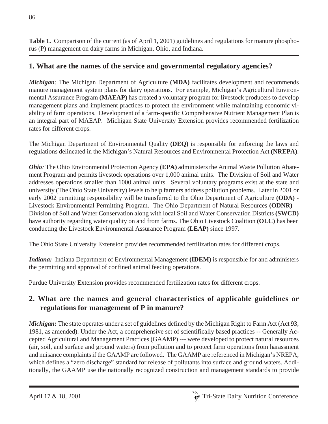**Table 1.** Comparison of the current (as of April 1, 2001) guidelines and regulations for manure phosphorus (P) management on dairy farms in Michigan, Ohio, and Indiana.

# **1. What are the names of the service and governmental regulatory agencies?**

*Michigan*: The Michigan Department of Agriculture (MDA) facilitates development and recommends manure management system plans for dairy operations. For example, Michigan's Agricultural Environmental Assurance Program **(MAEAP)** has created a voluntary program for livestock producers to develop management plans and implement practices to protect the environment while maintaining economic viability of farm operations. Development of a farm-specific Comprehensive Nutrient Management Plan is an integral part of MAEAP. Michigan State University Extension provides recommended fertilization rates for different crops.

The Michigan Department of Environmental Quality **(DEQ)** is responsible for enforcing the laws and regulations delineated in the Michigan's Natural Resources and Environmental Protection Act **(NREPA)**.

*Ohio:* The Ohio Environmental Protection Agency **(EPA)** administers the Animal Waste Pollution Abatement Program and permits livestock operations over 1,000 animal units. The Division of Soil and Water addresses operations smaller than 1000 animal units. Several voluntary programs exist at the state and university (The Ohio State University) levels to help farmers address pollution problems. Later in 2001 or early 2002 permitting responsibility will be transferred to the Ohio Department of Agriculture **(ODA)** - Livestock Environmental Permitting Program. The Ohio Department of Natural Resources **(ODNR)**— Division of Soil and Water Conservation along with local Soil and Water Conservation Districts **(SWCD)** have authority regarding water quality on and from farms. The Ohio Livestock Coalition **(OLC)** has been conducting the Livestock Environmental Assurance Program **(LEAP)** since 1997.

The Ohio State University Extension provides recommended fertilization rates for different crops.

*Indiana:* Indiana Department of Environmental Management **(IDEM)** is responsible for and administers the permitting and approval of confined animal feeding operations.

Purdue University Extension provides recommended fertilization rates for different crops.

# **2. What are the names and general characteristics of applicable guidelines or regulations for management of P in manure?**

*Michigan:* The state operates under a set of guidelines defined by the Michigan Right to Farm Act (Act 93, 1981, as amended). Under the Act, a comprehensive set of scientifically based practices -- Generally Accepted Agricultural and Management Practices (GAAMP) --- were developed to protect natural resources (air, soil, and surface and ground waters) from pollution and to protect farm operations from harassment and nuisance complaints if the GAAMP are followed. The GAAMP are referenced in Michigan's NREPA, which defines a "zero discharge" standard for release of pollutants into surface and ground waters. Additionally, the GAAMP use the nationally recognized construction and management standards to provide

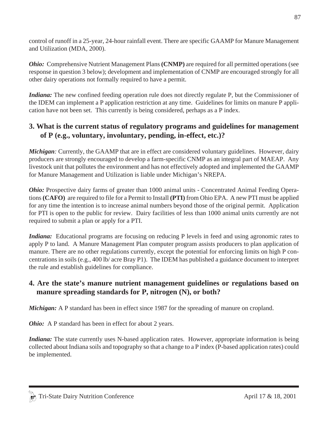control of runoff in a 25-year, 24-hour rainfall event. There are specific GAAMP for Manure Management and Utilization (MDA, 2000).

*Ohio:* Comprehensive Nutrient Management Plans **(CNMP)** are required for all permitted operations (see response in question 3 below); development and implementation of CNMP are encouraged strongly for all other dairy operations not formally required to have a permit.

*Indiana:* The new confined feeding operation rule does not directly regulate P, but the Commissioner of the IDEM can implement a P application restriction at any time. Guidelines for limits on manure P application have not been set. This currently is being considered, perhaps as a P index.

# **3. What is the current status of regulatory programs and guidelines for management of P (e.g., voluntary, involuntary, pending, in-effect, etc.)?**

*Michigan*: Currently, the GAAMP that are in effect are considered voluntary guidelines. However, dairy producers are strongly encouraged to develop a farm-specific CNMP as an integral part of MAEAP. Any livestock unit that pollutes the environment and has not effectively adopted and implemented the GAAMP for Manure Management and Utilization is liable under Michigan's NREPA.

*Ohio:* Prospective dairy farms of greater than 1000 animal units - Concentrated Animal Feeding Operations **(CAFO)** are required to file for a Permit to Install **(PTI)** from Ohio EPA. A new PTI must be applied for any time the intention is to increase animal numbers beyond those of the original permit. Application for PTI is open to the public for review. Dairy facilities of less than 1000 animal units currently are not required to submit a plan or apply for a PTI.

*Indiana:* Educational programs are focusing on reducing P levels in feed and using agronomic rates to apply P to land. A Manure Management Plan computer program assists producers to plan application of manure. There are no other regulations currently, except the potential for enforcing limits on high P concentrations in soils (e.g., 400 lb/ acre Bray P1). The IDEM has published a guidance document to interpret the rule and establish guidelines for compliance.

# **4. Are the state's manure nutrient management guidelines or regulations based on manure spreading standards for P, nitrogen (N), or both?**

*Michigan:* A P standard has been in effect since 1987 for the spreading of manure on cropland.

*Ohio*: A P standard has been in effect for about 2 years.

*Indiana:* The state currently uses N-based application rates. However, appropriate information is being collected about Indiana soils and topography so that a change to a P index (P-based application rates) could be implemented.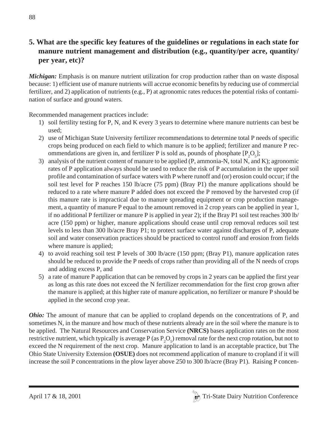# **5. What are the specific key features of the guidelines or regulations in each state for** manure nutrient management and distribution (e.g., quantity/per acre, quantity/  **per year, etc)?**

*Michigan:* Emphasis is on manure nutrient utilization for crop production rather than on waste disposal because: 1) efficient use of manure nutrients will accrue economic benefits by reducing use of commercial fertilizer, and 2) application of nutrients (e.g., P) at agronomic rates reduces the potential risks of contamination of surface and ground waters.

Recommended management practices include:

- 1) soil fertility testing for P, N, and K every 3 years to determine where manure nutrients can best be used;
- 2) use of Michigan State University fertilizer recommendations to determine total P needs of specific crops being produced on each field to which manure is to be applied; fertilizer and manure P recommendations are given in, and fertilizer P is sold as, pounds of phosphate  $[P_2O_5]$ ;
- 3) analysis of the nutrient content of manure to be applied (P, ammonia-N, total N, and K); agronomic rates of P application always should be used to reduce the risk of P accumulation in the upper soil profile and contamination of surface waters with P where runoff and (or) erosion could occur; if the soil test level for P reaches 150 lb/acre (75 ppm) (Bray P1) the manure applications should be reduced to a rate where manure P added does not exceed the P removed by the harvested crop (if this manure rate is impractical due to manure spreading equipment or crop production management, a quantity of manure P equal to the amount removed in 2 crop years can be applied in year 1, if no additional P fertilizer or manure P is applied in year 2); if the Bray P1 soil test reaches 300 lb/ acre (150 ppm) or higher, manure applications should cease until crop removal reduces soil test levels to less than 300 lb/acre Bray P1; to protect surface water against discharges of P, adequate soil and water conservation practices should be practiced to control runoff and erosion from fields where manure is applied;
- 4) to avoid reaching soil test P levels of 300 lb/acre (150 ppm; (Bray P1), manure application rates should be reduced to provide the P needs of crops rather than providing all of the N needs of crops and adding excess P, and
- 5) a rate of manure P application that can be removed by crops in 2 years can be applied the first year as long as this rate does not exceed the N fertilizer recommendation for the first crop grown after the manure is applied; at this higher rate of manure application, no fertilizer or manure P should be applied in the second crop year.

*Ohio:* The amount of manure that can be applied to cropland depends on the concentrations of P, and sometimes N, in the manure and how much of these nutrients already are in the soil where the manure is to be applied. The Natural Resources and Conservation Service **(NRCS)** bases application rates on the most restrictive nutrient, which typically is average P (as  $P_2O_5$ ) removal rate for the next crop rotation, but not to exceed the N requirement of the next crop. Manure application to land is an acceptable practice, but The Ohio State University Extension **(OSUE)** does not recommend application of manure to cropland if it will increase the soil P concentrations in the plow layer above 250 to 300 lb/acre (Bray P1). Raising P concen-

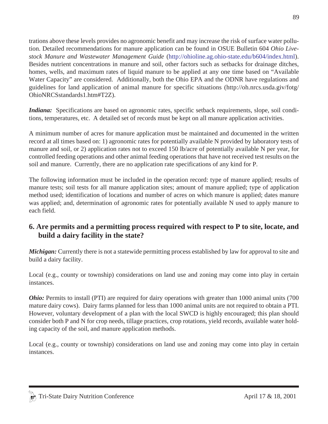Local (e.g., county or township) considerations on land use and zoning may come into play in certain instances. *Ohio:* Permits to install (PTI) are required for dairy operations with greater than 1000 animal units (700)

mature dairy cows). Dairy farms planned for less than 1000 animal units are not required to obtain a PTI. However, voluntary development of a plan with the local SWCD is highly encouraged; this plan should consider both P and N for crop needs, tillage practices, crop rotations, yield records, available water holding capacity of the soil, and manure application methods.

trations above these levels provides no agronomic benefit and may increase the risk of surface water pollution. Detailed recommendations for manure application can be found in OSUE Bulletin 604 *Ohio Livestock Manure and Wastewater Management Guide* (http://ohioline.ag.ohio-state.edu/b604/index.html). Besides nutrient concentrations in manure and soil, other factors such as setbacks for drainage ditches, homes, wells, and maximum rates of liquid manure to be applied at any one time based on "Available Water Capacity" are considered. Additionally, both the Ohio EPA and the ODNR have regulations and guidelines for land application of animal manure for specific situations (http://oh.nrcs.usda.giv/fotg/

*Indiana:* Specifications are based on agronomic rates, specific setback requirements, slope, soil conditions, temperatures, etc. A detailed set of records must be kept on all manure application activities.

A minimum number of acres for manure application must be maintained and documented in the written record at all times based on: 1) agronomic rates for potentially available N provided by laboratory tests of manure and soil, or 2) application rates not to exceed 150 lb/acre of potentially available N per year, for controlled feeding operations and other animal feeding operations that have not received test results on the

The following information must be included in the operation record: type of manure applied; results of manure tests; soil tests for all manure application sites; amount of manure applied; type of application method used; identification of locations and number of acres on which manure is applied; dates manure was applied; and, determination of agronomic rates for potentially available N used to apply manure to

**6. Are permits and a permitting process required with respect to P to site, locate, and**

*Michigan:* Currently there is not a statewide permitting process established by law for approval to site and

soil and manure. Currently, there are no application rate specifications of any kind for P.

Local (e.g., county or township) considerations on land use and zoning may come into play in certain instances.

 **build a dairy facility in the state?**

OhioNRCSstandards1.htm#T2Z).

each field.

build a dairy facility.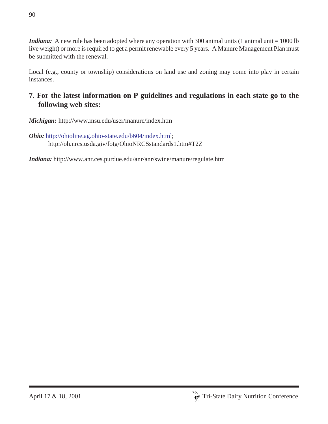*Indiana*: A new rule has been adopted where any operation with 300 animal units (1 animal unit = 1000 lb live weight) or more is required to get a permit renewable every 5 years. A Manure Management Plan must be submitted with the renewal.

Local (e.g., county or township) considerations on land use and zoning may come into play in certain instances.

# **7. For the latest information on P guidelines and regulations in each state go to the following web sites:**

*Michigan:* http://www.msu.edu/user/manure/index.htm

*Ohio:* http://ohioline.ag.ohio-state.edu/b604/index.html; http://oh.nrcs.usda.giv/fotg/OhioNRCSstandards1.htm#T2Z

*Indiana:* http://www.anr.ces.purdue.edu/anr/anr/swine/manure/regulate.htm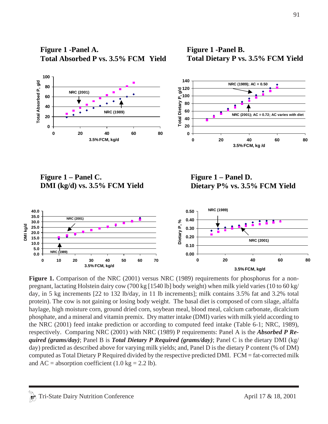**Figure 1 -Panel A. Total Absorbed P vs. 3.5% FCM Yield** **Figure 1 -Panel B. Total Dietary P vs. 3.5% FCM Yield** 



Figure 1. Comparison of the NRC (2001) versus NRC (1989) requirements for phosphorus for a nonpregnant, lactating Holstein dairy cow (700 kg [1540 lb] body weight) when milk yield varies (10 to 60 kg/ day, in 5 kg increments [22 to 132 lb/day, in 11 lb increments]; milk contains 3.5% fat and 3.2% total protein). The cow is not gaining or losing body weight. The basal diet is composed of corn silage, alfalfa haylage, high moisture corn, ground dried corn, soybean meal, blood meal, calcium carbonate, dicalcium phosphate, and a mineral and vitamin premix. Dry matter intake (DMI) varies with milk yield according to the NRC (2001) feed intake prediction or according to computed feed intake (Table 6-1; NRC, 1989), respectively. Comparing NRC (2001) with NRC (1989) P requirements: Panel A is the *Absorbed P Required (grams/day)*; Panel B is *Total Dietary P Required (grams/day)*; Panel C is the dietary DMI (kg/ day) predicted as described above for varying milk yields; and, Panel D is the dietary P content (% of DM) computed as Total Dietary P Required divided by the respective predicted DMI. FCM = fat-corrected milk and  $AC =$  absorption coefficient (1.0 kg = 2.2 lb).

**3.5% FCM, kg/d**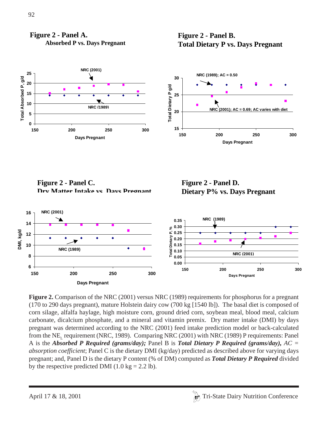

**Absorbed P vs. Days Pregnant** 





**Figure 2 - Panel C. Dry Matter Intake vs Days Pregnant**

**Figure 2 - Panel D. Dietary P% vs. Days Pregnant**



**Figure 2.** Comparison of the NRC (2001) versus NRC (1989) requirements for phosphorus for a pregnant (170 to 290 days pregnant), mature Holstein dairy cow (700 kg [1540 lb]). The basal diet is composed of corn silage, alfalfa haylage, high moisture corn, ground dried corn, soybean meal, blood meal, calcium carbonate, dicalcium phosphate, and a mineral and vitamin premix. Dry matter intake (DMI) by days pregnant was determined according to the NRC (2001) feed intake prediction model or back-calculated from the NE<sub>r</sub> requirement (NRC, 1989). Comparing NRC (2001) with NRC (1989) P requirements: Panel A is the *Absorbed P Required (grams/day);* Panel B is *Total Dietary P Required (grams/day), AC = absorption coefficient*; Panel C is the dietary DMI (kg/day) predicted as described above for varying days pregnant; and, Panel D is the dietary P content (% of DM) computed as *Total Dietary P Required* divided by the respective predicted DMI (1.0 kg = 2.2 lb).

**Figure 2 - Panel A.**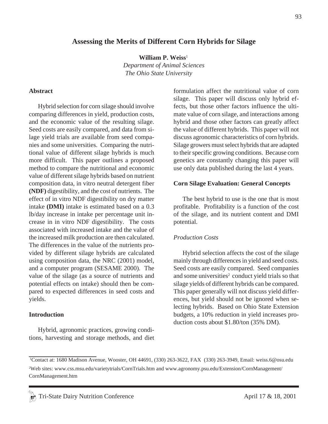### **Assessing the Merits of Different Corn Hybrids for Silage**

**William P. Weiss**<sup>1</sup> *Department of Animal Sciences The Ohio State University*

#### **Abstract**

Hybrid selection for corn silage should involve comparing differences in yield, production costs, and the economic value of the resulting silage. Seed costs are easily compared, and data from silage yield trials are available from seed companies and some universities. Comparing the nutritional value of different silage hybrids is much more difficult. This paper outlines a proposed method to compare the nutritional and economic value of different silage hybrids based on nutrient composition data, in vitro neutral detergent fiber **(NDF)** digestibility, and the cost of nutrients. The effect of in vitro NDF digestibility on dry matter intake **(DMI)** intake is estimated based on a 0.3 lb/day increase in intake per percentage unit increase in in vitro NDF digestibility. The costs associated with increased intake and the value of the increased milk production are then calculated. The differences in the value of the nutrients provided by different silage hybrids are calculated using composition data, the NRC (2001) model, and a computer program (SESAME 2000). The value of the silage (as a source of nutrients and potential effects on intake) should then be compared to expected differences in seed costs and yields.

#### **Introduction**

Hybrid, agronomic practices, growing conditions, harvesting and storage methods, and diet formulation affect the nutritional value of corn silage. This paper will discuss only hybrid effects, but those other factors influence the ultimate value of corn silage, and interactions among hybrid and those other factors can greatly affect the value of different hybrids. This paper will not discuss agronomic characteristics of corn hybrids. Silage growers must select hybrids that are adapted to their specific growing conditions. Because corn genetics are constantly changing this paper will use only data published during the last 4 years.

#### **Corn Silage Evaluation: General Concepts**

The best hybrid to use is the one that is most profitable. Profitability is a function of the cost of the silage, and its nutrient content and DMI potential.

#### *Production Costs*

Hybrid selection affects the cost of the silage mainly through differences in yield and seed costs. Seed costs are easily compared. Seed companies and some universities<sup>2</sup> conduct yield trials so that silage yields of different hybrids can be compared. This paper generally will not discuss yield differences, but yield should not be ignored when selecting hybrids. Based on Ohio State Extension budgets, a 10% reduction in yield increases production costs about \$1.80/ton (35% DM).

<sup>1</sup> Contact at: 1680 Madison Avenue, Wooster, OH 44691, (330) 263-3622, FAX (330) 263-3949, Email: weiss.6@osu.edu

<sup>2</sup> Web sites: www.css.msu.edu/varietytrials/CornTrials.htm and www.agronomy.psu.edu/Extension/CornManagement/ CornManagement.htm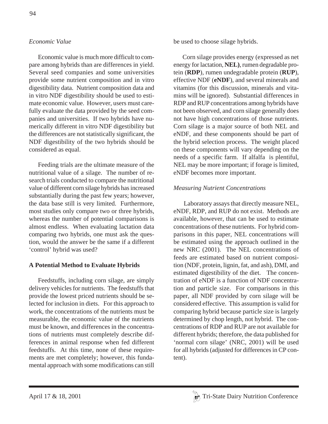# *Economic Value*

Economic value is much more difficult to compare among hybrids than are differences in yield. Several seed companies and some universities provide some nutrient composition and in vitro digestibility data. Nutrient composition data and in vitro NDF digestibility should be used to estimate economic value. However, users must carefully evaluate the data provided by the seed companies and universities. If two hybrids have numerically different in vitro NDF digestibility but the differences are not statistically significant, the NDF digestibility of the two hybrids should be considered as equal.

Feeding trials are the ultimate measure of the nutritional value of a silage. The number of research trials conducted to compare the nutritional value of different corn silage hybrids has increased substantially during the past few years; however, the data base still is very limited. Furthermore, most studies only compare two or three hybrids, whereas the number of potential comparisons is almost endless. When evaluating lactation data comparing two hybrids, one must ask the question, would the answer be the same if a different 'control' hybrid was used?

# **A Potential Method to Evaluate Hybrids**

Feedstuffs, including corn silage, are simply delivery vehicles for nutrients. The feedstuffs that provide the lowest priced nutrients should be selected for inclusion in diets. For this approach to work, the concentrations of the nutrients must be measurable, the economic value of the nutrients must be known, and differences in the concentrations of nutrients must completely describe differences in animal response when fed different feedstuffs. At this time, none of these requirements are met completely; however, this fundamental approach with some modifications can still be used to choose silage hybrids.

Corn silage provides energy (expressed as net energy for lactation, **NEL)**, rumen degradable protein (**RDP**), rumen undegradable protein (**RUP**), effective NDF (**eNDF**), and several minerals and vitamins (for this discussion, minerals and vitamins will be ignored). Substantial differences in RDP and RUP concentrations among hybrids have not been observed, and corn silage generally does not have high concentrations of those nutrients. Corn silage is a major source of both NEL and eNDF, and these components should be part of the hybrid selection process. The weight placed on these components will vary depending on the needs of a specific farm. If alfalfa is plentiful, NEL may be more important; if forage is limited, eNDF becomes more important.

## *Measuring Nutrient Concentrations*

 Laboratory assays that directly measure NEL, eNDF, RDP, and RUP do not exist. Methods are available, however, that can be used to estimate concentrations of these nutrients. For hybrid comparisons in this paper, NEL concentrations will be estimated using the approach outlined in the new NRC (2001). The NEL concentrations of feeds are estimated based on nutrient composition (NDF, protein, lignin, fat, and ash), DMI, and estimated digestibility of the diet. The concentration of eNDF is a function of NDF concentration and particle size. For comparisons in this paper, all NDF provided by corn silage will be considered effective. This assumption is valid for comparing hybrid because particle size is largely determined by chop length, not hybrid. The concentrations of RDP and RUP are not available for different hybrids; therefore, the data published for 'normal corn silage' (NRC, 2001) will be used for all hybrids (adjusted for differences in CP content).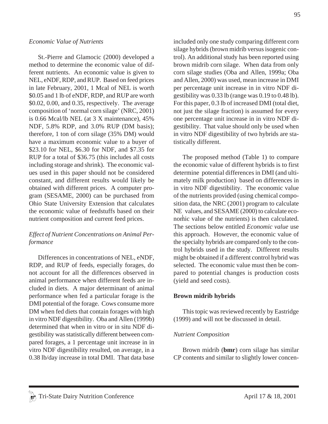St.-Pierre and Glamocic (2000) developed a method to determine the economic value of different nutrients. An economic value is given to NEL, eNDF, RDP, and RUP. Based on feed prices in late February, 2001, 1 Mcal of NEL is worth \$0.05 and 1 lb of eNDF, RDP, and RUP are worth \$0.02, 0.00, and 0.35, respectively. The average composition of 'normal corn silage' (NRC, 2001) is 0.66 Mcal/lb NEL (at 3 X maintenance), 45% NDF, 5.8% RDP, and 3.0% RUP (DM basis); therefore, 1 ton of corn silage (35% DM) would have a maximum economic value to a buyer of \$23.10 for NEL, \$6.30 for NDF, and \$7.35 for RUP for a total of \$36.75 (this includes all costs including storage and shrink). The economic values used in this paper should not be considered constant, and different results would likely be obtained with different prices. A computer program (SESAME, 2000) can be purchased from Ohio State University Extension that calculates the economic value of feedstuffs based on their nutrient composition and current feed prices.

## *Effect of Nutrient Concentrations on Animal Performance*

Differences in concentrations of NEL, eNDF, RDP, and RUP of feeds, especially forages, do not account for all the differences observed in animal performance when different feeds are included in diets. A major determinant of animal performance when fed a particular forage is the DMI potential of the forage. Cows consume more DM when fed diets that contain forages with high in vitro NDF digestibility. Oba and Allen (1999b) determined that when in vitro or in situ NDF digestibility was statistically different between compared forages, a 1 percentage unit increase in in vitro NDF digestibility resulted, on average, in a 0.38 lb/day increase in total DMI. That data base included only one study comparing different corn silage hybrids (brown midrib versus isogenic control). An additional study has been reported using brown midrib corn silage. When data from only corn silage studies (Oba and Allen, 1999a; Oba and Allen, 2000) was used, mean increase in DMI per percentage unit increase in in vitro NDF digestibility was 0.33 lb (range was 0.19 to 0.48 lb). For this paper, 0.3 lb of increased DMI (total diet, not just the silage fraction) is assumed for every one percentage unit increase in in vitro NDF digestibility. That value should only be used when in vitro NDF digestibility of two hybrids are statistically different.

The proposed method (Table 1) to compare the economic value of different hybrids is to first determine potential differences in DMI (and ultimately milk production) based on differences in in vitro NDF digestibility. The economic value of the nutrients provided (using chemical composition data, the NRC (2001) program to calculate NE values, and SESAME (2000) to calculate economic value of the nutrients) is then calculated. The sections below entitled *Economic value* use this approach. However, the economic value of the specialty hybrids are compared only to the control hybrids used in the study. Different results might be obtained if a different control hybrid was selected. The economic value must then be compared to potential changes is production costs (yield and seed costs).

#### **Brown midrib hybrids**

This topic was reviewed recently by Eastridge (1999) and will not be discussed in detail.

#### *Nutrient Composition*

Brown midrib (**bmr**) corn silage has similar CP contents and similar to slightly lower concen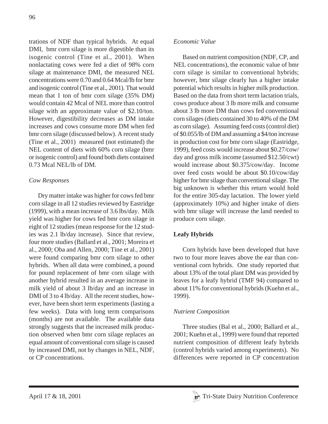trations of NDF than typical hybrids. At equal DMI, bmr corn silage is more digestible than its isogenic control (Tine et al., 2001). When nonlactating cows were fed a diet of 98% corn silage at maintenance DMI, the measured NEL concentrations were 0.70 and 0.64 Mcal/lb for bmr and isogenic control (Tine et al., 2001). That would mean that 1 ton of bmr corn silage (35% DM) would contain 42 Mcal of NEL more than control silage with an approximate value of \$2.10/ton. However, digestibility decreases as DM intake increases and cows consume more DM when fed bmr corn silage (discussed below). A recent study (Tine et al., 2001) measured (not estimated) the NEL content of diets with 60% corn silage (bmr or isogenic control) and found both diets contained 0.73 Mcal NEL/lb of DM.

# *Cow Responses*

Dry matter intake was higher for cows fed bmr corn silage in all 12 studies reviewed by Eastridge (1999), with a mean increase of 3.6 lbs/day. Milk yield was higher for cows fed bmr corn silage in eight of 12 studies (mean response for the 12 studies was 2.1 lb/day increase). Since that review, four more studies (Ballard et al., 2001; Moreira et al., 2000; Oba and Allen, 2000; Tine et al., 2001) were found comparing bmr corn silage to other hybrids. When all data were combined, a pound for pound replacement of bmr corn silage with another hybrid resulted in an average increase in milk yield of about 3 lb/day and an increase in DMI of 3 to 4 lb/day. All the recent studies, however, have been short term experiments (lasting a few weeks). Data with long term comparisons (months) are not available. The available data strongly suggests that the increased milk production observed when bmr corn silage replaces an equal amount of conventional corn silage is caused by increased DMI, not by changes in NEL, NDF, or CP concentrations.

Based on nutrient composition (NDF, CP, and NEL concentrations), the economic value of bmr corn silage is similar to conventional hybrids; however, bmr silage clearly has a higher intake potential which results in higher milk production. Based on the data from short term lactation trials, cows produce about 3 lb more milk and consume about 3 lb more DM than cows fed conventional corn silages (diets contained 30 to 40% of the DM as corn silage). Assuming feed costs (control diet) of \$0.055/lb of DM and assuming a \$4/ton increase in production cost for bmr corn silage (Eastridge, 1999), feed costs would increase about \$0.27/cow/ day and gross milk income (assumed \$12.50/cwt) would increase about \$0.375/cow/day. Income over feed costs would be about \$0.10/cow/day higher for bmr silage than conventional silage. The big unknown is whether this return would hold for the entire 305-day lactation. The lower yield (approximately 10%) and higher intake of diets with bmr silage will increase the land needed to produce corn silage.

# **Leafy Hybrids**

Corn hybrids have been developed that have two to four more leaves above the ear than conventional corn hybrids. One study reported that about 13% of the total plant DM was provided by leaves for a leafy hybrid (TMF 94) compared to about 11% for conventional hybrids (Kuehn et al., 1999).

# *Nutrient Composition*

Three studies (Bal et al., 2000; Ballard et al., 2001; Kuehn et al., 1999) were found that reported nutrient composition of different leafy hybrids (control hybrids varied among experiments). No differences were reported in CP concentration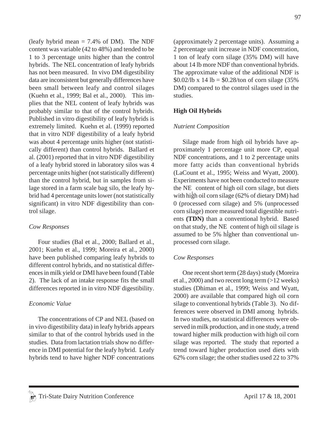(leafy hybrid mean  $= 7.4\%$  of DM). The NDF content was variable (42 to 48%) and tended to be 1 to 3 percentage units higher than the control hybrids. The NEL concentration of leafy hybrids has not been measured. In vivo DM digestibility data are inconsistent but generally differences have been small between leafy and control silages (Kuehn et al., 1999; Bal et al., 2000). This implies that the NEL content of leafy hybrids was probably similar to that of the control hybrids. Published in vitro digestibility of leafy hybrids is extremely limited. Kuehn et al. (1999) reported that in vitro NDF digestibility of a leafy hybrid was about 4 percentage units higher (not statistically different) than control hybrids. Ballard et al. (2001) reported that in vitro NDF digestibility of a leafy hybrid stored in laboratory silos was 4 percentage units higher (not statistically different) than the control hybrid, but in samples from silage stored in a farm scale bag silo, the leafy hybrid had 4 percentage units lower (not statistically significant) in vitro NDF digestibility than control silage.

#### *Cow Responses*

Four studies (Bal et al., 2000; Ballard et al., 2001; Kuehn et al., 1999; Moreira et al., 2000) have been published comparing leafy hybrids to different control hybrids, and no statistical differences in milk yield or DMI have been found (Table 2). The lack of an intake response fits the small differences reported in in vitro NDF digestibility.

#### *Economic Value*

The concentrations of CP and NEL (based on in vivo digestibility data) in leafy hybrids appears similar to that of the control hybrids used in the studies. Data from lactation trials show no difference in DMI potential for the leafy hybrid. Leafy hybrids tend to have higher NDF concentrations (approximately 2 percentage units). Assuming a 2 percentage unit increase in NDF concentration, 1 ton of leafy corn silage (35% DM) will have about 14 lb more NDF than conventional hybrids. The approximate value of the additional NDF is  $$0.02/lb \times 14 lb = $0.28/ton of corn silage (35%)$ DM) compared to the control silages used in the studies.

# **High Oil Hybrids**

# *Nutrient Composition*

Silage made from high oil hybrids have approximately 1 percentage unit more CP, equal NDF concentrations, and 1 to 2 percentage units more fatty acids than conventional hybrids (LaCount et al., 1995; Weiss and Wyatt, 2000). Experiments have not been conducted to measure the NE content of high oil corn silage, but diets with high oil corn silage (62% of dietary DM) had 0 (processed corn silage) and 5% (unprocessed corn silage) more measured total digestible nutrients **(TDN)** than a conventional hybrid. Based on that study, the NE content of high oil silage is assumed to be 5% higher than conventional unprocessed corn silage.

# *Cow Responses*

One recent short term (28 days) study (Moreira et al., 2000) and two recent long term (>12 weeks) studies (Dhiman et al., 1999; Weiss and Wyatt, 2000) are available that compared high oil corn silage to conventional hybrids (Table 3). No differences were observed in DMI among hybrids. In two studies, no statistical differences were observed in milk production, and in one study, a trend toward higher milk production with high oil corn silage was reported. The study that reported a trend toward higher production used diets with 62% corn silage; the other studies used 22 to 37%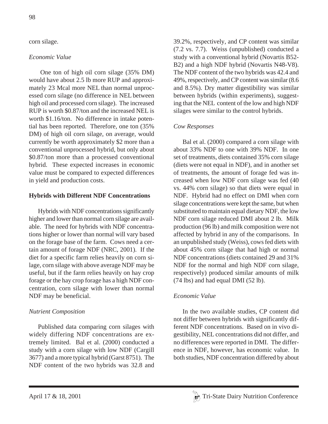# corn silage.

## *Economic Value*

 One ton of high oil corn silage (35% DM) would have about 2.5 lb more RUP and approximately 23 Mcal more NEL than normal unprocessed corn silage (no difference in NEL between high oil and processed corn silage). The increased RUP is worth \$0.87/ton and the increased NEL is worth \$1.16/ton. No difference in intake potential has been reported. Therefore, one ton (35% DM) of high oil corn silage, on average, would currently be worth approximately \$2 more than a conventional unprocessed hybrid, but only about \$0.87/ton more than a processed conventional hybrid. These expected increases in economic value must be compared to expected differences in yield and production costs.

## **Hybrids with Different NDF Concentrations**

Hybrids with NDF concentrations significantly higher and lower than normal corn silage are available. The need for hybrids with NDF concentrations higher or lower than normal will vary based on the forage base of the farm. Cows need a certain amount of forage NDF (NRC, 2001). If the diet for a specific farm relies heavily on corn silage, corn silage with above average NDF may be useful, but if the farm relies heavily on hay crop forage or the hay crop forage has a high NDF concentration, corn silage with lower than normal NDF may be beneficial.

# *Nutrient Composition*

Published data comparing corn silages with widely differing NDF concentrations are extremely limited. Bal et al. (2000) conducted a study with a corn silage with low NDF (Cargill 3677) and a more typical hybrid (Garst 8751). The NDF content of the two hybrids was 32.8 and 39.2%, respectively, and CP content was similar (7.2 vs. 7.7). Weiss (unpublished) conducted a study with a conventional hybrid (Novartis B52- B2) and a high NDF hybrid (Novartis N48-V8). The NDF content of the two hybrids was 42.4 and 49%, respectively, and CP content was similar (8.6 and 8.5%). Dry matter digestibility was similar between hybrids (within experiments), suggesting that the NEL content of the low and high NDF silages were similar to the control hybrids.

# *Cow Responses*

Bal et al. (2000) compared a corn silage with about 33% NDF to one with 39% NDF. In one set of treatments, diets contained 35% corn silage (diets were not equal in NDF), and in another set of treatments, the amount of forage fed was increased when low NDF corn silage was fed (40 vs. 44% corn silage) so that diets were equal in NDF. Hybrid had no effect on DMI when corn silage concentrations were kept the same, but when substituted to maintain equal dietary NDF, the low NDF corn silage reduced DMI about 2 lb. Milk production (96 lb) and milk composition were not affected by hybrid in any of the comparisons. In an unpublished study (Weiss), cows fed diets with about 45% corn silage that had high or normal NDF concentrations (diets contained 29 and 31% NDF for the normal and high NDF corn silage, respectively) produced similar amounts of milk (74 lbs) and had equal DMI (52 lb).

# *Economic Value*

In the two available studies, CP content did not differ between hybrids with significantly different NDF concentrations. Based on in vivo digestibility, NEL concentrations did not differ, and no differences were reported in DMI. The difference in NDF, however, has economic value. In both studies, NDF concentration differed by about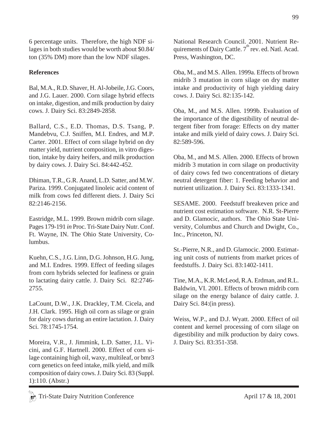6 percentage units. Therefore, the high NDF silages in both studies would be worth about \$0.84/ ton (35% DM) more than the low NDF silages.

# **References**

Bal, M.A., R.D. Shaver, H. Al-Jobeile, J.G. Coors, and J.G. Lauer. 2000. Corn silage hybrid effects on intake, digestion, and milk production by dairy cows. J. Dairy Sci. 83:2849-2858.

Ballard, C.S., E.D. Thomas, D.S. Tsang, P. Mandebvu, C.J. Sniffen, M.I. Endres, and M.P. Carter. 2001. Effect of corn silage hybrid on dry matter yield, nutrient composition, in vitro digestion, intake by dairy heifers, and milk production by dairy cows. J. Dairy Sci. 84:442-452.

Dhiman, T.R., G.R. Anand, L.D. Satter, and M.W. Pariza. 1999. Conjugated linoleic acid content of milk from cows fed different diets. J. Dairy Sci 82:2146-2156.

Eastridge, M.L. 1999. Brown midrib corn silage. Pages 179-191 *in* Proc. Tri-State Dairy Nutr. Conf. Ft. Wayne, IN. The Ohio State University, Columbus.

Kuehn, C.S., J.G. Linn, D.G. Johnson, H.G. Jung, and M.I. Endres. 1999. Effect of feeding silages from corn hybrids selected for leafiness or grain to lactating dairy cattle. J. Dairy Sci. 82:2746- 2755.

LaCount, D.W., J.K. Drackley, T.M. Cicela, and J.H. Clark. 1995. High oil corn as silage or grain for dairy cows during an entire lactation. J. Dairy Sci. 78:1745-1754.

Moreira, V.R., J. Jimmink, L.D. Satter, J.L. Vicini, and G.F. Hartnell. 2000. Effect of corn silage containing high oil, waxy, multileaf, or bmr3 corn genetics on feed intake, milk yield, and milk composition of dairy cows. J. Dairy Sci. 83 (Suppl. 1):110. (Abstr.)

National Research Council. 2001. Nutrient Requirements of Dairy Cattle.  $7<sup>th</sup>$  rev. ed. Natl. Acad. Press, Washington, DC.

Oba, M., and M.S. Allen. 1999a. Effects of brown midrib 3 mutation in corn silage on dry matter intake and productivity of high yielding dairy cows. J. Dairy Sci. 82:135-142.

Oba, M., and M.S. Allen. 1999b. Evaluation of the importance of the digestibility of neutral detergent fiber from forage: Effects on dry matter intake and milk yield of dairy cows. J. Dairy Sci. 82:589-596.

Oba, M., and M.S. Allen. 2000. Effects of brown midrib 3 mutation in corn silage on productivity of dairy cows fed two concentrations of dietary neutral detergent fiber: 1. Feeding behavior and nutrient utilization. J. Dairy Sci. 83:1333-1341.

SESAME. 2000. Feedstuff breakeven price and nutrient cost estimation software. N.R. St-Pierre and D. Glamocic, authors. The Ohio State University, Columbus and Church and Dwight, Co., Inc., Princeton, NJ.

St.-Pierre, N.R., and D. Glamocic. 2000. Estimating unit costs of nutrients from market prices of feedstuffs. J. Dairy Sci. 83:1402-1411.

Tine, M.A., K.R. McLeod, R.A. Erdman, and R.L. Baldwin, VI. 2001. Effects of brown midrib corn silage on the energy balance of dairy cattle. J. Dairy Sci. 84:(in press).

Weiss, W.P., and D.J. Wyatt. 2000. Effect of oil content and kernel processing of corn silage on digestibility and milk production by dairy cows. J. Dairy Sci. 83:351-358.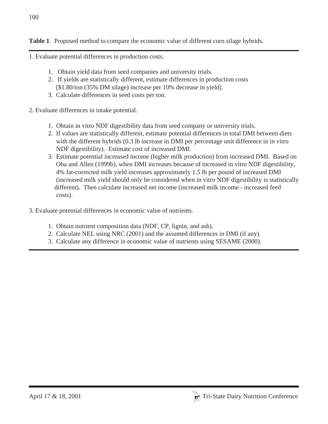**Table 1**. Proposed method to compare the economic value of different corn silage hybrids.

- 1. Evaluate potential differences in production costs.
	- 1. Obtain yield data from seed companies and university trials.
	- 2. If yields are statistically different, estimate differences in production costs [\$1.80/ton (35% DM silage) increase per 10% decrease in yield].
	- 3. Calculate differences in seed costs per ton.
- 2. Evaluate differences in intake potential.
	- 1. Obtain in vitro NDF digestibility data from seed company or university trials.
	- 2. If values are statistically different, estimate potential differences in total DMI between diets with the different hybrids (0.3 lb increase in DMI per percentage unit difference in in vitro NDF digestibility). Estimate cost of increased DMI.
	- 3. Estimate potential increased income (higher milk production) from increased DMI. Based on Oba and Allen (1999b), when DMI increases because of increased in vitro NDF digestibility, 4% fat-corrected milk yield increases approximately 1.5 lb per pound of increased DMI (increased milk yield should only be considered when in vitro NDF digestibility is statistically different). Then calculate increased net income (increased milk income - increased feed costs).
- 3. Evaluate potential differences in economic value of nutrients.
	- 1. Obtain nutrient composition data (NDF, CP, lignin, and ash).
	- 2. Calculate NEL using NRC (2001) and the assumed differences in DMI (if any).
	- 3. Calculate any difference in economic value of nutrients using SESAME (2000).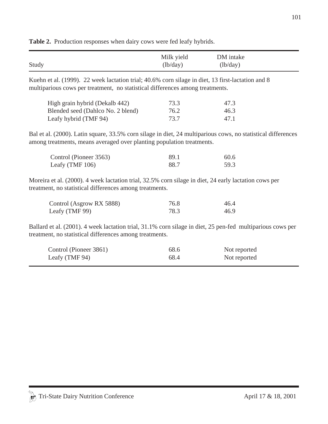|       | Milk yield                    | DM intake |
|-------|-------------------------------|-----------|
| Study | $\left(\frac{lb}{day}\right)$ | (lb/day)  |

**Table 2.** Production responses when dairy cows were fed leafy hybrids.

Kuehn et al. (1999). 22 week lactation trial; 40.6% corn silage in diet, 13 first-lactation and 8 multiparious cows per treatment, no statistical differences among treatments.

| High grain hybrid (Dekalb 442)    | 73.3 | 47.3 |
|-----------------------------------|------|------|
| Blended seed (Dahlco No. 2 blend) | 76.2 | 46.3 |
| Leafy hybrid (TMF 94)             | 73.7 | 47.1 |

Bal et al. (2000). Latin square, 33.5% corn silage in diet, 24 multiparious cows, no statistical differences among treatments, means averaged over planting population treatments.

| Control (Pioneer 3563) | -89.1 | 60.6 |
|------------------------|-------|------|
| Leafy (TMF $106$ )     | 88.7  | 59.3 |

Moreira et al. (2000). 4 week lactation trial, 32.5% corn silage in diet, 24 early lactation cows per treatment, no statistical differences among treatments.

| Control (Asgrow RX 5888) | 76.8 | 46.4 |
|--------------------------|------|------|
| Leafy (TMF 99)           | 78.3 | 46.9 |

Ballard et al. (2001). 4 week lactation trial, 31.1% corn silage in diet, 25 pen-fed multiparious cows per treatment, no statistical differences among treatments.

| Control (Pioneer 3861) | 68.6 | Not reported |
|------------------------|------|--------------|
| Leafy (TMF 94)         | 68.4 | Not reported |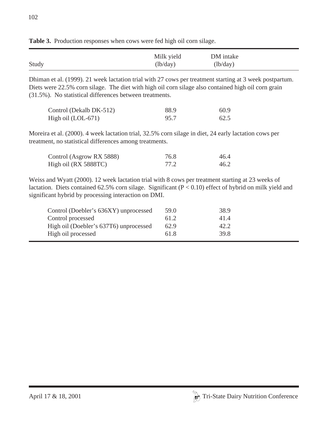|       | Milk yield | DM intake |  |
|-------|------------|-----------|--|
| Study | (lb/day)   | (lb/day)  |  |

**Table 3.** Production responses when cows were fed high oil corn silage.

Dhiman et al. (1999). 21 week lactation trial with 27 cows per treatment starting at 3 week postpartum. Diets were 22.5% corn silage. The diet with high oil corn silage also contained high oil corn grain (31.5%). No statistical differences between treatments.

| Control (Dekalb DK-512) | 88.9 | 60.9 |
|-------------------------|------|------|
| High oil (LOL-671)      | 95.7 | 62.5 |

Moreira et al. (2000). 4 week lactation trial, 32.5% corn silage in diet, 24 early lactation cows per treatment, no statistical differences among treatments.

| Control (Asgrow RX 5888) | 76.8 | 46.4 |
|--------------------------|------|------|
| High oil (RX 5888TC)     | 77.2 | 46.2 |

Weiss and Wyatt (2000). 12 week lactation trial with 8 cows per treatment starting at 23 weeks of lactation. Diets contained 62.5% corn silage. Significant ( $P < 0.10$ ) effect of hybrid on milk yield and significant hybrid by processing interaction on DMI.

| Control (Doebler's 636XY) unprocessed<br>Control processed | 59.0<br>61.2 | 38.9<br>41.4 |
|------------------------------------------------------------|--------------|--------------|
| High oil (Doebler's 637T6) unprocessed                     | 62.9         | 42.2         |
| High oil processed                                         | 61.8         | 39.8         |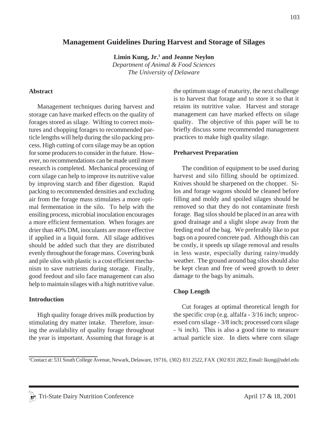# **Management Guidelines During Harvest and Storage of Silages**

Limin Kung, Jr.<sup>1</sup> and Jeanne Neylon *Department of Animal & Food Sciences The University of Delaware*

#### **Abstract**

Management techniques during harvest and storage can have marked effects on the quality of forages stored as silage. Wilting to correct moistures and chopping forages to recommended particle lengths will help during the silo packing process. High cutting of corn silage may be an option for some producers to consider in the future. However, no recommendations can be made until more research is completed. Mechanical processing of corn silage can help to improve its nutritive value by improving starch and fiber digestion. Rapid packing to recommended densities and excluding air from the forage mass stimulates a more optimal fermentation in the silo. To help with the ensiling process, microbial inoculation encourages a more efficient fermentation. When forages are drier than 40% DM, inoculants are more effective if applied in a liquid form. All silage additives should be added such that they are distributed evenly throughout the forage mass. Covering bunk and pile silos with plastic is a cost efficient mechanism to save nutrients during storage. Finally, good feedout and silo face management can also help to maintain silages with a high nutritive value.

#### **Introduction**

High quality forage drives milk production by stimulating dry matter intake. Therefore, insuring the availability of quality forage throughout the year is important. Assuming that forage is at the optimum stage of maturity, the next challenge is to harvest that forage and to store it so that it retains its nutritive value. Harvest and storage management can have marked effects on silage quality. The objective of this paper will be to briefly discuss some recommended management practices to make high quality silage.

#### **Preharvest Preparation**

The condition of equipment to be used during harvest and silo filling should be optimized. Knives should be sharpened on the chopper. Silos and forage wagons should be cleaned before filling and moldy and spoiled silages should be removed so that they do not contaminate fresh forage. Bag silos should be placed in an area with good drainage and a slight slope away from the feeding end of the bag. We preferably like to put bags on a poured concrete pad. Although this can be costly, it speeds up silage removal and results in less waste, especially during rainy/muddy weather. The ground around bag silos should also be kept clean and free of weed growth to deter damage to the bags by animals.

#### **Chop Length**

Cut forages at optimal theoretical length for the specific crop (e.g. alfalfa - 3/16 inch; unprocessed corn silage - 3/8 inch; processed corn silage - ¾ inch). This is also a good time to measure actual particle size. In diets where corn silage

<sup>1</sup> Contact at: 531 South College Avenue, Newark, Delaware, 19716, (302) 831 2522, FAX (302 831 2822, Email: lkung@udel.edu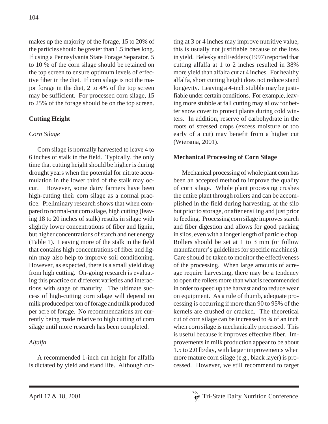makes up the majority of the forage, 15 to 20% of the particles should be greater than 1.5 inches long. If using a Pennsylvania State Forage Separator, 5 to 10 % of the corn silage should be retained on the top screen to ensure optimum levels of effective fiber in the diet. If corn silage is not the major forage in the diet, 2 to 4% of the top screen may be sufficient. For processed corn silage, 15 to 25% of the forage should be on the top screen.

# **Cutting Height**

# *Corn Silage*

Corn silage is normally harvested to leave 4 to 6 inches of stalk in the field. Typically, the only time that cutting height should be higher is during drought years when the potential for nitrate accumulation in the lower third of the stalk may occur. However, some dairy farmers have been high-cutting their corn silage as a normal practice. Preliminary research shows that when compared to normal-cut corn silage, high cutting (leaving 18 to 20 inches of stalk) results in silage with slightly lower concentrations of fiber and lignin, but higher concentrations of starch and net energy (Table 1). Leaving more of the stalk in the field that contains high concentrations of fiber and lignin may also help to improve soil conditioning. However, as expected, there is a small yield drag from high cutting. On-going research is evaluating this practice on different varieties and interactions with stage of maturity. The ultimate success of high-cutting corn silage will depend on milk produced per ton of forage and milk produced per acre of forage. No recommendations are currently being made relative to high cutting of corn silage until more research has been completed.

# *Alfalfa*

A recommended 1-inch cut height for alfalfa is dictated by yield and stand life. Although cutting at 3 or 4 inches may improve nutritive value, this is usually not justifiable because of the loss in yield. Belesky and Fedders (1997) reported that cutting alfalfa at 1 to 2 inches resulted in 38% more yield than alfalfa cut at 4 inches. For healthy alfalfa, short cutting height does not reduce stand longevity. Leaving a 4-inch stubble may be justifiable under certain conditions. For example, leaving more stubble at fall cutting may allow for better snow cover to protect plants during cold winters. In addition, reserve of carbohydrate in the roots of stressed crops (excess moisture or too early of a cut) may benefit from a higher cut (Wiersma, 2001).

# **Mechanical Processing of Corn Silage**

Mechanical processing of whole plant corn has been an accepted method to improve the quality of corn silage. Whole plant processing crushes the entire plant through rollers and can be accomplished in the field during harvesting, at the silo but prior to storage, or after ensiling and just prior to feeding. Processing corn silage improves starch and fiber digestion and allows for good packing in silos, even with a longer length of particle chop. Rollers should be set at 1 to 3 mm (or follow manufacturer's guidelines for specific machines). Care should be taken to monitor the effectiveness of the processing. When large amounts of acreage require harvesting, there may be a tendency to open the rollers more than what is recommended in order to speed up the harvest and to reduce wear on equipment. As a rule of thumb, adequate processing is occurring if more than 90 to 95% of the kernels are crushed or cracked. The theoretical cut of corn silage can be increased to ¾ of an inch when corn silage is mechanically processed. This is useful because it improves effective fiber. Improvements in milk production appear to be about 1.5 to 2.0 lb/day, with larger improvements when more mature corn silage (e.g., black layer) is processed. However, we still recommend to target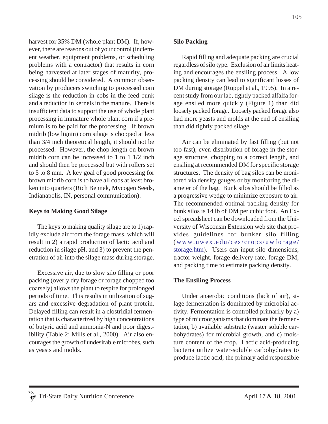harvest for 35% DM (whole plant DM). If, however, there are reasons out of your control (inclement weather, equipment problems, or scheduling problems with a contractor) that results in corn being harvested at later stages of maturity, processing should be considered. A common observation by producers switching to processed corn silage is the reduction in cobs in the feed bunk and a reduction in kernels in the manure. There is insufficient data to support the use of whole plant processing in immature whole plant corn if a premium is to be paid for the processing. If brown midrib (low lignin) corn silage is chopped at less than 3/4 inch theoretical length, it should not be processed. However, the chop length on brown midrib corn can be increased to 1 to 1 1/2 inch and should then be processed but with rollers set to 5 to 8 mm. A key goal of good processing for brown midrib corn is to have all cobs at least broken into quarters (Rich Bennek, Mycogen Seeds, Indianapolis, IN, personal communication).

### **Keys to Making Good Silage**

The keys to making quality silage are to 1) rapidly exclude air from the forage mass, which will result in 2) a rapid production of lactic acid and reduction in silage pH, and 3) to prevent the penetration of air into the silage mass during storage.

Excessive air, due to slow silo filling or poor packing (overly dry forage or forage chopped too coarsely) allows the plant to respire for prolonged periods of time. This results in utilization of sugars and excessive degradation of plant protein. Delayed filling can result in a clostridial fermentation that is characterized by high concentrations of butyric acid and ammonia-N and poor digestibility (Table 2; Mills et al., 2000). Air also encourages the growth of undesirable microbes, such as yeasts and molds.

## **Silo Packing**

Rapid filling and adequate packing are crucial regardless of silo type. Exclusion of air limits heating and encourages the ensiling process. A low packing density can lead to significant losses of DM during storage (Ruppel et al., 1995). In a recent study from our lab, tightly packed alfalfa forage ensiled more quickly (Figure 1) than did loosely packed forage. Loosely packed forage also had more yeasts and molds at the end of ensiling than did tightly packed silage.

Air can be eliminated by fast filling (but not too fast), even distribution of forage in the storage structure, chopping to a correct length, and ensiling at recommended DM for specific storage structures. The density of bag silos can be monitored via density gauges or by monitoring the diameter of the bag. Bunk silos should be filled as a progressive wedge to minimize exposure to air. The recommended optimal packing density for bunk silos is 14 lb of DM per cubic foot. An Excel spreadsheet can be downloaded from the University of Wisconsin Extension web site that provides guidelines for bunker silo filling ( www.uwex.edu/ces/crops/uwforage/ storage.htm). Users can input silo dimensions, tractor weight, forage delivery rate, forage DM, and packing time to estimate packing density.

### **The Ensiling Process**

Under anaerobic conditions (lack of air), silage fermentation is dominated by microbial activity. Fermentation is controlled primarily by a) type of microorganisms that dominate the fermentation, b) available substrate (waster soluble carbohydrates) for microbial growth, and c) moisture content of the crop. Lactic acid-producing bacteria utilize water-soluble carbohydrates to produce lactic acid; the primary acid responsible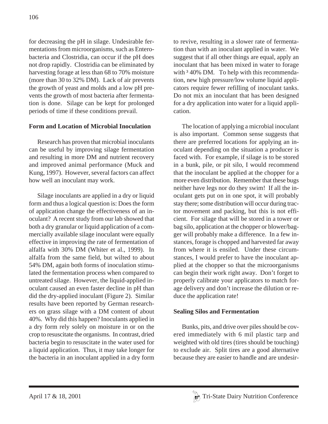for decreasing the pH in silage. Undesirable fermentations from microorganisms, such as Enterobacteria and Clostridia, can occur if the pH does not drop rapidly. Clostridia can be eliminated by harvesting forage at less than 68 to 70% moisture (more than 30 to 32% DM). Lack of air prevents the growth of yeast and molds and a low pH prevents the growth of most bacteria after fermentation is done. Silage can be kept for prolonged periods of time if these conditions prevail.

# **Form and Location of Microbial Inoculation**

Research has proven that microbial inoculants can be useful by improving silage fermentation and resulting in more DM and nutrient recovery and improved animal performance (Muck and Kung, 1997). However, several factors can affect how well an inoculant may work.

Silage inoculants are applied in a dry or liquid form and thus a logical question is: Does the form of application change the effectiveness of an inoculant? A recent study from our lab showed that both a dry granular or liquid application of a commercially available silage inoculant were equally effective in improving the rate of fermentation of alfalfa with 30% DM (Whiter et al., 1999). In alfalfa from the same field, but wilted to about 54% DM, again both forms of inoculation stimulated the fermentation process when compared to untreated silage. However, the liquid-applied inoculant caused an even faster decline in pH than did the dry-applied inoculant (Figure 2). Similar results have been reported by German researchers on grass silage with a DM content of about 40%. Why did this happen? Inoculants applied in a dry form rely solely on moisture in or on the crop to resuscitate the organisms. In contrast, dried bacteria begin to resuscitate in the water used for a liquid application. Thus, it may take longer for the bacteria in an inoculant applied in a dry form to revive, resulting in a slower rate of fermentation than with an inoculant applied in water. We suggest that if all other things are equal, apply an inoculant that has been mixed in water to forage with  $340\%$  DM. To help with this recommendation, new high pressure/low volume liquid applicators require fewer refilling of inoculant tanks. Do not mix an inoculant that has been designed for a dry application into water for a liquid application.

The location of applying a microbial inoculant is also important. Common sense suggests that there are preferred locations for applying an inoculant depending on the situation a producer is faced with. For example, if silage is to be stored in a bunk, pile, or pit silo, I would recommend that the inoculant be applied at the chopper for a more even distribution. Remember that these bugs neither have legs nor do they swim! If all the inoculant gets put on in one spot, it will probably stay there; some distribution will occur during tractor movement and packing, but this is not efficient. For silage that will be stored in a tower or bag silo, application at the chopper or blower/bagger will probably make a difference. In a few instances, forage is chopped and harvested far away from where it is ensiled. Under these circumstances, I would prefer to have the inoculant applied at the chopper so that the microorganisms can begin their work right away. Don't forget to properly calibrate your applicators to match forage delivery and don't increase the dilution or reduce the application rate!

### **Sealing Silos and Fermentation**

Bunks, pits, and drive over piles should be covered immediately with 6 mil plastic tarp and weighted with old tires (tires should be touching) to exclude air. Split tires are a good alternative because they are easier to handle and are undesir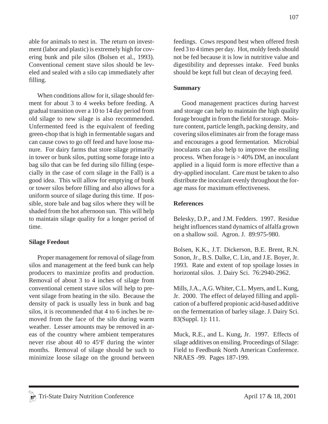able for animals to nest in. The return on investment (labor and plastic) is extremely high for covering bunk and pile silos (Bolsen et al., 1993). Conventional cement stave silos should be leveled and sealed with a silo cap immediately after filling.

When conditions allow for it, silage should ferment for about 3 to 4 weeks before feeding. A gradual transition over a 10 to 14 day period from old silage to new silage is also recommended. Unfermented feed is the equivalent of feeding green-chop that is high in fermentable sugars and can cause cows to go off feed and have loose manure. For dairy farms that store silage primarily in tower or bunk silos, putting some forage into a bag silo that can be fed during silo filling (especially in the case of corn silage in the Fall) is a good idea. This will allow for emptying of bunk or tower silos before filling and also allows for a uniform source of silage during this time. If possible, store bale and bag silos where they will be shaded from the hot afternoon sun. This will help to maintain silage quality for a longer period of time.

### **Silage Feedout**

Proper management for removal of silage from silos and management at the feed bunk can help producers to maximize profits and production. Removal of about 3 to 4 inches of silage from conventional cement stave silos will help to prevent silage from heating in the silo. Because the density of pack is usually less in bunk and bag silos, it is recommended that 4 to 6 inches be removed from the face of the silo during warm weather. Lesser amounts may be removed in areas of the country where ambient temperatures never rise about 40 to 45°F during the winter months. Removal of silage should be such to minimize loose silage on the ground between feedings. Cows respond best when offered fresh feed 3 to 4 times per day. Hot, moldy feeds should not be fed because it is low in nutritive value and digestibility and depresses intake. Feed bunks should be kept full but clean of decaying feed.

### **Summary**

Good management practices during harvest and storage can help to maintain the high quality forage brought in from the field for storage. Moisture content, particle length, packing density, and covering silos eliminates air from the forage mass and encourages a good fermentation. Microbial inoculants can also help to improve the ensiling process. When forage is  $> 40\%$  DM, an inoculant applied in a liquid form is more effective than a dry-applied inoculant. Care must be taken to also distribute the inoculant evenly throughout the forage mass for maximum effectiveness.

### **References**

Belesky, D.P., and J.M. Fedders. 1997. Residue height influences stand dynamics of alfalfa grown on a shallow soil. Agron. J. 89:975-980.

Bolsen, K.K., J.T. Dickerson, B.E. Brent, R.N. Sonon, Jr., B.S. Dalke, C. Lin, and J.E. Boyer, Jr. 1993. Rate and extent of top spoilage losses in horizontal silos. J. Dairy Sci. 76:2940-2962.

Mills, J.A., A.G. Whiter, C.L. Myers, and L. Kung, Jr. 2000. The effect of delayed filling and application of a buffered propionic acid-based additive on the fermentation of barley silage. J. Dairy Sci. 83(Suppl. 1): 111.

Muck, R.E., and L. Kung, Jr. 1997. Effects of silage additives on ensiling. Proceedings of Silage: Field to Feedbunk North American Conference. NRAES -99. Pages 187-199.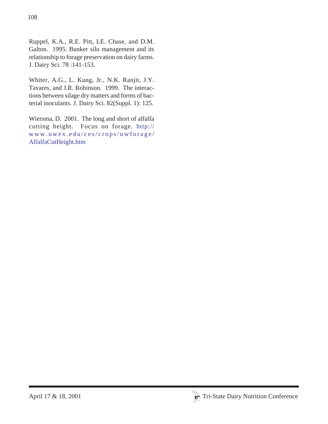Ruppel, K.A., R.E. Pitt, LE. Chase, and D.M. Galton. 1995. Bunker silo management and its relationship to forage preservation on dairy farms. J. Dairy Sci. 78 :141-153.

Whiter, A.G., L. Kung, Jr., N.K. Ranjit, J.Y. Tavares, and J.R. Robinson. 1999. The interactions between silage dry matters and forms of bacterial inoculants. J. Dairy Sci. 82(Suppl. 1): 125.

Wiersma, D. 2001. The long and short of alfalfa cutting height. Focus on forage. http:// www.uwex.edu/ces/crops/uwforage/ AlfalfaCutHeight.htm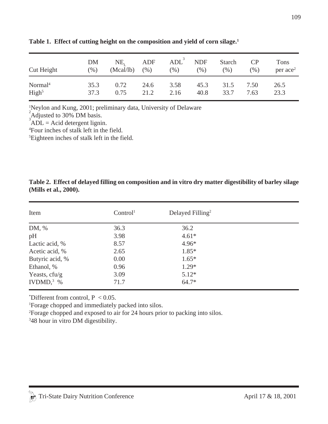| Cut Height          | DM      | NE,       | ADF     | $ADL^3$ | <b>NDF</b> | Starch | $\overline{CP}$ | Tons                   |
|---------------------|---------|-----------|---------|---------|------------|--------|-----------------|------------------------|
|                     | $(\% )$ | (Mcal/lb) | $(\% )$ | (% )    | (%)        | $(\%)$ | (0/0)           | $per$ ace <sup>2</sup> |
| Normal <sup>4</sup> | 35.3    | 0.72      | 24.6    | 3.58    | 45.3       | 31.5   | 7.50            | 26.5                   |
| High <sup>5</sup>   | 37.3    | 0.75      | 21.2    | 2.16    | 40.8       | 33.7   | 7.63            | 23.3                   |

**Table 1. Effect of cutting height on the composition and yield of corn silage.1**

1 Neylon and Kung, 2001; preliminary data, University of Delaware

 $^{2}$ Adjusted to 30% DM basis.

 $ADL = Acid$  detergent lignin.

4 Four inches of stalk left in the field.

5 Eighteen inches of stalk left in the field.

### **Table 2. Effect of delayed filling on composition and in vitro dry matter digestibility of barley silage (Mills et al., 2000).**

| Item            | Control <sup>1</sup> | Delayed Filling <sup>2</sup> |  |
|-----------------|----------------------|------------------------------|--|
| DM, %           | 36.3                 | 36.2                         |  |
| pH              | 3.98                 | $4.61*$                      |  |
| Lactic acid, %  | 8.57                 | $4.96*$                      |  |
| Acetic acid, %  | 2.65                 | $1.85*$                      |  |
| Butyric acid, % | 0.00                 | $1.65*$                      |  |
| Ethanol, %      | 0.96                 | $1.29*$                      |  |
| Yeasts, cfu/g   | 3.09                 | $5.12*$                      |  |
| IVDMD, $3\%$    | 71.7                 | $64.7*$                      |  |

\*Different from control,  $P < 0.05$ .

1 Forage chopped and immediately packed into silos.

2 Forage chopped and exposed to air for 24 hours prior to packing into silos.

3 48 hour in vitro DM digestibility.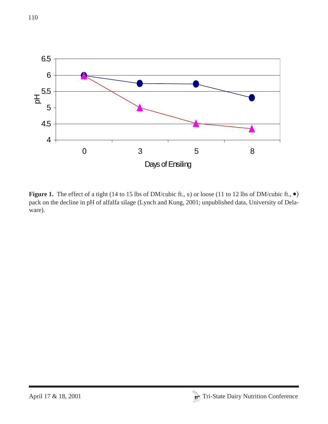

Figure 1. The effect of a tight (14 to 15 lbs of DM/cubic ft., s) or loose (11 to 12 lbs of DM/cubic ft.,  $\bullet$ ) pack on the decline in pH of alfalfa silage (Lynch and Kung, 2001; unpublished data, University of Delaware).

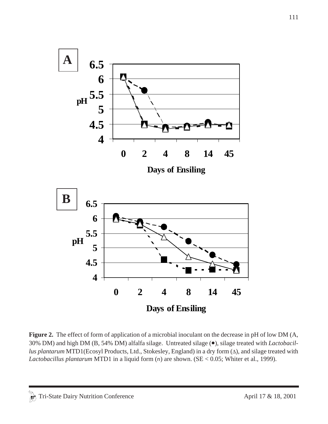

**Figure 2.** The effect of form of application of a microbial inoculant on the decrease in pH of low DM (A, 30% DM) and high DM (B, 54% DM) alfalfa silage. Untreated silage (•), silage treated with *Lactobacillus plantarum* MTD1(Ecosyl Products, Ltd., Stokesley, England) in a dry form (∆), and silage treated with *Lactobacillus plantarum* MTD1 in a liquid form (n) are shown. (SE < 0.05; Whiter et al., 1999).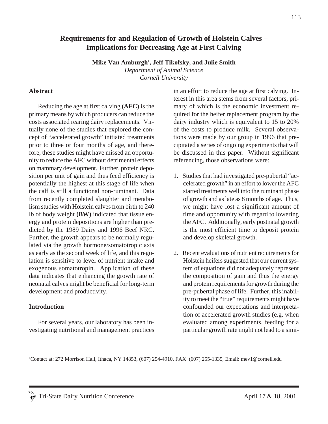# **Requirements for and Regulation of Growth of Holstein Calves – Implications for Decreasing Age at First Calving**

**Mike Van Amburgh1 , Jeff Tikofsky, and Julie Smith**

*Department of Animal Science Cornell University*

#### **Abstract**

Reducing the age at first calving **(AFC)** is the primary means by which producers can reduce the costs associated rearing dairy replacements. Virtually none of the studies that explored the concept of "accelerated growth" initiated treatments prior to three or four months of age, and therefore, these studies might have missed an opportunity to reduce the AFC without detrimental effects on mammary development. Further, protein deposition per unit of gain and thus feed efficiency is potentially the highest at this stage of life when the calf is still a functional non-ruminant. Data from recently completed slaughter and metabolism studies with Holstein calves from birth to 240 lb of body weight **(BW)** indicated that tissue energy and protein depositions are higher than predicted by the 1989 Dairy and 1996 Beef NRC. Further, the growth appears to be normally regulated via the growth hormone/somatotropic axis as early as the second week of life, and this regulation is sensitive to level of nutrient intake and exogenous somatotropin. Application of these data indicates that enhancing the growth rate of neonatal calves might be beneficial for long-term development and productivity.

#### **Introduction**

For several years, our laboratory has been investigating nutritional and management practices in an effort to reduce the age at first calving. Interest in this area stems from several factors, primary of which is the economic investment required for the heifer replacement program by the dairy industry which is equivalent to 15 to 20% of the costs to produce milk. Several observations were made by our group in 1996 that precipitated a series of ongoing experiments that will be discussed in this paper. Without significant referencing, those observations were:

- 1. Studies that had investigated pre-pubertal "accelerated growth" in an effort to lower the AFC started treatments well into the ruminant phase of growth and as late as 8 months of age. Thus, we might have lost a significant amount of time and opportunity with regard to lowering the AFC. Additionally, early postnatal growth is the most efficient time to deposit protein and develop skeletal growth.
- 2. Recent evaluations of nutrient requirements for Holstein heifers suggested that our current system of equations did not adequately represent the composition of gain and thus the energy and protein requirements for growth during the pre-pubertal phase of life. Further, this inability to meet the "true" requirements might have confounded our expectations and interpretation of accelerated growth studies (e.g. when evaluated among experiments, feeding for a particular growth rate might not lead to a simi-

<sup>1</sup> Contact at: 272 Morrison Hall, Ithaca, NY 14853, (607) 254-4910, FAX (607) 255-1335, Email: mev1@cornell.edu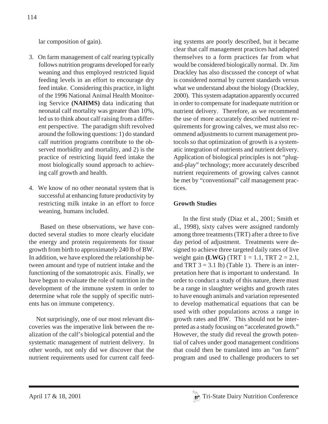lar composition of gain).

- 3. On farm management of calf rearing typically follows nutrition programs developed for early weaning and thus employed restricted liquid feeding levels in an effort to encourage dry feed intake. Considering this practice, in light of the 1996 National Animal Health Monitoring Service **(NAHMS)** data indicating that neonatal calf mortality was greater than 10%, led us to think about calf raising from a different perspective. The paradigm shift revolved around the following questions: 1) do standard calf nutrition programs contribute to the observed morbidity and mortality, and 2) is the practice of restricting liquid feed intake the most biologically sound approach to achieving calf growth and health.
- 4. We know of no other neonatal system that is successful at enhancing future productivity by restricting milk intake in an effort to force weaning, humans included.

 Based on these observations, we have conducted several studies to more clearly elucidate the energy and protein requirements for tissue growth from birth to approximately 240 lb of BW. In addition, we have explored the relationship between amount and type of nutrient intake and the functioning of the somatotropic axis. Finally, we have begun to evaluate the role of nutrition in the development of the immune system in order to determine what role the supply of specific nutrients has on immune competency.

 Not surprisingly, one of our most relevant discoveries was the imperative link between the realization of the calf's biological potential and the systematic management of nutrient delivery. In other words, not only did we discover that the nutrient requirements used for current calf feeding systems are poorly described, but it became clear that calf management practices had adapted themselves to a form practices far from what would be considered biologically normal. Dr. Jim Drackley has also discussed the concept of what is considered normal by current standards versus what we understand about the biology (Drackley, 2000). This system adaptation apparently occurred in order to compensate for inadequate nutrition or nutrient delivery. Therefore, as we recommend the use of more accurately described nutrient requirements for growing calves, we must also recommend adjustments to current management protocols so that optimization of growth is a systematic integration of nutrients and nutrient delivery. Application of biological principles is not "plugand-play" technology; more accurately described nutrient requirements of growing calves cannot be met by "conventional" calf management practices.

# **Growth Studies**

 In the first study (Diaz et al., 2001; Smith et al., 1998), sixty calves were assigned randomly among three treatments (TRT) after a three to five day period of adjustment. Treatments were designed to achieve three targeted daily rates of live weight gain **(LWG)** (TRT  $1 = 1.1$ , TRT  $2 = 2.1$ , and TRT  $3 = 3.1$  lb) (Table 1). There is an interpretation here that is important to understand. In order to conduct a study of this nature, there must be a range in slaughter weights and growth rates to have enough animals and variation represented to develop mathematical equations that can be used with other populations across a range in growth rates and BW. This should not be interpreted as a study focusing on "accelerated growth." However, the study did reveal the growth potential of calves under good management conditions that could then be translated into an "on farm" program and used to challenge producers to set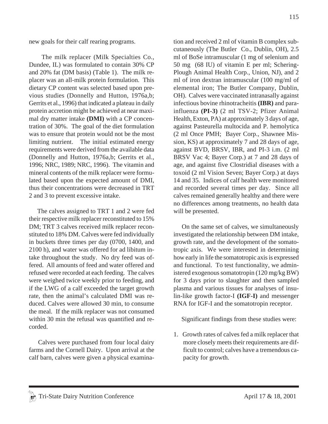new goals for their calf rearing programs.

 The milk replacer (Milk Specialties Co., Dundee, IL) was formulated to contain 30% CP and 20% fat (DM basis) (Table 1). The milk replacer was an all-milk protein formulation. This dietary CP content was selected based upon previous studies (Donnelly and Hutton, 1976a,b; Gerrits et al., 1996) that indicated a plateau in daily protein accretion might be achieved at near maximal dry matter intake **(DMI)** with a CP concentration of 30%. The goal of the diet formulation was to ensure that protein would not be the most limiting nutrient. The initial estimated energy requirements were derived from the available data (Donnelly and Hutton, 1976a,b; Gerrits et al., 1996; NRC, 1989; NRC, 1996). The vitamin and mineral contents of the milk replacer were formulated based upon the expected amount of DMI, thus their concentrations were decreased in TRT 2 and 3 to prevent excessive intake.

 The calves assigned to TRT 1 and 2 were fed their respective milk replacer reconstituted to 15% DM; TRT 3 calves received milk replacer reconstituted to 18% DM. Calves were fed individually in buckets three times per day (0700, 1400, and 2100 h), and water was offered for ad libitum intake throughout the study. No dry feed was offered. All amounts of feed and water offered and refused were recorded at each feeding. The calves were weighed twice weekly prior to feeding, and if the LWG of a calf exceeded the target growth rate, then the animal's calculated DMI was reduced. Calves were allowed 30 min, to consume the meal. If the milk replacer was not consumed within 30 min the refusal was quantified and recorded.

 Calves were purchased from four local dairy farms and the Cornell Dairy. Upon arrival at the calf barn, calves were given a physical examination and received 2 ml of vitamin B complex subcutaneously (The Butler Co., Dublin, OH), 2.5 ml of BoSe intramuscular (1 mg of selenium and 50 mg (68 IU) of vitamin E per ml; Schering-Plough Animal Health Corp., Union, NJ), and 2 ml of iron dextran intramuscular (100 mg/ml of elemental iron; The Butler Company, Dublin, OH). Calves were vaccinated intranasally against infectious bovine rhinotracheitis **(IBR)** and parainfluenza **(PI-3)** (2 ml TSV-2; Pfizer Animal Health, Exton, PA) at approximately 3 days of age, against Pasteurella multocida and P. hemolytica (2 ml Once PMH; Bayer Corp., Shawnee Mission, KS) at approximately 7 and 28 days of age, against BVD, BRSV, IBR, and PI-3 i.m. (2 ml BRSV Vac 4; Bayer Corp.) at 7 and 28 days of age, and against five Clostridial diseases with a toxoid (2 ml Vision Seven; Bayer Corp.) at days 14 and 35. Indices of calf health were monitored and recorded several times per day. Since all calves remained generally healthy and there were no differences among treatments, no health data will be presented.

 On the same set of calves, we simultaneously investigated the relationship between DM intake, growth rate, and the development of the somatotropic axis. We were interested in determining how early in life the somatotropic axis is expressed and functional. To test functionality, we administered exogenous somatotropin (120 mg/kg BW) for 3 days prior to slaughter and then sampled plasma and various tissues for analyses of insulin-like growth factor-I **(IGF-I)** and messenger RNA for IGF-I and the somatotropin receptor.

Significant findings from these studies were:

1. Growth rates of calves fed a milk replacer that more closely meets their requirements are difficult to control; calves have a tremendous capacity for growth.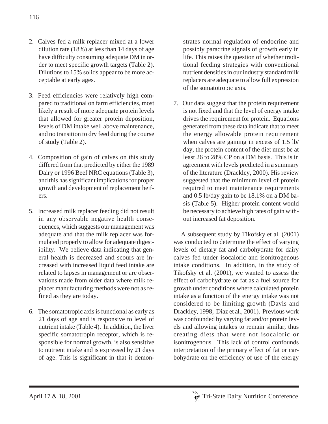- 2. Calves fed a milk replacer mixed at a lower dilution rate (18%) at less than 14 days of age have difficulty consuming adequate DM in order to meet specific growth targets (Table 2). Dilutions to 15% solids appear to be more acceptable at early ages.
- 3. Feed efficiencies were relatively high compared to traditional on farm efficiencies, most likely a result of more adequate protein levels that allowed for greater protein deposition, levels of DM intake well above maintenance, and no transition to dry feed during the course of study (Table 2).
- 4. Composition of gain of calves on this study differed from that predicted by either the 1989 Dairy or 1996 Beef NRC equations (Table 3), and this has significant implications for proper growth and development of replacement heifers.
- 5. Increased milk replacer feeding did not result in any observable negative health consequences, which suggests our management was adequate and that the milk replacer was formulated properly to allow for adequate digestibility. We believe data indicating that general health is decreased and scours are increased with increased liquid feed intake are related to lapses in management or are observations made from older data where milk replacer manufacturing methods were not as refined as they are today.
- 6. The somatotropic axis is functional as early as 21 days of age and is responsive to level of nutrient intake (Table 4). In addition, the liver specific somatotropin receptor, which is responsible for normal growth, is also sensitive to nutrient intake and is expressed by 21 days of age. This is significant in that it demon-

strates normal regulation of endocrine and possibly paracrine signals of growth early in life. This raises the question of whether traditional feeding strategies with conventional nutrient densities in our industry standard milk replacers are adequate to allow full expression of the somatotropic axis.

7. Our data suggest that the protein requirement is not fixed and that the level of energy intake drives the requirement for protein. Equations generated from these data indicate that to meet the energy allowable protein requirement when calves are gaining in excess of 1.5 lb/ day, the protein content of the diet must be at least 26 to 28% CP on a DM basis. This is in agreement with levels predicted in a summary of the literature (Drackley, 2000). His review suggested that the minimum level of protein required to meet maintenance requirements and 0.5 lb/day gain to be 18.1% on a DM basis (Table 5). Higher protein content would be necessary to achieve high rates of gain without increased fat deposition.

 A subsequent study by Tikofsky et al. (2001) was conducted to determine the effect of varying levels of dietary fat and carbohydrate for dairy calves fed under isocaloric and isonitrogenous intake conditions. In addition, in the study of Tikofsky et al. (2001), we wanted to assess the effect of carbohydrate or fat as a fuel source for growth under conditions where calculated protein intake as a function of the energy intake was not considered to be limiting growth (Davis and Drackley, 1998; Diaz et al., 2001). Previous work was confounded by varying fat and/or protein levels and allowing intakes to remain similar, thus creating diets that were not isocaloric or isonitrogenous. This lack of control confounds interpretation of the primary effect of fat or carbohydrate on the efficiency of use of the energy

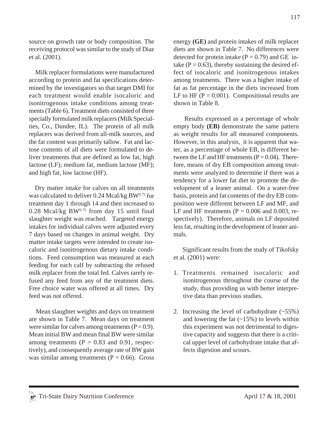source on growth rate or body composition. The receiving protocol was similar to the study of Diaz et al. (2001).

 Milk replacer formulations were manufactured according to protein and fat specifications determined by the investigators so that target DMI for each treatment would enable isocaloric and isonitrogenous intake conditions among treatments (Table 6). Treatment diets consisted of three specially formulated milk replacers (Milk Specialties, Co., Dundee, IL). The protein of all milk replacers was derived from all-milk sources, and the fat content was primarily tallow. Fat and lactose contents of all diets were formulated to deliver treatments that are defined as low fat, high lactose (LF); medium fat, medium lactose (MF); and high fat, low lactose (HF).

 Dry matter intake for calves on all treatments was calculated to deliver  $0.24$  Mcal/kg BW $^{0.75}$  for treatment day 1 through 14 and then increased to  $0.28$  Mcal/kg BW $^{0.75}$  from day 15 until final slaughter weight was reached. Targeted energy intakes for individual calves were adjusted every 7 days based on changes in animal weight. Dry matter intake targets were intended to create isocaloric and isonitrogenous dietary intake conditions. Feed consumption was measured at each feeding for each calf by subtracting the refused milk replacer from the total fed. Calves rarely refused any feed from any of the treatment diets. Free choice water was offered at all times. Dry feed was not offered.

 Mean slaughter weights and days on treatment are shown in Table 7. Mean days on treatment were similar for calves among treatments  $(P = 0.9)$ . Mean initial BW and mean final BW were similar among treatments ( $P = 0.83$  and 0.91, respectively), and consequently average rate of BW gain was similar among treatments ( $P = 0.66$ ). Gross

energy **(GE)** and protein intakes of milk replacer diets are shown in Table 7. No differences were detected for protein intake  $(P = 0.79)$  and GE intake ( $P = 0.63$ ), thereby sustaining the desired effect of isocaloric and isonitrogenous intakes among treatments. There was a higher intake of fat as fat percentage in the diets increased from LF to HF ( $P = 0.001$ ). Compositional results are shown in Table 8.

 Results expressed as a percentage of whole empty body **(EB)** demonstrate the same pattern as weight results for all measured components. However, in this analysis, it is apparent that water, as a percentage of whole EB, is different between the LF and HF treatments  $(P = 0.04)$ . Therefore, means of dry EB composition among treatments were analyzed to determine if there was a tendency for a lower fat diet to promote the development of a leaner animal. On a water-free basis, protein and fat contents of the dry EB composition were different between LF and MF, and LF and HF treatments ( $P = 0.006$  and 0.003, respectively). Therefore, animals on LF deposited less fat, resulting in the development of leaner animals.

Significant results from the study of Tikofsky et al. (2001) were:

- 1. Treatments remained isocaloric and isonitrogenous throughout the course of the study, thus providing us with better interpretive data than previous studies.
- 2. Increasing the level of carbohydrate  $(-55%)$ and lowering the fat  $(-15%)$  to levels within this experiment was not detrimental to digestive capacity and suggests that there is a critical upper level of carbohydrate intake that affects digestion and scours.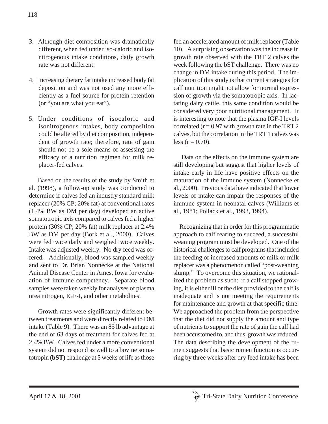- 4. Increasing dietary fat intake increased body fat deposition and was not used any more efficiently as a fuel source for protein retention (or "you are what you eat").
- 5. Under conditions of isocaloric and isonitrogenous intakes, body composition could be altered by diet composition, independent of growth rate; therefore, rate of gain should not be a sole means of assessing the efficacy of a nutrition regimen for milk replacer-fed calves.

 Based on the results of the study by Smith et al. (1998), a follow-up study was conducted to determine if calves fed an industry standard milk replacer (20% CP; 20% fat) at conventional rates (1.4% BW as DM per day) developed an active somatotropic axis compared to calves fed a higher protein (30% CP; 20% fat) milk replacer at 2.4% BW as DM per day (Bork et al., 2000). Calves were fed twice daily and weighed twice weekly. Intake was adjusted weekly. No dry feed was offered. Additionally, blood was sampled weekly and sent to Dr. Brian Nonnecke at the National Animal Disease Center in Ames, Iowa for evaluation of immune competency. Separate blood samples were taken weekly for analyses of plasma urea nitrogen, IGF-I, and other metabolites.

 Growth rates were significantly different between treatments and were directly related to DM intake (Table 9). There was an 85 lb advantage at the end of 63 days of treatment for calves fed at 2.4% BW. Calves fed under a more conventional system did not respond as well to a bovine somatotropin **(bST)** challenge at 5 weeks of life as those fed an accelerated amount of milk replacer (Table 10). A surprising observation was the increase in growth rate observed with the TRT 2 calves the week following the bST challenge. There was no change in DM intake during this period. The implication of this study is that current strategies for calf nutrition might not allow for normal expression of growth via the somatotropic axis. In lactating dairy cattle, this same condition would be considered very poor nutritional management. It is interesting to note that the plasma IGF-I levels correlated ( $r = 0.97$  with growth rate in the TRT 2 calves, but the correlation in the TRT 1 calves was less  $(r = 0.70)$ .

 Data on the effects on the immune system are still developing but suggest that higher levels of intake early in life have positive effects on the maturation of the immune system (Nonnecke et al., 2000). Previous data have indicated that lower levels of intake can impair the responses of the immune system in neonatal calves (Williams et al., 1981; Pollack et al., 1993, 1994).

 Recognizing that in order for this programmatic approach to calf rearing to succeed, a successful weaning program must be developed. One of the historical challenges to calf programs that included the feeding of increased amounts of milk or milk replacer was a phenomenon called "post-weaning slump." To overcome this situation, we rationalized the problem as such: if a calf stopped growing, it is either ill or the diet provided to the calf is inadequate and is not meeting the requirements for maintenance and growth at that specific time. We approached the problem from the perspective that the diet did not supply the amount and type of nutrients to support the rate of gain the calf had been accustomed to, and thus, growth was reduced. The data describing the development of the rumen suggests that basic rumen function is occurring by three weeks after dry feed intake has been

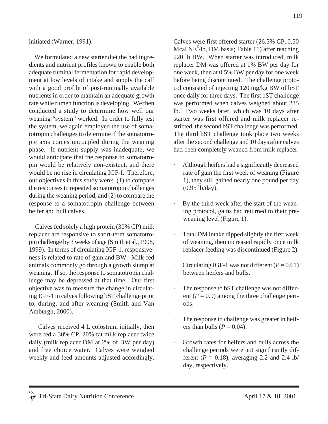initiated (Warner, 1991).

 We formulated a new starter diet the had ingredients and nutrient profiles known to enable both adequate ruminal fermentation for rapid development at low levels of intake and supply the calf with a good profile of post-ruminally available nutrients in order to maintain an adequate growth rate while rumen function is developing. We then conducted a study to determine how well our weaning "system" worked. In order to fully test the system, we again employed the use of somatotropin challenges to determine if the somatotropic axis comes uncoupled during the weaning phase. If nutrient supply was inadequate, we would anticipate that the response to somatotropin would be relatively non-existent, and there would be no rise in circulating IGF-I. Therefore, our objectives in this study were: (1) to compare the responses to repeated somatotropin challenges during the weaning period, and (2) to compare the response to a somatotropin challenge between heifer and bull calves.

 Calves fed solely a high protein (30% CP) milk replacer are responsive to short-term somatotropin challenge by 3 weeks of age (Smith et al., 1998, 1999). In terms of circulating IGF-1, responsiveness is related to rate of gain and BW. Milk-fed animals commonly go through a growth slump at weaning. If so, the response to somatotropin challenge may be depressed at that time. Our first objective was to measure the change in circulating IGF-1 in calves following bST challenge prior to, during, and after weaning (Smith and Van Amburgh, 2000).

 Calves received 4 L colostrum initially, then were fed a 30% CP, 20% fat milk replacer twice daily (milk replacer DM at 2% of BW per day) and free choice water. Calves were weighed weekly and feed amounts adjusted accordingly. Calves were first offered starter (26.5% CP, 0.50 Mcal NE $^{\text{g}}$ /lb, DM basis; Table 11) after reaching 220 lb BW. When starter was introduced, milk replacer DM was offered at 1% BW per day for one week, then at 0.5% BW per day for one week before being discontinued. The challenge protocol consisted of injecting 120 mg/kg BW of bST once daily for three days. The first bST challenge was performed when calves weighed about 235 lb. Two weeks later, which was 10 days after starter was first offered and milk replacer restricted, the second bST challenge was performed. The third bST challenge took place two weeks after the second challenge and 10 days after calves had been completely weaned from milk replacer.

- · Although heifers had a significantly decreased rate of gain the first week of weaning (Figure 1), they still gained nearly one pound per day (0.95 lb/day).
- · By the third week after the start of the weaning protocol, gains had returned to their preweaning level (Figure 1).
- · Total DM intake dipped slightly the first week of weaning, then increased rapidly once milk replacer feeding was discontinued (Figure 2).
- $\cdot$  Circulating IGF-1 was not different ( $P = 0.61$ ) between heifers and bulls.
- The response to bST challenge was not different  $(P = 0.9)$  among the three challenge periods.
- The response to challenge was greater in heifers than bulls ( $P = 0.04$ ).
- Growth rates for heifers and bulls across the challenge periods were not significantly different ( $P = 0.18$ ), averaging 2.2 and 2.4 lb/ day, respectively.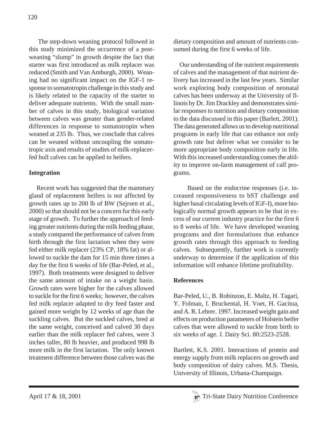The step-down weaning protocol followed in this study minimized the occurrence of a postweaning "slump" in growth despite the fact that starter was first introduced as milk replacer was reduced (Smith and Van Amburgh, 2000). Weaning had no significant impact on the IGF-1 response to somatotropin challenge in this study and is likely related to the capacity of the starter to deliver adequate nutrients. With the small number of calves in this study, biological variation between calves was greater than gender-related differences in response to somatotropin when weaned at 235 lb. Thus, we conclude that calves can be weaned without uncoupling the somatotropic axis and results of studies of milk-replacerfed bull calves can be applied to heifers.

# **Integration**

 Recent work has suggested that the mammary gland of replacement heifers is not affected by growth rates up to 200 lb of BW (Sejrsen et al., 2000) so that should not be a concern for this early stage of growth. To further the approach of feeding greater nutrients during the milk feeding phase, a study compared the performance of calves from birth through the first lactation when they were fed either milk replacer (23% CP, 18% fat) or allowed to suckle the dam for 15 min three times a day for the first 6 weeks of life (Bar-Peled, et al., 1997). Both treatments were designed to deliver the same amount of intake on a weight basis. Growth rates were higher for the calves allowed to suckle for the first 6 weeks; however, the calves fed milk replacer adapted to dry feed faster and gained more weight by 12 weeks of age than the suckling calves. But the suckled calves, bred at the same weight, conceived and calved 30 days earlier than the milk replacer fed calves, were 3 inches taller, 80 lb heavier, and produced 998 lb more milk in the first lactation. The only known treatment difference between those calves was the dietary composition and amount of nutrients consumed during the first 6 weeks of life.

 Our understanding of the nutrient requirements of calves and the management of that nutrient delivery has increased in the last few years. Similar work exploring body composition of neonatal calves has been underway at the University of Illinois by Dr. Jim Drackley and demonstrates similar responses to nutrition and dietary composition to the data discussed in this paper (Barlett, 2001). The data generated allows us to develop nutritional programs in early life that can enhance not only growth rate but deliver what we consider to be more appropriate body composition early in life. With this increased understanding comes the ability to improve on-farm management of calf programs.

 Based on the endocrine responses (i.e. increased responsiveness to bST challenge and higher basal circulating levels of IGF-I), more biologically normal growth appears to be that in excess of our current industry practice for the first 6 to 8 weeks of life. We have developed weaning programs and diet formulations that enhance growth rates through this approach to feeding calves. Subsequently, further work is currently underway to determine if the application of this information will enhance lifetime profitability.

# **References**

Bar-Peled, U., B. Robinzon, E. Maltz, H. Tagari, Y. Folman, I. Bruckental, H. Voet, H. Gacitua, and A. R. Lehrer. 1997. Increased weight gain and effects on production parameters of Holstein heifer calves that were allowed to suckle from birth to six weeks of age. J. Dairy Sci. 80:2523-2528.

Bartlett, K.S. 2001. Interactions of protein and energy supply from milk replacers on growth and body composition of dairy calves. M.S. Thesis, University of Illinois, Urbana-Champaign.

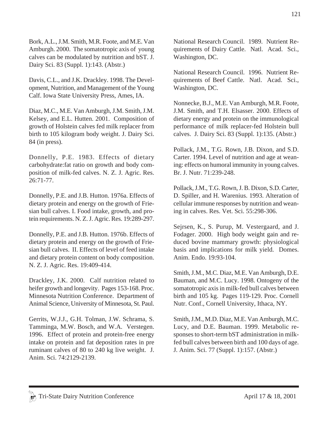Bork, A.L., J.M. Smith, M.R. Foote, and M.E. Van Amburgh. 2000. The somatotropic axis of young calves can be modulated by nutrition and bST. J. Dairy Sci. 83 (Suppl. 1):143. (Abstr.)

Davis, C.L., and J.K. Drackley. 1998. The Development, Nutrition, and Management of the Young Calf. Iowa State University Press, Ames, IA.

Diaz, M.C., M.E. Van Amburgh, J.M. Smith, J.M. Kelsey, and E.L. Hutten. 2001. Composition of growth of Holstein calves fed milk replacer from birth to 105 kilogram body weight. J. Dairy Sci. 84 (in press).

Donnelly, P.E. 1983. Effects of dietary carbohydrate:fat ratio on growth and body composition of milk-fed calves. N. Z. J. Agric. Res. 26:71-77.

Donnelly, P.E. and J.B. Hutton. 1976a. Effects of dietary protein and energy on the growth of Friesian bull calves. I. Food intake, growth, and protein requirements. N. Z. J. Agric. Res. 19:289-297.

Donnelly, P.E. and J.B. Hutton. 1976b. Effects of dietary protein and energy on the growth of Friesian bull calves. II. Effects of level of feed intake and dietary protein content on body composition. N. Z. J. Agric. Res. 19:409-414.

Drackley, J.K. 2000. Calf nutrition related to heifer growth and longevity. Pages 153-168. Proc. Minnesota Nutrition Conference. Department of Animal Science, University of Minnesota, St. Paul.

Gerrits, W.J.J., G.H. Tolman, J.W. Schrama, S. Tamminga, M.W. Bosch, and W.A. Verstegen. 1996. Effect of protein and protein-free energy intake on protein and fat deposition rates in pre ruminant calves of 80 to 240 kg live weight. J. Anim. Sci. 74:2129-2139.

National Research Council. 1989. Nutrient Requirements of Dairy Cattle. Natl. Acad. Sci., Washington, DC.

National Research Council. 1996. Nutrient Requirements of Beef Cattle. Natl. Acad. Sci., Washington, DC.

Nonnecke, B.J., M.E. Van Amburgh, M.R. Foote, J.M. Smith, and T.H. Elsasser. 2000. Effects of dietary energy and protein on the immunological performance of milk replacer-fed Holstein bull calves. J. Dairy Sci. 83 (Suppl. 1):135. (Abstr.)

Pollack, J.M., T.G. Rown, J.B. Dixon, and S.D. Carter. 1994. Level of nutrition and age at weaning: effects on humoral immunity in young calves. Br. J. Nutr. 71:239-248.

Pollack, J.M., T.G. Rown, J. B. Dixon, S.D. Carter, D. Spiller, and H. Warenius. 1993. Alteration of cellular immune responses by nutrition and weaning in calves. Res. Vet. Sci. 55:298-306.

Sejrsen, K., S. Purup, M. Vestergaard, and J. Fodager. 2000. High body weight gain and reduced bovine mammary growth: physiological basis and implications for milk yield. Domes. Anim. Endo. 19:93-104.

Smith, J.M., M.C. Diaz, M.E. Van Amburgh, D.E. Bauman, and M.C. Lucy. 1998. Ontogeny of the somatotropic axis in milk-fed bull calves between birth and 105 kg. Pages 119-129. Proc. Cornell Nutr. Conf., Cornell University, Ithaca, NY.

Smith, J.M., M.D. Diaz, M.E. Van Amburgh, M.C. Lucy, and D.E. Bauman. 1999. Metabolic responses to short-term bST administration in milkfed bull calves between birth and 100 days of age. J. Anim. Sci. 77 (Suppl. 1):157. (Abstr.)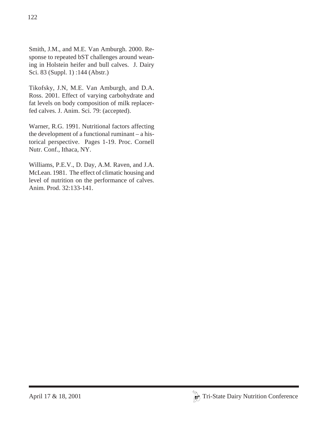Smith, J.M., and M.E. Van Amburgh. 2000. Response to repeated bST challenges around weaning in Holstein heifer and bull calves. J. Dairy Sci. 83 (Suppl. 1) :144 (Abstr.)

Tikofsky, J.N, M.E. Van Amburgh, and D.A. Ross. 2001. Effect of varying carbohydrate and fat levels on body composition of milk replacerfed calves. J. Anim. Sci. 79: (accepted).

Warner, R.G. 1991. Nutritional factors affecting the development of a functional ruminant – a historical perspective. Pages 1-19. Proc. Cornell Nutr. Conf., Ithaca, NY.

Williams, P.E.V., D. Day, A.M. Raven, and J.A. McLean. 1981. The effect of climatic housing and level of nutrition on the performance of calves. Anim. Prod. 32:133-141.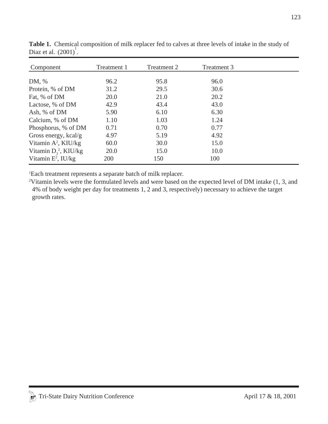| Component                | Treatment 1 | Treatment 2 | Treatment 3 |  |
|--------------------------|-------------|-------------|-------------|--|
|                          |             |             |             |  |
| DM, %                    | 96.2        | 95.8        | 96.0        |  |
| Protein, % of DM         | 31.2        | 29.5        | 30.6        |  |
| Fat, % of DM             | 20.0        | 21.0        | 20.2        |  |
| Lactose, % of DM         | 42.9        | 43.4        | 43.0        |  |
| Ash, % of DM             | 5.90        | 6.10        | 6.30        |  |
| Calcium, % of DM         | 1.10        | 1.03        | 1.24        |  |
| Phosphorus, % of DM      | 0.71        | 0.70        | 0.77        |  |
| Gross energy, $kcal/g$   | 4.97        | 5.19        | 4.92        |  |
| Vitamin $A^2$ , KIU/kg   | 60.0        | 30.0        | 15.0        |  |
| Vitamin $D_3^2$ , KIU/kg | 20.0        | 15.0        | 10.0        |  |
| Vitamin $E^2$ , IU/kg    | <b>200</b>  | 150         | 100         |  |

**Table 1.** Chemical composition of milk replacer fed to calves at three levels of intake in the study of Diaz et al.  $(2001)^1$ .

1 Each treatment represents a separate batch of milk replacer.

<sup>2</sup>Vitamin levels were the formulated levels and were based on the expected level of DM intake (1, 3, and 4% of body weight per day for treatments 1, 2 and 3, respectively) necessary to achieve the target growth rates.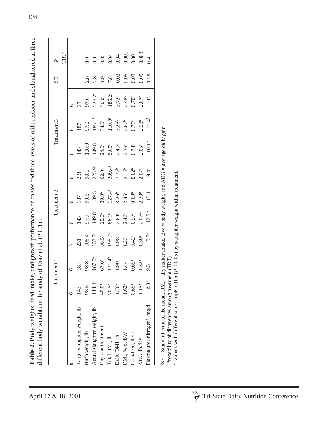| take, and growth performance of calves fed three levels of milk replacer and slaughtered at three<br>;<br>;<br>; | ady of Diaz et al. (2001<br>$\frac{1}{2}$ |
|------------------------------------------------------------------------------------------------------------------|-------------------------------------------|
|                                                                                                                  |                                           |
|                                                                                                                  |                                           |

| TRT <sup>2</sup><br>P  |         |                             | 0.9              | 0.9                         | 0.02                             | 0.04               | 0.04                | 0.001               | 0.001                          | 0.003              | 0.4                                       |                                                                                                                                                                |  |  |  |  |
|------------------------|---------|-----------------------------|------------------|-----------------------------|----------------------------------|--------------------|---------------------|---------------------|--------------------------------|--------------------|-------------------------------------------|----------------------------------------------------------------------------------------------------------------------------------------------------------------|--|--|--|--|
| SE                     |         |                             | 2.8              | 2.8                         |                                  | $1.9$<br>7.8       | 0.02                | 0.05                | 0.03                           | 0.09               | 1.29                                      |                                                                                                                                                                |  |  |  |  |
|                        | $\circ$ | 231                         | 97.0             | 229.2°                      | $50.0^{\circ}$                   | $186.2^{\circ}$    | $3.72^{\circ}$      | $2.48^{\circ}$      | 0.70 <sup>b</sup>              | 2.67 <sup>b</sup>  | 10.2                                      |                                                                                                                                                                |  |  |  |  |
| Treatment 3            | $\circ$ | 187                         | 97.0             | $185.1^{b}$                 | 34.0 <sup>b</sup>                | 110.9 <sup>b</sup> | 3.26 <sup>b</sup>   | 2.67 <sup>b</sup>   | $0.76\ensuremath{^\mathrm{a}}$ | $2.58^{b}$         | 12.4 <sup>b</sup>                         |                                                                                                                                                                |  |  |  |  |
|                        | $\circ$ | 143                         | 100.9            | $149.8^{\circ}$             | 24.0 <sup>a</sup>                | 59.5ª              | $2.49^{\rm a}$      | 2.39 <sup>a</sup>   | $0.78^{\rm a}$                 | $2.05^{\circ}$     | $\approx$<br>10.1                         |                                                                                                                                                                |  |  |  |  |
|                        | $\circ$ | 231                         | 98.1             | $225.9^\circ$               | $62.0^{\circ}$                   | $209.4^{\circ}$    | $3.37^{b}$          | $2.15^{b}$          | $0.62^{\circ}$                 | 2.07 <sup>a</sup>  | $9.4^\circ$                               |                                                                                                                                                                |  |  |  |  |
| Treatment <sub>2</sub> | $\circ$ | 187                         | 99.6             | $189.5^{b}$                 | 39.0 <sup>b</sup>                | $127.4^{b}$        | 3.26 <sup>b</sup>   | $2.45^{\circ}$      | $0.60^{\rm b}$                 | 2.30 <sup>b</sup>  | 13.1 <sup>b</sup>                         |                                                                                                                                                                |  |  |  |  |
|                        | $\circ$ | 143                         | 97.9             | 149.8 <sup>a</sup>          | 25.0 <sup>a</sup>                | 66.1ª              | 2.64 <sup>a</sup>   | $2.46^{a}$          | $0.57^{\rm a}$                 | 2.07 <sup>ab</sup> | $12.5^{\mathrm{a}}$                       |                                                                                                                                                                |  |  |  |  |
|                        | $\circ$ | 231                         | 105.4            | $232.5^\circ$               | 98.5°                            | 196.0°             | 1.98 <sup>b</sup>   | $1.23^{\circ}$      | $0.42^{b}$                     | $1.30^{\rm a}$     | 10.2                                      |                                                                                                                                                                |  |  |  |  |
| Treatment              | $\circ$ | 187                         | 98.8             | $187.0^{\circ}$             | 67.0 <sup>b</sup>                | 131.4 <sup>b</sup> | $1.90^{\mathrm{b}}$ | 1.44 <sup>b</sup>   | $0.65$ <sup>a</sup>            | $1.32^\mathrm{a}$  | 9.3 <sup>b</sup>                          |                                                                                                                                                                |  |  |  |  |
|                        | $\circ$ | 143                         | 98.5             | $144.4^{\circ}$             | $40.0\ensuremath{^{\mathrm{a}}}$ | $70.5^{\rm a}$     | 1.76 <sup>a</sup>   | $1.62$ <sup>a</sup> | $0.65\mathrm{^a}$              | 1.15 <sup>a</sup>  | 12.0 <sup>a</sup>                         |                                                                                                                                                                |  |  |  |  |
|                        |         | Target slaughter weight, lb | Birth weight, lb | Actual slaughter weight, lb | Days on treatment                | Total DMI, lb      | Daily DMI, lb       | DMI, % of BW        | Gain/feed, lb/lb               | ADG, lb/day        | Plasma urea nitrogen <sup>8</sup> , mg/dl | aby alues with different superscripts differ (P < 0.05) by slaughter weight within treatment.<br><sup>2</sup> Probability of differences among treatment (TRT) |  |  |  |  |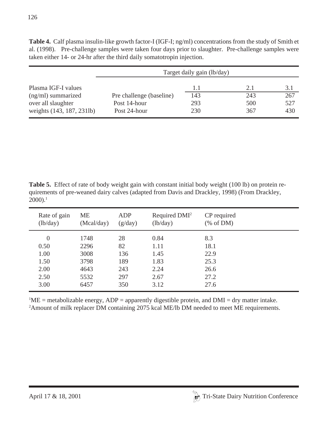|                           |                          | Target daily gain (lb/day) |     |     |
|---------------------------|--------------------------|----------------------------|-----|-----|
| Plasma IGF-I values       |                          | 1.1                        | 2.1 | 3.1 |
| $(ng/ml)$ summarized      | Pre challenge (baseline) | 143                        | 243 | 267 |
| over all slaughter        | Post 14-hour             | 293                        | 500 | 527 |
| weights (143, 187, 231lb) | Post 24-hour             | 230                        | 367 | 430 |

**Table 4.** Calf plasma insulin-like growth factor-I (IGF-I; ng/ml) concentrations from the study of Smith et al. (1998). Pre-challenge samples were taken four days prior to slaughter. Pre-challenge samples were taken either 14- or 24-hr after the third daily somatotropin injection.

**Table 5.** Effect of rate of body weight gain with constant initial body weight (100 lb) on protein requirements of pre-weaned dairy calves (adapted from Davis and Drackley, 1998) (From Drackley,  $2000$ ).<sup>1</sup>

| Rate of gain<br>(lb/day) | <b>ME</b><br>(Mcal/day) | ADP<br>(g/day) | Required DMI <sup>2</sup><br>(lb/day) | CP required<br>% of DM |
|--------------------------|-------------------------|----------------|---------------------------------------|------------------------|
| $\overline{0}$           | 1748                    | 28             | 0.84                                  | 8.3                    |
| 0.50                     | 2296                    | 82             | 1.11                                  | 18.1                   |
| 1.00                     | 3008                    | 136            | 1.45                                  | 22.9                   |
| 1.50                     | 3798                    | 189            | 1.83                                  | 25.3                   |
| 2.00                     | 4643                    | 243            | 2.24                                  | 26.6                   |
| 2.50                     | 5532                    | 297            | 2.67                                  | 27.2                   |
| 3.00                     | 6457                    | 350            | 3.12                                  | 27.6                   |

 ${}^{1}$ ME = metabolizable energy, ADP = apparently digestible protein, and DMI = dry matter intake. <sup>2</sup>Amount of milk replacer DM containing 2075 kcal ME/lb DM needed to meet ME requirements.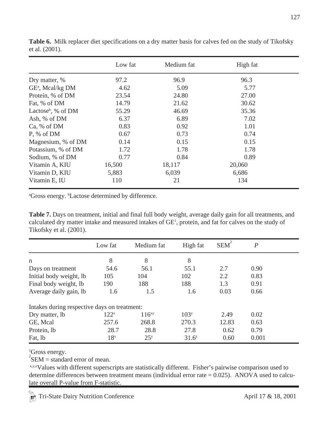|                                  | Low fat | Medium fat | High fat |  |
|----------------------------------|---------|------------|----------|--|
| Dry matter, %                    | 97.2    | 96.9       | 96.3     |  |
| GE <sup>a</sup> , Mcal/kg DM     | 4.62    | 5.09       | 5.77     |  |
| Protein, % of DM                 | 23.54   | 24.80      | 27.00    |  |
| Fat, % of DM                     | 14.79   | 21.62      | 30.62    |  |
| Lactose <sup>b</sup> , % of $DM$ | 55.29   | 46.69      | 35.36    |  |
| Ash, % of DM                     | 6.37    | 6.89       | 7.02     |  |
| Ca, % of DM                      | 0.83    | 0.92       | 1.01     |  |
| P, % of DM                       | 0.67    | 0.73       | 0.74     |  |
| Magnesium, % of DM               | 0.14    | 0.15       | 0.15     |  |
| Potassium, % of DM               | 1.72    | 1.78       | 1.78     |  |
| Sodium, % of DM                  | 0.77    | 0.84       | 0.89     |  |
| Vitamin A, KIU                   | 16,500  | 18,117     | 20,060   |  |
| Vitamin D, KIU                   | 5,883   | 6,039      | 6,686    |  |
| Vitamin E, IU                    | 110     | 21         | 134      |  |

**Table 6.** Milk replacer diet specifications on a dry matter basis for calves fed on the study of Tikofsky et al. (2001).

<sup>a</sup>Gross energy. <sup>b</sup>Lactose determined by difference.

**Table 7.** Days on treatment, initial and final full body weight, average daily gain for all treatments, and calculated dry matter intake and measured intakes of  $GE<sup>1</sup>$ , protein, and fat for calves on the study of Tikofsky et al. (2001).

|                                              | Low fat          | Medium fat      | High fat         | <b>SEM</b> | $\boldsymbol{P}$ |  |
|----------------------------------------------|------------------|-----------------|------------------|------------|------------------|--|
| $\mathsf{n}$                                 | 8                | 8               | 8                |            |                  |  |
| Days on treatment                            | 54.6             | 56.1            | 55.1             | 2.7        | 0.90             |  |
| Initial body weight, lb                      | 105              | 104             | 102              | 2.2        | 0.83             |  |
| Final body weight, lb                        | 190              | 188             | 188              | 1.3        | 0.91             |  |
| Average daily gain, lb                       | 1.6              | 1.5             | 1.6              | 0.03       | 0.66             |  |
| Intakes during respective days on treatment: |                  |                 |                  |            |                  |  |
| Dry matter, lb                               | 122 <sup>x</sup> | $116^{xy}$      | 103 <sup>y</sup> | 2.49       | 0.02             |  |
| GE, Mcal                                     | 257.6            | 268.8           | 270.3            | 12.83      | 0.63             |  |
| Protein, lb                                  | 28.7             | 28.8            | 27.8             | 0.62       | 0.79             |  |
| Fat, lb                                      | 18 <sup>x</sup>  | 25 <sup>y</sup> | $31.6^{z}$       | 0.60       | 0.001            |  |

<sup>1</sup>Gross energy.

 ${}^{2}$ SEM = standard error of mean.

 x,y,zValues with different superscripts are statistically different. Fisher's pairwise comparison used to determine differences between treatment means (individual error rate  $= 0.025$ ). ANOVA used to calculate overall P-value from F-statistic.

Tri-State Dairy Nutrition Conference April 17 & 18, 2001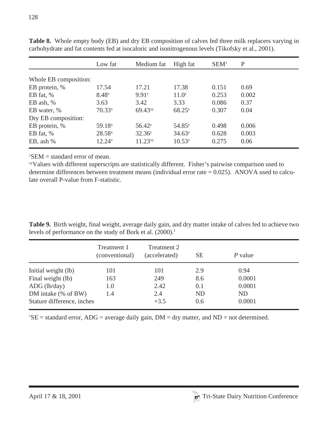|                       | Low fat            | Medium fat          | High fat           | SEM <sup>1</sup> | P     |
|-----------------------|--------------------|---------------------|--------------------|------------------|-------|
| Whole EB composition: |                    |                     |                    |                  |       |
|                       |                    |                     |                    |                  |       |
| EB protein, %         | 17.54              | 17.21               | 17.38              | 0.151            | 0.69  |
| EB fat, $%$           | $8.48^{x}$         | 9.91 <sup>y</sup>   | 11.0 <sup>y</sup>  | 0.253            | 0.002 |
| EB ash, $%$           | 3.63               | 3.42                | 3.33               | 0.086            | 0.37  |
| EB water, %           | $70.33^{x}$        | 69.43 <sup>xy</sup> | 68.25 <sup>y</sup> | 0.307            | 0.04  |
| Dry EB composition:   |                    |                     |                    |                  |       |
| EB protein, %         | 59.18 <sup>x</sup> | 56.42 <sup>y</sup>  | 54.85 <sup>y</sup> | 0.498            | 0.006 |
| EB fat, $%$           | $28.58^{x}$        | 32.36 <sup>y</sup>  | 34.63 <sup>y</sup> | 0.628            | 0.003 |
| EB, ash $%$           | $12.24^{x}$        | 11.23 <sup>xy</sup> | 10.53 <sup>y</sup> | 0.275            | 0.06  |

**Table 8.** Whole empty body (EB) and dry EB composition of calves fed three milk replacers varying in carbohydrate and fat contents fed at isocaloric and isonitrogenous levels (Tikofsky et al., 2001).

 ${}^{1}$ SEM = standard error of mean.

xyValues with different superscripts are statistically different. Fisher's pairwise comparison used to determine differences between treatment means (individual error rate = 0.025). ANOVA used to calculate overall P-value from F-statistic.

**Table 9.** Birth weight, final weight, average daily gain, and dry matter intake of calves fed to achieve two levels of performance on the study of Bork et al. (2000).<sup>1</sup>

|                            | Treatment 1<br>(conventional) | Treatment 2<br>(accelerated) | SЕ  | P value |  |
|----------------------------|-------------------------------|------------------------------|-----|---------|--|
| Initial weight (lb)        | 101                           | 101                          | 2.9 | 0.94    |  |
| Final weight (lb)          | 163                           | 249                          | 8.6 | 0.0001  |  |
| $\text{ADG (lb/day)}$      | 1.0                           | 2.42                         | 0.1 | 0.0001  |  |
| DM intake (% of BW)        | 1.4                           | 2.4                          | ND  | ND      |  |
| Stature difference, inches |                               | $+3.5$                       | 0.6 | 0.0001  |  |

 ${}^{1}$ SE = standard error, ADG = average daily gain, DM = dry matter, and ND = not determined.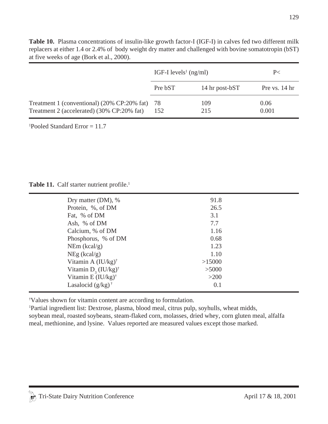|                                                                                              | IGF-I levels <sup>1</sup> (ng/ml) |                | P<            |  |
|----------------------------------------------------------------------------------------------|-----------------------------------|----------------|---------------|--|
|                                                                                              | Pre bST                           | 14 hr post-bST | Pre vs. 14 hr |  |
| Treatment 1 (conventional) (20% CP:20% fat) 78<br>Treatment 2 (accelerated) (30% CP:20% fat) | 152                               | 109<br>215     | 0.06<br>0.001 |  |

**Table 10.** Plasma concentrations of insulin-like growth factor-I (IGF-I) in calves fed two different milk replacers at either 1.4 or 2.4% of body weight dry matter and challenged with bovine somatotropin (bST) at five weeks of age (Bork et al., 2000).

1 Pooled Standard Error = 11.7

Table 11. Calf starter nutrient profile.<sup>1</sup>

| Dry matter (DM), %                 | 91.8   |  |
|------------------------------------|--------|--|
| Protein, %, of DM                  | 26.5   |  |
| Fat, % of DM                       | 3.1    |  |
| Ash, % of DM                       | 7.7    |  |
| Calcium, % of DM                   | 1.16   |  |
| Phosphorus, % of DM                | 0.68   |  |
| NEm (kcal/g)                       | 1.23   |  |
| NEg (kcal/g)                       | 1.10   |  |
| Vitamin A (IU/kg) <sup>†</sup>     | >15000 |  |
| Vitamin $D_3$ (IU/kg) <sup>†</sup> | >5000  |  |
| Vitamin E $(IU/kg)^{\dagger}$      | $>200$ |  |
| Lasalocid $(g/kg)^{\dagger}$       | 0.1    |  |

† Values shown for vitamin content are according to formulation.

1 Partial ingredient list: Dextrose, plasma, blood meal, citrus pulp, soyhulls, wheat midds, soybean meal, roasted soybeans, steam-flaked corn, molasses, dried whey, corn gluten meal, alfalfa meal, methionine, and lysine. Values reported are measured values except those marked.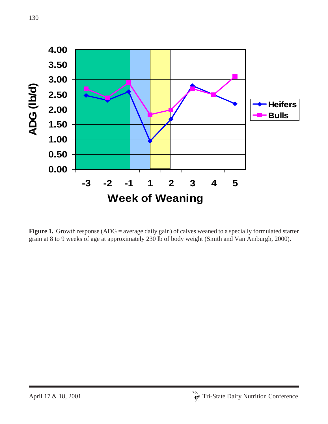

**Figure 1.** Growth response (ADG = average daily gain) of calves weaned to a specially formulated starter grain at 8 to 9 weeks of age at approximately 230 lb of body weight (Smith and Van Amburgh, 2000).

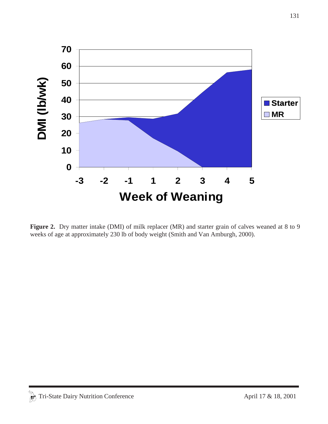

Figure 2. Dry matter intake (DMI) of milk replacer (MR) and starter grain of calves weaned at 8 to 9 weeks of age at approximately 230 lb of body weight (Smith and Van Amburgh, 2000).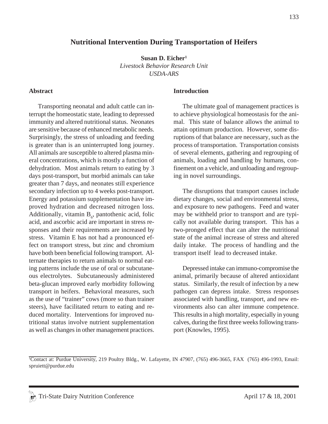### **Nutritional Intervention During Transportation of Heifers**

**Susan D. Eicher1** *Livestock Behavior Research Unit USDA-ARS*

#### **Abstract**

Transporting neonatal and adult cattle can interrupt the homeostatic state, leading to depressed immunity and altered nutritional status. Neonates are sensitive because of enhanced metabolic needs. Surprisingly, the stress of unloading and feeding is greater than is an uninterrupted long journey. All animals are susceptible to altered plasma mineral concentrations, which is mostly a function of dehydration. Most animals return to eating by 3 days post-transport, but morbid animals can take greater than 7 days, and neonates still experience secondary infection up to 4 weeks post-transport. Energy and potassium supplementation have improved hydration and decreased nitrogen loss. Additionally, vitamin  $B_6$ , pantothenic acid, folic acid, and ascorbic acid are important in stress responses and their requirements are increased by stress. Vitamin E has not had a pronounced effect on transport stress, but zinc and chromium have both been beneficial following transport. Alternate therapies to return animals to normal eating patterns include the use of oral or subcutaneous electrolytes. Subcutaneously administered beta-glucan improved early morbidity following transport in heifers. Behavioral measures, such as the use of "trainer" cows (more so than trainer steers), have facilitated return to eating and reduced mortality. Interventions for improved nutritional status involve nutrient supplementation as well as changes in other management practices.

#### **Introduction**

The ultimate goal of management practices is to achieve physiological homeostasis for the animal. This state of balance allows the animal to attain optimum production. However, some disruptions of that balance are necessary, such as the process of transportation. Transportation consists of several elements, gathering and regrouping of animals, loading and handling by humans, confinement on a vehicle, and unloading and regrouping in novel surroundings.

The disruptions that transport causes include dietary changes, social and environmental stress, and exposure to new pathogens. Feed and water may be withheld prior to transport and are typically not available during transport. This has a two-pronged effect that can alter the nutritional state of the animal increase of stress and altered daily intake. The process of handling and the transport itself lead to decreased intake.

Depressed intake can immuno-compromise the animal, primarily because of altered antioxidant status. Similarly, the result of infection by a new pathogen can depress intake. Stress responses associated with handling, transport, and new environments also can alter immune competence. This results in a high mortality, especially in young calves, during the first three weeks following transport (Knowles, 1995).

<sup>1</sup> Contact at: Purdue University, 219 Poultry Bldg., W. Lafayette, IN 47907, (765) 496-3665, FAX (765) 496-1993*,* Email: spruiett@purdue.edu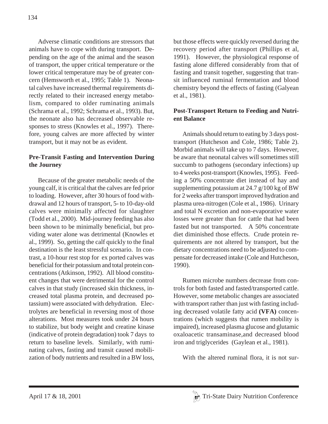Adverse climatic conditions are stressors that animals have to cope with during transport. Depending on the age of the animal and the season of transport, the upper critical temperature or the lower critical temperature may be of greater concern (Hemsworth et al., 1995; Table 1). Neonatal calves have increased thermal requirements directly related to their increased energy metabolism, compared to older ruminating animals (Schrama et al., 1992; Schrama et al., 1993). But, the neonate also has decreased observable responses to stress (Knowles et al., 1997). Therefore, young calves are more affected by winter transport, but it may not be as evident.

## **Pre-Transit Fasting and Intervention During the Journey**

Because of the greater metabolic needs of the young calf, it is critical that the calves are fed prior to loading. However, after 30 hours of food withdrawal and 12 hours of transport, 5- to 10-day-old calves were minimally affected for slaughter (Todd et al., 2000). Mid-journey feeding has also been shown to be minimally beneficial, but providing water alone was detrimental (Knowles et al., 1999). So, getting the calf quickly to the final destination is the least stressful scenario. In contrast, a 10-hour rest stop for ex ported calves was beneficial for their potassium and total protein concentrations (Atkinson, 1992). All blood constituent changes that were detrimental for the control calves in that study (increased skin thickness, increased total plasma protein, and decreased potassium) were associated with dehydration. Electrolytes are beneficial in reversing most of those alterations. Most measures took under 24 hours to stabilize, but body weight and creatine kinase (indicative of protein degradation) took 7 days to return to baseline levels. Similarly, with ruminating calves, fasting and transit caused mobilization of body nutrients and resulted in a BW loss, but those effects were quickly reversed during the recovery period after transport (Phillips et al, 1991). However, the physiological response of fasting alone differed considerably from that of fasting and transit together, suggesting that transit influenced ruminal fermentation and blood chemistry beyond the effects of fasting (Galyean et al., 1981).

# **Post-Transport Return to Feeding and Nutrient Balance**

Animals should return to eating by 3 days posttransport (Hutcheson and Cole, 1986; Table 2). Morbid animals will take up to 7 days. However, be aware that neonatal calves will sometimes still succumb to pathogens (secondary infections) up to 4 weeks post-transport (Knowles, 1995). Feeding a 50% concentrate diet instead of hay and supplementing potassium at 24.7 g/100 kg of BW for 2 weeks after transport improved hydration and plasma urea-nitrogen (Cole et al., 1986). Urinary and total N excretion and non-evaporative water losses were greater than for cattle that had been fasted but not transported. A 50% concentrate diet diminished those effects. Crude protein requirements are not altered by transport, but the dietary concentrations need to be adjusted to compensate for decreased intake (Cole and Hutcheson, 1990).

Rumen microbe numbers decrease from controls for both fasted and fasted/transported cattle. However, some metabolic changes are associated with transport rather than just with fasting including decreased volatile fatty acid **(VFA)** concentrations (which suggests that rumen mobility is impaired), increased plasma glucose and glutamic oxaloacetic transaminase,and decreased blood iron and triglycerides (Gaylean et al., 1981).

With the altered ruminal flora, it is not sur-

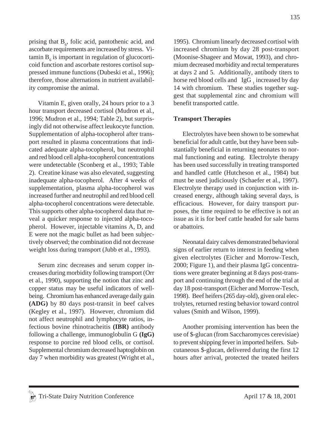prising that  $B_6$ , folic acid, pantothenic acid, and ascorbate requirements are increased by stress. Vi- $\tanh B_{6}$  is important in regulation of glucocorticoid function and ascorbate restores cortisol suppressed immune functions (Dubeski et al., 1996); therefore, those alternations in nutrient availability compromise the animal.

Vitamin E, given orally, 24 hours prior to a 3 hour transport decreased cortisol (Mudron et al., 1996; Mudron et al., 1994; Table 2), but surprisingly did not otherwise affect leukocyte function. Supplementation of alpha-tocopherol after transport resulted in plasma concentrations that indicated adequate alpha-tocopherol, but neutrophil and red blood cell alpha-tocopherol concentrations were undetectable (Sconberg et al., 1993; Table 2). Creatine kinase was also elevated, suggesting inadequate alpha-tocopherol. After 4 weeks of supplementation, plasma alpha-tocopherol was increased further and neutrophil and red blood cell alpha-tocopherol concentrations were detectable. This supports other alpha-tocopherol data that reveal a quicker response to injected alpha-tocopherol. However, injectable vitamins A, D, and E were not the magic bullet as had been subjectively observed; the combination did not decrease weight loss during transport (Jubb et al., 1993).

Serum zinc decreases and serum copper increases during morbidity following transport (Orr et al., 1990), supporting the notion that zinc and copper status may be useful indicators of wellbeing. Chromium has enhanced average daily gain **(ADG)** by 80 days post-transit in beef calves (Kegley et al., 1997). However, chromium did not affect neutrophil and lymphocyte ratios, infectious bovine rhinotracheitis **(IBR)** antibody following a challenge, immunoglobulin G **(IgG)** response to porcine red blood cells, or cortisol. Supplemental chromium decreased haptoglobin on day 7 when morbidity was greatest (Wright et al., 1995). Chromium linearly decreased cortisol with increased chromium by day 28 post-transport (Moonise-Shageer and Mowat, 1993), and chromium decreased morbidity and rectal temperatures at days 2 and 5. Additionally, antibody titers to horse red blood cells and  $\text{ IgG}_1$  increased by day 14 with chromium. These studies together suggest that supplemental zinc and chromium will benefit transported cattle.

### **Transport Therapies**

Electrolytes have been shown to be somewhat beneficial for adult cattle, but they have been substantially beneficial in returning neonates to normal functioning and eating. Electrolyte therapy has been used successfully in treating transported and handled cattle (Hutcheson et al., 1984) but must be used judiciously (Schaefer et al., 1997). Electrolyte therapy used in conjunction with increased energy, although taking several days, is efficacious. However, for dairy transport purposes, the time required to be effective is not an issue as it is for beef cattle headed for sale barns or abattoirs.

Neonatal dairy calves demonstrated behavioral signs of earlier return to interest in feeding when given electrolytes (Eicher and Morrow-Tesch, 2000; Figure 1), and their plasma IgG concentrations were greater beginning at 8 days post-transport and continuing through the end of the trial at day 18 post-transport (Eicher and Morrow-Tesch, 1998). Beef heifers (265 day-old), given oral electrolytes, returned resting behavior toward control values (Smith and Wilson, 1999).

Another promising intervention has been the use of \$-glucan (from Saccharomyces cerevisiae) to prevent shipping fever in imported heifers. Subcutaneous \$-glucan, delivered during the first 12 hours after arrival, protected the treated heifers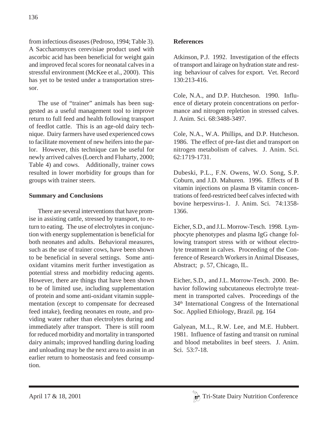from infectious diseases (Pedroso, 1994; Table 3). A Saccharomyces cerevisiae product used with ascorbic acid has been beneficial for weight gain and improved fecal scores for neonatal calves in a stressful environment (McKee et al., 2000). This has yet to be tested under a transportation stressor.

The use of "trainer" animals has been suggested as a useful management tool to improve return to full feed and health following transport of feedlot cattle. This is an age-old dairy technique. Dairy farmers have used experienced cows to facilitate movement of new heifers into the parlor. However, this technique can be useful for newly arrived calves (Loerch and Fluharty, 2000; Table 4) and cows. Additionally, trainer cows resulted in lower morbidity for groups than for groups with trainer steers.

# **Summary and Conclusions**

There are several interventions that have promise in assisting cattle, stressed by transport, to return to eating. The use of electrolytes in conjunction with energy supplementation is beneficial for both neonates and adults. Behavioral measures, such as the use of trainer cows, have been shown to be beneficial in several settings. Some antioxidant vitamins merit further investigation as potential stress and morbidity reducing agents. However, there are things that have been shown to be of limited use, including supplementation of protein and some anti-oxidant vitamin supplementation (except to compensate for decreased feed intake), feeding neonates en route, and providing water rather than electrolytes during and immediately after transport. There is still room for reduced morbidity and mortality in transported dairy animals; improved handling during loading and unloading may be the next area to assist in an earlier return to homeostasis and feed consumption.

# **References**

Atkinson, P.J. 1992. Investigation of the effects of transport and lairage on hydration state and resting behaviour of calves for export. Vet. Record 130:213-416.

Cole, N.A., and D.P. Hutcheson. 1990. Influence of dietary protein concentrations on performance and nitrogen repletion in stressed calves. J. Anim. Sci. 68:3488-3497.

Cole, N.A., W.A. Phillips, and D.P. Hutcheson. 1986. The effect of pre-fast diet and transport on nitrogen metabolism of calves. J. Anim. Sci. 62:1719-1731.

Dubeski, P.L., F.N. Owens, W.O. Song, S.P. Coburn, and J.D. Mahuren. 1996. Effects of B vitamin injections on plasma B vitamin concentrations of feed-restricted beef calves infected with bovine herpesvirus-1. J. Anim. Sci. 74:1358- 1366.

Eicher, S.D., and J.L. Morrow-Tesch. 1998. Lymphocyte phenotypes and plasma IgG change following transport stress with or without electrolyte treatment in calves. Proceeding of the Conference of Research Workers in Animal Diseases, Abstract; p. 57, Chicago, IL.

Eicher, S.D., and J.L. Morrow-Tesch. 2000. Behavior following subcutaneous electrolyte treatment in transported calves. Proceedings of the 34th International Congress of the International Soc. Applied Ethiology, Brazil. pg. 164

Galyean, M.L., R.W. Lee, and M.E. Hubbert. 1981. Influence of fasting and transit on ruminal and blood metabolites in beef steers. J. Anim. Sci. 53:7-18.

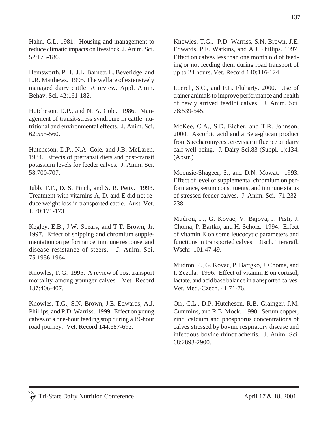Hahn, G.L. 1981. Housing and management to reduce climatic impacts on livestock. J. Anim. Sci. 52:175-186.

Hemsworth, P.H., J.L. Barnett, L. Beveridge, and L.R. Matthews. 1995. The welfare of extensively managed dairy cattle: A review. Appl. Anim. Behav. Sci. 42:161-182.

Hutcheson, D.P., and N. A. Cole. 1986. Management of transit-stress syndrome in cattle: nutritional and environmental effects. J. Anim. Sci. 62:555-560.

Hutcheson, D.P., N.A. Cole, and J.B. McLaren. 1984. Effects of pretransit diets and post-transit potassium levels for feeder calves. J. Anim. Sci. 58:700-707.

Jubb, T.F., D. S. Pinch, and S. R. Petty. 1993. Treatment with vitamins A, D, and E did not reduce weight loss in transported cattle. Aust. Vet. J. 70:171-173.

Kegley, E.B., J.W. Spears, and T.T. Brown, Jr. 1997. Effect of shipping and chromium supplementation on performance, immune response, and disease resistance of steers. J. Anim. Sci. 75:1956-1964.

Knowles, T. G. 1995. A review of post transport mortality among younger calves. Vet. Record 137:406-407.

Knowles, T.G., S.N. Brown, J.E. Edwards, A.J. Phillips, and P.D. Warriss. 1999. Effect on young calves of a one-hour feeding stop during a 19-hour road journey. Vet. Record 144:687-692.

Knowles, T.G., P.D. Warriss, S.N. Brown, J.E. Edwards, P.E. Watkins, and A.J. Phillips. 1997. Effect on calves less than one month old of feeding or not feeding them during road transport of up to 24 hours. Vet. Record 140:116-124.

Loerch, S.C., and F.L. Fluharty. 2000. Use of trainer animals to improve performance and health of newly arrived feedlot calves. J. Anim. Sci. 78:539-545.

McKee, C.A., S.D. Eicher, and T.R. Johnson, 2000. Ascorbic acid and a Beta-glucan product from Saccharomyces cerevisiae influence on dairy calf well-being. J. Dairy Sci.83 (Suppl. 1):134. (Abstr.)

Moonsie-Shageer, S., and D.N. Mowat. 1993. Effect of level of supplemental chromium on performance, serum constituents, and immune status of stressed feeder calves. J. Anim. Sci. 71:232- 238.

Mudron, P., G. Kovac, V. Bajova, J. Pisti, J. Choma, P. Bartko, and H. Scholz. 1994. Effect of vitamin E on some leucocytic parameters and functions in transported calves. Dtsch. Tieraratl. Wschr. 101:47-49.

Mudron, P., G. Kovac, P. Bartgko, J. Choma, and I. Zezula. 1996. Effect of vitamin E on cortisol, lactate, and acid base balance in transported calves. Vet. Med.-Czech. 41:71-76.

Orr, C.L., D.P. Hutcheson, R.B. Grainger, J.M. Cummins, and R.E. Mock. 1990. Serum copper, zinc, calcium and phosphorus concentrations of calves stressed by bovine respiratory disease and infectious bovine rhinotracheitis. J. Anim. Sci. 68:2893-2900.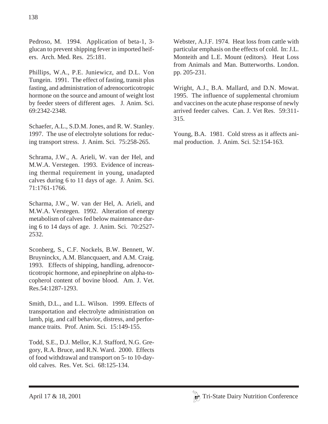Pedroso, M. 1994. Application of beta-1, 3 glucan to prevent shipping fever in imported heifers. Arch. Med. Res. 25:181.

Phillips, W.A., P.E. Juniewicz, and D.L. Von Tungein. 1991. The effect of fasting, transit plus fasting, and administration of adrenocorticotropic hormone on the source and amount of weight lost by feeder steers of different ages. J. Anim. Sci. 69:2342-2348.

Schaefer, A.L., S.D.M. Jones, and R. W. Stanley. 1997. The use of electrolyte solutions for reducing transport stress. J. Anim. Sci. 75:258-265.

Schrama, J.W., A. Arieli, W. van der Hel, and M.W.A. Verstegen. 1993. Evidence of increasing thermal requirement in young, unadapted calves during 6 to 11 days of age. J. Anim. Sci. 71:1761-1766.

Scharma, J.W., W. van der Hel, A. Arieli, and M.W.A. Verstegen. 1992. Alteration of energy metabolism of calves fed below maintenance during 6 to 14 days of age. J. Anim. Sci. 70:2527- 2532.

Sconberg, S., C.F. Nockels, B.W. Bennett, W. Bruyninckx, A.M. Blancquaert, and A.M. Craig. 1993. Effects of shipping, handling, adrenocorticotropic hormone, and epinephrine on alpha-tocopherol content of bovine blood. Am. J. Vet. Res.54:1287-1293.

Smith, D.L., and L.L. Wilson. 1999. Effects of transportation and electrolyte administration on lamb, pig, and calf behavior, distress, and performance traits. Prof. Anim. Sci. 15:149-155.

Todd, S.E., D.J. Mellor, K.J. Stafford, N.G. Gregory, R.A. Bruce, and R.N. Ward. 2000. Effects of food withdrawal and transport on 5- to 10-dayold calves. Res. Vet. Sci. 68:125-134.

Webster, A.J.F. 1974. Heat loss from cattle with particular emphasis on the effects of cold. In: J.L. Monteith and L.E. Mount (editors). Heat Loss from Animals and Man. Butterworths. London. pp. 205-231.

Wright, A.J., B.A. Mallard, and D.N. Mowat. 1995. The influence of supplemental chromium and vaccines on the acute phase response of newly arrived feeder calves. Can. J. Vet Res. 59:311- 315.

Young, B.A. 1981. Cold stress as it affects animal production. J. Anim. Sci. 52:154-163.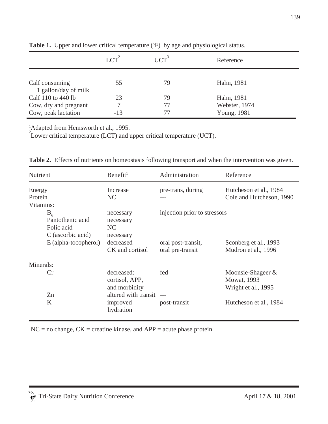|                                        | LCT <sup>2</sup> | $\overline{\text{LCT}}^3$ | Reference     |  |
|----------------------------------------|------------------|---------------------------|---------------|--|
| Calf consuming<br>1 gallon/day of milk | 55               | 79                        | Hahn, 1981    |  |
| Calf 110 to 440 lb                     | 23               | 79                        | Hahn, 1981    |  |
| Cow, dry and pregnant                  |                  | 77                        | Webster, 1974 |  |
| Cow, peak lactation                    | $-13$            | 77                        | Young, 1981   |  |

**Table 1.** Upper and lower critical temperature ( ${}^{\circ}$ F) by age and physiological status. <sup>1</sup>

<sup>1</sup>Adapted from Hemsworth et al., 1995.

 $\sum_{i=1}^{n}$  Lower critical temperature (LCT) and upper critical temperature (UCT).

| Nutrient                                                       |                      | Benefit <sup>1</sup>                          | Administration                         | Reference                                                          |
|----------------------------------------------------------------|----------------------|-----------------------------------------------|----------------------------------------|--------------------------------------------------------------------|
| Energy<br>Protein<br>Vitamins:                                 |                      | Increase<br>NC                                | pre-trans, during                      | Hutcheson et al., 1984<br>Cole and Hutcheson, 1990                 |
| $B_{6}$<br>Pantothenic acid<br>Folic acid<br>C (ascorbic acid) |                      | necessary<br>necessary<br>NC<br>necessary     | injection prior to stressors           |                                                                    |
|                                                                | E (alpha-tocopherol) | decreased<br>CK and cortisol                  | oral post-transit,<br>oral pre-transit | Sconberg et al., 1993<br>Mudron et al., 1996                       |
| Minerals:                                                      |                      |                                               |                                        |                                                                    |
|                                                                | Cr                   | decreased:<br>cortisol, APP,<br>and morbidity | fed                                    | Moonsie-Shageer $\&$<br><b>Mowat</b> , 1993<br>Wright et al., 1995 |
|                                                                | Zn<br>K              | altered with transit<br>improved<br>hydration | post-transit                           | Hutcheson et al., 1984                                             |

**Table 2.** Effects of nutrients on homeostasis following transport and when the intervention was given.

 ${}^{1}NC$  = no change,  $CK$  = creatine kinase, and APP = acute phase protein.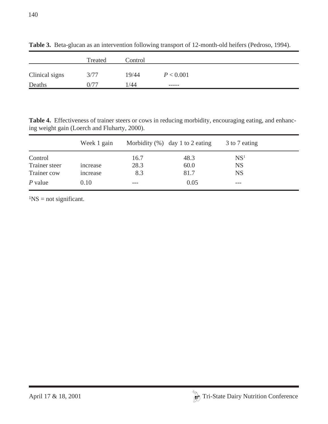|                | Treated | Control |             |
|----------------|---------|---------|-------------|
| Clinical signs | 3/77    | 19/44   | P < 0.001   |
| Deaths         | 0/77    | 1/44    | $- - - - -$ |

**Table 3.** Beta-glucan as an intervention following transport of 12-month-old heifers (Pedroso, 1994).

**Table 4.** Effectiveness of trainer steers or cows in reducing morbidity, encouraging eating, and enhancing weight gain (Loerch and Fluharty, 2000).

|               | Week 1 gain |      | Morbidity $(\%)$ day 1 to 2 eating | 3 to 7 eating   |  |
|---------------|-------------|------|------------------------------------|-----------------|--|
| Control       |             | 16.7 | 48.3                               | NS <sup>1</sup> |  |
| Trainer steer | increase    | 28.3 | 60.0                               | <b>NS</b>       |  |
| Trainer cow   | increase    | 8.3  | 81.7                               | <b>NS</b>       |  |
| $P$ value     | 0.10        | ---  | 0.05                               | ---             |  |

 ${}^{1}NS =$  not significant.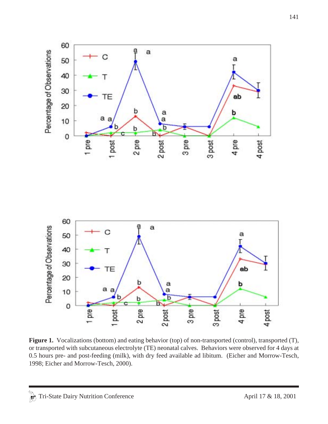

**Figure 1.** Vocalizations (bottom) and eating behavior (top) of non-transported (control), transported (T), or transported with subcutaneous electrolyte (TE) neonatal calves. Behaviors were observed for 4 days at 0.5 hours pre- and post-feeding (milk), with dry feed available ad libitum. (Eicher and Morrow-Tesch, 1998; Eicher and Morrow-Tesch, 2000).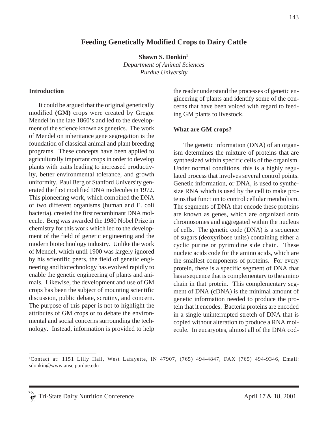#### **Feeding Genetically Modified Crops to Dairy Cattle**

**Shawn S. Donkin1**

*Department of Animal Sciences Purdue University*

#### **Introduction**

It could be argued that the original genetically modified **(GM)** crops were created by Gregor Mendel in the late 1860's and led to the development of the science known as genetics. The work of Mendel on inheritance gene segregation is the foundation of classical animal and plant breeding programs. These concepts have been applied to agriculturally important crops in order to develop plants with traits leading to increased productivity, better environmental tolerance, and growth uniformity. Paul Berg of Stanford University generated the first modified DNA molecules in 1972. This pioneering work, which combined the DNA of two different organisms (human and E. coli bacteria), created the first recombinant DNA molecule. Berg was awarded the 1980 Nobel Prize in chemistry for this work which led to the development of the field of genetic engineering and the modern biotechnology industry. Unlike the work of Mendel, which until 1900 was largely ignored by his scientific peers, the field of genetic engineering and biotechnology has evolved rapidly to enable the genetic engineering of plants and animals. Likewise, the development and use of GM crops has been the subject of mounting scientific discussion, public debate, scrutiny, and concern. The purpose of this paper is not to highlight the attributes of GM crops or to debate the environmental and social concerns surrounding the technology. Instead, information is provided to help the reader understand the processes of genetic engineering of plants and identify some of the concerns that have been voiced with regard to feeding GM plants to livestock.

#### **What are GM crops?**

The genetic information (DNA) of an organism determines the mixture of proteins that are synthesized within specific cells of the organism. Under normal conditions, this is a highly regulated process that involves several control points. Genetic information, or DNA, is used to synthesize RNA which is used by the cell to make proteins that function to control cellular metabolism. The segments of DNA that encode these proteins are known as genes, which are organized onto chromosomes and aggregated within the nucleus of cells. The genetic code (DNA) is a sequence of sugars (deoxyribose units) containing either a cyclic purine or pyrimidine side chain. These nucleic acids code for the amino acids, which are the smallest components of proteins. For every protein, there is a specific segment of DNA that has a sequence that is complementary to the amino chain in that protein. This complementary segment of DNA (cDNA) is the minimal amount of genetic information needed to produce the protein that it encodes. Bacteria proteins are encoded in a single uninterrupted stretch of DNA that is copied without alteration to produce a RNA molecule. In eucaryotes, almost all of the DNA cod-

<sup>1</sup> Contact at: 1151 Lilly Hall, West Lafayette, IN 47907, (765) 494-4847, FAX (765) 494-9346, Email: sdonkin@www.ansc.purdue.edu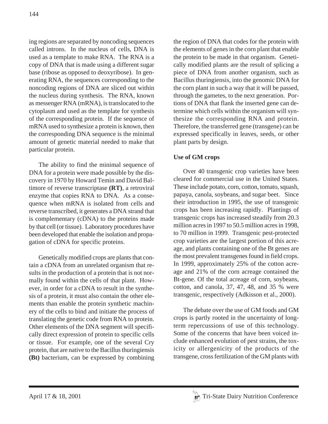ing regions are separated by noncoding sequences called introns. In the nucleus of cells, DNA is used as a template to make RNA. The RNA is a copy of DNA that is made using a different sugar base (ribose as opposed to deoxyribose). In generating RNA, the sequences corresponding to the noncoding regions of DNA are sliced out within the nucleus during synthesis. The RNA, known as messenger RNA (mRNA), is translocated to the cytoplasm and used as the template for synthesis of the corresponding protein. If the sequence of mRNA used to synthesize a protein is known, then the corresponding DNA sequence is the minimal amount of genetic material needed to make that particular protein.

The ability to find the minimal sequence of DNA for a protein were made possible by the discovery in 1970 by Howard Temin and David Baltimore of reverse transcriptase **(RT)**, a retroviral enzyme that copies RNA to DNA. As a consequence when mRNA is isolated from cells and reverse transcribed, it generates a DNA strand that is complementary (cDNA) to the proteins made by that cell (or tissue). Laboratory procedures have been developed that enable the isolation and propagation of cDNA for specific proteins.

Genetically modified crops are plants that contain a cDNA from an unrelated organism that results in the production of a protein that is not normally found within the cells of that plant. However, in order for a cDNA to result in the synthesis of a protein, it must also contain the other elements than enable the protein synthetic machinery of the cells to bind and initiate the process of translating the genetic code from RNA to protein. Other elements of the DNA segment will specifically direct expression of protein to specific cells or tissue. For example, one of the several Cry protein, that are native to the Bacillus thuringiensis **(Bt)** bacterium, can be expressed by combining the region of DNA that codes for the protein with the elements of genes in the corn plant that enable the protein to be made in that organism. Genetically modified plants are the result of splicing a piece of DNA from another organism, such as Bacillus thuringiensis, into the genomic DNA for the corn plant in such a way that it will be passed, through the gametes, to the next generation. Portions of DNA that flank the inserted gene can determine which cells within the organism will synthesize the corresponding RNA and protein. Therefore, the transferred gene (transgene) can be expressed specifically in leaves, seeds, or other plant parts by design.

# **Use of GM crops**

Over 40 transgenic crop varieties have been cleared for commercial use in the United States. These include potato, corn, cotton, tomato, squash, papaya, canola, soybeans, and sugar beet. Since their introduction in 1995, the use of transgenic crops has been increasing rapidly. Plantings of transgenic crops has increased steadily from 20.3 million acres in 1997 to 50.5 million acres in 1998, to 70 million in 1999. Transgenic pest-protected crop varieties are the largest portion of this acreage, and plants containing one of the Bt genes are the most prevalent transgenes found in field crops. In 1999, approximately 25% of the cotton acreage and 21% of the corn acreage contained the Bt-gene. Of the total acreage of corn, soybeans, cotton, and canola, 37, 47, 48, and 35 % were transgenic, respectively (Adkisson et al., 2000).

The debate over the use of GM foods and GM crops is partly rooted in the uncertainty of longterm repercussions of use of this technology. Some of the concerns that have been voiced include enhanced evolution of pest strains, the toxicity or allergenicity of the products of the transgene, cross fertilization of the GM plants with

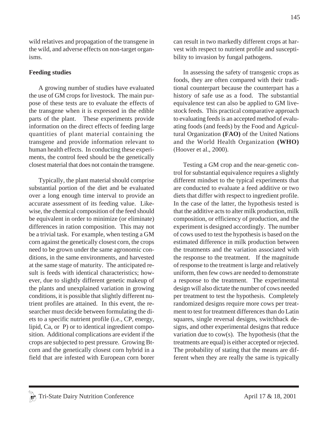wild relatives and propagation of the transgene in the wild, and adverse effects on non-target organisms.

#### **Feeding studies**

A growing number of studies have evaluated the use of GM crops for livestock. The main purpose of these tests are to evaluate the effects of the transgene when it is expressed in the edible parts of the plant. These experiments provide information on the direct effects of feeding large quantities of plant material containing the transgene and provide information relevant to human health effects. In conducting these experiments, the control feed should be the genetically closest material that does not contain the transgene.

Typically, the plant material should comprise substantial portion of the diet and be evaluated over a long enough time interval to provide an accurate assessment of its feeding value. Likewise, the chemical composition of the feed should be equivalent in order to minimize (or eliminate) differences in ration composition. This may not be a trivial task. For example, when testing a GM corn against the genetically closest corn, the crops need to be grown under the same agronomic conditions, in the same environments, and harvested at the same stage of maturity. The anticipated result is feeds with identical characteristics; however, due to slightly different genetic makeup of the plants and unexplained variation in growing conditions, it is possible that slightly different nutrient profiles are attained. In this event, the researcher must decide between formulating the diets to a specific nutrient profile (i.e., CP, energy, lipid, Ca, or P) or to identical ingredient composition. Additional complications are evident if the crops are subjected to pest pressure. Growing Btcorn and the genetically closest corn hybrid in a field that are infested with European corn borer can result in two markedly different crops at harvest with respect to nutrient profile and susceptibility to invasion by fungal pathogens.

In assessing the safety of transgenic crops as foods, they are often compared with their traditional counterpart because the counterpart has a history of safe use as a food. The substantial equivalence test can also be applied to GM livestock feeds. This practical comparative approach to evaluating feeds is an accepted method of evaluating foods (and feeds) by the Food and Agricultural Organization **(FAO)** of the United Nations and the World Health Organization **(WHO)** (Hoover et al., 2000).

Testing a GM crop and the near-genetic control for substantial equivalence requires a slightly different mindset to the typical experiments that are conducted to evaluate a feed additive or two diets that differ with respect to ingredient profile. In the case of the latter, the hypothesis tested is that the additive acts to alter milk production, milk composition, or efficiency of production, and the experiment is designed accordingly. The number of cows used to test the hypothesis is based on the estimated difference in milk production between the treatments and the variation associated with the response to the treatment. If the magnitude of response to the treatment is large and relatively uniform, then few cows are needed to demonstrate a response to the treatment. The experimental design will also dictate the number of cows needed per treatment to test the hypothesis. Completely randomized designs require more cows per treatment to test for treatment differences than do Latin squares, single reversal designs, switchback designs, and other experimental designs that reduce variation due to cow(s). The hypothesis (that the treatments are equal) is either accepted or rejected. The probability of stating that the means are different when they are really the same is typically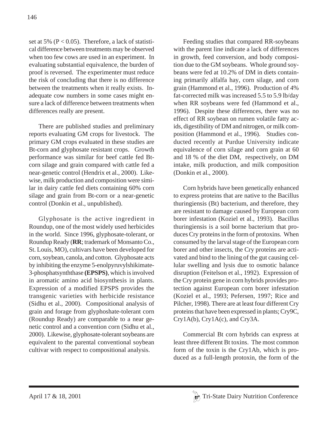set at 5% ( $P < 0.05$ ). Therefore, a lack of statistical difference between treatments may be observed when too few cows are used in an experiment. In evaluating substantial equivalence, the burden of proof is reversed. The experimenter must reduce the risk of concluding that there is no difference between the treatments when it really exists. Inadequate cow numbers in some cases might ensure a lack of difference between treatments when differences really are present.

There are published studies and preliminary reports evaluating GM crops for livestock. The primary GM crops evaluated in these studies are Bt-corn and glyphosate resistant crops. Growth performance was similar for beef cattle fed Btcorn silage and grain compared with cattle fed a near-genetic control (Hendrix et al., 2000). Likewise, milk production and composition were similar in dairy cattle fed diets containing 60% corn silage and grain from Bt-corn or a near-genetic control (Donkin et al., unpublished).

Glyphosate is the active ingredient in Roundup, one of the most widely used herbicides in the world. Since 1996, glyphosate-tolerant, or Roundup Ready (**RR**; trademark of Monsanto Co., St. Louis, MO), cultivars have been developed for corn, soybean, canola, and cotton. Glyphosate acts by inhibiting the enzyme 5-enolpyruvylshikimate-3-phosphatsynththase **(EPSPS)**, which is involved in aromatic amino acid biosynthesis in plants. Expression of a modified EPSPS provides the transgenic varieties with herbicide resistance (Sidhu et al., 2000). Compositional analysis of grain and forage from glyphoshate-tolerant corn (Roundup Ready) are comparable to a near genetic control and a convention corn (Sidhu et al., 2000). Likewise, glyphosate-tolerant soybeans are equivalent to the parental conventional soybean cultivar with respect to compositional analysis.

Feeding studies that compared RR-soybeans with the parent line indicate a lack of differences in growth, feed conversion, and body composition due to the GM soybeans. Whole ground soybeans were fed at 10.2% of DM in diets containing primarily alfalfa hay, corn silage, and corn grain (Hammond et al., 1996). Production of 4% fat-corrected milk was increased 5.5 to 5.9 lb/day when RR soybeans were fed (Hammond et al., 1996). Despite these differences, there was no effect of RR soybean on rumen volatile fatty acids, digestibility of DM and nitrogen, or milk composition (Hammond et al., 1996). Studies conducted recently at Purdue University indicate equivalence of corn silage and corn grain at 60 and 18 % of the diet DM, respectively, on DM intake, milk production, and milk composition (Donkin et al., 2000).

Corn hybrids have been genetically enhanced to express proteins that are native to the Bacillus thuringiensis (Bt) bacterium, and therefore, they are resistant to damage caused by European corn borer infestation (Koziel et al., 1993). Bacillus thuringiensis is a soil borne bacterium that produces Cry proteins in the form of protoxins. When consumed by the larval stage of the European corn borer and other insects, the Cry proteins are activated and bind to the lining of the gut causing cellular swelling and lysis due to osmotic balance disruption (Feitelson et al., 1992). Expression of the Cry protein gene in corn hybrids provides protection against European corn borer infestation (Koziel et al., 1993; Pefersen, 1997; Rice and Pilcher, 1998). There are at least four different Cry proteins that have been expressed in plants; Cry9C, Cry1A(b), Cry1A(c), and Cry3A.

Commercial Bt corn hybrids can express at least three different Bt toxins. The most common form of the toxin is the Cry1Ab, which is produced as a full-length protoxin, the form of the

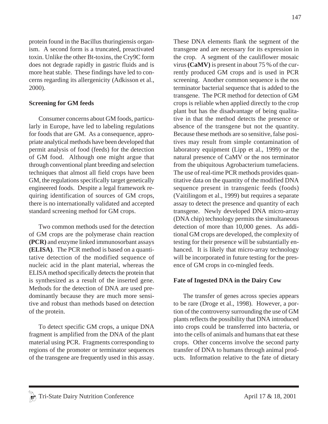does not degrade rapidly in gastric fluids and is more heat stable. These findings have led to concerns regarding its allergenicity (Adkisson et al., 2000). **Screening for GM feeds** Consumer concerns about GM foods, particu-

protein found in the Bacillus thuringiensis organism. A second form is a truncated, preactivated toxin. Unlike the other Bt-toxins, the Cry9C form

larly in Europe, have led to labeling regulations for foods that are GM. As a consequence, appropriate analytical methods have been developed that permit analysis of food (feeds) for the detection of GM food. Although one might argue that through conventional plant breeding and selection techniques that almost all field crops have been GM, the regulations specifically target genetically engineered foods. Despite a legal framework requiring identification of sources of GM crops, there is no internationally validated and accepted standard screening method for GM crops.

Two common methods used for the detection of GM crops are the polymerase chain reaction **(PCR)** and enzyme linked immunosorbant assays **(ELISA)**. The PCR method is based on a quantitative detection of the modified sequence of nucleic acid in the plant material, whereas the ELISA method specifically detects the protein that is synthesized as a result of the inserted gene. Methods for the detection of DNA are used predominantly because they are much more sensitive and robust than methods based on detection of the protein.

To detect specific GM crops, a unique DNA fragment is amplified from the DNA of the plant material using PCR. Fragments corresponding to regions of the promoter or terminator sequences of the transgene are frequently used in this assay. These DNA elements flank the segment of the transgene and are necessary for its expression in the crop. A segment of the cauliflower mosaic virus **(CaMV)** is present in about 75 % of the currently produced GM crops and is used in PCR screening. Another common sequence is the nos terminator bacterial sequence that is added to the transgene. The PCR method for detection of GM crops is reliable when applied directly to the crop plant but has the disadvantage of being qualitative in that the method detects the presence or absence of the transgene but not the quantity. Because these methods are so sensitive, false positives may result from simple contamination of laboratory equipment (Lipp et al., 1999) or the natural presence of CaMV or the nos terminator from the ubiquitous Agrobacterium tumefaciens. The use of real-time PCR methods provides quantitative data on the quantity of the modified DNA sequence present in transgenic feeds (foods) (Vaitilingom et al., 1999) but requires a separate assay to detect the presence and quantity of each transgene. Newly developed DNA micro-array (DNA chip) technology permits the simultaneous detection of more than 10,000 genes. As additional GM crops are developed, the complexity of testing for their presence will be substantially enhanced. It is likely that micro-array technology will be incorporated in future testing for the presence of GM crops in co-mingled feeds.

## **Fate of Ingested DNA in the Dairy Cow**

The transfer of genes across species appears to be rare (Droge et al., 1998). However, a portion of the controversy surrounding the use of GM plants reflects the possibility that DNA introduced into crops could be transferred into bacteria, or into the cells of animals and humans that eat these crops. Other concerns involve the second party transfer of DNA to humans through animal products. Information relative to the fate of dietary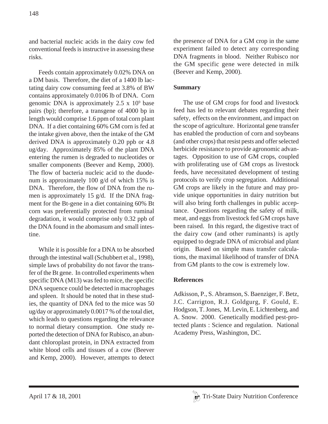and bacterial nucleic acids in the dairy cow fed conventional feeds is instructive in assessing these risks.

Feeds contain approximately 0.02% DNA on a DM basis. Therefore, the diet of a 1400 lb lactating dairy cow consuming feed at 3.8% of BW contains approximately 0.0106 lb of DNA. Corn genomic DNA is approximately  $2.5 \times 10^9$  base pairs (bp); therefore, a transgene of 4000 bp in length would comprise 1.6 ppm of total corn plant DNA. If a diet containing 60% GM corn is fed at the intake given above, then the intake of the GM derived DNA is approximately 0.20 ppb or 4.8 ug/day. Approximately 85% of the plant DNA entering the rumen is degraded to nucleotides or smaller components (Beever and Kemp, 2000). The flow of bacteria nucleic acid to the duodenum is approximately 100 g/d of which 15% is DNA. Therefore, the flow of DNA from the rumen is approximately 15 g/d. If the DNA fragment for the Bt-gene in a diet containing 60% Bt corn was preferentially protected from ruminal degradation, it would comprise only 0.32 ppb of the DNA found in the abomasum and small intestine.

While it is possible for a DNA to be absorbed through the intestinal wall (Schubbert et al., 1998), simple laws of probability do not favor the transfer of the Bt gene. In controlled experiments when specific DNA (M13) was fed to mice, the specific DNA sequence could be detected in macrophages and spleen. It should be noted that in these studies, the quantity of DNA fed to the mice was 50 ug/day or approximately 0.0017 % of the total diet, which leads to questions regarding the relevance to normal dietary consumption. One study reported the detection of DNA for Rubisco, an abundant chloroplast protein, in DNA extracted from white blood cells and tissues of a cow (Beever and Kemp, 2000). However, attempts to detect the presence of DNA for a GM crop in the same experiment failed to detect any corresponding DNA fragments in blood. Neither Rubisco nor the GM specific gene were detected in milk (Beever and Kemp, 2000).

# **Summary**

The use of GM crops for food and livestock feed has led to relevant debates regarding their safety, effects on the environment, and impact on the scope of agriculture. Horizontal gene transfer has enabled the production of corn and soybeans (and other crops) that resist pests and offer selected herbicide resistance to provide agronomic advantages. Opposition to use of GM crops, coupled with proliferating use of GM crops as livestock feeds, have necessitated development of testing protocols to verify crop segregation. Additional GM crops are likely in the future and may provide unique opportunities in dairy nutrition but will also bring forth challenges in public acceptance. Questions regarding the safety of milk, meat, and eggs from livestock fed GM crops have been raised. In this regard, the digestive tract of the dairy cow (and other ruminants) is aptly equipped to degrade DNA of microbial and plant origin. Based on simple mass transfer calculations, the maximal likelihood of transfer of DNA from GM plants to the cow is extremely low.

## **References**

Adkisson, P., S. Abramson, S. Baenziger, F. Betz, J.C. Carrigton, R.J. Goldgurg, F. Gould, E. Hodgson, T. Jones, M. Levin, E. Lichtenberg, and A. Snow. 2000. Genetically modified pest-protected plants : Science and regulation. National Academy Press, Washington, DC.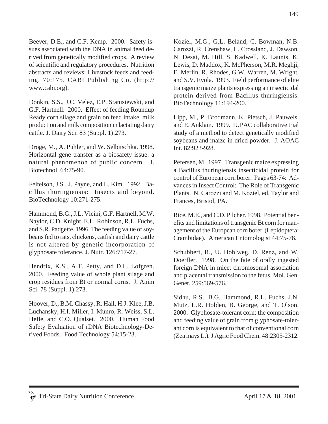Beever, D.E., and C.F. Kemp. 2000. Safety issues associated with the DNA in animal feed derived from genetically modified crops. A review of scientific and regulatory procedures. Nutrition abstracts and reviews: Livestock feeds and feeding. 70:175. CABI Publishing Co. (http:// www.cabi.org).

Donkin, S.S., J.C. Velez, E.P. Stanisiewski, and G.F. Hartnell. 2000. Effect of feeding Roundup Ready corn silage and grain on feed intake, milk production and milk composition in lactating dairy cattle. J. Dairy Sci. 83 (Suppl. 1):273.

Droge, M., A. Puhler, and W. Selbitschka. 1998. Horizontal gene transfer as a biosafety issue: a natural phenomenon of public concern. J. Biotechnol. 64:75-90.

Feitelson, J.S., J. Payne, and L. Kim. 1992. Bacillus thuringiensis: Insects and beyond. BioTechnology 10:271-275.

Hammond, B.G., J.L. Vicini, G.F. Hartnell, M.W. Naylor, C.D. Knight, E.H. Robinson, R.L. Fuchs, and S.R. Padgette. 1996. The feeding value of soybeans fed to rats, chickens, catfish and dairy cattle is not altered by genetic incorporation of glyphosate tolerance. J. Nutr. 126:717-27.

Hendrix, K.S., A.T. Petty, and D.L. Lofgren. 2000. Feeding value of whole plant silage and crop residues from Bt or normal corns. J. Anim Sci. 78 (Suppl. 1):273.

Hoover, D., B.M. Chassy, R. Hall, H.J. Klee, J.B. Luchansky, H.I. Miller, I. Munro, R. Weiss, S.L. Hefle, and C.O. Qualset. 2000. Human Food Safety Evaluation of rDNA Biotechnology-Derived Foods. Food Technology 54:15-23.

Koziel, M.G., G.L. Beland, C. Bowman, N.B. Carozzi, R. Crenshaw, L. Crossland, J. Dawson, N. Desai, M. Hill, S. Kadwell, K. Launis, K. Lewis, D. Maddox, K. McPherson, M.R. Meghji, E. Merlin, R. Rhodes, G.W. Warren, M. Wright, and S.V. Evola. 1993. Field performance of elite transgenic maize plants expressing an insecticidal protein derived from Bacillus thuringiensis. BioTechnology 11:194-200.

Lipp, M., P. Brodmann, K. Pietsch, J. Pauwels, and E. Anklam. 1999. IUPAC collaborative trial study of a method to detect genetically modified soybeans and maize in dried powder. J. AOAC Int. 82:923-928.

Pefersen, M. 1997. Transgenic maize expressing a Bacillus thuringiensis insecticidal protein for control of European corn borer. Pages 63-74: Advances in Insect Control: The Role of Transgenic Plants. N. Carozzi and M. Koziel, ed. Taylor and Frances, Bristol, PA.

Rice, M.E., and C.D. Pilcher. 1998. Potential benefits and limitations of transgenic Bt corn for management of the European corn borer (Lepidoptera: Crambidae). American Entomologist 44:75-78.

Schubbert, R., U. Hohlweg, D. Renz, and W. Doerfler. 1998. On the fate of orally ingested foreign DNA in mice: chromosomal association and placental transmission to the fetus. Mol. Gen. Genet. 259:569-576.

Sidhu, R.S., B.G. Hammond, R.L. Fuchs, J.N. Mutz, L.R. Holden, B. George, and T. Olson. 2000. Glyphosate-tolerant corn: the composition and feeding value of grain from glyphosate-tolerant corn is equivalent to that of conventional corn (Zea mays L.). J Agric Food Chem. 48:2305-2312.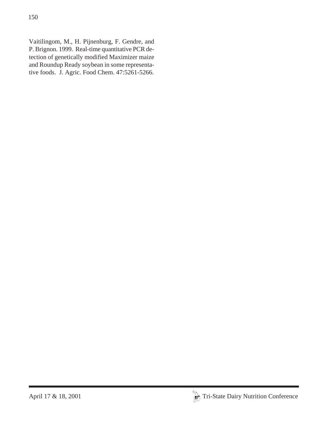Vaitilingom, M., H. Pijnenburg, F. Gendre, and P. Brignon. 1999. Real-time quantitative PCR detection of genetically modified Maximizer maize and Roundup Ready soybean in some representative foods. J. Agric. Food Chem. 47:5261-5266.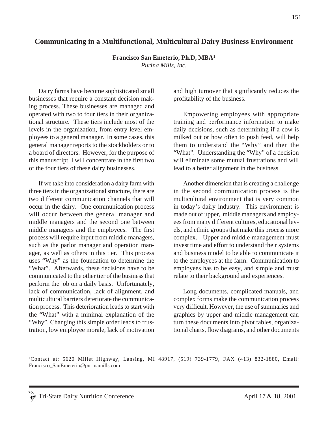# **Communicating in a Multifunctional, Multicultural Dairy Business Environment**

**Francisco San Emeterio, Ph.D, MBA1**

*Purina Mills, Inc.*

Dairy farms have become sophisticated small businesses that require a constant decision making process. These businesses are managed and operated with two to four tiers in their organizational structure. These tiers include most of the levels in the organization, from entry level employees to a general manager. In some cases, this general manager reports to the stockholders or to a board of directors. However, for the purpose of this manuscript, I will concentrate in the first two of the four tiers of these dairy businesses.

If we take into consideration a dairy farm with three tiers in the organizational structure, there are two different communication channels that will occur in the dairy. One communication process will occur between the general manager and middle managers and the second one between middle managers and the employees. The first process will require input from middle managers, such as the parlor manager and operation manager, as well as others in this tier. This process uses "Why" as the foundation to determine the "What". Afterwards, these decisions have to be communicated to the other tier of the business that perform the job on a daily basis. Unfortunately, lack of communication, lack of alignment, and multicultural barriers deteriorate the communication process. This deterioration leads to start with the "What" with a minimal explanation of the "Why". Changing this simple order leads to frustration, low employee morale, lack of motivation and high turnover that significantly reduces the profitability of the business.

Empowering employees with appropriate training and performance information to make daily decisions, such as determining if a cow is milked out or how often to push feed, will help them to understand the "Why" and then the "What". Understanding the "Why" of a decision will eliminate some mutual frustrations and will lead to a better alignment in the business.

Another dimension that is creating a challenge in the second communication process is the multicultural environment that is very common in today's dairy industry. This environment is made out of upper, middle managers and employees from many different cultures, educational levels, and ethnic groups that make this process more complex. Upper and middle management must invest time and effort to understand their systems and business model to be able to communicate it to the employees at the farm. Communication to employees has to be easy, and simple and must relate to their background and experiences.

Long documents, complicated manuals, and complex forms make the communication process very difficult. However, the use of summaries and graphics by upper and middle management can turn these documents into pivot tables, organizational charts, flow diagrams, and other documents

<sup>1</sup> Contact at: 5620 Millet Highway, Lansing, MI 48917, (519) 739-1779, FAX (413) 832-1880, Email: Francisco\_SanEmeterio@purinamills.com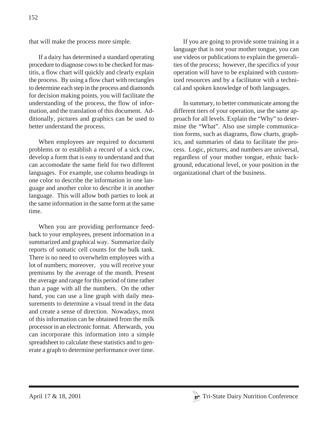that will make the process more simple.

If a dairy has determined a standard operating procedure to diagnose cows to be checked for mastitis, a flow chart will quickly and clearly explain the process. By using a flow chart with rectangles to determine each step in the process and diamonds for decision making points, you will facilitate the understanding of the process, the flow of information, and the translation of this document. Additionally, pictures and graphics can be used to better understand the process.

When employees are required to document problems or to establish a record of a sick cow, develop a form that is easy to understand and that can accomodate the same field for two different languages. For example, use column headings in one color to describe the information in one language and another color to describe it in another language. This will allow both parties to look at the same information in the same form at the same time.

When you are providing performance feedback to your employees, present information in a summarized and graphical way. Summarize daily reports of somatic cell counts for the bulk tank. There is no need to overwhelm employees with a lot of numbers; moreover, you will receive your premiums by the average of the month. Present the average and range for this period of time rather than a page with all the numbers. On the other hand, you can use a line graph with daily measurements to determine a visual trend in the data and create a sense of direction. Nowadays, most of this information can be obtained from the milk processor in an electronic format. Afterwards, you can incorporate this information into a simple spreadsheet to calculate these statistics and to generate a graph to determine performance over time.

If you are going to provide some training in a language that is not your mother tongue, you can use videos or publications to explain the generalities of the process; however, the specifics of your operation will have to be explained with customized resources and by a facilitator with a technical and spoken knowledge of both languages.

In summary, to better communicate among the different tiers of your operation, use the same approach for all levels. Explain the "Why" to determine the "What". Also use simple communication forms, such as diagrams, flow charts, graphics, and summaries of data to facilitate the process. Logic, pictures, and numbers are universal, regardless of your mother tongue, ethnic background, educational level, or your position in the organizational chart of the business.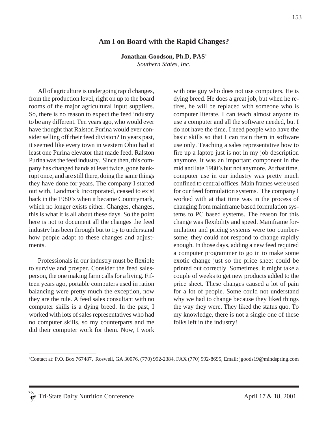# **Am I on Board with the Rapid Changes?**

**Jonathan Goodson, Ph.D, PAS1**

*Southern States, Inc.*

All of agriculture is undergoing rapid changes, from the production level, right on up to the board rooms of the major agricultural input suppliers. So, there is no reason to expect the feed industry to be any different. Ten years ago, who would ever have thought that Ralston Purina would ever consider selling off their feed division? In years past, it seemed like every town in western Ohio had at least one Purina elevator that made feed. Ralston Purina was the feed industry. Since then, this company has changed hands at least twice, gone bankrupt once, and are still there, doing the same things they have done for years. The company I started out with, Landmark Incorporated, ceased to exist back in the 1980's when it became Countrymark, which no longer exists either. Changes, changes, this is what it is all about these days. So the point here is not to document all the changes the feed industry has been through but to try to understand how people adapt to these changes and adjustments.

Professionals in our industry must be flexible to survive and prosper. Consider the feed salesperson, the one making farm calls for a living. Fifteen years ago, portable computers used in ration balancing were pretty much the exception, now they are the rule. A feed sales consultant with no computer skills is a dying breed. In the past, I worked with lots of sales representatives who had no computer skills, so my counterparts and me did their computer work for them. Now, I work with one guy who does not use computers. He is dying breed. He does a great job, but when he retires, he will be replaced with someone who is computer literate. I can teach almost anyone to use a computer and all the software needed, but I do not have the time. I need people who have the basic skills so that I can train them in software use only. Teaching a sales representative how to fire up a laptop just is not in my job description anymore. It was an important component in the mid and late 1980's but not anymore. At that time, computer use in our industry was pretty much confined to central offices. Main frames were used for our feed formulation systems. The company I worked with at that time was in the process of changing from mainframe based formulation systems to PC based systems. The reason for this change was flexibility and speed. Mainframe formulation and pricing systems were too cumbersome; they could not respond to change rapidly enough. In those days, adding a new feed required a computer programmer to go in to make some exotic change just so the price sheet could be printed out correctly. Sometimes, it might take a couple of weeks to get new products added to the price sheet. These changes caused a lot of pain for a lot of people. Some could not understand why we had to change because they liked things the way they were. They liked the status quo. To my knowledge, there is not a single one of these folks left in the industry!

1 Contact at: P.O. Box 767487, Roswell, GA 30076, (770) 992-2384, FAX (770) 992-8695, Email: jgoods19@mindspring.com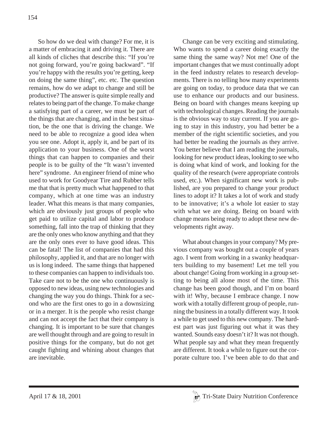So how do we deal with change? For me, it is a matter of embracing it and driving it. There are all kinds of cliches that describe this: "If you're not going forward, you're going backward". "If you're happy with the results you're getting, keep on doing the same thing", etc. etc. The question remains, how do we adapt to change and still be productive? The answer is quite simple really and relates to being part of the change. To make change a satisfying part of a career, we must be part of the things that are changing, and in the best situation, be the one that is driving the change. We need to be able to recognize a good idea when you see one. Adopt it, apply it, and be part of its application to your business. One of the worst things that can happen to companies and their people is to be guilty of the "It wasn't invented here" syndrome. An engineer friend of mine who used to work for Goodyear Tire and Rubber tells me that that is pretty much what happened to that company, which at one time was an industry leader. What this means is that many companies, which are obviously just groups of people who get paid to utilize capital and labor to produce something, fall into the trap of thinking that they are the only ones who know anything and that they are the only ones ever to have good ideas. This can be fatal! The list of companies that had this philosophy, applied it, and that are no longer with us is long indeed. The same things that happened to these companies can happen to individuals too. Take care not to be the one who continuously is opposed to new ideas, using new technologies and changing the way you do things. Think for a second who are the first ones to go in a downsizing or in a merger. It is the people who resist change and can not accept the fact that their company is changing. It is important to be sure that changes are well thought through and are going to result in positive things for the company, but do not get caught fighting and whining about changes that are inevitable.

Change can be very exciting and stimulating. Who wants to spend a career doing exactly the same thing the same way? Not me! One of the important changes that we must continually adopt in the feed industry relates to research developments. There is no telling how many experiments are going on today, to produce data that we can use to enhance our products and our business. Being on board with changes means keeping up with technological changes. Reading the journals is the obvious way to stay current. If you are going to stay in this industry, you had better be a member of the right scientific societies, and you had better be reading the journals as they arrive. You better believe that I am reading the journals, looking for new product ideas, looking to see who is doing what kind of work, and looking for the quality of the research (were appropriate controls used, etc.). When significant new work is published, are you prepared to change your product lines to adopt it? It takes a lot of work and study to be innovative; it's a whole lot easier to stay with what we are doing. Being on board with change means being ready to adopt these new developments right away.

What about changes in your company? My previous company was bought out a couple of years ago. I went from working in a swanky headquarters building to my basement! Let me tell you about change! Going from working in a group setting to being all alone most of the time. This change has been good though, and I'm on board with it! Why, because I embrace change. I now work with a totally different group of people, running the business in a totally different way. It took a while to get used to this new company. The hardest part was just figuring out what it was they wanted. Sounds easy doesn't it? It was not though. What people say and what they mean frequently are different. It took a while to figure out the corporate culture too. I've been able to do that and